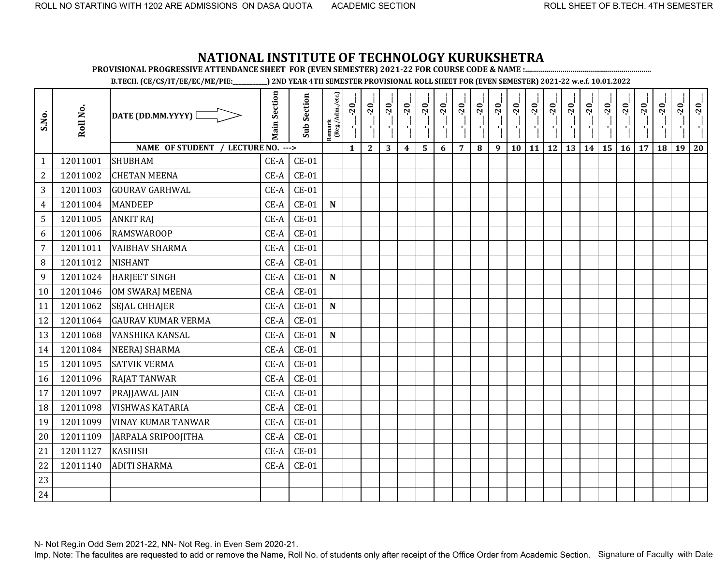**PROVISIONAL PROGRESSIVE ATTENDANCE SHEET FOR (EVEN SEMESTER) 2021-22 FOR COURSE CODE & NAME :................................................................**

**B.TECH. (CE/CS/IT/EE/EC/ME/PIE:\_\_\_\_\_\_\_\_\_\_\_\_) 2ND YEAR 4TH SEMESTER PROVISIONAL ROLL SHEET FOR (EVEN SEMESTER) 2021-22 w.e.f. 10.01.2022** 

| S.No.            | Roll No. | DATE (DD.MM.YYYY) [                | <b>Main Section</b> | <b>Sub Section</b> | Remark<br>(Reg./Adm./etc.) | $-20$<br>۱ļ  | $-20$        | $-20$ | $-20$            | $-20$ | $-20$ | $-20$          | $-20$ | $-20$ | $-20$ | $-20$ | $-20$     | $-20$ | $-20$ | $-20$ | $-20$ | $-20$ | $-20$ | $-20$ | $-20$ |
|------------------|----------|------------------------------------|---------------------|--------------------|----------------------------|--------------|--------------|-------|------------------|-------|-------|----------------|-------|-------|-------|-------|-----------|-------|-------|-------|-------|-------|-------|-------|-------|
|                  |          | NAME OF STUDENT / LECTURE NO. ---> |                     |                    |                            | $\mathbf{1}$ | $\mathbf{2}$ | 3     | $\boldsymbol{4}$ | 5     | 6     | $\overline{7}$ | 8     | 9     | 10    | 11    | <b>12</b> | 13    | 14    | 15    | 16    | 17    | 18    | 19    | 20    |
| $\mathbf{1}$     | 12011001 | <b>SHUBHAM</b>                     | $CE-A$              | $CE-01$            |                            |              |              |       |                  |       |       |                |       |       |       |       |           |       |       |       |       |       |       |       |       |
| $\overline{2}$   | 12011002 | <b>CHETAN MEENA</b>                | $CE-A$              | $CE-01$            |                            |              |              |       |                  |       |       |                |       |       |       |       |           |       |       |       |       |       |       |       |       |
| 3                | 12011003 | <b>GOURAV GARHWAL</b>              | $CE-A$              | $CE-01$            |                            |              |              |       |                  |       |       |                |       |       |       |       |           |       |       |       |       |       |       |       |       |
| $\overline{4}$   | 12011004 | <b>MANDEEP</b>                     | CE-A                | $CE-01$            | $\mathbf N$                |              |              |       |                  |       |       |                |       |       |       |       |           |       |       |       |       |       |       |       |       |
| 5                | 12011005 | <b>ANKIT RAJ</b>                   | $CE-A$              | $CE-01$            |                            |              |              |       |                  |       |       |                |       |       |       |       |           |       |       |       |       |       |       |       |       |
| 6                | 12011006 | <b>RAMSWAROOP</b>                  | $CE-A$              | $CE-01$            |                            |              |              |       |                  |       |       |                |       |       |       |       |           |       |       |       |       |       |       |       |       |
| $\overline{7}$   | 12011011 | <b>VAIBHAV SHARMA</b>              | $CE-A$              | $CE-01$            |                            |              |              |       |                  |       |       |                |       |       |       |       |           |       |       |       |       |       |       |       |       |
| 8                | 12011012 | <b>NISHANT</b>                     | $CE-A$              | $CE-01$            |                            |              |              |       |                  |       |       |                |       |       |       |       |           |       |       |       |       |       |       |       |       |
| $\boldsymbol{9}$ | 12011024 | <b>HARJEET SINGH</b>               | $CE-A$              | $CE-01$            | ${\bf N}$                  |              |              |       |                  |       |       |                |       |       |       |       |           |       |       |       |       |       |       |       |       |
| 10               | 12011046 | <b>OM SWARAJ MEENA</b>             | $CE-A$              | $CE-01$            |                            |              |              |       |                  |       |       |                |       |       |       |       |           |       |       |       |       |       |       |       |       |
| 11               | 12011062 | <b>SEJAL CHHAJER</b>               | $CE-A$              | $CE-01$            | ${\bf N}$                  |              |              |       |                  |       |       |                |       |       |       |       |           |       |       |       |       |       |       |       |       |
| 12               | 12011064 | <b>GAURAV KUMAR VERMA</b>          | $CE-A$              | $CE-01$            |                            |              |              |       |                  |       |       |                |       |       |       |       |           |       |       |       |       |       |       |       |       |
| 13               | 12011068 | <b>VANSHIKA KANSAL</b>             | CE-A                | $CE-01$            | $\mathbf N$                |              |              |       |                  |       |       |                |       |       |       |       |           |       |       |       |       |       |       |       |       |
| 14               | 12011084 | <b>NEERAJ SHARMA</b>               | $CE-A$              | $CE-01$            |                            |              |              |       |                  |       |       |                |       |       |       |       |           |       |       |       |       |       |       |       |       |
| 15               | 12011095 | <b>SATVIK VERMA</b>                | CE-A                | $CE-01$            |                            |              |              |       |                  |       |       |                |       |       |       |       |           |       |       |       |       |       |       |       |       |
| 16               | 12011096 | <b>RAJAT TANWAR</b>                | $CE-A$              | $CE-01$            |                            |              |              |       |                  |       |       |                |       |       |       |       |           |       |       |       |       |       |       |       |       |
| 17               | 12011097 | PRAJJAWAL JAIN                     | CE-A                | $CE-01$            |                            |              |              |       |                  |       |       |                |       |       |       |       |           |       |       |       |       |       |       |       |       |
| 18               | 12011098 | <b>VISHWAS KATARIA</b>             | $CE-A$              | $CE-01$            |                            |              |              |       |                  |       |       |                |       |       |       |       |           |       |       |       |       |       |       |       |       |
| 19               | 12011099 | <b>VINAY KUMAR TANWAR</b>          | $CE-A$              | $CE-01$            |                            |              |              |       |                  |       |       |                |       |       |       |       |           |       |       |       |       |       |       |       |       |
| 20               | 12011109 | JARPALA SRIPOOJITHA                | $CE-A$              | $CE-01$            |                            |              |              |       |                  |       |       |                |       |       |       |       |           |       |       |       |       |       |       |       |       |
| 21               | 12011127 | <b>KASHISH</b>                     | $CE-A$              | $CE-01$            |                            |              |              |       |                  |       |       |                |       |       |       |       |           |       |       |       |       |       |       |       |       |
| 22               | 12011140 | <b>ADITI SHARMA</b>                | $CE-A$              | $CE-01$            |                            |              |              |       |                  |       |       |                |       |       |       |       |           |       |       |       |       |       |       |       |       |
| 23               |          |                                    |                     |                    |                            |              |              |       |                  |       |       |                |       |       |       |       |           |       |       |       |       |       |       |       |       |
| 24               |          |                                    |                     |                    |                            |              |              |       |                  |       |       |                |       |       |       |       |           |       |       |       |       |       |       |       |       |

N- Not Reg.in Odd Sem 2021-22, NN- Not Reg. in Even Sem 2020-21.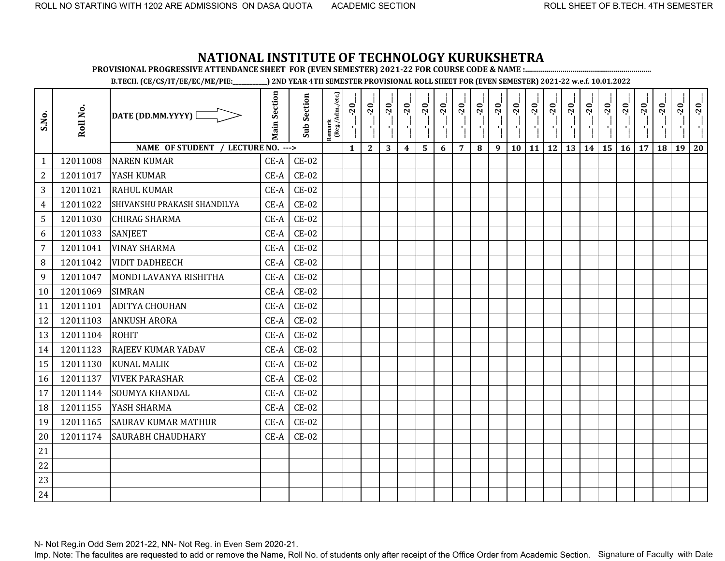**PROVISIONAL PROGRESSIVE ATTENDANCE SHEET FOR (EVEN SEMESTER) 2021-22 FOR COURSE CODE & NAME :................................................................**

**B.TECH. (CE/CS/IT/EE/EC/ME/PIE:\_\_\_\_\_\_\_\_\_\_\_\_) 2ND YEAR 4TH SEMESTER PROVISIONAL ROLL SHEET FOR (EVEN SEMESTER) 2021-22 w.e.f. 10.01.2022** 

| S.No.            | Roll No. | DATE (DD.MM.YYYY) [                | <b>Main Section</b> | Sub Section  | $\frac{\text{Remark}}{\text{(Reg/Adm/etc.)}}$ | $-20$        | $-20$        | $-20$ | $-20$                   | $-20$ | $-20$ | $-20$          | $-20$ | $-20$ | $-20$ | $-20$ | $-20$ | $-20$ | $-20$ | $-20$ | $-20$ | $-20$ | $-20$ | $-20$ | $-20$ |
|------------------|----------|------------------------------------|---------------------|--------------|-----------------------------------------------|--------------|--------------|-------|-------------------------|-------|-------|----------------|-------|-------|-------|-------|-------|-------|-------|-------|-------|-------|-------|-------|-------|
|                  |          | NAME OF STUDENT / LECTURE NO. ---> |                     |              |                                               | $\mathbf{1}$ | $\mathbf{2}$ | 3     | $\overline{\mathbf{4}}$ | 5     | 6     | $\overline{7}$ | 8     | 9     | 10    | 11    | 12    | 13    | 14    | 15    | 16    | 17    | 18    | 19    | 20    |
| $\mathbf{1}$     | 12011008 | <b>NAREN KUMAR</b>                 | $CE-A$              | $CE-02$      |                                               |              |              |       |                         |       |       |                |       |       |       |       |       |       |       |       |       |       |       |       |       |
| $\overline{2}$   | 12011017 | YASH KUMAR                         | $CE-A$              | $CE-02$      |                                               |              |              |       |                         |       |       |                |       |       |       |       |       |       |       |       |       |       |       |       |       |
| 3                | 12011021 | <b>RAHUL KUMAR</b>                 | $CE-A$              | $CE-02$      |                                               |              |              |       |                         |       |       |                |       |       |       |       |       |       |       |       |       |       |       |       |       |
| $\overline{4}$   | 12011022 | SHIVANSHU PRAKASH SHANDILYA        | $CE-A$              | $CE-02$      |                                               |              |              |       |                         |       |       |                |       |       |       |       |       |       |       |       |       |       |       |       |       |
| 5                | 12011030 | <b>CHIRAG SHARMA</b>               | CE-A                | <b>CE-02</b> |                                               |              |              |       |                         |       |       |                |       |       |       |       |       |       |       |       |       |       |       |       |       |
| 6                | 12011033 | <b>SANJEET</b>                     | $CE-A$              | $CE-02$      |                                               |              |              |       |                         |       |       |                |       |       |       |       |       |       |       |       |       |       |       |       |       |
| $\overline{7}$   | 12011041 | <b>VINAY SHARMA</b>                | CE-A                | $CE-02$      |                                               |              |              |       |                         |       |       |                |       |       |       |       |       |       |       |       |       |       |       |       |       |
| 8                | 12011042 | <b>VIDIT DADHEECH</b>              | CE-A                | <b>CE-02</b> |                                               |              |              |       |                         |       |       |                |       |       |       |       |       |       |       |       |       |       |       |       |       |
| $\boldsymbol{9}$ | 12011047 | MONDI LAVANYA RISHITHA             | CE-A                | $CE-02$      |                                               |              |              |       |                         |       |       |                |       |       |       |       |       |       |       |       |       |       |       |       |       |
| 10               | 12011069 | <b>SIMRAN</b>                      | CE-A                | <b>CE-02</b> |                                               |              |              |       |                         |       |       |                |       |       |       |       |       |       |       |       |       |       |       |       |       |
| 11               | 12011101 | <b>ADITYA CHOUHAN</b>              | $CE-A$              | <b>CE-02</b> |                                               |              |              |       |                         |       |       |                |       |       |       |       |       |       |       |       |       |       |       |       |       |
| 12               | 12011103 | <b>ANKUSH ARORA</b>                | CE-A                | $CE-02$      |                                               |              |              |       |                         |       |       |                |       |       |       |       |       |       |       |       |       |       |       |       |       |
| 13               | 12011104 | <b>ROHIT</b>                       | CE-A                | <b>CE-02</b> |                                               |              |              |       |                         |       |       |                |       |       |       |       |       |       |       |       |       |       |       |       |       |
| 14               | 12011123 | RAJEEV KUMAR YADAV                 | $CE-A$              | $CE-02$      |                                               |              |              |       |                         |       |       |                |       |       |       |       |       |       |       |       |       |       |       |       |       |
| 15               | 12011130 | <b>KUNAL MALIK</b>                 | $CE-A$              | <b>CE-02</b> |                                               |              |              |       |                         |       |       |                |       |       |       |       |       |       |       |       |       |       |       |       |       |
| 16               | 12011137 | <b>VIVEK PARASHAR</b>              | $CE-A$              | $CE-02$      |                                               |              |              |       |                         |       |       |                |       |       |       |       |       |       |       |       |       |       |       |       |       |
| 17               | 12011144 | <b>SOUMYA KHANDAL</b>              | CE-A                | $CE-02$      |                                               |              |              |       |                         |       |       |                |       |       |       |       |       |       |       |       |       |       |       |       |       |
| 18               | 12011155 | YASH SHARMA                        | CE-A                | <b>CE-02</b> |                                               |              |              |       |                         |       |       |                |       |       |       |       |       |       |       |       |       |       |       |       |       |
| 19               | 12011165 | <b>SAURAV KUMAR MATHUR</b>         | $CE-A$              | $CE-02$      |                                               |              |              |       |                         |       |       |                |       |       |       |       |       |       |       |       |       |       |       |       |       |
| 20               | 12011174 | <b>SAURABH CHAUDHARY</b>           | $CE-A$              | <b>CE-02</b> |                                               |              |              |       |                         |       |       |                |       |       |       |       |       |       |       |       |       |       |       |       |       |
| 21               |          |                                    |                     |              |                                               |              |              |       |                         |       |       |                |       |       |       |       |       |       |       |       |       |       |       |       |       |
| 22               |          |                                    |                     |              |                                               |              |              |       |                         |       |       |                |       |       |       |       |       |       |       |       |       |       |       |       |       |
| 23               |          |                                    |                     |              |                                               |              |              |       |                         |       |       |                |       |       |       |       |       |       |       |       |       |       |       |       |       |
| 24               |          |                                    |                     |              |                                               |              |              |       |                         |       |       |                |       |       |       |       |       |       |       |       |       |       |       |       |       |

N- Not Reg.in Odd Sem 2021-22, NN- Not Reg. in Even Sem 2020-21.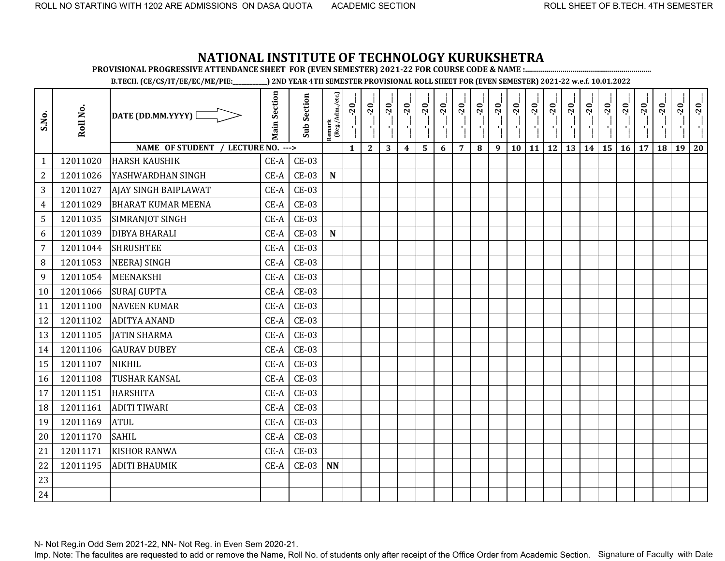**PROVISIONAL PROGRESSIVE ATTENDANCE SHEET FOR (EVEN SEMESTER) 2021-22 FOR COURSE CODE & NAME :................................................................**

**B.TECH. (CE/CS/IT/EE/EC/ME/PIE:\_\_\_\_\_\_\_\_\_\_\_\_) 2ND YEAR 4TH SEMESTER PROVISIONAL ROLL SHEET FOR (EVEN SEMESTER) 2021-22 w.e.f. 10.01.2022** 

| S.No.          | Roll No. | DATE (DD.MM.YYYY) [                | <b>Main Section</b> | <b>Sub Section</b> | Remark<br>(Reg./Adm./etc.) | $-20$<br>۱ļ  | $-20$<br>Î,  | $-20$ | $-20$                   | $-20$ | $-20$ | $-20$          | $-20$ | $-20$ | $-20$ | $-20$        | $-20$ | $-20$ | $-20$ | $-20$ | $-20$ | $-20$ | $-20$ | $-20$ | $-20$ |
|----------------|----------|------------------------------------|---------------------|--------------------|----------------------------|--------------|--------------|-------|-------------------------|-------|-------|----------------|-------|-------|-------|--------------|-------|-------|-------|-------|-------|-------|-------|-------|-------|
|                |          | NAME OF STUDENT / LECTURE NO. ---> |                     |                    |                            | $\mathbf{1}$ | $\mathbf{2}$ | 3     | $\overline{\mathbf{4}}$ | 5     | 6     | $\overline{7}$ | 8     | 9     | 10    | $11 \mid 12$ |       | 13    | 14    | 15    | 16    | 17    | 18    | 19    | 20    |
| $\mathbf{1}$   | 12011020 | <b>HARSH KAUSHIK</b>               | CE-A                | $CE-03$            |                            |              |              |       |                         |       |       |                |       |       |       |              |       |       |       |       |       |       |       |       |       |
| $\overline{2}$ | 12011026 | YASHWARDHAN SINGH                  | $CE-A$              | $CE-03$            | $\mathbf N$                |              |              |       |                         |       |       |                |       |       |       |              |       |       |       |       |       |       |       |       |       |
| 3              | 12011027 | AJAY SINGH BAIPLAWAT               | $CE-A$              | $CE-03$            |                            |              |              |       |                         |       |       |                |       |       |       |              |       |       |       |       |       |       |       |       |       |
| $\overline{4}$ | 12011029 | <b>BHARAT KUMAR MEENA</b>          | CE-A                | $CE-03$            |                            |              |              |       |                         |       |       |                |       |       |       |              |       |       |       |       |       |       |       |       |       |
| 5              | 12011035 | SIMRANJOT SINGH                    | $CE-A$              | $CE-03$            |                            |              |              |       |                         |       |       |                |       |       |       |              |       |       |       |       |       |       |       |       |       |
| 6              | 12011039 | <b>DIBYA BHARALI</b>               | $CE-A$              | $CE-03$            | $\mathbf N$                |              |              |       |                         |       |       |                |       |       |       |              |       |       |       |       |       |       |       |       |       |
| $\overline{7}$ | 12011044 | <b>SHRUSHTEE</b>                   | $CE-A$              | $CE-03$            |                            |              |              |       |                         |       |       |                |       |       |       |              |       |       |       |       |       |       |       |       |       |
| 8              | 12011053 | <b>NEERAJ SINGH</b>                | CE-A                | $CE-03$            |                            |              |              |       |                         |       |       |                |       |       |       |              |       |       |       |       |       |       |       |       |       |
| 9              | 12011054 | <b>MEENAKSHI</b>                   | $CE-A$              | $CE-03$            |                            |              |              |       |                         |       |       |                |       |       |       |              |       |       |       |       |       |       |       |       |       |
| 10             | 12011066 | <b>SURAJ GUPTA</b>                 | $CE-A$              | $CE-03$            |                            |              |              |       |                         |       |       |                |       |       |       |              |       |       |       |       |       |       |       |       |       |
| 11             | 12011100 | <b>NAVEEN KUMAR</b>                | $CE-A$              | $CE-03$            |                            |              |              |       |                         |       |       |                |       |       |       |              |       |       |       |       |       |       |       |       |       |
| 12             | 12011102 | <b>ADITYA ANAND</b>                | $CE-A$              | $CE-03$            |                            |              |              |       |                         |       |       |                |       |       |       |              |       |       |       |       |       |       |       |       |       |
| 13             | 12011105 | <b>JATIN SHARMA</b>                | $CE-A$              | $CE-03$            |                            |              |              |       |                         |       |       |                |       |       |       |              |       |       |       |       |       |       |       |       |       |
| 14             | 12011106 | <b>GAURAV DUBEY</b>                | $CE-A$              | $CE-03$            |                            |              |              |       |                         |       |       |                |       |       |       |              |       |       |       |       |       |       |       |       |       |
| 15             | 12011107 | <b>NIKHIL</b>                      | $CE-A$              | $CE-03$            |                            |              |              |       |                         |       |       |                |       |       |       |              |       |       |       |       |       |       |       |       |       |
| 16             | 12011108 | <b>TUSHAR KANSAL</b>               | $CE-A$              | $CE-03$            |                            |              |              |       |                         |       |       |                |       |       |       |              |       |       |       |       |       |       |       |       |       |
| 17             | 12011151 | HARSHITA                           | $CE-A$              | $CE-03$            |                            |              |              |       |                         |       |       |                |       |       |       |              |       |       |       |       |       |       |       |       |       |
| 18             | 12011161 | <b>ADITI TIWARI</b>                | $CE-A$              | $CE-03$            |                            |              |              |       |                         |       |       |                |       |       |       |              |       |       |       |       |       |       |       |       |       |
| 19             | 12011169 | <b>ATUL</b>                        | $CE-A$              | $CE-03$            |                            |              |              |       |                         |       |       |                |       |       |       |              |       |       |       |       |       |       |       |       |       |
| 20             | 12011170 | <b>SAHIL</b>                       | $CE-A$              | $CE-03$            |                            |              |              |       |                         |       |       |                |       |       |       |              |       |       |       |       |       |       |       |       |       |
| 21             | 12011171 | <b>KISHOR RANWA</b>                | $CE-A$              | $CE-03$            |                            |              |              |       |                         |       |       |                |       |       |       |              |       |       |       |       |       |       |       |       |       |
| 22             | 12011195 | <b>ADITI BHAUMIK</b>               | $CE-A$              | $CE-03$            | <b>NN</b>                  |              |              |       |                         |       |       |                |       |       |       |              |       |       |       |       |       |       |       |       |       |
| 23             |          |                                    |                     |                    |                            |              |              |       |                         |       |       |                |       |       |       |              |       |       |       |       |       |       |       |       |       |
| 24             |          |                                    |                     |                    |                            |              |              |       |                         |       |       |                |       |       |       |              |       |       |       |       |       |       |       |       |       |

N- Not Reg.in Odd Sem 2021-22, NN- Not Reg. in Even Sem 2020-21.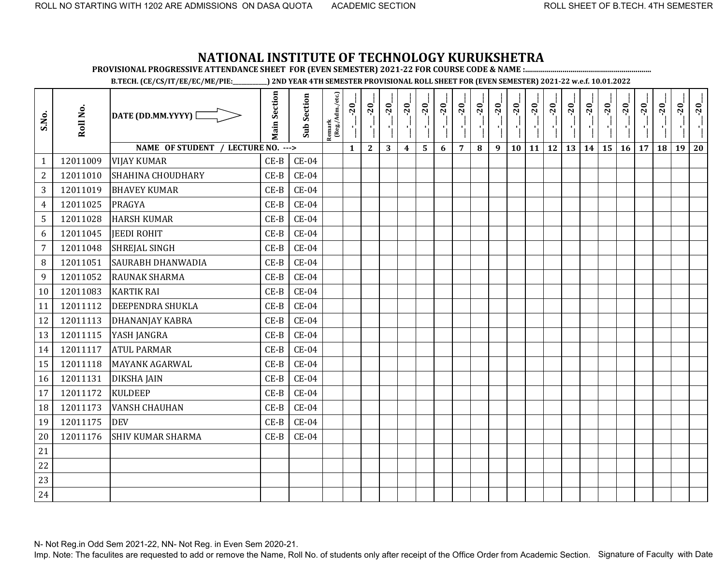**PROVISIONAL PROGRESSIVE ATTENDANCE SHEET FOR (EVEN SEMESTER) 2021-22 FOR COURSE CODE & NAME :................................................................**

**B.TECH. (CE/CS/IT/EE/EC/ME/PIE:\_\_\_\_\_\_\_\_\_\_\_\_) 2ND YEAR 4TH SEMESTER PROVISIONAL ROLL SHEET FOR (EVEN SEMESTER) 2021-22 w.e.f. 10.01.2022** 

| S.No.          | Roll No. | DATE (DD.MM.YYYY) [                | <b>Main Section</b> | <b>Sub Section</b> | Remark<br>(Reg./Adm./etc.) | $-20$<br>J,  | $-20$<br>۱ļ  | $-20$ | $-20$            | $-20$ | $-20$ | $-20$          | $-20$ | $-20$ | $-20$ | $-20$ | $-20$ | $-20$ | $-20$ | $-20$ | $-20$ | $-20$ | $-20$ | $-20$ | $-20$ |
|----------------|----------|------------------------------------|---------------------|--------------------|----------------------------|--------------|--------------|-------|------------------|-------|-------|----------------|-------|-------|-------|-------|-------|-------|-------|-------|-------|-------|-------|-------|-------|
|                |          | NAME OF STUDENT / LECTURE NO. ---> |                     |                    |                            | $\mathbf{1}$ | $\mathbf{2}$ | 3     | $\boldsymbol{4}$ | 5     | 6     | $\overline{7}$ | 8     | 9     | 10    | 11    | 12    | 13    | 14    | 15    | 16    | 17    | 18    | 19    | 20    |
| $\mathbf{1}$   | 12011009 | <b>VIJAY KUMAR</b>                 | $CE-B$              | $CE-04$            |                            |              |              |       |                  |       |       |                |       |       |       |       |       |       |       |       |       |       |       |       |       |
| $\mathbf{2}$   | 12011010 | <b>SHAHINA CHOUDHARY</b>           | $CE-B$              | $CE-04$            |                            |              |              |       |                  |       |       |                |       |       |       |       |       |       |       |       |       |       |       |       |       |
| 3              | 12011019 | <b>BHAVEY KUMAR</b>                | $CE-B$              | $CE-04$            |                            |              |              |       |                  |       |       |                |       |       |       |       |       |       |       |       |       |       |       |       |       |
| 4              | 12011025 | <b>PRAGYA</b>                      | $CE-B$              | $CE-04$            |                            |              |              |       |                  |       |       |                |       |       |       |       |       |       |       |       |       |       |       |       |       |
| 5              | 12011028 | <b>HARSH KUMAR</b>                 | $CE-B$              | $CE-04$            |                            |              |              |       |                  |       |       |                |       |       |       |       |       |       |       |       |       |       |       |       |       |
| 6              | 12011045 | <b>JEEDI ROHIT</b>                 | $CE-B$              | $CE-04$            |                            |              |              |       |                  |       |       |                |       |       |       |       |       |       |       |       |       |       |       |       |       |
| $\overline{7}$ | 12011048 | <b>SHREJAL SINGH</b>               | $CE-B$              | $CE-04$            |                            |              |              |       |                  |       |       |                |       |       |       |       |       |       |       |       |       |       |       |       |       |
| 8              | 12011051 | <b>SAURABH DHANWADIA</b>           | $CE-B$              | $CE-04$            |                            |              |              |       |                  |       |       |                |       |       |       |       |       |       |       |       |       |       |       |       |       |
| 9              | 12011052 | RAUNAK SHARMA                      | $CE-B$              | $CE-04$            |                            |              |              |       |                  |       |       |                |       |       |       |       |       |       |       |       |       |       |       |       |       |
| 10             | 12011083 | <b>KARTIK RAI</b>                  | $CE-B$              | $CE-04$            |                            |              |              |       |                  |       |       |                |       |       |       |       |       |       |       |       |       |       |       |       |       |
| 11             | 12011112 | DEEPENDRA SHUKLA                   | $CE-B$              | $CE-04$            |                            |              |              |       |                  |       |       |                |       |       |       |       |       |       |       |       |       |       |       |       |       |
| 12             | 12011113 | <b>DHANANJAY KABRA</b>             | $CE-B$              | $CE-04$            |                            |              |              |       |                  |       |       |                |       |       |       |       |       |       |       |       |       |       |       |       |       |
| 13             | 12011115 | YASH JANGRA                        | $CE-B$              | $CE-04$            |                            |              |              |       |                  |       |       |                |       |       |       |       |       |       |       |       |       |       |       |       |       |
| 14             | 12011117 | <b>ATUL PARMAR</b>                 | $CE-B$              | $CE-04$            |                            |              |              |       |                  |       |       |                |       |       |       |       |       |       |       |       |       |       |       |       |       |
| 15             | 12011118 | <b>MAYANK AGARWAL</b>              | $CE-B$              | $CE-04$            |                            |              |              |       |                  |       |       |                |       |       |       |       |       |       |       |       |       |       |       |       |       |
| 16             | 12011131 | <b>DIKSHA JAIN</b>                 | $CE-B$              | $CE-04$            |                            |              |              |       |                  |       |       |                |       |       |       |       |       |       |       |       |       |       |       |       |       |
| 17             | 12011172 | <b>KULDEEP</b>                     | $CE-B$              | $CE-04$            |                            |              |              |       |                  |       |       |                |       |       |       |       |       |       |       |       |       |       |       |       |       |
| 18             | 12011173 | <b>VANSH CHAUHAN</b>               | $CE-B$              | $CE-04$            |                            |              |              |       |                  |       |       |                |       |       |       |       |       |       |       |       |       |       |       |       |       |
| 19             | 12011175 | <b>DEV</b>                         | $CE-B$              | $CE-04$            |                            |              |              |       |                  |       |       |                |       |       |       |       |       |       |       |       |       |       |       |       |       |
| 20             | 12011176 | <b>SHIV KUMAR SHARMA</b>           | $CE-B$              | $CE-04$            |                            |              |              |       |                  |       |       |                |       |       |       |       |       |       |       |       |       |       |       |       |       |
| 21             |          |                                    |                     |                    |                            |              |              |       |                  |       |       |                |       |       |       |       |       |       |       |       |       |       |       |       |       |
| 22             |          |                                    |                     |                    |                            |              |              |       |                  |       |       |                |       |       |       |       |       |       |       |       |       |       |       |       |       |
| 23             |          |                                    |                     |                    |                            |              |              |       |                  |       |       |                |       |       |       |       |       |       |       |       |       |       |       |       |       |
| 24             |          |                                    |                     |                    |                            |              |              |       |                  |       |       |                |       |       |       |       |       |       |       |       |       |       |       |       |       |

N- Not Reg.in Odd Sem 2021-22, NN- Not Reg. in Even Sem 2020-21.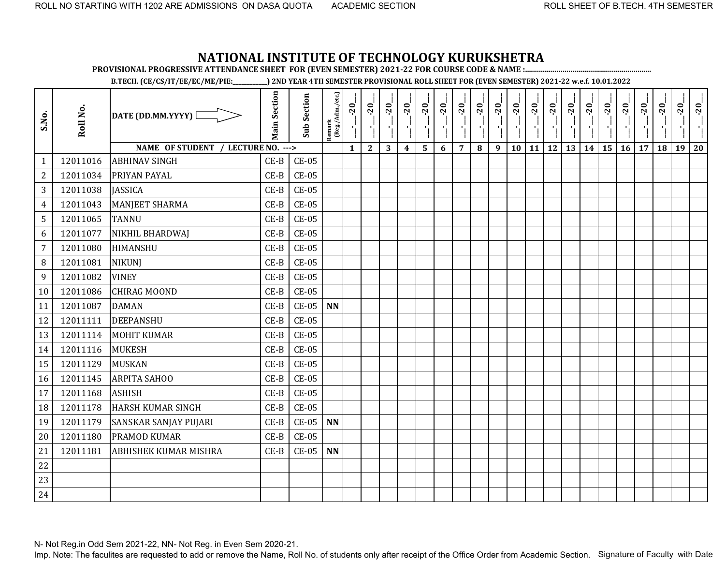**PROVISIONAL PROGRESSIVE ATTENDANCE SHEET FOR (EVEN SEMESTER) 2021-22 FOR COURSE CODE & NAME :................................................................**

**B.TECH. (CE/CS/IT/EE/EC/ME/PIE:\_\_\_\_\_\_\_\_\_\_\_\_) 2ND YEAR 4TH SEMESTER PROVISIONAL ROLL SHEET FOR (EVEN SEMESTER) 2021-22 w.e.f. 10.01.2022** 

| S.No.          | Roll No. | DATE (DD.MM.YYYY) [                | <b>Main Section</b> | <b>Sub Section</b> | Remark<br>(Reg./Adm./etc.) | $-20$<br>J.  | $-20$<br>чJ  | $-20$ | $-20$            | $-20$ | $-20$ | $-20$          | $-20$ | $-20$ | $-20$ | $-20$     | $-20$ | $-20$ | $-20$ | $-20$ | $-20$ | $-20$ | $-20$ | $-20$ | $-20$ |
|----------------|----------|------------------------------------|---------------------|--------------------|----------------------------|--------------|--------------|-------|------------------|-------|-------|----------------|-------|-------|-------|-----------|-------|-------|-------|-------|-------|-------|-------|-------|-------|
|                |          | NAME OF STUDENT / LECTURE NO. ---> |                     |                    |                            | $\mathbf{1}$ | $\mathbf{2}$ | 3     | $\boldsymbol{4}$ | 5     | 6     | $\overline{7}$ | 8     | 9     | 10    | <b>11</b> | 12    | 13    | 14    | 15    | 16    | 17    | 18    | 19    | 20    |
| 1              | 12011016 | <b>ABHINAV SINGH</b>               | $CE-B$              | $CE-05$            |                            |              |              |       |                  |       |       |                |       |       |       |           |       |       |       |       |       |       |       |       |       |
| $\overline{2}$ | 12011034 | PRIYAN PAYAL                       | $CE-B$              | $CE-05$            |                            |              |              |       |                  |       |       |                |       |       |       |           |       |       |       |       |       |       |       |       |       |
| 3              | 12011038 | <b>JASSICA</b>                     | $CE-B$              | $CE-05$            |                            |              |              |       |                  |       |       |                |       |       |       |           |       |       |       |       |       |       |       |       |       |
| 4              | 12011043 | <b>MANJEET SHARMA</b>              | $CE-B$              | $CE-05$            |                            |              |              |       |                  |       |       |                |       |       |       |           |       |       |       |       |       |       |       |       |       |
| 5              | 12011065 | <b>TANNU</b>                       | $CE-B$              | $CE-05$            |                            |              |              |       |                  |       |       |                |       |       |       |           |       |       |       |       |       |       |       |       |       |
| 6              | 12011077 | NIKHIL BHARDWAJ                    | $CE-B$              | $CE-05$            |                            |              |              |       |                  |       |       |                |       |       |       |           |       |       |       |       |       |       |       |       |       |
| $\overline{7}$ | 12011080 | HIMANSHU                           | $CE-B$              | $CE-05$            |                            |              |              |       |                  |       |       |                |       |       |       |           |       |       |       |       |       |       |       |       |       |
| 8              | 12011081 | <b>NIKUNJ</b>                      | $CE-B$              | $CE-05$            |                            |              |              |       |                  |       |       |                |       |       |       |           |       |       |       |       |       |       |       |       |       |
| 9              | 12011082 | <b>VINEY</b>                       | $CE-B$              | $CE-05$            |                            |              |              |       |                  |       |       |                |       |       |       |           |       |       |       |       |       |       |       |       |       |
| 10             | 12011086 | <b>CHIRAG MOOND</b>                | $CE-B$              | $CE-05$            |                            |              |              |       |                  |       |       |                |       |       |       |           |       |       |       |       |       |       |       |       |       |
| 11             | 12011087 | <b>DAMAN</b>                       | $CE-B$              | $CE-05$            | <b>NN</b>                  |              |              |       |                  |       |       |                |       |       |       |           |       |       |       |       |       |       |       |       |       |
| 12             | 12011111 | <b>DEEPANSHU</b>                   | $CE-B$              | $CE-05$            |                            |              |              |       |                  |       |       |                |       |       |       |           |       |       |       |       |       |       |       |       |       |
| 13             | 12011114 | <b>MOHIT KUMAR</b>                 | $CE-B$              | $CE-05$            |                            |              |              |       |                  |       |       |                |       |       |       |           |       |       |       |       |       |       |       |       |       |
| 14             | 12011116 | <b>MUKESH</b>                      | $CE-B$              | $CE-05$            |                            |              |              |       |                  |       |       |                |       |       |       |           |       |       |       |       |       |       |       |       |       |
| 15             | 12011129 | <b>MUSKAN</b>                      | $CE-B$              | $CE-05$            |                            |              |              |       |                  |       |       |                |       |       |       |           |       |       |       |       |       |       |       |       |       |
| 16             | 12011145 | <b>ARPITA SAHOO</b>                | $CE-B$              | $CE-05$            |                            |              |              |       |                  |       |       |                |       |       |       |           |       |       |       |       |       |       |       |       |       |
| 17             | 12011168 | <b>ASHISH</b>                      | $CE-B$              | $CE-05$            |                            |              |              |       |                  |       |       |                |       |       |       |           |       |       |       |       |       |       |       |       |       |
| 18             | 12011178 | <b>HARSH KUMAR SINGH</b>           | $CE-B$              | $CE-05$            |                            |              |              |       |                  |       |       |                |       |       |       |           |       |       |       |       |       |       |       |       |       |
| 19             | 12011179 | SANSKAR SANJAY PUJARI              | $CE-B$              | $CE-05$            | <b>NN</b>                  |              |              |       |                  |       |       |                |       |       |       |           |       |       |       |       |       |       |       |       |       |
| 20             | 12011180 | PRAMOD KUMAR                       | $CE-B$              | $CE-05$            |                            |              |              |       |                  |       |       |                |       |       |       |           |       |       |       |       |       |       |       |       |       |
| 21             | 12011181 | ABHISHEK KUMAR MISHRA              | $CE-B$              | $CE-05$            | <b>NN</b>                  |              |              |       |                  |       |       |                |       |       |       |           |       |       |       |       |       |       |       |       |       |
| 22             |          |                                    |                     |                    |                            |              |              |       |                  |       |       |                |       |       |       |           |       |       |       |       |       |       |       |       |       |
| 23             |          |                                    |                     |                    |                            |              |              |       |                  |       |       |                |       |       |       |           |       |       |       |       |       |       |       |       |       |
| 24             |          |                                    |                     |                    |                            |              |              |       |                  |       |       |                |       |       |       |           |       |       |       |       |       |       |       |       |       |

N- Not Reg.in Odd Sem 2021-22, NN- Not Reg. in Even Sem 2020-21.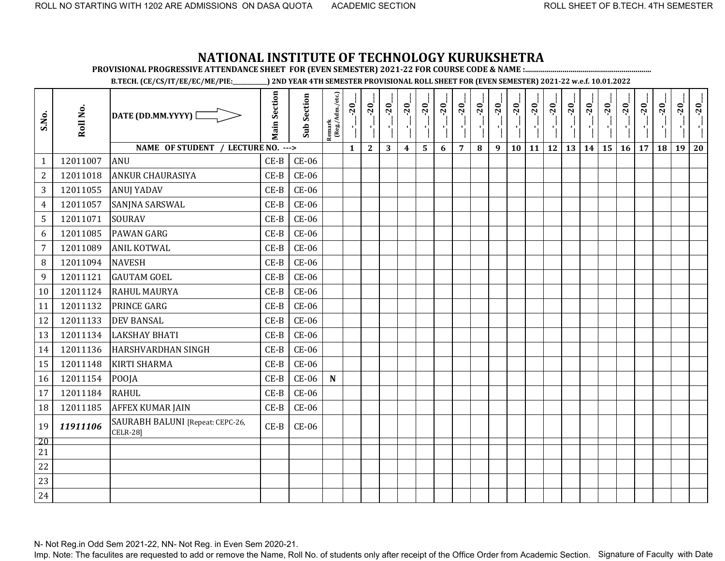**PROVISIONAL PROGRESSIVE ATTENDANCE SHEET FOR (EVEN SEMESTER) 2021-22 FOR COURSE CODE & NAME :................................................................**

**B.TECH. (CE/CS/IT/EE/EC/ME/PIE:\_\_\_\_\_\_\_\_\_\_\_\_) 2ND YEAR 4TH SEMESTER PROVISIONAL ROLL SHEET FOR (EVEN SEMESTER) 2021-22 w.e.f. 10.01.2022** 

| S.No.          | Roll No. | DATE (DD.MM.YYYY) [                                 | <b>Main Section</b> | <b>Sub Section</b> | Remark<br>(Reg./Adm./etc.) | $-20$        | $-20$        | $-20$ | $-20$            | $-20$                   | $-20$ | $-20$          | $-20$ | $-20$ | $-20$ | $-20$     | $-20$     | $-20$ | $-20$   | $-20$<br>국 | $-20$ | $-20$ | $-20$ | $-20$ | $-20$ |
|----------------|----------|-----------------------------------------------------|---------------------|--------------------|----------------------------|--------------|--------------|-------|------------------|-------------------------|-------|----------------|-------|-------|-------|-----------|-----------|-------|---------|------------|-------|-------|-------|-------|-------|
|                |          | NAME OF STUDENT / LECTURE NO. --->                  |                     |                    |                            | $\mathbf{1}$ | $\mathbf{2}$ | 3     | $\boldsymbol{4}$ | $\overline{\mathbf{5}}$ | 6     | $\overline{7}$ | 8     | 9     | 10    | <b>11</b> | <b>12</b> | 13    | $14$ 15 |            | 16    | 17    | 18    | 19    | 20    |
| $\mathbf{1}$   | 12011007 | <b>ANU</b>                                          | $CE-B$              | $CE-06$            |                            |              |              |       |                  |                         |       |                |       |       |       |           |           |       |         |            |       |       |       |       |       |
| $\overline{2}$ | 12011018 | ANKUR CHAURASIYA                                    | $CE-B$              | $CE-06$            |                            |              |              |       |                  |                         |       |                |       |       |       |           |           |       |         |            |       |       |       |       |       |
| 3              | 12011055 | <b>ANUJ YADAV</b>                                   | $CE-B$              | <b>CE-06</b>       |                            |              |              |       |                  |                         |       |                |       |       |       |           |           |       |         |            |       |       |       |       |       |
| $\overline{4}$ | 12011057 | SANJNA SARSWAL                                      | $CE-B$              | <b>CE-06</b>       |                            |              |              |       |                  |                         |       |                |       |       |       |           |           |       |         |            |       |       |       |       |       |
| 5              | 12011071 | <b>SOURAV</b>                                       | $CE-B$              | $CE-06$            |                            |              |              |       |                  |                         |       |                |       |       |       |           |           |       |         |            |       |       |       |       |       |
| 6              | 12011085 | <b>PAWAN GARG</b>                                   | $CE-B$              | <b>CE-06</b>       |                            |              |              |       |                  |                         |       |                |       |       |       |           |           |       |         |            |       |       |       |       |       |
| $\overline{7}$ | 12011089 | <b>ANIL KOTWAL</b>                                  | $CE-B$              | <b>CE-06</b>       |                            |              |              |       |                  |                         |       |                |       |       |       |           |           |       |         |            |       |       |       |       |       |
| 8              | 12011094 | <b>NAVESH</b>                                       | $CE-B$              | <b>CE-06</b>       |                            |              |              |       |                  |                         |       |                |       |       |       |           |           |       |         |            |       |       |       |       |       |
| 9              | 12011121 | <b>GAUTAM GOEL</b>                                  | $CE-B$              | <b>CE-06</b>       |                            |              |              |       |                  |                         |       |                |       |       |       |           |           |       |         |            |       |       |       |       |       |
| 10             | 12011124 | <b>RAHUL MAURYA</b>                                 | $CE-B$              | <b>CE-06</b>       |                            |              |              |       |                  |                         |       |                |       |       |       |           |           |       |         |            |       |       |       |       |       |
| 11             | 12011132 | <b>PRINCE GARG</b>                                  | $CE-B$              | <b>CE-06</b>       |                            |              |              |       |                  |                         |       |                |       |       |       |           |           |       |         |            |       |       |       |       |       |
| 12             | 12011133 | <b>DEV BANSAL</b>                                   | $CE-B$              | <b>CE-06</b>       |                            |              |              |       |                  |                         |       |                |       |       |       |           |           |       |         |            |       |       |       |       |       |
| 13             | 12011134 | <b>LAKSHAY BHATI</b>                                | $CE-B$              | <b>CE-06</b>       |                            |              |              |       |                  |                         |       |                |       |       |       |           |           |       |         |            |       |       |       |       |       |
| 14             | 12011136 | <b>HARSHVARDHAN SINGH</b>                           | $CE-B$              | <b>CE-06</b>       |                            |              |              |       |                  |                         |       |                |       |       |       |           |           |       |         |            |       |       |       |       |       |
| 15             | 12011148 | <b>KIRTI SHARMA</b>                                 | $CE-B$              | $CE-06$            |                            |              |              |       |                  |                         |       |                |       |       |       |           |           |       |         |            |       |       |       |       |       |
| 16             | 12011154 | POOJA                                               | $CE-B$              | $CE-06$            | ${\bf N}$                  |              |              |       |                  |                         |       |                |       |       |       |           |           |       |         |            |       |       |       |       |       |
| 17             | 12011184 | <b>RAHUL</b>                                        | $CE-B$              | <b>CE-06</b>       |                            |              |              |       |                  |                         |       |                |       |       |       |           |           |       |         |            |       |       |       |       |       |
| 18             | 12011185 | <b>AFFEX KUMAR JAIN</b>                             | $CE-B$              | $CE-06$            |                            |              |              |       |                  |                         |       |                |       |       |       |           |           |       |         |            |       |       |       |       |       |
| 19             | 11911106 | SAURABH BALUNI [Repeat: CEPC-26,<br><b>CELR-28]</b> | $CE-B$              | <b>CE-06</b>       |                            |              |              |       |                  |                         |       |                |       |       |       |           |           |       |         |            |       |       |       |       |       |
| 20             |          |                                                     |                     |                    |                            |              |              |       |                  |                         |       |                |       |       |       |           |           |       |         |            |       |       |       |       |       |
| 21             |          |                                                     |                     |                    |                            |              |              |       |                  |                         |       |                |       |       |       |           |           |       |         |            |       |       |       |       |       |
| 22             |          |                                                     |                     |                    |                            |              |              |       |                  |                         |       |                |       |       |       |           |           |       |         |            |       |       |       |       |       |
| 23             |          |                                                     |                     |                    |                            |              |              |       |                  |                         |       |                |       |       |       |           |           |       |         |            |       |       |       |       |       |
| 24             |          |                                                     |                     |                    |                            |              |              |       |                  |                         |       |                |       |       |       |           |           |       |         |            |       |       |       |       |       |

N- Not Reg.in Odd Sem 2021-22, NN- Not Reg. in Even Sem 2020-21.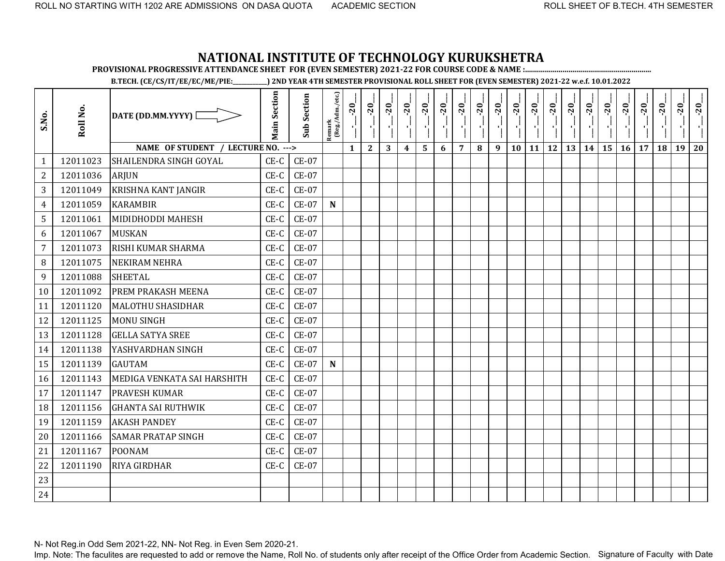**PROVISIONAL PROGRESSIVE ATTENDANCE SHEET FOR (EVEN SEMESTER) 2021-22 FOR COURSE CODE & NAME :................................................................**

**B.TECH. (CE/CS/IT/EE/EC/ME/PIE:\_\_\_\_\_\_\_\_\_\_\_\_) 2ND YEAR 4TH SEMESTER PROVISIONAL ROLL SHEET FOR (EVEN SEMESTER) 2021-22 w.e.f. 10.01.2022** 

| S.No.          | Roll No. | DATE (DD.MM.YYYY)                  | <b>Main Section</b> | <b>Sub Section</b> | $\frac{\text{Remark}}{\text{(Reg/Adm/etc.)}}$ | $-20$        | $-20$        | $-20$ | $-20$            | $-20$ | $-20$ | $-20$          | $-20$ | $-20$ | $-20$ | $-20$     | $-20$     | $-20$<br>국 | $-20$ | $-20$ | $-20$ | $-20$ | $-20$ | $-20$ | $-20$ |
|----------------|----------|------------------------------------|---------------------|--------------------|-----------------------------------------------|--------------|--------------|-------|------------------|-------|-------|----------------|-------|-------|-------|-----------|-----------|------------|-------|-------|-------|-------|-------|-------|-------|
|                |          | NAME OF STUDENT / LECTURE NO. ---> |                     |                    |                                               | $\mathbf{1}$ | $\mathbf{2}$ | 3     | $\boldsymbol{4}$ | 5     | 6     | $\overline{7}$ | 8     | 9     | 10    | <b>11</b> | <b>12</b> | 13         | 14    | 15    | 16    | 17    | 18    | 19    | 20    |
| $\mathbf{1}$   | 12011023 | SHAILENDRA SINGH GOYAL             | $CE-C$              | <b>CE-07</b>       |                                               |              |              |       |                  |       |       |                |       |       |       |           |           |            |       |       |       |       |       |       |       |
| $\mathbf{2}$   | 12011036 | <b>ARJUN</b>                       | $CE-C$              | $CE-07$            |                                               |              |              |       |                  |       |       |                |       |       |       |           |           |            |       |       |       |       |       |       |       |
| 3              | 12011049 | <b>KRISHNA KANT JANGIR</b>         | $CE-C$              | <b>CE-07</b>       |                                               |              |              |       |                  |       |       |                |       |       |       |           |           |            |       |       |       |       |       |       |       |
| 4              | 12011059 | <b>KARAMBIR</b>                    | $CE-C$              | <b>CE-07</b>       | ${\bf N}$                                     |              |              |       |                  |       |       |                |       |       |       |           |           |            |       |       |       |       |       |       |       |
| 5              | 12011061 | <b>MIDIDHODDI MAHESH</b>           | $CE-C$              | <b>CE-07</b>       |                                               |              |              |       |                  |       |       |                |       |       |       |           |           |            |       |       |       |       |       |       |       |
| 6              | 12011067 | <b>MUSKAN</b>                      | $CE-C$              | $CE-07$            |                                               |              |              |       |                  |       |       |                |       |       |       |           |           |            |       |       |       |       |       |       |       |
| $\overline{7}$ | 12011073 | <b>RISHI KUMAR SHARMA</b>          | $CE-C$              | <b>CE-07</b>       |                                               |              |              |       |                  |       |       |                |       |       |       |           |           |            |       |       |       |       |       |       |       |
| 8              | 12011075 | <b>NEKIRAM NEHRA</b>               | $CE-C$              | <b>CE-07</b>       |                                               |              |              |       |                  |       |       |                |       |       |       |           |           |            |       |       |       |       |       |       |       |
| 9              | 12011088 | <b>SHEETAL</b>                     | $CE-C$              | $CE-07$            |                                               |              |              |       |                  |       |       |                |       |       |       |           |           |            |       |       |       |       |       |       |       |
| 10             | 12011092 | PREM PRAKASH MEENA                 | $CE-C$              | $CE-07$            |                                               |              |              |       |                  |       |       |                |       |       |       |           |           |            |       |       |       |       |       |       |       |
| 11             | 12011120 | <b>MALOTHU SHASIDHAR</b>           | $CE-C$              | <b>CE-07</b>       |                                               |              |              |       |                  |       |       |                |       |       |       |           |           |            |       |       |       |       |       |       |       |
| 12             | 12011125 | <b>MONU SINGH</b>                  | $CE-C$              | <b>CE-07</b>       |                                               |              |              |       |                  |       |       |                |       |       |       |           |           |            |       |       |       |       |       |       |       |
| 13             | 12011128 | <b>GELLA SATYA SREE</b>            | $CE-C$              | <b>CE-07</b>       |                                               |              |              |       |                  |       |       |                |       |       |       |           |           |            |       |       |       |       |       |       |       |
| 14             | 12011138 | YASHVARDHAN SINGH                  | $CE-C$              | <b>CE-07</b>       |                                               |              |              |       |                  |       |       |                |       |       |       |           |           |            |       |       |       |       |       |       |       |
| 15             | 12011139 | <b>GAUTAM</b>                      | $CE-C$              | $CE-07$            | ${\bf N}$                                     |              |              |       |                  |       |       |                |       |       |       |           |           |            |       |       |       |       |       |       |       |
| 16             | 12011143 | MEDIGA VENKATA SAI HARSHITH        | $CE-C$              | <b>CE-07</b>       |                                               |              |              |       |                  |       |       |                |       |       |       |           |           |            |       |       |       |       |       |       |       |
| 17             | 12011147 | <b>PRAVESH KUMAR</b>               | $CE-C$              | $CE-07$            |                                               |              |              |       |                  |       |       |                |       |       |       |           |           |            |       |       |       |       |       |       |       |
| 18             | 12011156 | <b>GHANTA SAI RUTHWIK</b>          | $CE-C$              | $CE-07$            |                                               |              |              |       |                  |       |       |                |       |       |       |           |           |            |       |       |       |       |       |       |       |
| 19             | 12011159 | <b>AKASH PANDEY</b>                | $CE-C$              | $CE-07$            |                                               |              |              |       |                  |       |       |                |       |       |       |           |           |            |       |       |       |       |       |       |       |
| 20             | 12011166 | <b>SAMAR PRATAP SINGH</b>          | $CE-C$              | <b>CE-07</b>       |                                               |              |              |       |                  |       |       |                |       |       |       |           |           |            |       |       |       |       |       |       |       |
| 21             | 12011167 | <b>POONAM</b>                      | $CE-C$              | <b>CE-07</b>       |                                               |              |              |       |                  |       |       |                |       |       |       |           |           |            |       |       |       |       |       |       |       |
| 22             | 12011190 | RIYA GIRDHAR                       | $CE-C$              | <b>CE-07</b>       |                                               |              |              |       |                  |       |       |                |       |       |       |           |           |            |       |       |       |       |       |       |       |
| 23             |          |                                    |                     |                    |                                               |              |              |       |                  |       |       |                |       |       |       |           |           |            |       |       |       |       |       |       |       |
| 24             |          |                                    |                     |                    |                                               |              |              |       |                  |       |       |                |       |       |       |           |           |            |       |       |       |       |       |       |       |

N- Not Reg.in Odd Sem 2021-22, NN- Not Reg. in Even Sem 2020-21.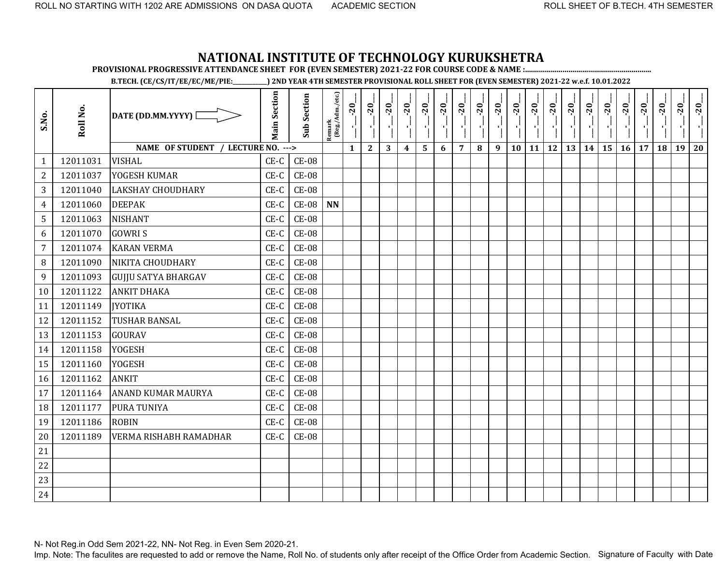**PROVISIONAL PROGRESSIVE ATTENDANCE SHEET FOR (EVEN SEMESTER) 2021-22 FOR COURSE CODE & NAME :................................................................**

**B.TECH. (CE/CS/IT/EE/EC/ME/PIE:\_\_\_\_\_\_\_\_\_\_\_\_) 2ND YEAR 4TH SEMESTER PROVISIONAL ROLL SHEET FOR (EVEN SEMESTER) 2021-22 w.e.f. 10.01.2022** 

| S.No.          | Roll No. | DATE (DD.MM.YYYY) [                | <b>Main Section</b> | <b>Sub Section</b> | Remark<br>(Reg./Adm./etc.) | $-20$<br>۱ļ  | $-20$<br>J.  | $-20$ | $-20$            | $-20$ | $-20$ | $-20$          | $-20$ | $-20$ | $-20$ | $-20$ | $-20$     | $-20$ | $-20$ | $-20$ | $-20$ | $-20$ | $-20$ | $-20$ | $-20$ |
|----------------|----------|------------------------------------|---------------------|--------------------|----------------------------|--------------|--------------|-------|------------------|-------|-------|----------------|-------|-------|-------|-------|-----------|-------|-------|-------|-------|-------|-------|-------|-------|
|                |          | NAME OF STUDENT / LECTURE NO. ---> |                     |                    |                            | $\mathbf{1}$ | $\mathbf{2}$ | 3     | $\boldsymbol{4}$ | 5     | 6     | $\overline{7}$ | 8     | 9     | 10    | 11    | <b>12</b> | 13    | 14    | 15    | 16    | 17    | 18    | 19    | 20    |
| $\mathbf{1}$   | 12011031 | <b>VISHAL</b>                      | $CE-C$              | $CE-08$            |                            |              |              |       |                  |       |       |                |       |       |       |       |           |       |       |       |       |       |       |       |       |
| $\overline{2}$ | 12011037 | YOGESH KUMAR                       | $CE-C$              | $CE-08$            |                            |              |              |       |                  |       |       |                |       |       |       |       |           |       |       |       |       |       |       |       |       |
| 3              | 12011040 | <b>LAKSHAY CHOUDHARY</b>           | $CE-C$              | $CE-08$            |                            |              |              |       |                  |       |       |                |       |       |       |       |           |       |       |       |       |       |       |       |       |
| $\overline{4}$ | 12011060 | <b>DEEPAK</b>                      | $CE-C$              | $CE-08$            | <b>NN</b>                  |              |              |       |                  |       |       |                |       |       |       |       |           |       |       |       |       |       |       |       |       |
| 5              | 12011063 | <b>NISHANT</b>                     | CE-C                | $CE-08$            |                            |              |              |       |                  |       |       |                |       |       |       |       |           |       |       |       |       |       |       |       |       |
| 6              | 12011070 | <b>GOWRIS</b>                      | $CE-C$              | $CE-08$            |                            |              |              |       |                  |       |       |                |       |       |       |       |           |       |       |       |       |       |       |       |       |
| $\overline{7}$ | 12011074 | <b>KARAN VERMA</b>                 | $CE-C$              | <b>CE-08</b>       |                            |              |              |       |                  |       |       |                |       |       |       |       |           |       |       |       |       |       |       |       |       |
| 8              | 12011090 | NIKITA CHOUDHARY                   | CE-C                | <b>CE-08</b>       |                            |              |              |       |                  |       |       |                |       |       |       |       |           |       |       |       |       |       |       |       |       |
| 9              | 12011093 | <b>GUJJU SATYA BHARGAV</b>         | $CE-C$              | $CE-08$            |                            |              |              |       |                  |       |       |                |       |       |       |       |           |       |       |       |       |       |       |       |       |
| 10             | 12011122 | <b>ANKIT DHAKA</b>                 | CE-C                | <b>CE-08</b>       |                            |              |              |       |                  |       |       |                |       |       |       |       |           |       |       |       |       |       |       |       |       |
| 11             | 12011149 | <b>JYOTIKA</b>                     | $CE-C$              | $CE-08$            |                            |              |              |       |                  |       |       |                |       |       |       |       |           |       |       |       |       |       |       |       |       |
| 12             | 12011152 | <b>TUSHAR BANSAL</b>               | $CE-C$              | $CE-08$            |                            |              |              |       |                  |       |       |                |       |       |       |       |           |       |       |       |       |       |       |       |       |
| 13             | 12011153 | <b>GOURAV</b>                      | CE-C                | <b>CE-08</b>       |                            |              |              |       |                  |       |       |                |       |       |       |       |           |       |       |       |       |       |       |       |       |
| 14             | 12011158 | <b>YOGESH</b>                      | $CE-C$              | $CE-08$            |                            |              |              |       |                  |       |       |                |       |       |       |       |           |       |       |       |       |       |       |       |       |
| 15             | 12011160 | <b>YOGESH</b>                      | CE-C                | <b>CE-08</b>       |                            |              |              |       |                  |       |       |                |       |       |       |       |           |       |       |       |       |       |       |       |       |
| 16             | 12011162 | <b>ANKIT</b>                       | $CE-C$              | <b>CE-08</b>       |                            |              |              |       |                  |       |       |                |       |       |       |       |           |       |       |       |       |       |       |       |       |
| 17             | 12011164 | <b>ANAND KUMAR MAURYA</b>          | $CE-C$              | <b>CE-08</b>       |                            |              |              |       |                  |       |       |                |       |       |       |       |           |       |       |       |       |       |       |       |       |
| 18             | 12011177 | PURA TUNIYA                        | $CE-C$              | <b>CE-08</b>       |                            |              |              |       |                  |       |       |                |       |       |       |       |           |       |       |       |       |       |       |       |       |
| 19             | 12011186 | <b>ROBIN</b>                       | $CE-C$              | <b>CE-08</b>       |                            |              |              |       |                  |       |       |                |       |       |       |       |           |       |       |       |       |       |       |       |       |
| 20             | 12011189 | <b>VERMA RISHABH RAMADHAR</b>      | $CE-C$              | <b>CE-08</b>       |                            |              |              |       |                  |       |       |                |       |       |       |       |           |       |       |       |       |       |       |       |       |
| 21             |          |                                    |                     |                    |                            |              |              |       |                  |       |       |                |       |       |       |       |           |       |       |       |       |       |       |       |       |
| 22             |          |                                    |                     |                    |                            |              |              |       |                  |       |       |                |       |       |       |       |           |       |       |       |       |       |       |       |       |
| 23             |          |                                    |                     |                    |                            |              |              |       |                  |       |       |                |       |       |       |       |           |       |       |       |       |       |       |       |       |
| 24             |          |                                    |                     |                    |                            |              |              |       |                  |       |       |                |       |       |       |       |           |       |       |       |       |       |       |       |       |

N- Not Reg.in Odd Sem 2021-22, NN- Not Reg. in Even Sem 2020-21.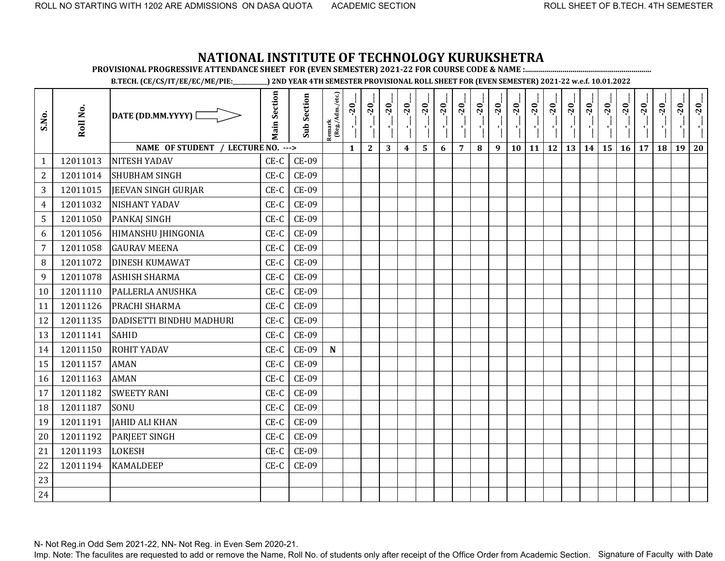**PROVISIONAL PROGRESSIVE ATTENDANCE SHEET FOR (EVEN SEMESTER) 2021-22 FOR COURSE CODE & NAME :................................................................**

**B.TECH. (CE/CS/IT/EE/EC/ME/PIE:\_\_\_\_\_\_\_\_\_\_\_\_) 2ND YEAR 4TH SEMESTER PROVISIONAL ROLL SHEET FOR (EVEN SEMESTER) 2021-22 w.e.f. 10.01.2022** 

| S.No.          | Roll No. | DATE (DD.MM.YYYY) [                | <b>Main Section</b> | <b>Sub Section</b> | Remark<br>(Reg./Adm./etc.) | $-20$<br>J.  | $-20$<br>$\mathbf{r}$ | $-20$ | $-20$            | $-20$ | $-20$ | $-20$          | $-20$ | $-20$ | $-20$ | $-20$ | $-20$     | $-20$ | $-20$ | $-20$ | $-20$ | $-20$ | $-20$ | $-20$ | $-20$ |
|----------------|----------|------------------------------------|---------------------|--------------------|----------------------------|--------------|-----------------------|-------|------------------|-------|-------|----------------|-------|-------|-------|-------|-----------|-------|-------|-------|-------|-------|-------|-------|-------|
|                |          | NAME OF STUDENT / LECTURE NO. ---> |                     |                    |                            | $\mathbf{1}$ | $\mathbf{2}$          | 3     | $\boldsymbol{4}$ | 5     | 6     | $\overline{7}$ | 8     | 9     | 10    | 11    | <b>12</b> | 13    | 14    | 15    | 16    | 17    | 18    | 19    | 20    |
| $\mathbf{1}$   | 12011013 | <b>NITESH YADAV</b>                | $CE-C$              | <b>CE-09</b>       |                            |              |                       |       |                  |       |       |                |       |       |       |       |           |       |       |       |       |       |       |       |       |
| $\overline{2}$ | 12011014 | <b>SHUBHAM SINGH</b>               | $CE-C$              | <b>CE-09</b>       |                            |              |                       |       |                  |       |       |                |       |       |       |       |           |       |       |       |       |       |       |       |       |
| 3              | 12011015 | <b>JEEVAN SINGH GURJAR</b>         | $CE-C$              | <b>CE-09</b>       |                            |              |                       |       |                  |       |       |                |       |       |       |       |           |       |       |       |       |       |       |       |       |
| 4              | 12011032 | <b>NISHANT YADAV</b>               | $CE-C$              | <b>CE-09</b>       |                            |              |                       |       |                  |       |       |                |       |       |       |       |           |       |       |       |       |       |       |       |       |
| 5              | 12011050 | <b>PANKAJ SINGH</b>                | $CE-C$              | <b>CE-09</b>       |                            |              |                       |       |                  |       |       |                |       |       |       |       |           |       |       |       |       |       |       |       |       |
| 6              | 12011056 | HIMANSHU JHINGONIA                 | $CE-C$              | CE-09              |                            |              |                       |       |                  |       |       |                |       |       |       |       |           |       |       |       |       |       |       |       |       |
| $\overline{7}$ | 12011058 | <b>GAURAV MEENA</b>                | $CE-C$              | <b>CE-09</b>       |                            |              |                       |       |                  |       |       |                |       |       |       |       |           |       |       |       |       |       |       |       |       |
| 8              | 12011072 | <b>DINESH KUMAWAT</b>              | CE-C                | <b>CE-09</b>       |                            |              |                       |       |                  |       |       |                |       |       |       |       |           |       |       |       |       |       |       |       |       |
| 9              | 12011078 | <b>ASHISH SHARMA</b>               | $CE-C$              | CE-09              |                            |              |                       |       |                  |       |       |                |       |       |       |       |           |       |       |       |       |       |       |       |       |
| 10             | 12011110 | PALLERLA ANUSHKA                   | $CE-C$              | <b>CE-09</b>       |                            |              |                       |       |                  |       |       |                |       |       |       |       |           |       |       |       |       |       |       |       |       |
| 11             | 12011126 | PRACHI SHARMA                      | $CE-C$              | <b>CE-09</b>       |                            |              |                       |       |                  |       |       |                |       |       |       |       |           |       |       |       |       |       |       |       |       |
| 12             | 12011135 | DADISETTI BINDHU MADHURI           | $CE-C$              | <b>CE-09</b>       |                            |              |                       |       |                  |       |       |                |       |       |       |       |           |       |       |       |       |       |       |       |       |
| 13             | 12011141 | <b>SAHID</b>                       | CE-C                | <b>CE-09</b>       |                            |              |                       |       |                  |       |       |                |       |       |       |       |           |       |       |       |       |       |       |       |       |
| 14             | 12011150 | <b>ROHIT YADAV</b>                 | $CE-C$              | <b>CE-09</b>       | $\mathbf N$                |              |                       |       |                  |       |       |                |       |       |       |       |           |       |       |       |       |       |       |       |       |
| 15             | 12011157 | <b>AMAN</b>                        | $CE-C$              | <b>CE-09</b>       |                            |              |                       |       |                  |       |       |                |       |       |       |       |           |       |       |       |       |       |       |       |       |
| 16             | 12011163 | <b>AMAN</b>                        | CE-C                | <b>CE-09</b>       |                            |              |                       |       |                  |       |       |                |       |       |       |       |           |       |       |       |       |       |       |       |       |
| 17             | 12011182 | <b>SWEETY RANI</b>                 | $CE-C$              | <b>CE-09</b>       |                            |              |                       |       |                  |       |       |                |       |       |       |       |           |       |       |       |       |       |       |       |       |
| 18             | 12011187 | SONU                               | $CE-C$              | <b>CE-09</b>       |                            |              |                       |       |                  |       |       |                |       |       |       |       |           |       |       |       |       |       |       |       |       |
| 19             | 12011191 | <b>JAHID ALI KHAN</b>              | $CE-C$              | <b>CE-09</b>       |                            |              |                       |       |                  |       |       |                |       |       |       |       |           |       |       |       |       |       |       |       |       |
| 20             | 12011192 | <b>PARJEET SINGH</b>               | $CE-C$              | <b>CE-09</b>       |                            |              |                       |       |                  |       |       |                |       |       |       |       |           |       |       |       |       |       |       |       |       |
| 21             | 12011193 | <b>LOKESH</b>                      | $CE-C$              | <b>CE-09</b>       |                            |              |                       |       |                  |       |       |                |       |       |       |       |           |       |       |       |       |       |       |       |       |
| 22             | 12011194 | <b>KAMALDEEP</b>                   | $CE-C$              | <b>CE-09</b>       |                            |              |                       |       |                  |       |       |                |       |       |       |       |           |       |       |       |       |       |       |       |       |
| 23             |          |                                    |                     |                    |                            |              |                       |       |                  |       |       |                |       |       |       |       |           |       |       |       |       |       |       |       |       |
| 24             |          |                                    |                     |                    |                            |              |                       |       |                  |       |       |                |       |       |       |       |           |       |       |       |       |       |       |       |       |

N- Not Reg.in Odd Sem 2021-22, NN- Not Reg. in Even Sem 2020-21.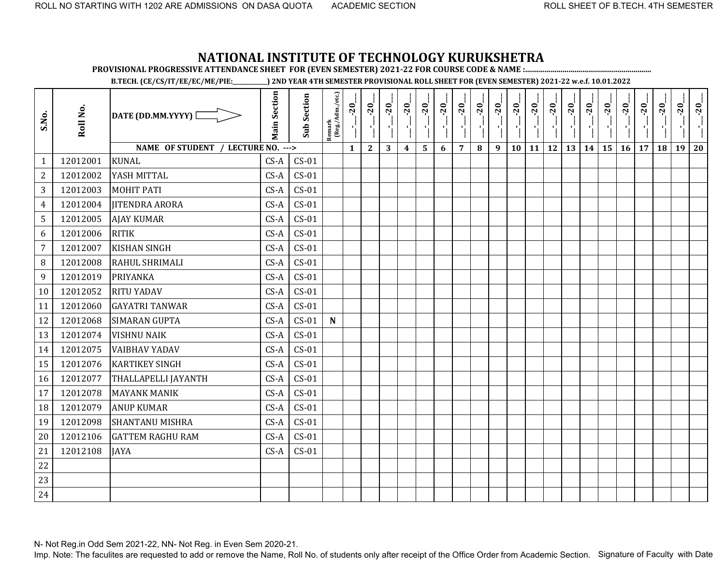**PROVISIONAL PROGRESSIVE ATTENDANCE SHEET FOR (EVEN SEMESTER) 2021-22 FOR COURSE CODE & NAME :................................................................**

**B.TECH. (CE/CS/IT/EE/EC/ME/PIE:\_\_\_\_\_\_\_\_\_\_\_\_) 2ND YEAR 4TH SEMESTER PROVISIONAL ROLL SHEET FOR (EVEN SEMESTER) 2021-22 w.e.f. 10.01.2022** 

| S.No.          | Roll No. | DATE (DD.MM.YYYY) [                | <b>Main Section</b> | <b>Sub Section</b> | Remark<br>(Reg./Adm./etc.) | $-20$<br>۱ļ  | $-20$<br>$\mathbf{r}$ | $-20$ | $-20$          | $-20$ | $-20$ | $-20$          | $-20$<br>雪 | $-20$ | $-20$<br>۱ļ | $-20$        | $-20$ | $-20$ | $-20$ | $-20$ | $-20$ | $-20$ | $-20$ | $-20$ | $-20$ |
|----------------|----------|------------------------------------|---------------------|--------------------|----------------------------|--------------|-----------------------|-------|----------------|-------|-------|----------------|------------|-------|-------------|--------------|-------|-------|-------|-------|-------|-------|-------|-------|-------|
|                |          | NAME OF STUDENT / LECTURE NO. ---> |                     |                    |                            | $\mathbf{1}$ | $\mathbf{2}$          | 3     | $\overline{4}$ | 5     | 6     | $\overline{7}$ | $\bf{8}$   | 9     | 10          | $11 \mid 12$ |       | 13    | 14    | 15    | 16    | 17    | 18    | 19    | 20    |
| $\mathbf{1}$   | 12012001 | <b>KUNAL</b>                       | $CS-A$              | $CS-01$            |                            |              |                       |       |                |       |       |                |            |       |             |              |       |       |       |       |       |       |       |       |       |
| $\overline{2}$ | 12012002 | YASH MITTAL                        | $CS-A$              | $CS-01$            |                            |              |                       |       |                |       |       |                |            |       |             |              |       |       |       |       |       |       |       |       |       |
| 3              | 12012003 | <b>MOHIT PATI</b>                  | $CS-A$              | $CS-01$            |                            |              |                       |       |                |       |       |                |            |       |             |              |       |       |       |       |       |       |       |       |       |
| $\overline{4}$ | 12012004 | <b>JITENDRA ARORA</b>              | $CS-A$              | $CS-01$            |                            |              |                       |       |                |       |       |                |            |       |             |              |       |       |       |       |       |       |       |       |       |
| 5              | 12012005 | <b>AJAY KUMAR</b>                  | $CS-A$              | $CS-01$            |                            |              |                       |       |                |       |       |                |            |       |             |              |       |       |       |       |       |       |       |       |       |
| 6              | 12012006 | <b>RITIK</b>                       | $CS-A$              | $CS-01$            |                            |              |                       |       |                |       |       |                |            |       |             |              |       |       |       |       |       |       |       |       |       |
| $\overline{7}$ | 12012007 | <b>KISHAN SINGH</b>                | $CS-A$              | $CS-01$            |                            |              |                       |       |                |       |       |                |            |       |             |              |       |       |       |       |       |       |       |       |       |
| 8              | 12012008 | RAHUL SHRIMALI                     | $CS-A$              | $CS-01$            |                            |              |                       |       |                |       |       |                |            |       |             |              |       |       |       |       |       |       |       |       |       |
| 9              | 12012019 | <b>PRIYANKA</b>                    | $CS-A$              | $CS-01$            |                            |              |                       |       |                |       |       |                |            |       |             |              |       |       |       |       |       |       |       |       |       |
| 10             | 12012052 | <b>RITU YADAV</b>                  | $CS-A$              | $CS-01$            |                            |              |                       |       |                |       |       |                |            |       |             |              |       |       |       |       |       |       |       |       |       |
| 11             | 12012060 | <b>GAYATRI TANWAR</b>              | $CS-A$              | $CS-01$            |                            |              |                       |       |                |       |       |                |            |       |             |              |       |       |       |       |       |       |       |       |       |
| 12             | 12012068 | <b>SIMARAN GUPTA</b>               | $CS-A$              | $CS-01$            | $\mathbf N$                |              |                       |       |                |       |       |                |            |       |             |              |       |       |       |       |       |       |       |       |       |
| 13             | 12012074 | <b>VISHNU NAIK</b>                 | $CS-A$              | $CS-01$            |                            |              |                       |       |                |       |       |                |            |       |             |              |       |       |       |       |       |       |       |       |       |
| 14             | 12012075 | <b>VAIBHAV YADAV</b>               | $CS-A$              | $CS-01$            |                            |              |                       |       |                |       |       |                |            |       |             |              |       |       |       |       |       |       |       |       |       |
| 15             | 12012076 | <b>KARTIKEY SINGH</b>              | $CS-A$              | $CS-01$            |                            |              |                       |       |                |       |       |                |            |       |             |              |       |       |       |       |       |       |       |       |       |
| 16             | 12012077 | THALLAPELLI JAYANTH                | $CS-A$              | $CS-01$            |                            |              |                       |       |                |       |       |                |            |       |             |              |       |       |       |       |       |       |       |       |       |
| 17             | 12012078 | <b>MAYANK MANIK</b>                | $CS-A$              | $CS-01$            |                            |              |                       |       |                |       |       |                |            |       |             |              |       |       |       |       |       |       |       |       |       |
| 18             | 12012079 | <b>ANUP KUMAR</b>                  | $CS-A$              | $CS-01$            |                            |              |                       |       |                |       |       |                |            |       |             |              |       |       |       |       |       |       |       |       |       |
| 19             | 12012098 | <b>SHANTANU MISHRA</b>             | $CS-A$              | $CS-01$            |                            |              |                       |       |                |       |       |                |            |       |             |              |       |       |       |       |       |       |       |       |       |
| 20             | 12012106 | <b>GATTEM RAGHU RAM</b>            | $CS-A$              | $CS-01$            |                            |              |                       |       |                |       |       |                |            |       |             |              |       |       |       |       |       |       |       |       |       |
| 21             | 12012108 | <b>JAYA</b>                        | $CS-A$              | $CS-01$            |                            |              |                       |       |                |       |       |                |            |       |             |              |       |       |       |       |       |       |       |       |       |
| 22             |          |                                    |                     |                    |                            |              |                       |       |                |       |       |                |            |       |             |              |       |       |       |       |       |       |       |       |       |
| 23             |          |                                    |                     |                    |                            |              |                       |       |                |       |       |                |            |       |             |              |       |       |       |       |       |       |       |       |       |
| 24             |          |                                    |                     |                    |                            |              |                       |       |                |       |       |                |            |       |             |              |       |       |       |       |       |       |       |       |       |

N- Not Reg.in Odd Sem 2021-22, NN- Not Reg. in Even Sem 2020-21.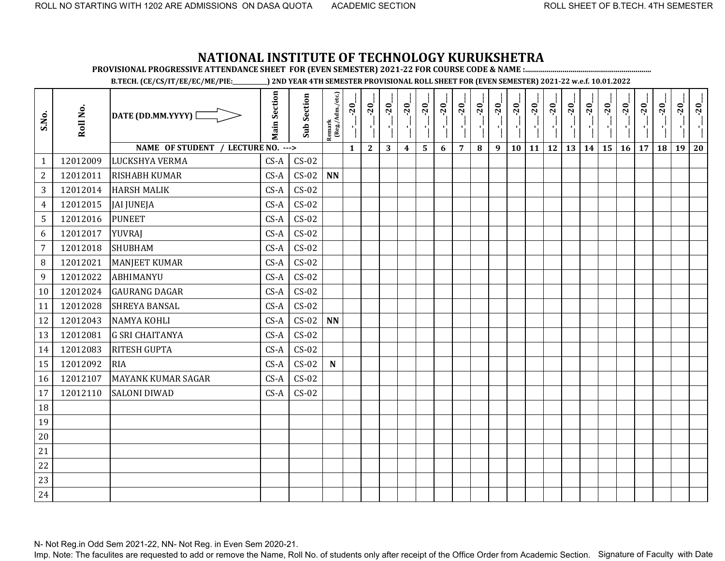**PROVISIONAL PROGRESSIVE ATTENDANCE SHEET FOR (EVEN SEMESTER) 2021-22 FOR COURSE CODE & NAME :................................................................**

**B.TECH. (CE/CS/IT/EE/EC/ME/PIE:\_\_\_\_\_\_\_\_\_\_\_\_) 2ND YEAR 4TH SEMESTER PROVISIONAL ROLL SHEET FOR (EVEN SEMESTER) 2021-22 w.e.f. 10.01.2022** 

| S.No.          | Roll No. | DATE (DD.MM.YYYY) [                | <b>Main Section</b> | <b>Sub Section</b> | Remark<br>(Reg./Adm./etc.) | $-20$<br>J,  | $-20$<br>J,  | $-20$ | $-20$            | $-20$ | $-20$ | $-20$          | $-20$ | $-20$ | $-20$ | $-20$ | $-20$<br>국 | $-20$ | $-20$ | $-20$ | $-20$ | $-20$ | $-20$ | $-20$ | $-20$ |
|----------------|----------|------------------------------------|---------------------|--------------------|----------------------------|--------------|--------------|-------|------------------|-------|-------|----------------|-------|-------|-------|-------|------------|-------|-------|-------|-------|-------|-------|-------|-------|
|                |          | NAME OF STUDENT / LECTURE NO. ---> |                     |                    |                            | $\mathbf{1}$ | $\mathbf{2}$ | 3     | $\boldsymbol{4}$ | 5     | 6     | $\overline{7}$ | 8     | 9     | 10    | 11    | <b>12</b>  | 13    | 14    | 15    | 16    | 17    | 18    | 19    | 20    |
| $\mathbf{1}$   | 12012009 | LUCKSHYA VERMA                     | $CS-A$              | $CS-02$            |                            |              |              |       |                  |       |       |                |       |       |       |       |            |       |       |       |       |       |       |       |       |
| $\overline{2}$ | 12012011 | <b>RISHABH KUMAR</b>               | $CS-A$              | $CS-02$            | $\mathbf{N}\mathbf{N}$     |              |              |       |                  |       |       |                |       |       |       |       |            |       |       |       |       |       |       |       |       |
| 3              | 12012014 | <b>HARSH MALIK</b>                 | $CS-A$              | $CS-02$            |                            |              |              |       |                  |       |       |                |       |       |       |       |            |       |       |       |       |       |       |       |       |
| $\overline{4}$ | 12012015 | <b>JAI JUNEJA</b>                  | $CS-A$              | $CS-02$            |                            |              |              |       |                  |       |       |                |       |       |       |       |            |       |       |       |       |       |       |       |       |
| 5              | 12012016 | <b>PUNEET</b>                      | $CS-A$              | $CS-02$            |                            |              |              |       |                  |       |       |                |       |       |       |       |            |       |       |       |       |       |       |       |       |
| 6              | 12012017 | <b>YUVRAJ</b>                      | $CS-A$              | $CS-02$            |                            |              |              |       |                  |       |       |                |       |       |       |       |            |       |       |       |       |       |       |       |       |
| $\overline{7}$ | 12012018 | <b>SHUBHAM</b>                     | $CS-A$              | $CS-02$            |                            |              |              |       |                  |       |       |                |       |       |       |       |            |       |       |       |       |       |       |       |       |
| $\, 8$         | 12012021 | <b>MANJEET KUMAR</b>               | $CS-A$              | $CS-02$            |                            |              |              |       |                  |       |       |                |       |       |       |       |            |       |       |       |       |       |       |       |       |
| 9              | 12012022 | <b>ABHIMANYU</b>                   | $CS-A$              | $CS-02$            |                            |              |              |       |                  |       |       |                |       |       |       |       |            |       |       |       |       |       |       |       |       |
| 10             | 12012024 | <b>GAURANG DAGAR</b>               | $CS-A$              | $CS-02$            |                            |              |              |       |                  |       |       |                |       |       |       |       |            |       |       |       |       |       |       |       |       |
| 11             | 12012028 | <b>SHREYA BANSAL</b>               | $CS-A$              | $CS-02$            |                            |              |              |       |                  |       |       |                |       |       |       |       |            |       |       |       |       |       |       |       |       |
| 12             | 12012043 | <b>NAMYA KOHLI</b>                 | $CS-A$              | $CS-02$            | $\mathbf{N}\mathbf{N}$     |              |              |       |                  |       |       |                |       |       |       |       |            |       |       |       |       |       |       |       |       |
| 13             | 12012081 | <b>G SRI CHAITANYA</b>             | $CS-A$              | $CS-02$            |                            |              |              |       |                  |       |       |                |       |       |       |       |            |       |       |       |       |       |       |       |       |
| 14             | 12012083 | <b>RITESH GUPTA</b>                | $CS-A$              | $CS-02$            |                            |              |              |       |                  |       |       |                |       |       |       |       |            |       |       |       |       |       |       |       |       |
| 15             | 12012092 | <b>RIA</b>                         | $CS-A$              | $CS-02$            | ${\bf N}$                  |              |              |       |                  |       |       |                |       |       |       |       |            |       |       |       |       |       |       |       |       |
| 16             | 12012107 | <b>MAYANK KUMAR SAGAR</b>          | $CS-A$              | $CS-02$            |                            |              |              |       |                  |       |       |                |       |       |       |       |            |       |       |       |       |       |       |       |       |
| 17             | 12012110 | <b>SALONI DIWAD</b>                | $CS-A$              | $CS-02$            |                            |              |              |       |                  |       |       |                |       |       |       |       |            |       |       |       |       |       |       |       |       |
| 18             |          |                                    |                     |                    |                            |              |              |       |                  |       |       |                |       |       |       |       |            |       |       |       |       |       |       |       |       |
| 19             |          |                                    |                     |                    |                            |              |              |       |                  |       |       |                |       |       |       |       |            |       |       |       |       |       |       |       |       |
| 20             |          |                                    |                     |                    |                            |              |              |       |                  |       |       |                |       |       |       |       |            |       |       |       |       |       |       |       |       |
| 21             |          |                                    |                     |                    |                            |              |              |       |                  |       |       |                |       |       |       |       |            |       |       |       |       |       |       |       |       |
| 22             |          |                                    |                     |                    |                            |              |              |       |                  |       |       |                |       |       |       |       |            |       |       |       |       |       |       |       |       |
| 23             |          |                                    |                     |                    |                            |              |              |       |                  |       |       |                |       |       |       |       |            |       |       |       |       |       |       |       |       |
| 24             |          |                                    |                     |                    |                            |              |              |       |                  |       |       |                |       |       |       |       |            |       |       |       |       |       |       |       |       |

N- Not Reg.in Odd Sem 2021-22, NN- Not Reg. in Even Sem 2020-21.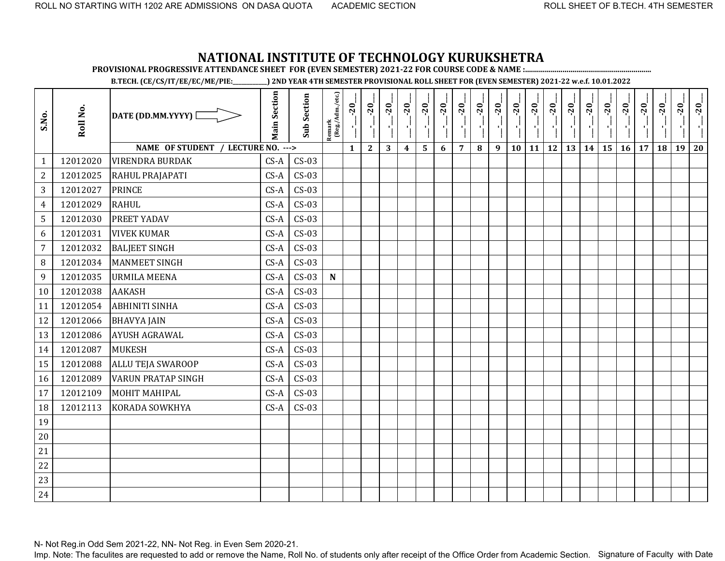**PROVISIONAL PROGRESSIVE ATTENDANCE SHEET FOR (EVEN SEMESTER) 2021-22 FOR COURSE CODE & NAME :................................................................**

**B.TECH. (CE/CS/IT/EE/EC/ME/PIE:\_\_\_\_\_\_\_\_\_\_\_\_) 2ND YEAR 4TH SEMESTER PROVISIONAL ROLL SHEET FOR (EVEN SEMESTER) 2021-22 w.e.f. 10.01.2022** 

| S.No.            | Roll No. | DATE (DD.MM.YYYY) [                | <b>Main Section</b> | <b>Sub Section</b> | Remark<br>(Reg./Adm./etc.) | $-20$        | $-20$        | $-20$ | $-20$            | $-20$ | $-20$ | $-20$          | $-20$ | $-20$ | $-20$<br>л., | $-20$<br>$\blacksquare$ | $-20$<br>$\blacksquare$ | $-20$     | $-20$ | $-20$ | $-20$ | $-20$ | $-20$ | $-20$ | $-20$ |
|------------------|----------|------------------------------------|---------------------|--------------------|----------------------------|--------------|--------------|-------|------------------|-------|-------|----------------|-------|-------|--------------|-------------------------|-------------------------|-----------|-------|-------|-------|-------|-------|-------|-------|
|                  |          | NAME OF STUDENT / LECTURE NO. ---> |                     |                    |                            | $\mathbf{1}$ | $\mathbf{2}$ | 3     | $\boldsymbol{4}$ | 5     | 6     | $\overline{7}$ | 8     | 9     | 10           | 11                      | <b>12</b>               | <b>13</b> | 14    | 15    | 16    | 17    | 18    | 19    | 20    |
| $\mathbf{1}$     | 12012020 | <b>VIRENDRA BURDAK</b>             | $CS-A$              | $CS-03$            |                            |              |              |       |                  |       |       |                |       |       |              |                         |                         |           |       |       |       |       |       |       |       |
| $\overline{2}$   | 12012025 | RAHUL PRAJAPATI                    | $CS-A$              | $CS-03$            |                            |              |              |       |                  |       |       |                |       |       |              |                         |                         |           |       |       |       |       |       |       |       |
| 3                | 12012027 | <b>PRINCE</b>                      | $CS-A$              | $CS-03$            |                            |              |              |       |                  |       |       |                |       |       |              |                         |                         |           |       |       |       |       |       |       |       |
| $\overline{4}$   | 12012029 | <b>RAHUL</b>                       | $CS-A$              | $CS-03$            |                            |              |              |       |                  |       |       |                |       |       |              |                         |                         |           |       |       |       |       |       |       |       |
| 5                | 12012030 | PREET YADAV                        | $CS-A$              | $CS-03$            |                            |              |              |       |                  |       |       |                |       |       |              |                         |                         |           |       |       |       |       |       |       |       |
| 6                | 12012031 | <b>VIVEK KUMAR</b>                 | $CS-A$              | $CS-03$            |                            |              |              |       |                  |       |       |                |       |       |              |                         |                         |           |       |       |       |       |       |       |       |
| $\overline{7}$   | 12012032 | <b>BALJEET SINGH</b>               | $CS-A$              | $CS-03$            |                            |              |              |       |                  |       |       |                |       |       |              |                         |                         |           |       |       |       |       |       |       |       |
| $\, 8$           | 12012034 | <b>MANMEET SINGH</b>               | $CS-A$              | $CS-03$            |                            |              |              |       |                  |       |       |                |       |       |              |                         |                         |           |       |       |       |       |       |       |       |
| $\boldsymbol{9}$ | 12012035 | <b>URMILA MEENA</b>                | $CS-A$              | $CS-03$            | ${\bf N}$                  |              |              |       |                  |       |       |                |       |       |              |                         |                         |           |       |       |       |       |       |       |       |
| 10               | 12012038 | <b>AAKASH</b>                      | $CS-A$              | $CS-03$            |                            |              |              |       |                  |       |       |                |       |       |              |                         |                         |           |       |       |       |       |       |       |       |
| 11               | 12012054 | <b>ABHINITI SINHA</b>              | $CS-A$              | $CS-03$            |                            |              |              |       |                  |       |       |                |       |       |              |                         |                         |           |       |       |       |       |       |       |       |
| 12               | 12012066 | <b>BHAVYA JAIN</b>                 | $CS-A$              | $CS-03$            |                            |              |              |       |                  |       |       |                |       |       |              |                         |                         |           |       |       |       |       |       |       |       |
| 13               | 12012086 | <b>AYUSH AGRAWAL</b>               | $CS-A$              | $CS-03$            |                            |              |              |       |                  |       |       |                |       |       |              |                         |                         |           |       |       |       |       |       |       |       |
| 14               | 12012087 | <b>MUKESH</b>                      | $CS-A$              | $CS-03$            |                            |              |              |       |                  |       |       |                |       |       |              |                         |                         |           |       |       |       |       |       |       |       |
| 15               | 12012088 | <b>ALLU TEJA SWAROOP</b>           | $CS-A$              | $CS-03$            |                            |              |              |       |                  |       |       |                |       |       |              |                         |                         |           |       |       |       |       |       |       |       |
| 16               | 12012089 | <b>VARUN PRATAP SINGH</b>          | $CS-A$              | $CS-03$            |                            |              |              |       |                  |       |       |                |       |       |              |                         |                         |           |       |       |       |       |       |       |       |
| 17               | 12012109 | <b>MOHIT MAHIPAL</b>               | $CS-A$              | $CS-03$            |                            |              |              |       |                  |       |       |                |       |       |              |                         |                         |           |       |       |       |       |       |       |       |
| 18               | 12012113 | KORADA SOWKHYA                     | $CS-A$              | $CS-03$            |                            |              |              |       |                  |       |       |                |       |       |              |                         |                         |           |       |       |       |       |       |       |       |
| 19               |          |                                    |                     |                    |                            |              |              |       |                  |       |       |                |       |       |              |                         |                         |           |       |       |       |       |       |       |       |
| 20               |          |                                    |                     |                    |                            |              |              |       |                  |       |       |                |       |       |              |                         |                         |           |       |       |       |       |       |       |       |
| 21               |          |                                    |                     |                    |                            |              |              |       |                  |       |       |                |       |       |              |                         |                         |           |       |       |       |       |       |       |       |
| 22               |          |                                    |                     |                    |                            |              |              |       |                  |       |       |                |       |       |              |                         |                         |           |       |       |       |       |       |       |       |
| 23               |          |                                    |                     |                    |                            |              |              |       |                  |       |       |                |       |       |              |                         |                         |           |       |       |       |       |       |       |       |
| 24               |          |                                    |                     |                    |                            |              |              |       |                  |       |       |                |       |       |              |                         |                         |           |       |       |       |       |       |       |       |

N- Not Reg.in Odd Sem 2021-22, NN- Not Reg. in Even Sem 2020-21.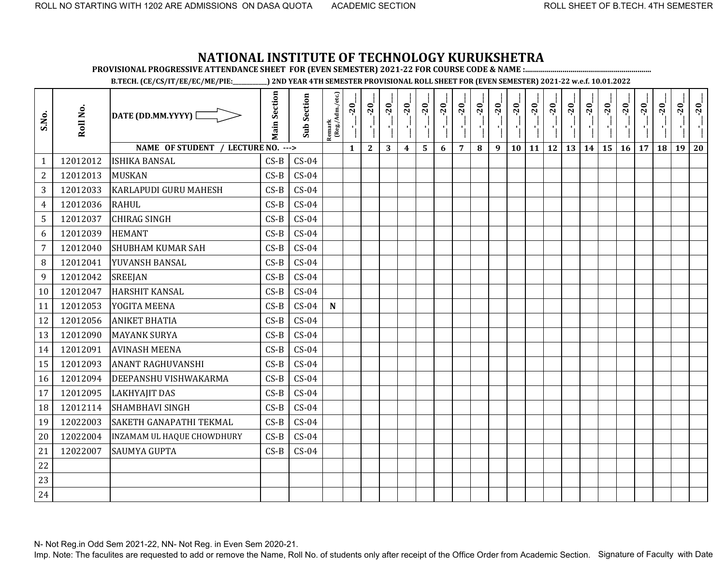**PROVISIONAL PROGRESSIVE ATTENDANCE SHEET FOR (EVEN SEMESTER) 2021-22 FOR COURSE CODE & NAME :................................................................**

**B.TECH. (CE/CS/IT/EE/EC/ME/PIE:\_\_\_\_\_\_\_\_\_\_\_\_) 2ND YEAR 4TH SEMESTER PROVISIONAL ROLL SHEET FOR (EVEN SEMESTER) 2021-22 w.e.f. 10.01.2022** 

| S.No.          | Roll No. | DATE (DD.MM.YYYY) [                | <b>Main Section</b> | <b>Sub Section</b> | Remark<br>(Reg./Adm./etc.) | $-20$        | $-20$        | $-20$ | $-20$            | $-20$ | $-20$ | $-20$          | $-20$ | $-20$ | $-20$<br>$\mathcal{F}_1$ . | $-20$<br>л, | $-20$<br>-1 | $-20$ | $-20$ | $-20$<br>×, | $-20$ | $-20$ | $-20$ | $-20$ | $-20$ |
|----------------|----------|------------------------------------|---------------------|--------------------|----------------------------|--------------|--------------|-------|------------------|-------|-------|----------------|-------|-------|----------------------------|-------------|-------------|-------|-------|-------------|-------|-------|-------|-------|-------|
|                |          | NAME OF STUDENT / LECTURE NO. ---> |                     |                    |                            | $\mathbf{1}$ | $\mathbf{2}$ | 3     | $\boldsymbol{4}$ | 5     | 6     | $\overline{7}$ | 8     | 9     | 10                         | <b>11</b>   | 12          | 13    | 14    | <b>15</b>   | 16    | 17    | 18    | 19    | 20    |
| $\mathbf{1}$   | 12012012 | <b>ISHIKA BANSAL</b>               | $CS-B$              | $CS-04$            |                            |              |              |       |                  |       |       |                |       |       |                            |             |             |       |       |             |       |       |       |       |       |
| $\overline{2}$ | 12012013 | <b>MUSKAN</b>                      | $CS-B$              | $CS-04$            |                            |              |              |       |                  |       |       |                |       |       |                            |             |             |       |       |             |       |       |       |       |       |
| 3              | 12012033 | <b>KARLAPUDI GURU MAHESH</b>       | $CS-B$              | $CS-04$            |                            |              |              |       |                  |       |       |                |       |       |                            |             |             |       |       |             |       |       |       |       |       |
| $\overline{4}$ | 12012036 | <b>RAHUL</b>                       | $CS-B$              | $CS-04$            |                            |              |              |       |                  |       |       |                |       |       |                            |             |             |       |       |             |       |       |       |       |       |
| 5              | 12012037 | <b>CHIRAG SINGH</b>                | $CS-B$              | $CS-04$            |                            |              |              |       |                  |       |       |                |       |       |                            |             |             |       |       |             |       |       |       |       |       |
| 6              | 12012039 | <b>HEMANT</b>                      | $CS-B$              | $CS-04$            |                            |              |              |       |                  |       |       |                |       |       |                            |             |             |       |       |             |       |       |       |       |       |
| $\overline{7}$ | 12012040 | <b>SHUBHAM KUMAR SAH</b>           | $CS-B$              | $CS-04$            |                            |              |              |       |                  |       |       |                |       |       |                            |             |             |       |       |             |       |       |       |       |       |
| 8              | 12012041 | YUVANSH BANSAL                     | $CS-B$              | $CS-04$            |                            |              |              |       |                  |       |       |                |       |       |                            |             |             |       |       |             |       |       |       |       |       |
| 9              | 12012042 | <b>SREEJAN</b>                     | $CS-B$              | $CS-04$            |                            |              |              |       |                  |       |       |                |       |       |                            |             |             |       |       |             |       |       |       |       |       |
| 10             | 12012047 | <b>HARSHIT KANSAL</b>              | $CS-B$              | $CS-04$            |                            |              |              |       |                  |       |       |                |       |       |                            |             |             |       |       |             |       |       |       |       |       |
| 11             | 12012053 | YOGITA MEENA                       | $CS-B$              | $CS-04$            | ${\bf N}$                  |              |              |       |                  |       |       |                |       |       |                            |             |             |       |       |             |       |       |       |       |       |
| 12             | 12012056 | <b>ANIKET BHATIA</b>               | $CS-B$              | $CS-04$            |                            |              |              |       |                  |       |       |                |       |       |                            |             |             |       |       |             |       |       |       |       |       |
| 13             | 12012090 | <b>MAYANK SURYA</b>                | $CS-B$              | $CS-04$            |                            |              |              |       |                  |       |       |                |       |       |                            |             |             |       |       |             |       |       |       |       |       |
| 14             | 12012091 | <b>AVINASH MEENA</b>               | $CS-B$              | $CS-04$            |                            |              |              |       |                  |       |       |                |       |       |                            |             |             |       |       |             |       |       |       |       |       |
| 15             | 12012093 | <b>ANANT RAGHUVANSHI</b>           | $CS-B$              | $CS-04$            |                            |              |              |       |                  |       |       |                |       |       |                            |             |             |       |       |             |       |       |       |       |       |
| 16             | 12012094 | DEEPANSHU VISHWAKARMA              | $CS-B$              | $CS-04$            |                            |              |              |       |                  |       |       |                |       |       |                            |             |             |       |       |             |       |       |       |       |       |
| 17             | 12012095 | <b>LAKHYAJIT DAS</b>               | $CS-B$              | $CS-04$            |                            |              |              |       |                  |       |       |                |       |       |                            |             |             |       |       |             |       |       |       |       |       |
| 18             | 12012114 | <b>SHAMBHAVI SINGH</b>             | $CS-B$              | $CS-04$            |                            |              |              |       |                  |       |       |                |       |       |                            |             |             |       |       |             |       |       |       |       |       |
| 19             | 12022003 | SAKETH GANAPATHI TEKMAL            | $CS-B$              | $CS-04$            |                            |              |              |       |                  |       |       |                |       |       |                            |             |             |       |       |             |       |       |       |       |       |
| 20             | 12022004 | INZAMAM UL HAQUE CHOWDHURY         | $CS-B$              | $CS-04$            |                            |              |              |       |                  |       |       |                |       |       |                            |             |             |       |       |             |       |       |       |       |       |
| 21             | 12022007 | <b>SAUMYA GUPTA</b>                | $CS-B$              | $CS-04$            |                            |              |              |       |                  |       |       |                |       |       |                            |             |             |       |       |             |       |       |       |       |       |
| 22             |          |                                    |                     |                    |                            |              |              |       |                  |       |       |                |       |       |                            |             |             |       |       |             |       |       |       |       |       |
| 23             |          |                                    |                     |                    |                            |              |              |       |                  |       |       |                |       |       |                            |             |             |       |       |             |       |       |       |       |       |
| 24             |          |                                    |                     |                    |                            |              |              |       |                  |       |       |                |       |       |                            |             |             |       |       |             |       |       |       |       |       |

N- Not Reg.in Odd Sem 2021-22, NN- Not Reg. in Even Sem 2020-21.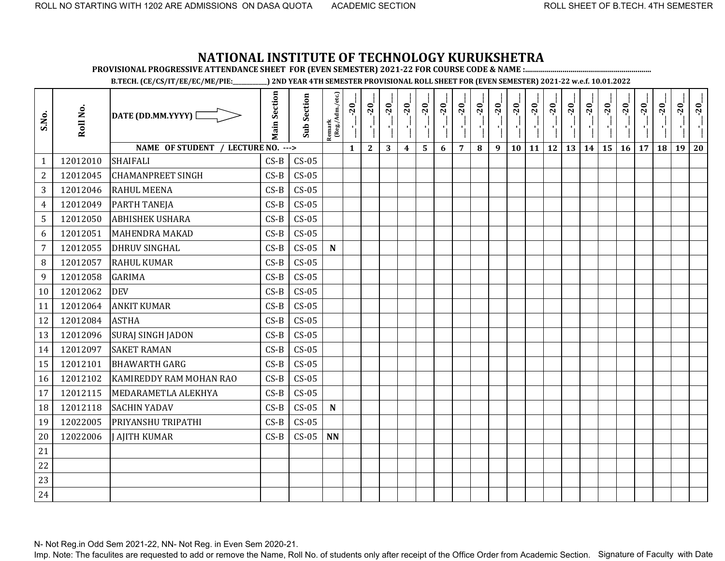**PROVISIONAL PROGRESSIVE ATTENDANCE SHEET FOR (EVEN SEMESTER) 2021-22 FOR COURSE CODE & NAME :................................................................**

**B.TECH. (CE/CS/IT/EE/EC/ME/PIE:\_\_\_\_\_\_\_\_\_\_\_\_) 2ND YEAR 4TH SEMESTER PROVISIONAL ROLL SHEET FOR (EVEN SEMESTER) 2021-22 w.e.f. 10.01.2022** 

| S.No.          | Roll No. | DATE (DD.MM.YYYY) [                | <b>Main Section</b> | <b>Sub Section</b> | $\frac{\text{Remark}}{\text{(Reg/Adm/etc.)}}$ | $-20$<br>J,  | $-20$<br>$\mathbf{r}$ | $-20$ | $-20$            | $-20$ | $-20$ | $-20$          | $-20$ | $-20$ | $-20$<br>п., | $-20$ | $-20$     | $-20$<br>A) | $-20$ | $-20$ | $-20$ | $-20$ | $-20$ | $-20$ | $-20$ |
|----------------|----------|------------------------------------|---------------------|--------------------|-----------------------------------------------|--------------|-----------------------|-------|------------------|-------|-------|----------------|-------|-------|--------------|-------|-----------|-------------|-------|-------|-------|-------|-------|-------|-------|
|                |          | NAME OF STUDENT / LECTURE NO. ---> |                     |                    |                                               | $\mathbf{1}$ | $\mathbf{2}$          | 3     | $\boldsymbol{4}$ | 5     | 6     | $\overline{7}$ | 8     | 9     | 10           | 11    | <b>12</b> | 13          | 14    | 15    | 16    | 17    | 18    | 19    | 20    |
| 1              | 12012010 | <b>SHAIFALI</b>                    | $CS-B$              | $CS-05$            |                                               |              |                       |       |                  |       |       |                |       |       |              |       |           |             |       |       |       |       |       |       |       |
| $\overline{2}$ | 12012045 | <b>CHAMANPREET SINGH</b>           | $CS-B$              | $CS-05$            |                                               |              |                       |       |                  |       |       |                |       |       |              |       |           |             |       |       |       |       |       |       |       |
| 3              | 12012046 | <b>RAHUL MEENA</b>                 | $CS-B$              | $CS-05$            |                                               |              |                       |       |                  |       |       |                |       |       |              |       |           |             |       |       |       |       |       |       |       |
| 4              | 12012049 | <b>PARTH TANEJA</b>                | $CS-B$              | $CS-05$            |                                               |              |                       |       |                  |       |       |                |       |       |              |       |           |             |       |       |       |       |       |       |       |
| 5              | 12012050 | <b>ABHISHEK USHARA</b>             | $CS-B$              | $CS-05$            |                                               |              |                       |       |                  |       |       |                |       |       |              |       |           |             |       |       |       |       |       |       |       |
| 6              | 12012051 | <b>MAHENDRA MAKAD</b>              | $CS-B$              | $CS-05$            |                                               |              |                       |       |                  |       |       |                |       |       |              |       |           |             |       |       |       |       |       |       |       |
| $\overline{7}$ | 12012055 | <b>DHRUV SINGHAL</b>               | $CS-B$              | $CS-05$            | $\mathbf N$                                   |              |                       |       |                  |       |       |                |       |       |              |       |           |             |       |       |       |       |       |       |       |
| $\, 8$         | 12012057 | <b>RAHUL KUMAR</b>                 | $CS-B$              | $CS-05$            |                                               |              |                       |       |                  |       |       |                |       |       |              |       |           |             |       |       |       |       |       |       |       |
| 9              | 12012058 | <b>GARIMA</b>                      | $CS-B$              | $CS-05$            |                                               |              |                       |       |                  |       |       |                |       |       |              |       |           |             |       |       |       |       |       |       |       |
| 10             | 12012062 | <b>DEV</b>                         | $CS-B$              | $CS-05$            |                                               |              |                       |       |                  |       |       |                |       |       |              |       |           |             |       |       |       |       |       |       |       |
| 11             | 12012064 | <b>ANKIT KUMAR</b>                 | $CS-B$              | $CS-05$            |                                               |              |                       |       |                  |       |       |                |       |       |              |       |           |             |       |       |       |       |       |       |       |
| 12             | 12012084 | <b>ASTHA</b>                       | $CS-B$              | $CS-05$            |                                               |              |                       |       |                  |       |       |                |       |       |              |       |           |             |       |       |       |       |       |       |       |
| 13             | 12012096 | <b>SURAJ SINGH JADON</b>           | $CS-B$              | $CS-05$            |                                               |              |                       |       |                  |       |       |                |       |       |              |       |           |             |       |       |       |       |       |       |       |
| 14             | 12012097 | <b>SAKET RAMAN</b>                 | $CS-B$              | $CS-05$            |                                               |              |                       |       |                  |       |       |                |       |       |              |       |           |             |       |       |       |       |       |       |       |
| 15             | 12012101 | <b>BHAWARTH GARG</b>               | $CS-B$              | $CS-05$            |                                               |              |                       |       |                  |       |       |                |       |       |              |       |           |             |       |       |       |       |       |       |       |
| 16             | 12012102 | KAMIREDDY RAM MOHAN RAO            | $CS-B$              | $CS-05$            |                                               |              |                       |       |                  |       |       |                |       |       |              |       |           |             |       |       |       |       |       |       |       |
| 17             | 12012115 | MEDARAMETLA ALEKHYA                | $CS-B$              | $CS-05$            |                                               |              |                       |       |                  |       |       |                |       |       |              |       |           |             |       |       |       |       |       |       |       |
| 18             | 12012118 | <b>SACHIN YADAV</b>                | $CS-B$              | $CS-05$            | $\mathbf N$                                   |              |                       |       |                  |       |       |                |       |       |              |       |           |             |       |       |       |       |       |       |       |
| 19             | 12022005 | PRIYANSHU TRIPATHI                 | $CS-B$              | $CS-05$            |                                               |              |                       |       |                  |       |       |                |       |       |              |       |           |             |       |       |       |       |       |       |       |
| 20             | 12022006 | <b>J AJITH KUMAR</b>               | $CS-B$              | $CS-05$            | <b>NN</b>                                     |              |                       |       |                  |       |       |                |       |       |              |       |           |             |       |       |       |       |       |       |       |
| 21             |          |                                    |                     |                    |                                               |              |                       |       |                  |       |       |                |       |       |              |       |           |             |       |       |       |       |       |       |       |
| 22             |          |                                    |                     |                    |                                               |              |                       |       |                  |       |       |                |       |       |              |       |           |             |       |       |       |       |       |       |       |
| 23             |          |                                    |                     |                    |                                               |              |                       |       |                  |       |       |                |       |       |              |       |           |             |       |       |       |       |       |       |       |
| 24             |          |                                    |                     |                    |                                               |              |                       |       |                  |       |       |                |       |       |              |       |           |             |       |       |       |       |       |       |       |

N- Not Reg.in Odd Sem 2021-22, NN- Not Reg. in Even Sem 2020-21.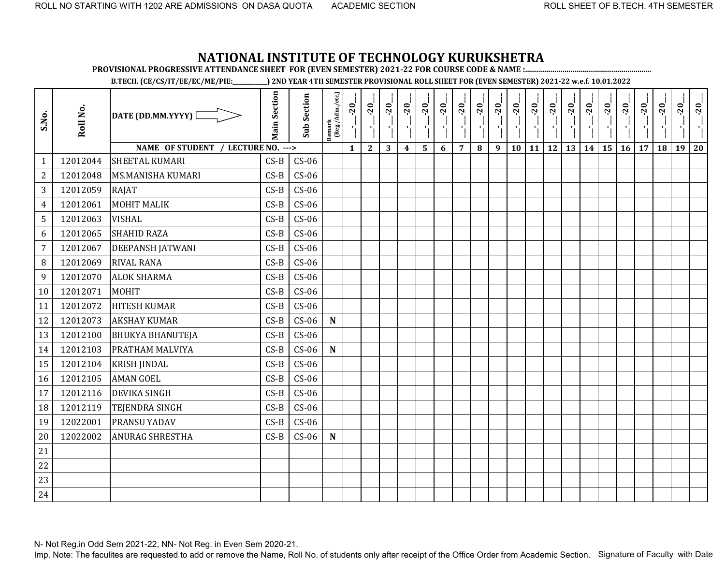**PROVISIONAL PROGRESSIVE ATTENDANCE SHEET FOR (EVEN SEMESTER) 2021-22 FOR COURSE CODE & NAME :................................................................**

**B.TECH. (CE/CS/IT/EE/EC/ME/PIE:\_\_\_\_\_\_\_\_\_\_\_\_) 2ND YEAR 4TH SEMESTER PROVISIONAL ROLL SHEET FOR (EVEN SEMESTER) 2021-22 w.e.f. 10.01.2022** 

| S.No.          | Roll No. | DATE (DD.MM.YYYY) [                | <b>Main Section</b> | <b>Sub Section</b> | Remark<br>(Reg./Adm./etc.) | $-20$        | $-20$        | $-20$ | $-20$            | $-20$                   | $-20$ | $-20$          | $-20$    | $-20$ | $-20$ | $-20$<br>۱ļ | $-20$     | $-20$ | $-20$ | $-20$ | $-20$           | $-20$ | $-20$ | $-20$ | $-20$ |
|----------------|----------|------------------------------------|---------------------|--------------------|----------------------------|--------------|--------------|-------|------------------|-------------------------|-------|----------------|----------|-------|-------|-------------|-----------|-------|-------|-------|-----------------|-------|-------|-------|-------|
|                |          | NAME OF STUDENT / LECTURE NO. ---> |                     |                    |                            | $\mathbf{1}$ | $\mathbf{2}$ | 3     | $\boldsymbol{4}$ | $\overline{\mathbf{5}}$ | 6     | $\overline{7}$ | $\bf{8}$ | 9     | 10    | 11          | <b>12</b> | 13    | 14    | 15    | 16 <sup>1</sup> | 17    | 18    | 19    | 20    |
| $\mathbf{1}$   | 12012044 | SHEETAL KUMARI                     | $CS-B$              | $CS-06$            |                            |              |              |       |                  |                         |       |                |          |       |       |             |           |       |       |       |                 |       |       |       |       |
| $\mathbf{2}$   | 12012048 | <b>MS.MANISHA KUMARI</b>           | $CS-B$              | $CS-06$            |                            |              |              |       |                  |                         |       |                |          |       |       |             |           |       |       |       |                 |       |       |       |       |
| 3              | 12012059 | RAJAT                              | $CS-B$              | $CS-06$            |                            |              |              |       |                  |                         |       |                |          |       |       |             |           |       |       |       |                 |       |       |       |       |
| 4              | 12012061 | <b>MOHIT MALIK</b>                 | $CS-B$              | $CS-06$            |                            |              |              |       |                  |                         |       |                |          |       |       |             |           |       |       |       |                 |       |       |       |       |
| 5              | 12012063 | <b>VISHAL</b>                      | $CS-B$              | $CS-06$            |                            |              |              |       |                  |                         |       |                |          |       |       |             |           |       |       |       |                 |       |       |       |       |
| 6              | 12012065 | <b>SHAHID RAZA</b>                 | $CS-B$              | $CS-06$            |                            |              |              |       |                  |                         |       |                |          |       |       |             |           |       |       |       |                 |       |       |       |       |
| $\overline{7}$ | 12012067 | <b>DEEPANSH JATWANI</b>            | $CS-B$              | $CS-06$            |                            |              |              |       |                  |                         |       |                |          |       |       |             |           |       |       |       |                 |       |       |       |       |
| 8              | 12012069 | <b>RIVAL RANA</b>                  | $CS-B$              | $CS-06$            |                            |              |              |       |                  |                         |       |                |          |       |       |             |           |       |       |       |                 |       |       |       |       |
| 9              | 12012070 | <b>ALOK SHARMA</b>                 | $CS-B$              | $CS-06$            |                            |              |              |       |                  |                         |       |                |          |       |       |             |           |       |       |       |                 |       |       |       |       |
| 10             | 12012071 | <b>MOHIT</b>                       | $CS-B$              | $CS-06$            |                            |              |              |       |                  |                         |       |                |          |       |       |             |           |       |       |       |                 |       |       |       |       |
| 11             | 12012072 | <b>HITESH KUMAR</b>                | $CS-B$              | $CS-06$            |                            |              |              |       |                  |                         |       |                |          |       |       |             |           |       |       |       |                 |       |       |       |       |
| 12             | 12012073 | <b>AKSHAY KUMAR</b>                | $CS-B$              | $CS-06$            | $\mathbf N$                |              |              |       |                  |                         |       |                |          |       |       |             |           |       |       |       |                 |       |       |       |       |
| 13             | 12012100 | <b>BHUKYA BHANUTEJA</b>            | $CS-B$              | $CS-06$            |                            |              |              |       |                  |                         |       |                |          |       |       |             |           |       |       |       |                 |       |       |       |       |
| 14             | 12012103 | PRATHAM MALVIYA                    | $CS-B$              | $CS-06$            | ${\bf N}$                  |              |              |       |                  |                         |       |                |          |       |       |             |           |       |       |       |                 |       |       |       |       |
| 15             | 12012104 | <b>KRISH JINDAL</b>                | $CS-B$              | $CS-06$            |                            |              |              |       |                  |                         |       |                |          |       |       |             |           |       |       |       |                 |       |       |       |       |
| 16             | 12012105 | <b>AMAN GOEL</b>                   | $CS-B$              | $CS-06$            |                            |              |              |       |                  |                         |       |                |          |       |       |             |           |       |       |       |                 |       |       |       |       |
| 17             | 12012116 | <b>DEVIKA SINGH</b>                | $CS-B$              | $CS-06$            |                            |              |              |       |                  |                         |       |                |          |       |       |             |           |       |       |       |                 |       |       |       |       |
| 18             | 12012119 | <b>TEJENDRA SINGH</b>              | $CS-B$              | $CS-06$            |                            |              |              |       |                  |                         |       |                |          |       |       |             |           |       |       |       |                 |       |       |       |       |
| 19             | 12022001 | <b>PRANSU YADAV</b>                | $CS-B$              | $CS-06$            |                            |              |              |       |                  |                         |       |                |          |       |       |             |           |       |       |       |                 |       |       |       |       |
| 20             | 12022002 | <b>ANURAG SHRESTHA</b>             | $CS-B$              | $CS-06$            | $\mathbf N$                |              |              |       |                  |                         |       |                |          |       |       |             |           |       |       |       |                 |       |       |       |       |
| 21             |          |                                    |                     |                    |                            |              |              |       |                  |                         |       |                |          |       |       |             |           |       |       |       |                 |       |       |       |       |
| 22             |          |                                    |                     |                    |                            |              |              |       |                  |                         |       |                |          |       |       |             |           |       |       |       |                 |       |       |       |       |
| 23             |          |                                    |                     |                    |                            |              |              |       |                  |                         |       |                |          |       |       |             |           |       |       |       |                 |       |       |       |       |
| 24             |          |                                    |                     |                    |                            |              |              |       |                  |                         |       |                |          |       |       |             |           |       |       |       |                 |       |       |       |       |

N- Not Reg.in Odd Sem 2021-22, NN- Not Reg. in Even Sem 2020-21.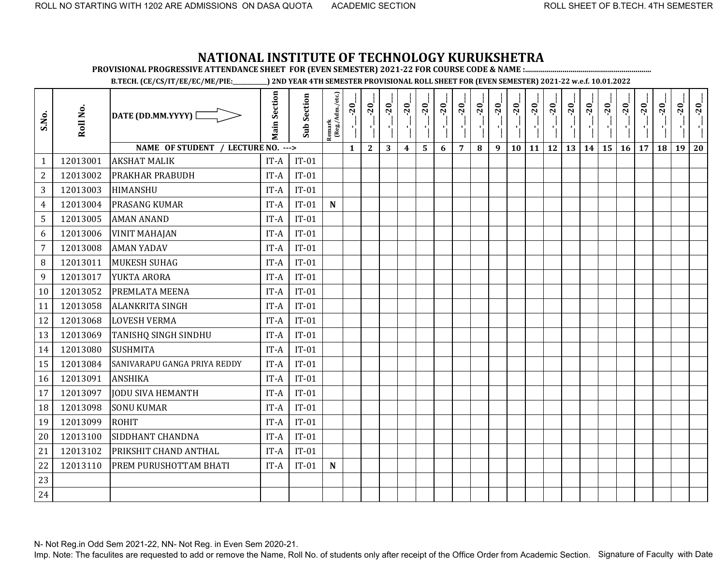**PROVISIONAL PROGRESSIVE ATTENDANCE SHEET FOR (EVEN SEMESTER) 2021-22 FOR COURSE CODE & NAME :................................................................**

**B.TECH. (CE/CS/IT/EE/EC/ME/PIE:\_\_\_\_\_\_\_\_\_\_\_\_) 2ND YEAR 4TH SEMESTER PROVISIONAL ROLL SHEET FOR (EVEN SEMESTER) 2021-22 w.e.f. 10.01.2022** 

| S.No.          | Roll No. | DATE (DD.MM.YYYY) [                | <b>Main Section</b> | <b>Sub Section</b> | Remark<br>(Reg./Adm./etc.) | $-20$<br>۱ļ  | $-20$<br>$\mathbf{r}$ | $-20$ | $-20$            | $-20$ | $-20$ | $-20$          | $-20$ | $-20$ | $-20$ | $-20$ | $-20$     | $-20$ | $-20$ | $-20$ | $-20$ | $-20$ | $-20$ | $-20$ | $-20$ |
|----------------|----------|------------------------------------|---------------------|--------------------|----------------------------|--------------|-----------------------|-------|------------------|-------|-------|----------------|-------|-------|-------|-------|-----------|-------|-------|-------|-------|-------|-------|-------|-------|
|                |          | NAME OF STUDENT / LECTURE NO. ---> |                     |                    |                            | $\mathbf{1}$ | $\mathbf{2}$          | 3     | $\boldsymbol{4}$ | 5     | 6     | $\overline{7}$ | 8     | 9     | 10    | 11    | <b>12</b> | 13    | 14    | 15    | 16    | 17    | 18    | 19    | 20    |
| $\mathbf{1}$   | 12013001 | <b>AKSHAT MALIK</b>                | IT-A                | $IT-01$            |                            |              |                       |       |                  |       |       |                |       |       |       |       |           |       |       |       |       |       |       |       |       |
| $\mathbf{2}$   | 12013002 | PRAKHAR PRABUDH                    | IT-A                | $IT-01$            |                            |              |                       |       |                  |       |       |                |       |       |       |       |           |       |       |       |       |       |       |       |       |
| 3              | 12013003 | <b>HIMANSHU</b>                    | IT-A                | $IT-01$            |                            |              |                       |       |                  |       |       |                |       |       |       |       |           |       |       |       |       |       |       |       |       |
| 4              | 12013004 | PRASANG KUMAR                      | IT-A                | $IT-01$            | $\mathbf N$                |              |                       |       |                  |       |       |                |       |       |       |       |           |       |       |       |       |       |       |       |       |
| 5              | 12013005 | <b>AMAN ANAND</b>                  | IT-A                | $IT-01$            |                            |              |                       |       |                  |       |       |                |       |       |       |       |           |       |       |       |       |       |       |       |       |
| 6              | 12013006 | <b>VINIT MAHAJAN</b>               | IT-A                | $IT-01$            |                            |              |                       |       |                  |       |       |                |       |       |       |       |           |       |       |       |       |       |       |       |       |
| $\overline{7}$ | 12013008 | <b>AMAN YADAV</b>                  | $IT-A$              | $IT-01$            |                            |              |                       |       |                  |       |       |                |       |       |       |       |           |       |       |       |       |       |       |       |       |
| 8              | 12013011 | <b>MUKESH SUHAG</b>                | IT-A                | $IT-01$            |                            |              |                       |       |                  |       |       |                |       |       |       |       |           |       |       |       |       |       |       |       |       |
| 9              | 12013017 | <b>YUKTA ARORA</b>                 | IT-A                | $IT-01$            |                            |              |                       |       |                  |       |       |                |       |       |       |       |           |       |       |       |       |       |       |       |       |
| 10             | 12013052 | PREMLATA MEENA                     | IT-A                | $IT-01$            |                            |              |                       |       |                  |       |       |                |       |       |       |       |           |       |       |       |       |       |       |       |       |
| 11             | 12013058 | <b>ALANKRITA SINGH</b>             | IT-A                | $IT-01$            |                            |              |                       |       |                  |       |       |                |       |       |       |       |           |       |       |       |       |       |       |       |       |
| 12             | 12013068 | <b>LOVESH VERMA</b>                | IT-A                | $IT-01$            |                            |              |                       |       |                  |       |       |                |       |       |       |       |           |       |       |       |       |       |       |       |       |
| 13             | 12013069 | TANISHQ SINGH SINDHU               | IT-A                | $IT-01$            |                            |              |                       |       |                  |       |       |                |       |       |       |       |           |       |       |       |       |       |       |       |       |
| 14             | 12013080 | <b>SUSHMITA</b>                    | IT-A                | $IT-01$            |                            |              |                       |       |                  |       |       |                |       |       |       |       |           |       |       |       |       |       |       |       |       |
| 15             | 12013084 | SANIVARAPU GANGA PRIYA REDDY       | IT-A                | $IT-01$            |                            |              |                       |       |                  |       |       |                |       |       |       |       |           |       |       |       |       |       |       |       |       |
| 16             | 12013091 | <b>ANSHIKA</b>                     | IT-A                | $IT-01$            |                            |              |                       |       |                  |       |       |                |       |       |       |       |           |       |       |       |       |       |       |       |       |
| 17             | 12013097 | <b>JODU SIVA HEMANTH</b>           | IT-A                | $IT-01$            |                            |              |                       |       |                  |       |       |                |       |       |       |       |           |       |       |       |       |       |       |       |       |
| 18             | 12013098 | <b>SONU KUMAR</b>                  | IT-A                | $IT-01$            |                            |              |                       |       |                  |       |       |                |       |       |       |       |           |       |       |       |       |       |       |       |       |
| 19             | 12013099 | <b>ROHIT</b>                       | IT-A                | $IT-01$            |                            |              |                       |       |                  |       |       |                |       |       |       |       |           |       |       |       |       |       |       |       |       |
| 20             | 12013100 | SIDDHANT CHANDNA                   | IT-A                | $IT-01$            |                            |              |                       |       |                  |       |       |                |       |       |       |       |           |       |       |       |       |       |       |       |       |
| 21             | 12013102 | PRIKSHIT CHAND ANTHAL              | IT-A                | $IT-01$            |                            |              |                       |       |                  |       |       |                |       |       |       |       |           |       |       |       |       |       |       |       |       |
| 22             | 12013110 | PREM PURUSHOTTAM BHATI             | IT-A                | $IT-01$            | ${\bf N}$                  |              |                       |       |                  |       |       |                |       |       |       |       |           |       |       |       |       |       |       |       |       |
| 23             |          |                                    |                     |                    |                            |              |                       |       |                  |       |       |                |       |       |       |       |           |       |       |       |       |       |       |       |       |
| 24             |          |                                    |                     |                    |                            |              |                       |       |                  |       |       |                |       |       |       |       |           |       |       |       |       |       |       |       |       |

N- Not Reg.in Odd Sem 2021-22, NN- Not Reg. in Even Sem 2020-21.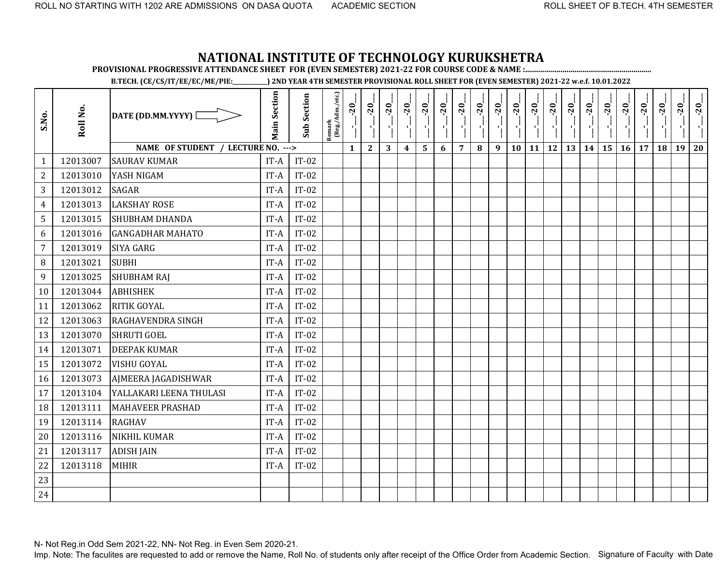**PROVISIONAL PROGRESSIVE ATTENDANCE SHEET FOR (EVEN SEMESTER) 2021-22 FOR COURSE CODE & NAME :................................................................**

**B.TECH. (CE/CS/IT/EE/EC/ME/PIE:\_\_\_\_\_\_\_\_\_\_\_\_) 2ND YEAR 4TH SEMESTER PROVISIONAL ROLL SHEET FOR (EVEN SEMESTER) 2021-22 w.e.f. 10.01.2022** 

| S.No.          | Roll No. | DATE (DD.MM.YYYY) [                | <b>Main Section</b> | <b>Sub Section</b> | $\frac{\text{Remark}}{\text{(Reg/Adm/etc.)}}$ | $-20$        | $-20$        | $-20$ | $-20$                   | $-20$ | $-20$ | $-20$          | $-20$    | $-20$ | $-20$     | $-20$ | $-20$ | $-20$ | $-20$ | $-20$ | $-20$     | $-20$ | $-20$ | $-20$ | $-20$ |
|----------------|----------|------------------------------------|---------------------|--------------------|-----------------------------------------------|--------------|--------------|-------|-------------------------|-------|-------|----------------|----------|-------|-----------|-------|-------|-------|-------|-------|-----------|-------|-------|-------|-------|
|                |          | NAME OF STUDENT / LECTURE NO. ---> |                     |                    |                                               | $\mathbf{1}$ | $\mathbf{2}$ | 3     | $\overline{\mathbf{4}}$ | 5     | 6     | $\overline{7}$ | $\bf{8}$ | 9     | <b>10</b> | 11    | 12    | 13    | 14    | 15    | $16$   17 |       | 18    | 19    | 20    |
| 1              | 12013007 | <b>SAURAV KUMAR</b>                | IT-A                | $IT-02$            |                                               |              |              |       |                         |       |       |                |          |       |           |       |       |       |       |       |           |       |       |       |       |
| $\overline{2}$ | 12013010 | YASH NIGAM                         | IT-A                | $IT-02$            |                                               |              |              |       |                         |       |       |                |          |       |           |       |       |       |       |       |           |       |       |       |       |
| 3              | 12013012 | <b>SAGAR</b>                       | IT-A                | $IT-02$            |                                               |              |              |       |                         |       |       |                |          |       |           |       |       |       |       |       |           |       |       |       |       |
| $\overline{4}$ | 12013013 | <b>LAKSHAY ROSE</b>                | IT-A                | $IT-02$            |                                               |              |              |       |                         |       |       |                |          |       |           |       |       |       |       |       |           |       |       |       |       |
| 5              | 12013015 | <b>SHUBHAM DHANDA</b>              | IT-A                | $IT-02$            |                                               |              |              |       |                         |       |       |                |          |       |           |       |       |       |       |       |           |       |       |       |       |
| 6              | 12013016 | <b>GANGADHAR MAHATO</b>            | IT-A                | $IT-02$            |                                               |              |              |       |                         |       |       |                |          |       |           |       |       |       |       |       |           |       |       |       |       |
| $\overline{7}$ | 12013019 | <b>SIYA GARG</b>                   | IT-A                | $IT-02$            |                                               |              |              |       |                         |       |       |                |          |       |           |       |       |       |       |       |           |       |       |       |       |
| 8              | 12013021 | <b>SUBHI</b>                       | IT-A                | $IT-02$            |                                               |              |              |       |                         |       |       |                |          |       |           |       |       |       |       |       |           |       |       |       |       |
| 9              | 12013025 | <b>SHUBHAM RAJ</b>                 | IT-A                | $IT-02$            |                                               |              |              |       |                         |       |       |                |          |       |           |       |       |       |       |       |           |       |       |       |       |
| 10             | 12013044 | <b>ABHISHEK</b>                    | IT-A                | $IT-02$            |                                               |              |              |       |                         |       |       |                |          |       |           |       |       |       |       |       |           |       |       |       |       |
| 11             | 12013062 | <b>RITIK GOYAL</b>                 | IT-A                | $IT-02$            |                                               |              |              |       |                         |       |       |                |          |       |           |       |       |       |       |       |           |       |       |       |       |
| 12             | 12013063 | <b>RAGHAVENDRA SINGH</b>           | IT-A                | $IT-02$            |                                               |              |              |       |                         |       |       |                |          |       |           |       |       |       |       |       |           |       |       |       |       |
| 13             | 12013070 | <b>SHRUTI GOEL</b>                 | IT-A                | $IT-02$            |                                               |              |              |       |                         |       |       |                |          |       |           |       |       |       |       |       |           |       |       |       |       |
| 14             | 12013071 | <b>DEEPAK KUMAR</b>                | IT-A                | $IT-02$            |                                               |              |              |       |                         |       |       |                |          |       |           |       |       |       |       |       |           |       |       |       |       |
| 15             | 12013072 | <b>VISHU GOYAL</b>                 | IT-A                | $IT-02$            |                                               |              |              |       |                         |       |       |                |          |       |           |       |       |       |       |       |           |       |       |       |       |
| 16             | 12013073 | AJMEERA JAGADISHWAR                | IT-A                | $IT-02$            |                                               |              |              |       |                         |       |       |                |          |       |           |       |       |       |       |       |           |       |       |       |       |
| 17             | 12013104 | YALLAKARI LEENA THULASI            | IT-A                | $IT-02$            |                                               |              |              |       |                         |       |       |                |          |       |           |       |       |       |       |       |           |       |       |       |       |
| 18             | 12013111 | <b>MAHAVEER PRASHAD</b>            | IT-A                | $IT-02$            |                                               |              |              |       |                         |       |       |                |          |       |           |       |       |       |       |       |           |       |       |       |       |
| 19             | 12013114 | <b>RAGHAV</b>                      | IT-A                | $IT-02$            |                                               |              |              |       |                         |       |       |                |          |       |           |       |       |       |       |       |           |       |       |       |       |
| 20             | 12013116 | <b>NIKHIL KUMAR</b>                | IT-A                | $IT-02$            |                                               |              |              |       |                         |       |       |                |          |       |           |       |       |       |       |       |           |       |       |       |       |
| 21             | 12013117 | <b>ADISH JAIN</b>                  | IT-A                | $IT-02$            |                                               |              |              |       |                         |       |       |                |          |       |           |       |       |       |       |       |           |       |       |       |       |
| 22             | 12013118 | <b>MIHIR</b>                       | IT-A                | $IT-02$            |                                               |              |              |       |                         |       |       |                |          |       |           |       |       |       |       |       |           |       |       |       |       |
| 23             |          |                                    |                     |                    |                                               |              |              |       |                         |       |       |                |          |       |           |       |       |       |       |       |           |       |       |       |       |
| 24             |          |                                    |                     |                    |                                               |              |              |       |                         |       |       |                |          |       |           |       |       |       |       |       |           |       |       |       |       |

N- Not Reg.in Odd Sem 2021-22, NN- Not Reg. in Even Sem 2020-21.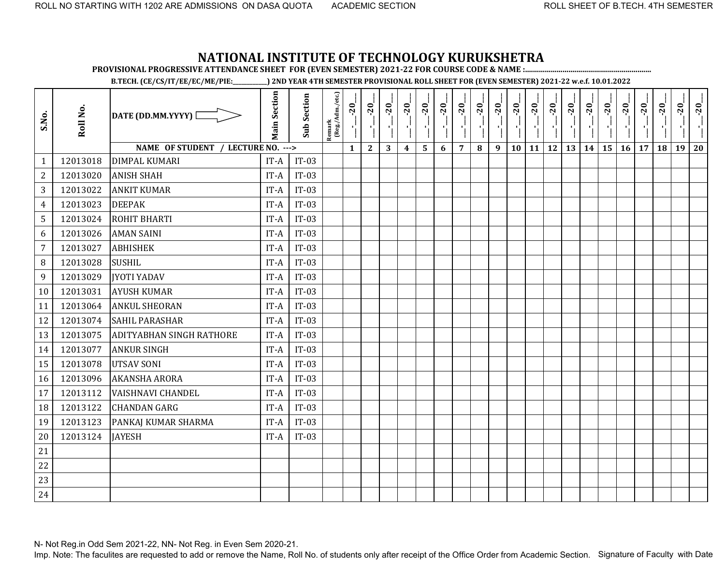**PROVISIONAL PROGRESSIVE ATTENDANCE SHEET FOR (EVEN SEMESTER) 2021-22 FOR COURSE CODE & NAME :................................................................**

**B.TECH. (CE/CS/IT/EE/EC/ME/PIE:\_\_\_\_\_\_\_\_\_\_\_\_) 2ND YEAR 4TH SEMESTER PROVISIONAL ROLL SHEET FOR (EVEN SEMESTER) 2021-22 w.e.f. 10.01.2022** 

| S.No.          | Roll No. | DATE (DD.MM.YYYY) [                | <b>Main Section</b> | <b>Sub Section</b> | Remark<br>(Reg./Adm./etc.) | $-20$        | $-20$        | $-20$ | $-20$                   | $-20$ | $-20$ | $-20$          | $-20$ | $-20$ | $-20$ | $-20$     | $-20$     | $-20$ | $-20$ | $-20$ | $-20$ | $-20$ | $-20$ | $-20$ | $-20$ |
|----------------|----------|------------------------------------|---------------------|--------------------|----------------------------|--------------|--------------|-------|-------------------------|-------|-------|----------------|-------|-------|-------|-----------|-----------|-------|-------|-------|-------|-------|-------|-------|-------|
|                |          | NAME OF STUDENT / LECTURE NO. ---> |                     |                    |                            | $\mathbf{1}$ | $\mathbf{2}$ | 3     | $\overline{\mathbf{4}}$ | 5     | 6     | $\overline{7}$ | 8     | 9     | 10    | <b>11</b> | <b>12</b> | 13    | 14    | 15    | 16    | 17    | 18    | 19    | 20    |
| $\mathbf{1}$   | 12013018 | <b>DIMPAL KUMARI</b>               | IT-A                | $IT-03$            |                            |              |              |       |                         |       |       |                |       |       |       |           |           |       |       |       |       |       |       |       |       |
| $\overline{2}$ | 12013020 | <b>ANISH SHAH</b>                  | IT-A                | $IT-03$            |                            |              |              |       |                         |       |       |                |       |       |       |           |           |       |       |       |       |       |       |       |       |
| 3              | 12013022 | <b>ANKIT KUMAR</b>                 | $IT-A$              | $IT-03$            |                            |              |              |       |                         |       |       |                |       |       |       |           |           |       |       |       |       |       |       |       |       |
| $\overline{4}$ | 12013023 | <b>DEEPAK</b>                      | IT-A                | $IT-03$            |                            |              |              |       |                         |       |       |                |       |       |       |           |           |       |       |       |       |       |       |       |       |
| 5              | 12013024 | ROHIT BHARTI                       | IT-A                | $IT-03$            |                            |              |              |       |                         |       |       |                |       |       |       |           |           |       |       |       |       |       |       |       |       |
| 6              | 12013026 | <b>AMAN SAINI</b>                  | IT-A                | $IT-03$            |                            |              |              |       |                         |       |       |                |       |       |       |           |           |       |       |       |       |       |       |       |       |
| $\overline{7}$ | 12013027 | <b>ABHISHEK</b>                    | IT-A                | $IT-03$            |                            |              |              |       |                         |       |       |                |       |       |       |           |           |       |       |       |       |       |       |       |       |
| 8              | 12013028 | <b>SUSHIL</b>                      | IT-A                | $IT-03$            |                            |              |              |       |                         |       |       |                |       |       |       |           |           |       |       |       |       |       |       |       |       |
| 9              | 12013029 | <b>IYOTI YADAV</b>                 | IT-A                | $IT-03$            |                            |              |              |       |                         |       |       |                |       |       |       |           |           |       |       |       |       |       |       |       |       |
| 10             | 12013031 | <b>AYUSH KUMAR</b>                 | IT-A                | $IT-03$            |                            |              |              |       |                         |       |       |                |       |       |       |           |           |       |       |       |       |       |       |       |       |
| 11             | 12013064 | <b>ANKUL SHEORAN</b>               | IT-A                | $IT-03$            |                            |              |              |       |                         |       |       |                |       |       |       |           |           |       |       |       |       |       |       |       |       |
| 12             | 12013074 | <b>SAHIL PARASHAR</b>              | IT-A                | $IT-03$            |                            |              |              |       |                         |       |       |                |       |       |       |           |           |       |       |       |       |       |       |       |       |
| 13             | 12013075 | <b>ADITYABHAN SINGH RATHORE</b>    | IT-A                | $IT-03$            |                            |              |              |       |                         |       |       |                |       |       |       |           |           |       |       |       |       |       |       |       |       |
| 14             | 12013077 | <b>ANKUR SINGH</b>                 | IT-A                | $IT-03$            |                            |              |              |       |                         |       |       |                |       |       |       |           |           |       |       |       |       |       |       |       |       |
| 15             | 12013078 | <b>UTSAV SONI</b>                  | IT-A                | $IT-03$            |                            |              |              |       |                         |       |       |                |       |       |       |           |           |       |       |       |       |       |       |       |       |
| 16             | 12013096 | <b>AKANSHA ARORA</b>               | IT-A                | $IT-03$            |                            |              |              |       |                         |       |       |                |       |       |       |           |           |       |       |       |       |       |       |       |       |
| 17             | 12013112 | <b>VAISHNAVI CHANDEL</b>           | IT-A                | $IT-03$            |                            |              |              |       |                         |       |       |                |       |       |       |           |           |       |       |       |       |       |       |       |       |
| 18             | 12013122 | <b>CHANDAN GARG</b>                | IT-A                | $IT-03$            |                            |              |              |       |                         |       |       |                |       |       |       |           |           |       |       |       |       |       |       |       |       |
| 19             | 12013123 | PANKAJ KUMAR SHARMA                | IT-A                | $IT-03$            |                            |              |              |       |                         |       |       |                |       |       |       |           |           |       |       |       |       |       |       |       |       |
| 20             | 12013124 | <b>JAYESH</b>                      | IT-A                | $IT-03$            |                            |              |              |       |                         |       |       |                |       |       |       |           |           |       |       |       |       |       |       |       |       |
| 21             |          |                                    |                     |                    |                            |              |              |       |                         |       |       |                |       |       |       |           |           |       |       |       |       |       |       |       |       |
| 22             |          |                                    |                     |                    |                            |              |              |       |                         |       |       |                |       |       |       |           |           |       |       |       |       |       |       |       |       |
| 23             |          |                                    |                     |                    |                            |              |              |       |                         |       |       |                |       |       |       |           |           |       |       |       |       |       |       |       |       |
| 24             |          |                                    |                     |                    |                            |              |              |       |                         |       |       |                |       |       |       |           |           |       |       |       |       |       |       |       |       |

N- Not Reg.in Odd Sem 2021-22, NN- Not Reg. in Even Sem 2020-21.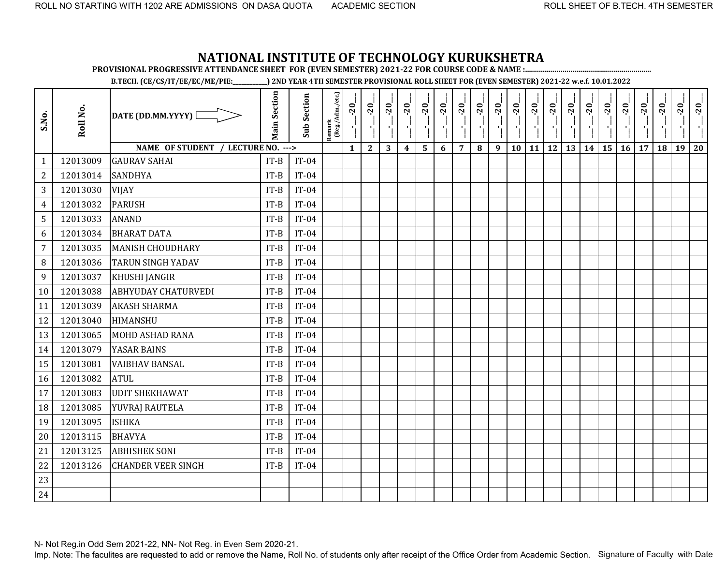**PROVISIONAL PROGRESSIVE ATTENDANCE SHEET FOR (EVEN SEMESTER) 2021-22 FOR COURSE CODE & NAME :................................................................**

**B.TECH. (CE/CS/IT/EE/EC/ME/PIE:\_\_\_\_\_\_\_\_\_\_\_\_) 2ND YEAR 4TH SEMESTER PROVISIONAL ROLL SHEET FOR (EVEN SEMESTER) 2021-22 w.e.f. 10.01.2022** 

| S.No.          | Roll No. | DATE (DD.MM.YYYY) [                | <b>Main Section</b> | <b>Sub Section</b> | Remark<br>(Reg./Adm./etc.) | $-20$        | $-20$        | $-20$ | $-20$                   | $-20$ | $-20$ | $-20$          | $-20$ | $-20$ | $-20$ | $-20$     | $-20$     | $-20$ | $-20$ | $-20$ | $-20$ | $-20$ | $-20$ | $-20$ | $-20$ |
|----------------|----------|------------------------------------|---------------------|--------------------|----------------------------|--------------|--------------|-------|-------------------------|-------|-------|----------------|-------|-------|-------|-----------|-----------|-------|-------|-------|-------|-------|-------|-------|-------|
|                |          | NAME OF STUDENT / LECTURE NO. ---> |                     |                    |                            | $\mathbf{1}$ | $\mathbf{2}$ | 3     | $\overline{\mathbf{4}}$ | 5     | 6     | $\overline{7}$ | 8     | 9     | 10    | <b>11</b> | <b>12</b> | 13    | 14    | 15    | 16    | 17    | 18    | 19    | 20    |
| $\mathbf{1}$   | 12013009 | <b>GAURAV SAHAI</b>                | $IT-B$              | $IT-04$            |                            |              |              |       |                         |       |       |                |       |       |       |           |           |       |       |       |       |       |       |       |       |
| $\overline{2}$ | 12013014 | <b>SANDHYA</b>                     | $IT-B$              | $IT-04$            |                            |              |              |       |                         |       |       |                |       |       |       |           |           |       |       |       |       |       |       |       |       |
| 3              | 12013030 | <b>VIJAY</b>                       | $IT-B$              | $IT-04$            |                            |              |              |       |                         |       |       |                |       |       |       |           |           |       |       |       |       |       |       |       |       |
| $\overline{4}$ | 12013032 | <b>PARUSH</b>                      | $IT-B$              | $IT-04$            |                            |              |              |       |                         |       |       |                |       |       |       |           |           |       |       |       |       |       |       |       |       |
| 5              | 12013033 | <b>ANAND</b>                       | $IT-B$              | $IT-04$            |                            |              |              |       |                         |       |       |                |       |       |       |           |           |       |       |       |       |       |       |       |       |
| 6              | 12013034 | <b>BHARAT DATA</b>                 | $IT-B$              | $IT-04$            |                            |              |              |       |                         |       |       |                |       |       |       |           |           |       |       |       |       |       |       |       |       |
| $\overline{7}$ | 12013035 | <b>MANISH CHOUDHARY</b>            | $IT-B$              | $IT-04$            |                            |              |              |       |                         |       |       |                |       |       |       |           |           |       |       |       |       |       |       |       |       |
| $\, 8$         | 12013036 | <b>TARUN SINGH YADAV</b>           | $IT-B$              | $IT-04$            |                            |              |              |       |                         |       |       |                |       |       |       |           |           |       |       |       |       |       |       |       |       |
| 9              | 12013037 | <b>KHUSHI JANGIR</b>               | $IT-B$              | $IT-04$            |                            |              |              |       |                         |       |       |                |       |       |       |           |           |       |       |       |       |       |       |       |       |
| 10             | 12013038 | <b>ABHYUDAY CHATURVEDI</b>         | $IT-B$              | $IT-04$            |                            |              |              |       |                         |       |       |                |       |       |       |           |           |       |       |       |       |       |       |       |       |
| 11             | 12013039 | <b>AKASH SHARMA</b>                | $IT-B$              | $IT-04$            |                            |              |              |       |                         |       |       |                |       |       |       |           |           |       |       |       |       |       |       |       |       |
| 12             | 12013040 | HIMANSHU                           | $IT-B$              | $IT-04$            |                            |              |              |       |                         |       |       |                |       |       |       |           |           |       |       |       |       |       |       |       |       |
| 13             | 12013065 | <b>MOHD ASHAD RANA</b>             | $IT-B$              | $IT-04$            |                            |              |              |       |                         |       |       |                |       |       |       |           |           |       |       |       |       |       |       |       |       |
| 14             | 12013079 | YASAR BAINS                        | $IT-B$              | $IT-04$            |                            |              |              |       |                         |       |       |                |       |       |       |           |           |       |       |       |       |       |       |       |       |
| 15             | 12013081 | <b>VAIBHAV BANSAL</b>              | $IT-B$              | $IT-04$            |                            |              |              |       |                         |       |       |                |       |       |       |           |           |       |       |       |       |       |       |       |       |
| 16             | 12013082 | <b>ATUL</b>                        | $IT-B$              | $IT-04$            |                            |              |              |       |                         |       |       |                |       |       |       |           |           |       |       |       |       |       |       |       |       |
| 17             | 12013083 | <b>UDIT SHEKHAWAT</b>              | $IT-B$              | $IT-04$            |                            |              |              |       |                         |       |       |                |       |       |       |           |           |       |       |       |       |       |       |       |       |
| 18             | 12013085 | YUVRAJ RAUTELA                     | $IT-B$              | $IT-04$            |                            |              |              |       |                         |       |       |                |       |       |       |           |           |       |       |       |       |       |       |       |       |
| 19             | 12013095 | <b>ISHIKA</b>                      | $IT-B$              | $IT-04$            |                            |              |              |       |                         |       |       |                |       |       |       |           |           |       |       |       |       |       |       |       |       |
| 20             | 12013115 | <b>BHAVYA</b>                      | $IT-B$              | $IT-04$            |                            |              |              |       |                         |       |       |                |       |       |       |           |           |       |       |       |       |       |       |       |       |
| 21             | 12013125 | <b>ABHISHEK SONI</b>               | $IT-B$              | $IT-04$            |                            |              |              |       |                         |       |       |                |       |       |       |           |           |       |       |       |       |       |       |       |       |
| 22             | 12013126 | <b>CHANDER VEER SINGH</b>          | $IT-B$              | $IT-04$            |                            |              |              |       |                         |       |       |                |       |       |       |           |           |       |       |       |       |       |       |       |       |
| 23             |          |                                    |                     |                    |                            |              |              |       |                         |       |       |                |       |       |       |           |           |       |       |       |       |       |       |       |       |
| 24             |          |                                    |                     |                    |                            |              |              |       |                         |       |       |                |       |       |       |           |           |       |       |       |       |       |       |       |       |

N- Not Reg.in Odd Sem 2021-22, NN- Not Reg. in Even Sem 2020-21.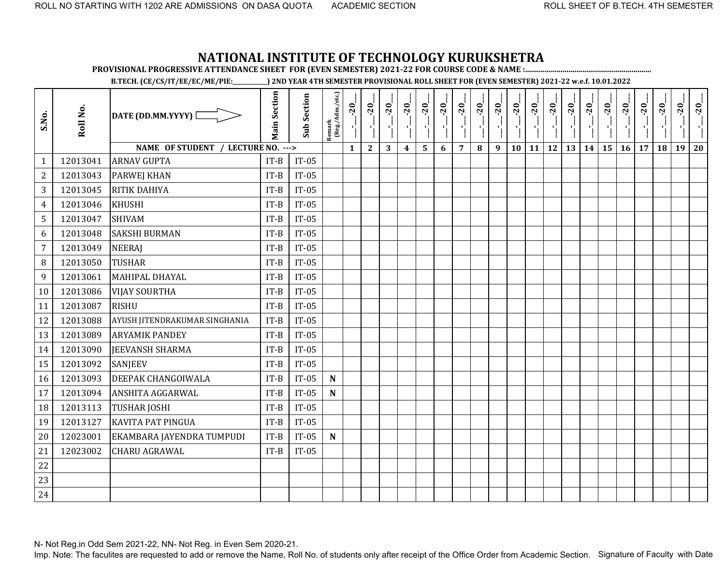**PROVISIONAL PROGRESSIVE ATTENDANCE SHEET FOR (EVEN SEMESTER) 2021-22 FOR COURSE CODE & NAME :................................................................**

**B.TECH. (CE/CS/IT/EE/EC/ME/PIE:\_\_\_\_\_\_\_\_\_\_\_\_) 2ND YEAR 4TH SEMESTER PROVISIONAL ROLL SHEET FOR (EVEN SEMESTER) 2021-22 w.e.f. 10.01.2022** 

| S.No.          | Roll No. | DATE (DD.MM.YYYY)                  | <b>Main Section</b> | <b>Sub Section</b> | Remark<br>(Reg./Adm./etc.) | $-20$<br>۱,  | $-20$        | $-20$<br>$\mathbf{r}$ | $-20$          | $-20$ | $-20$ | $-20$          | $-20$    | $-20$ | $-20$<br>۱ļ | $-20$             | $-20$<br>۱, | $-20$ | $-20$ | $-20$   | $-20$ | $-20$ | $-20$ | $-20$ | $-20$ |
|----------------|----------|------------------------------------|---------------------|--------------------|----------------------------|--------------|--------------|-----------------------|----------------|-------|-------|----------------|----------|-------|-------------|-------------------|-------------|-------|-------|---------|-------|-------|-------|-------|-------|
|                |          | NAME OF STUDENT / LECTURE NO. ---> |                     |                    |                            | $\mathbf{1}$ | $\mathbf{2}$ | 3                     | $\overline{4}$ | 5     | 6     | $\overline{7}$ | $\bf{8}$ | 9     | 10          | $11 \mid 12 \mid$ |             | 13    |       | $14$ 15 | 16    | 17    | 18    | 19    | 20    |
| $\mathbf{1}$   | 12013041 | <b>ARNAV GUPTA</b>                 | $IT-B$              | $IT-05$            |                            |              |              |                       |                |       |       |                |          |       |             |                   |             |       |       |         |       |       |       |       |       |
| $\mathbf{2}$   | 12013043 | <b>PARWEJ KHAN</b>                 | $IT-B$              | $IT-05$            |                            |              |              |                       |                |       |       |                |          |       |             |                   |             |       |       |         |       |       |       |       |       |
| 3              | 12013045 | RITIK DAHIYA                       | $IT-B$              | $IT-05$            |                            |              |              |                       |                |       |       |                |          |       |             |                   |             |       |       |         |       |       |       |       |       |
| 4              | 12013046 | <b>KHUSHI</b>                      | $IT-B$              | $IT-05$            |                            |              |              |                       |                |       |       |                |          |       |             |                   |             |       |       |         |       |       |       |       |       |
| 5              | 12013047 | <b>SHIVAM</b>                      | $IT-B$              | $IT-05$            |                            |              |              |                       |                |       |       |                |          |       |             |                   |             |       |       |         |       |       |       |       |       |
| 6              | 12013048 | <b>SAKSHI BURMAN</b>               | $IT-B$              | $IT-05$            |                            |              |              |                       |                |       |       |                |          |       |             |                   |             |       |       |         |       |       |       |       |       |
| $\overline{7}$ | 12013049 | <b>NEERAJ</b>                      | $IT-B$              | $IT-05$            |                            |              |              |                       |                |       |       |                |          |       |             |                   |             |       |       |         |       |       |       |       |       |
| 8              | 12013050 | <b>TUSHAR</b>                      | $IT-B$              | $IT-05$            |                            |              |              |                       |                |       |       |                |          |       |             |                   |             |       |       |         |       |       |       |       |       |
| 9              | 12013061 | MAHIPAL DHAYAL                     | $IT-B$              | $IT-05$            |                            |              |              |                       |                |       |       |                |          |       |             |                   |             |       |       |         |       |       |       |       |       |
| 10             | 12013086 | <b>VIJAY SOURTHA</b>               | $IT-B$              | $IT-05$            |                            |              |              |                       |                |       |       |                |          |       |             |                   |             |       |       |         |       |       |       |       |       |
| 11             | 12013087 | <b>RISHU</b>                       | $IT-B$              | $IT-05$            |                            |              |              |                       |                |       |       |                |          |       |             |                   |             |       |       |         |       |       |       |       |       |
| 12             | 12013088 | AYUSH JITENDRAKUMAR SINGHANIA      | $IT-B$              | $IT-05$            |                            |              |              |                       |                |       |       |                |          |       |             |                   |             |       |       |         |       |       |       |       |       |
| 13             | 12013089 | <b>ARYAMIK PANDEY</b>              | $IT-B$              | $IT-05$            |                            |              |              |                       |                |       |       |                |          |       |             |                   |             |       |       |         |       |       |       |       |       |
| 14             | 12013090 | <b>JEEVANSH SHARMA</b>             | $IT-B$              | $IT-05$            |                            |              |              |                       |                |       |       |                |          |       |             |                   |             |       |       |         |       |       |       |       |       |
| 15             | 12013092 | <b>SANJEEV</b>                     | $IT-B$              | $IT-05$            |                            |              |              |                       |                |       |       |                |          |       |             |                   |             |       |       |         |       |       |       |       |       |
| 16             | 12013093 | DEEPAK CHANGOIWALA                 | $IT-B$              | $IT-05$            | ${\bf N}$                  |              |              |                       |                |       |       |                |          |       |             |                   |             |       |       |         |       |       |       |       |       |
| 17             | 12013094 | ANSHITA AGGARWAL                   | $IT-B$              | $IT-05$            | ${\bf N}$                  |              |              |                       |                |       |       |                |          |       |             |                   |             |       |       |         |       |       |       |       |       |
| 18             | 12013113 | <b>TUSHAR JOSHI</b>                | $IT-B$              | $IT-05$            |                            |              |              |                       |                |       |       |                |          |       |             |                   |             |       |       |         |       |       |       |       |       |
| 19             | 12013127 | <b>KAVITA PAT PINGUA</b>           | $IT-B$              | $IT-05$            |                            |              |              |                       |                |       |       |                |          |       |             |                   |             |       |       |         |       |       |       |       |       |
| 20             | 12023001 | EKAMBARA JAYENDRA TUMPUDI          | $IT-B$              | $IT-05$            | $\mathbf N$                |              |              |                       |                |       |       |                |          |       |             |                   |             |       |       |         |       |       |       |       |       |
| 21             | 12023002 | <b>CHARU AGRAWAL</b>               | $IT-B$              | $IT-05$            |                            |              |              |                       |                |       |       |                |          |       |             |                   |             |       |       |         |       |       |       |       |       |
| 22             |          |                                    |                     |                    |                            |              |              |                       |                |       |       |                |          |       |             |                   |             |       |       |         |       |       |       |       |       |
| 23             |          |                                    |                     |                    |                            |              |              |                       |                |       |       |                |          |       |             |                   |             |       |       |         |       |       |       |       |       |
| 24             |          |                                    |                     |                    |                            |              |              |                       |                |       |       |                |          |       |             |                   |             |       |       |         |       |       |       |       |       |

N- Not Reg.in Odd Sem 2021-22, NN- Not Reg. in Even Sem 2020-21.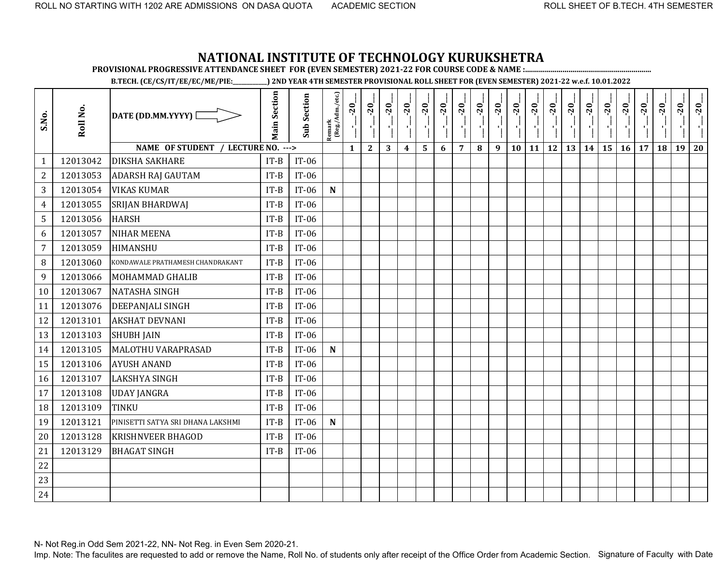**PROVISIONAL PROGRESSIVE ATTENDANCE SHEET FOR (EVEN SEMESTER) 2021-22 FOR COURSE CODE & NAME :................................................................**

**B.TECH. (CE/CS/IT/EE/EC/ME/PIE:\_\_\_\_\_\_\_\_\_\_\_\_) 2ND YEAR 4TH SEMESTER PROVISIONAL ROLL SHEET FOR (EVEN SEMESTER) 2021-22 w.e.f. 10.01.2022** 

| S.No.          | Roll No. | DATE (DD.MM.YYYY) [                | <b>Main Section</b> | <b>Sub Section</b> | $\frac{\text{Remark}}{\text{(Reg/Adm/etc.)}}$ | $-20$        | $-20$        | $-20$ | $-20$            | $-20$ | $-20$ | $-20$          | $-20$ | $-20$ | $-20$ | $-20$ | $-20$     | $-20$ | $-20$ | $-20$<br>۱ļ | $-20$ | $-20$ | $-20$ | $-20$ | $-20$ |
|----------------|----------|------------------------------------|---------------------|--------------------|-----------------------------------------------|--------------|--------------|-------|------------------|-------|-------|----------------|-------|-------|-------|-------|-----------|-------|-------|-------------|-------|-------|-------|-------|-------|
|                |          | NAME OF STUDENT / LECTURE NO. ---> |                     |                    |                                               | $\mathbf{1}$ | $\mathbf{2}$ | 3     | $\boldsymbol{4}$ | 5     | 6     | $\overline{7}$ | 8     | 9     | 10    | 11    | <b>12</b> | 13    | 14    | 15          | 16    | 17    | 18    | 19    | 20    |
| $\mathbf{1}$   | 12013042 | <b>DIKSHA SAKHARE</b>              | $IT-B$              | $IT-06$            |                                               |              |              |       |                  |       |       |                |       |       |       |       |           |       |       |             |       |       |       |       |       |
| $\overline{2}$ | 12013053 | <b>ADARSH RAJ GAUTAM</b>           | $IT-B$              | $IT-06$            |                                               |              |              |       |                  |       |       |                |       |       |       |       |           |       |       |             |       |       |       |       |       |
| 3              | 12013054 | <b>VIKAS KUMAR</b>                 | $IT-B$              | $IT-06$            | ${\bf N}$                                     |              |              |       |                  |       |       |                |       |       |       |       |           |       |       |             |       |       |       |       |       |
| 4              | 12013055 | <b>SRIJAN BHARDWAJ</b>             | $IT-B$              | $IT-06$            |                                               |              |              |       |                  |       |       |                |       |       |       |       |           |       |       |             |       |       |       |       |       |
| 5              | 12013056 | <b>HARSH</b>                       | $IT-B$              | $IT-06$            |                                               |              |              |       |                  |       |       |                |       |       |       |       |           |       |       |             |       |       |       |       |       |
| 6              | 12013057 | <b>NIHAR MEENA</b>                 | $IT-B$              | $IT-06$            |                                               |              |              |       |                  |       |       |                |       |       |       |       |           |       |       |             |       |       |       |       |       |
| $\overline{7}$ | 12013059 | <b>HIMANSHU</b>                    | $IT-B$              | $IT-06$            |                                               |              |              |       |                  |       |       |                |       |       |       |       |           |       |       |             |       |       |       |       |       |
| 8              | 12013060 | KONDAWALE PRATHAMESH CHANDRAKANT   | $IT-B$              | $IT-06$            |                                               |              |              |       |                  |       |       |                |       |       |       |       |           |       |       |             |       |       |       |       |       |
| 9              | 12013066 | <b>MOHAMMAD GHALIB</b>             | $IT-B$              | $IT-06$            |                                               |              |              |       |                  |       |       |                |       |       |       |       |           |       |       |             |       |       |       |       |       |
| 10             | 12013067 | <b>NATASHA SINGH</b>               | $IT-B$              | $IT-06$            |                                               |              |              |       |                  |       |       |                |       |       |       |       |           |       |       |             |       |       |       |       |       |
| 11             | 12013076 | <b>DEEPANJALI SINGH</b>            | $IT-B$              | $IT-06$            |                                               |              |              |       |                  |       |       |                |       |       |       |       |           |       |       |             |       |       |       |       |       |
| 12             | 12013101 | <b>AKSHAT DEVNANI</b>              | $IT-B$              | $IT-06$            |                                               |              |              |       |                  |       |       |                |       |       |       |       |           |       |       |             |       |       |       |       |       |
| 13             | 12013103 | <b>SHUBH JAIN</b>                  | $IT-B$              | $IT-06$            |                                               |              |              |       |                  |       |       |                |       |       |       |       |           |       |       |             |       |       |       |       |       |
| 14             | 12013105 | MALOTHU VARAPRASAD                 | $IT-B$              | $IT-06$            | $\mathbf N$                                   |              |              |       |                  |       |       |                |       |       |       |       |           |       |       |             |       |       |       |       |       |
| 15             | 12013106 | <b>AYUSH ANAND</b>                 | $IT-B$              | $IT-06$            |                                               |              |              |       |                  |       |       |                |       |       |       |       |           |       |       |             |       |       |       |       |       |
| 16             | 12013107 | <b>LAKSHYA SINGH</b>               | $IT-B$              | $IT-06$            |                                               |              |              |       |                  |       |       |                |       |       |       |       |           |       |       |             |       |       |       |       |       |
| 17             | 12013108 | <b>UDAY JANGRA</b>                 | $IT-B$              | $IT-06$            |                                               |              |              |       |                  |       |       |                |       |       |       |       |           |       |       |             |       |       |       |       |       |
| 18             | 12013109 | TINKU                              | $IT-B$              | $IT-06$            |                                               |              |              |       |                  |       |       |                |       |       |       |       |           |       |       |             |       |       |       |       |       |
| 19             | 12013121 | PINISETTI SATYA SRI DHANA LAKSHMI  | $IT-B$              | $IT-06$            | $\mathbf N$                                   |              |              |       |                  |       |       |                |       |       |       |       |           |       |       |             |       |       |       |       |       |
| 20             | 12013128 | <b>KRISHNVEER BHAGOD</b>           | $IT-B$              | $IT-06$            |                                               |              |              |       |                  |       |       |                |       |       |       |       |           |       |       |             |       |       |       |       |       |
| 21             | 12013129 | <b>BHAGAT SINGH</b>                | $IT-B$              | $IT-06$            |                                               |              |              |       |                  |       |       |                |       |       |       |       |           |       |       |             |       |       |       |       |       |
| 22             |          |                                    |                     |                    |                                               |              |              |       |                  |       |       |                |       |       |       |       |           |       |       |             |       |       |       |       |       |
| 23             |          |                                    |                     |                    |                                               |              |              |       |                  |       |       |                |       |       |       |       |           |       |       |             |       |       |       |       |       |
| 24             |          |                                    |                     |                    |                                               |              |              |       |                  |       |       |                |       |       |       |       |           |       |       |             |       |       |       |       |       |

N- Not Reg.in Odd Sem 2021-22, NN- Not Reg. in Even Sem 2020-21.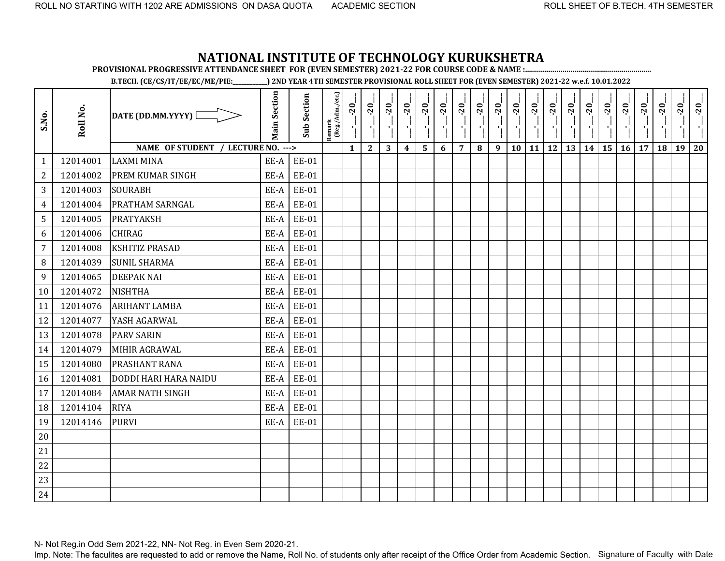**PROVISIONAL PROGRESSIVE ATTENDANCE SHEET FOR (EVEN SEMESTER) 2021-22 FOR COURSE CODE & NAME :................................................................**

**B.TECH. (CE/CS/IT/EE/EC/ME/PIE:\_\_\_\_\_\_\_\_\_\_\_\_) 2ND YEAR 4TH SEMESTER PROVISIONAL ROLL SHEET FOR (EVEN SEMESTER) 2021-22 w.e.f. 10.01.2022** 

| S.No.          | Roll No. | DATE (DD.MM.YYYY) [                | <b>Main Section</b> | <b>Sub Section</b> | Remark<br>(Reg./Adm./etc.) | $-20$<br>۰ļ  | $-20$<br>۱ļ  | $-20$ | $-20$            | $-20$ | $-20$ | $-20$          | $-20$ | $-20$ | $-20$<br>×, | $-20$     | $-20$<br>$\mathbf{r}_1^1$ | $-20$<br>과 | $-20$ | $-20$ | $-20$ | $-20$ | $-20$ | $-20$ | $-20$ |
|----------------|----------|------------------------------------|---------------------|--------------------|----------------------------|--------------|--------------|-------|------------------|-------|-------|----------------|-------|-------|-------------|-----------|---------------------------|------------|-------|-------|-------|-------|-------|-------|-------|
|                |          | NAME OF STUDENT / LECTURE NO. ---> |                     |                    |                            | $\mathbf{1}$ | $\mathbf{2}$ | 3     | $\boldsymbol{4}$ | 5     | 6     | $\overline{7}$ | 8     | 9     | 10          | <b>11</b> | <b>12</b>                 | 13         | 14    | 15    | 16    | 17    | 18    | 19    | 20    |
| $\mathbf{1}$   | 12014001 | <b>LAXMI MINA</b>                  | EE-A                | EE-01              |                            |              |              |       |                  |       |       |                |       |       |             |           |                           |            |       |       |       |       |       |       |       |
| $\overline{2}$ | 12014002 | PREM KUMAR SINGH                   | EE-A                | <b>EE-01</b>       |                            |              |              |       |                  |       |       |                |       |       |             |           |                           |            |       |       |       |       |       |       |       |
| 3              | 12014003 | <b>SOURABH</b>                     | EE-A                | <b>EE-01</b>       |                            |              |              |       |                  |       |       |                |       |       |             |           |                           |            |       |       |       |       |       |       |       |
| 4              | 12014004 | <b>PRATHAM SARNGAL</b>             | EE-A                | <b>EE-01</b>       |                            |              |              |       |                  |       |       |                |       |       |             |           |                           |            |       |       |       |       |       |       |       |
| 5              | 12014005 | <b>PRATYAKSH</b>                   | EE-A                | EE-01              |                            |              |              |       |                  |       |       |                |       |       |             |           |                           |            |       |       |       |       |       |       |       |
| 6              | 12014006 | <b>CHIRAG</b>                      | EE-A                | <b>EE-01</b>       |                            |              |              |       |                  |       |       |                |       |       |             |           |                           |            |       |       |       |       |       |       |       |
| $\overline{7}$ | 12014008 | <b>KSHITIZ PRASAD</b>              | EE-A                | <b>EE-01</b>       |                            |              |              |       |                  |       |       |                |       |       |             |           |                           |            |       |       |       |       |       |       |       |
| 8              | 12014039 | <b>SUNIL SHARMA</b>                | EE-A                | <b>EE-01</b>       |                            |              |              |       |                  |       |       |                |       |       |             |           |                           |            |       |       |       |       |       |       |       |
| 9              | 12014065 | <b>DEEPAK NAI</b>                  | EE-A                | <b>EE-01</b>       |                            |              |              |       |                  |       |       |                |       |       |             |           |                           |            |       |       |       |       |       |       |       |
| 10             | 12014072 | <b>NISHTHA</b>                     | EE-A                | <b>EE-01</b>       |                            |              |              |       |                  |       |       |                |       |       |             |           |                           |            |       |       |       |       |       |       |       |
| 11             | 12014076 | <b>ARIHANT LAMBA</b>               | EE-A                | <b>EE-01</b>       |                            |              |              |       |                  |       |       |                |       |       |             |           |                           |            |       |       |       |       |       |       |       |
| 12             | 12014077 | YASH AGARWAL                       | EE-A                | <b>EE-01</b>       |                            |              |              |       |                  |       |       |                |       |       |             |           |                           |            |       |       |       |       |       |       |       |
| 13             | 12014078 | <b>PARV SARIN</b>                  | EE-A                | EE-01              |                            |              |              |       |                  |       |       |                |       |       |             |           |                           |            |       |       |       |       |       |       |       |
| 14             | 12014079 | MIHIR AGRAWAL                      | EE-A                | <b>EE-01</b>       |                            |              |              |       |                  |       |       |                |       |       |             |           |                           |            |       |       |       |       |       |       |       |
| 15             | 12014080 | PRASHANT RANA                      | EE-A                | <b>EE-01</b>       |                            |              |              |       |                  |       |       |                |       |       |             |           |                           |            |       |       |       |       |       |       |       |
| 16             | 12014081 | <b>DODDI HARI HARA NAIDU</b>       | EE-A                | <b>EE-01</b>       |                            |              |              |       |                  |       |       |                |       |       |             |           |                           |            |       |       |       |       |       |       |       |
| 17             | 12014084 | <b>AMAR NATH SINGH</b>             | EE-A                | EE-01              |                            |              |              |       |                  |       |       |                |       |       |             |           |                           |            |       |       |       |       |       |       |       |
| 18             | 12014104 | <b>RIYA</b>                        | EE-A                | EE-01              |                            |              |              |       |                  |       |       |                |       |       |             |           |                           |            |       |       |       |       |       |       |       |
| 19             | 12014146 | <b>PURVI</b>                       | EE-A                | <b>EE-01</b>       |                            |              |              |       |                  |       |       |                |       |       |             |           |                           |            |       |       |       |       |       |       |       |
| 20             |          |                                    |                     |                    |                            |              |              |       |                  |       |       |                |       |       |             |           |                           |            |       |       |       |       |       |       |       |
| 21             |          |                                    |                     |                    |                            |              |              |       |                  |       |       |                |       |       |             |           |                           |            |       |       |       |       |       |       |       |
| 22             |          |                                    |                     |                    |                            |              |              |       |                  |       |       |                |       |       |             |           |                           |            |       |       |       |       |       |       |       |
| 23             |          |                                    |                     |                    |                            |              |              |       |                  |       |       |                |       |       |             |           |                           |            |       |       |       |       |       |       |       |
| 24             |          |                                    |                     |                    |                            |              |              |       |                  |       |       |                |       |       |             |           |                           |            |       |       |       |       |       |       |       |

N- Not Reg.in Odd Sem 2021-22, NN- Not Reg. in Even Sem 2020-21.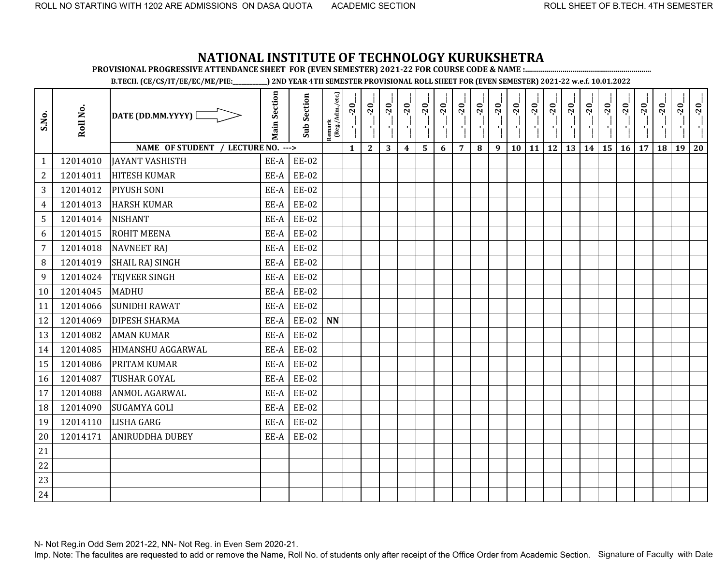**PROVISIONAL PROGRESSIVE ATTENDANCE SHEET FOR (EVEN SEMESTER) 2021-22 FOR COURSE CODE & NAME :................................................................**

**B.TECH. (CE/CS/IT/EE/EC/ME/PIE:\_\_\_\_\_\_\_\_\_\_\_\_) 2ND YEAR 4TH SEMESTER PROVISIONAL ROLL SHEET FOR (EVEN SEMESTER) 2021-22 w.e.f. 10.01.2022** 

| S.No.            | Roll No. | DATE (DD.MM.YYYY) [                | <b>Main Section</b> | <b>Sub Section</b> | $\frac{\text{Remark}}{\text{(Reg/Adm/etc.)}}$ | $-20$        | $-20$<br>국   | $-20$<br>чj | $-20$            | $-20$ | $-20$ | $-20$          | $-20$<br>7 H | $-20$<br><b>A</b> | $-20$<br>$\mathcal{F}_{\mathbf{L}^{\prime}}$ | $-20$<br>$\mathcal{F}_{\mathbf{L}}$ | $-20$<br>$\mathcal{F}_1$ | $-20$ | $-20$ | $-20$ | $-20$ | $-20$ | $-20$ | $-20$ | $-20$ |
|------------------|----------|------------------------------------|---------------------|--------------------|-----------------------------------------------|--------------|--------------|-------------|------------------|-------|-------|----------------|--------------|-------------------|----------------------------------------------|-------------------------------------|--------------------------|-------|-------|-------|-------|-------|-------|-------|-------|
|                  |          | NAME OF STUDENT / LECTURE NO. ---> |                     |                    |                                               | $\mathbf{1}$ | $\mathbf{2}$ | 3           | $\boldsymbol{4}$ | 5     | 6     | $\overline{7}$ | 8            | 9                 | 10                                           | 11                                  | <b>12</b>                | 13    | 14    | 15    | 16    | 17    | 18    | 19    | 20    |
| $\mathbf{1}$     | 12014010 | <b>JAYANT VASHISTH</b>             | EE-A                | <b>EE-02</b>       |                                               |              |              |             |                  |       |       |                |              |                   |                                              |                                     |                          |       |       |       |       |       |       |       |       |
| $\overline{2}$   | 12014011 | <b>HITESH KUMAR</b>                | EE-A                | <b>EE-02</b>       |                                               |              |              |             |                  |       |       |                |              |                   |                                              |                                     |                          |       |       |       |       |       |       |       |       |
| 3                | 12014012 | PIYUSH SONI                        | EE-A                | <b>EE-02</b>       |                                               |              |              |             |                  |       |       |                |              |                   |                                              |                                     |                          |       |       |       |       |       |       |       |       |
| $\overline{4}$   | 12014013 | <b>HARSH KUMAR</b>                 | EE-A                | <b>EE-02</b>       |                                               |              |              |             |                  |       |       |                |              |                   |                                              |                                     |                          |       |       |       |       |       |       |       |       |
| 5                | 12014014 | <b>NISHANT</b>                     | EE-A                | <b>EE-02</b>       |                                               |              |              |             |                  |       |       |                |              |                   |                                              |                                     |                          |       |       |       |       |       |       |       |       |
| 6                | 12014015 | <b>ROHIT MEENA</b>                 | EE-A                | <b>EE-02</b>       |                                               |              |              |             |                  |       |       |                |              |                   |                                              |                                     |                          |       |       |       |       |       |       |       |       |
| $\overline{7}$   | 12014018 | <b>NAVNEET RAJ</b>                 | EE-A                | <b>EE-02</b>       |                                               |              |              |             |                  |       |       |                |              |                   |                                              |                                     |                          |       |       |       |       |       |       |       |       |
| 8                | 12014019 | <b>SHAIL RAJ SINGH</b>             | EE-A                | <b>EE-02</b>       |                                               |              |              |             |                  |       |       |                |              |                   |                                              |                                     |                          |       |       |       |       |       |       |       |       |
| $\boldsymbol{9}$ | 12014024 | <b>TEJVEER SINGH</b>               | EE-A                | <b>EE-02</b>       |                                               |              |              |             |                  |       |       |                |              |                   |                                              |                                     |                          |       |       |       |       |       |       |       |       |
| 10               | 12014045 | <b>MADHU</b>                       | EE-A                | <b>EE-02</b>       |                                               |              |              |             |                  |       |       |                |              |                   |                                              |                                     |                          |       |       |       |       |       |       |       |       |
| 11               | 12014066 | <b>SUNIDHI RAWAT</b>               | EE-A                | <b>EE-02</b>       |                                               |              |              |             |                  |       |       |                |              |                   |                                              |                                     |                          |       |       |       |       |       |       |       |       |
| 12               | 12014069 | <b>DIPESH SHARMA</b>               | EE-A                | <b>EE-02</b>       | <b>NN</b>                                     |              |              |             |                  |       |       |                |              |                   |                                              |                                     |                          |       |       |       |       |       |       |       |       |
| 13               | 12014082 | <b>AMAN KUMAR</b>                  | EE-A                | <b>EE-02</b>       |                                               |              |              |             |                  |       |       |                |              |                   |                                              |                                     |                          |       |       |       |       |       |       |       |       |
| 14               | 12014085 | HIMANSHU AGGARWAL                  | EE-A                | <b>EE-02</b>       |                                               |              |              |             |                  |       |       |                |              |                   |                                              |                                     |                          |       |       |       |       |       |       |       |       |
| 15               | 12014086 | PRITAM KUMAR                       | EE-A                | <b>EE-02</b>       |                                               |              |              |             |                  |       |       |                |              |                   |                                              |                                     |                          |       |       |       |       |       |       |       |       |
| 16               | 12014087 | <b>TUSHAR GOYAL</b>                | EE-A                | EE-02              |                                               |              |              |             |                  |       |       |                |              |                   |                                              |                                     |                          |       |       |       |       |       |       |       |       |
| 17               | 12014088 | <b>ANMOL AGARWAL</b>               | EE-A                | <b>EE-02</b>       |                                               |              |              |             |                  |       |       |                |              |                   |                                              |                                     |                          |       |       |       |       |       |       |       |       |
| 18               | 12014090 | <b>SUGAMYA GOLI</b>                | EE-A                | <b>EE-02</b>       |                                               |              |              |             |                  |       |       |                |              |                   |                                              |                                     |                          |       |       |       |       |       |       |       |       |
| 19               | 12014110 | <b>LISHA GARG</b>                  | EE-A                | <b>EE-02</b>       |                                               |              |              |             |                  |       |       |                |              |                   |                                              |                                     |                          |       |       |       |       |       |       |       |       |
| 20               | 12014171 | <b>ANIRUDDHA DUBEY</b>             | EE-A                | <b>EE-02</b>       |                                               |              |              |             |                  |       |       |                |              |                   |                                              |                                     |                          |       |       |       |       |       |       |       |       |
| 21               |          |                                    |                     |                    |                                               |              |              |             |                  |       |       |                |              |                   |                                              |                                     |                          |       |       |       |       |       |       |       |       |
| 22               |          |                                    |                     |                    |                                               |              |              |             |                  |       |       |                |              |                   |                                              |                                     |                          |       |       |       |       |       |       |       |       |
| 23               |          |                                    |                     |                    |                                               |              |              |             |                  |       |       |                |              |                   |                                              |                                     |                          |       |       |       |       |       |       |       |       |
| 24               |          |                                    |                     |                    |                                               |              |              |             |                  |       |       |                |              |                   |                                              |                                     |                          |       |       |       |       |       |       |       |       |

N- Not Reg.in Odd Sem 2021-22, NN- Not Reg. in Even Sem 2020-21.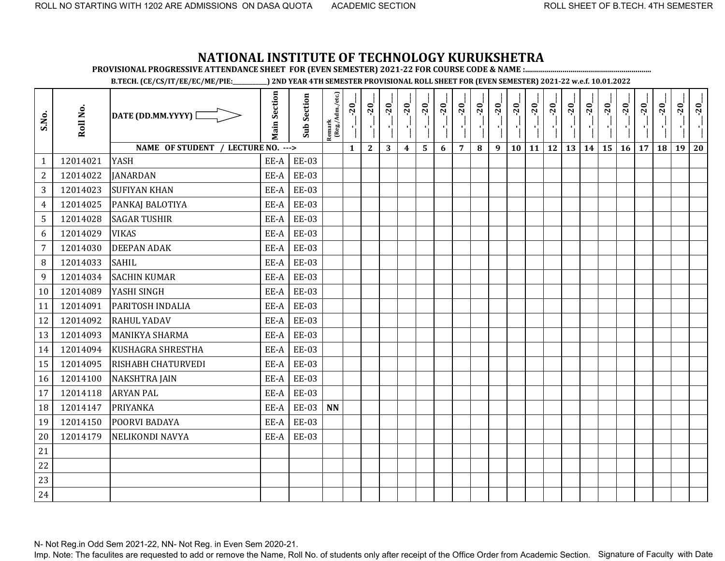**PROVISIONAL PROGRESSIVE ATTENDANCE SHEET FOR (EVEN SEMESTER) 2021-22 FOR COURSE CODE & NAME :................................................................**

**B.TECH. (CE/CS/IT/EE/EC/ME/PIE:\_\_\_\_\_\_\_\_\_\_\_\_) 2ND YEAR 4TH SEMESTER PROVISIONAL ROLL SHEET FOR (EVEN SEMESTER) 2021-22 w.e.f. 10.01.2022** 

| S.No.            | Roll No. | DATE (DD.MM.YYYY) [                | <b>Main Section</b> | <b>Sub Section</b> | $\frac{\text{Remark}}{\text{(Reg/Adm/etc.)}}$ | $-20$        | $-20$<br>$\mathcal{A}^1_1$ | $-20$<br>п, | $-20$            | $-20$ | $-20$ | $-20$          | $-20$<br>7 H | $-20$<br>$\mathcal{F}_1$ ) | $-20$<br>$\mathcal{F}_{\mathbf{L}^{\prime}}$ | $-20$<br>$\mathcal{F}_{\mathbf{L}}$ | $-20$<br>$\mathcal{F}_1$ | $-20$<br>片 | $-20$ | $-20$ | $-20$<br>$\mathcal{F}_1$ | $-20$ | $-20$ | $-20$ | $-20$ |
|------------------|----------|------------------------------------|---------------------|--------------------|-----------------------------------------------|--------------|----------------------------|-------------|------------------|-------|-------|----------------|--------------|----------------------------|----------------------------------------------|-------------------------------------|--------------------------|------------|-------|-------|--------------------------|-------|-------|-------|-------|
|                  |          | NAME OF STUDENT / LECTURE NO. ---> |                     |                    |                                               | $\mathbf{1}$ | $\mathbf{2}$               | 3           | $\boldsymbol{4}$ | 5     | 6     | $\overline{7}$ | 8            | 9                          | 10                                           | 11                                  | 12                       | 13         | 14    | 15    | 16                       | 17    | 18    | 19    | 20    |
| 1                | 12014021 | <b>YASH</b>                        | EE-A                | <b>EE-03</b>       |                                               |              |                            |             |                  |       |       |                |              |                            |                                              |                                     |                          |            |       |       |                          |       |       |       |       |
| $\overline{2}$   | 12014022 | <b>JANARDAN</b>                    | EE-A                | <b>EE-03</b>       |                                               |              |                            |             |                  |       |       |                |              |                            |                                              |                                     |                          |            |       |       |                          |       |       |       |       |
| 3                | 12014023 | <b>SUFIYAN KHAN</b>                | EE-A                | <b>EE-03</b>       |                                               |              |                            |             |                  |       |       |                |              |                            |                                              |                                     |                          |            |       |       |                          |       |       |       |       |
| $\overline{4}$   | 12014025 | PANKAJ BALOTIYA                    | EE-A                | <b>EE-03</b>       |                                               |              |                            |             |                  |       |       |                |              |                            |                                              |                                     |                          |            |       |       |                          |       |       |       |       |
| 5                | 12014028 | <b>SAGAR TUSHIR</b>                | EE-A                | <b>EE-03</b>       |                                               |              |                            |             |                  |       |       |                |              |                            |                                              |                                     |                          |            |       |       |                          |       |       |       |       |
| 6                | 12014029 | <b>VIKAS</b>                       | EE-A                | <b>EE-03</b>       |                                               |              |                            |             |                  |       |       |                |              |                            |                                              |                                     |                          |            |       |       |                          |       |       |       |       |
| $\overline{7}$   | 12014030 | <b>DEEPAN ADAK</b>                 | EE-A                | <b>EE-03</b>       |                                               |              |                            |             |                  |       |       |                |              |                            |                                              |                                     |                          |            |       |       |                          |       |       |       |       |
| 8                | 12014033 | <b>SAHIL</b>                       | EE-A                | <b>EE-03</b>       |                                               |              |                            |             |                  |       |       |                |              |                            |                                              |                                     |                          |            |       |       |                          |       |       |       |       |
| $\boldsymbol{9}$ | 12014034 | <b>SACHIN KUMAR</b>                | EE-A                | <b>EE-03</b>       |                                               |              |                            |             |                  |       |       |                |              |                            |                                              |                                     |                          |            |       |       |                          |       |       |       |       |
| 10               | 12014089 | YASHI SINGH                        | EE-A                | <b>EE-03</b>       |                                               |              |                            |             |                  |       |       |                |              |                            |                                              |                                     |                          |            |       |       |                          |       |       |       |       |
| 11               | 12014091 | PARITOSH INDALIA                   | EE-A                | <b>EE-03</b>       |                                               |              |                            |             |                  |       |       |                |              |                            |                                              |                                     |                          |            |       |       |                          |       |       |       |       |
| 12               | 12014092 | <b>RAHUL YADAV</b>                 | EE-A                | <b>EE-03</b>       |                                               |              |                            |             |                  |       |       |                |              |                            |                                              |                                     |                          |            |       |       |                          |       |       |       |       |
| 13               | 12014093 | <b>MANIKYA SHARMA</b>              | EE-A                | <b>EE-03</b>       |                                               |              |                            |             |                  |       |       |                |              |                            |                                              |                                     |                          |            |       |       |                          |       |       |       |       |
| 14               | 12014094 | <b>KUSHAGRA SHRESTHA</b>           | EE-A                | <b>EE-03</b>       |                                               |              |                            |             |                  |       |       |                |              |                            |                                              |                                     |                          |            |       |       |                          |       |       |       |       |
| 15               | 12014095 | RISHABH CHATURVEDI                 | EE-A                | <b>EE-03</b>       |                                               |              |                            |             |                  |       |       |                |              |                            |                                              |                                     |                          |            |       |       |                          |       |       |       |       |
| 16               | 12014100 | <b>NAKSHTRA JAIN</b>               | EE-A                | <b>EE-03</b>       |                                               |              |                            |             |                  |       |       |                |              |                            |                                              |                                     |                          |            |       |       |                          |       |       |       |       |
| 17               | 12014118 | <b>ARYAN PAL</b>                   | EE-A                | <b>EE-03</b>       |                                               |              |                            |             |                  |       |       |                |              |                            |                                              |                                     |                          |            |       |       |                          |       |       |       |       |
| 18               | 12014147 | PRIYANKA                           | EE-A                | EE-03              | $\mathbf{N}\mathbf{N}$                        |              |                            |             |                  |       |       |                |              |                            |                                              |                                     |                          |            |       |       |                          |       |       |       |       |
| 19               | 12014150 | POORVI BADAYA                      | EE-A                | <b>EE-03</b>       |                                               |              |                            |             |                  |       |       |                |              |                            |                                              |                                     |                          |            |       |       |                          |       |       |       |       |
| 20               | 12014179 | NELIKONDI NAVYA                    | EE-A                | <b>EE-03</b>       |                                               |              |                            |             |                  |       |       |                |              |                            |                                              |                                     |                          |            |       |       |                          |       |       |       |       |
| 21               |          |                                    |                     |                    |                                               |              |                            |             |                  |       |       |                |              |                            |                                              |                                     |                          |            |       |       |                          |       |       |       |       |
| 22               |          |                                    |                     |                    |                                               |              |                            |             |                  |       |       |                |              |                            |                                              |                                     |                          |            |       |       |                          |       |       |       |       |
| 23               |          |                                    |                     |                    |                                               |              |                            |             |                  |       |       |                |              |                            |                                              |                                     |                          |            |       |       |                          |       |       |       |       |
| 24               |          |                                    |                     |                    |                                               |              |                            |             |                  |       |       |                |              |                            |                                              |                                     |                          |            |       |       |                          |       |       |       |       |

N- Not Reg.in Odd Sem 2021-22, NN- Not Reg. in Even Sem 2020-21.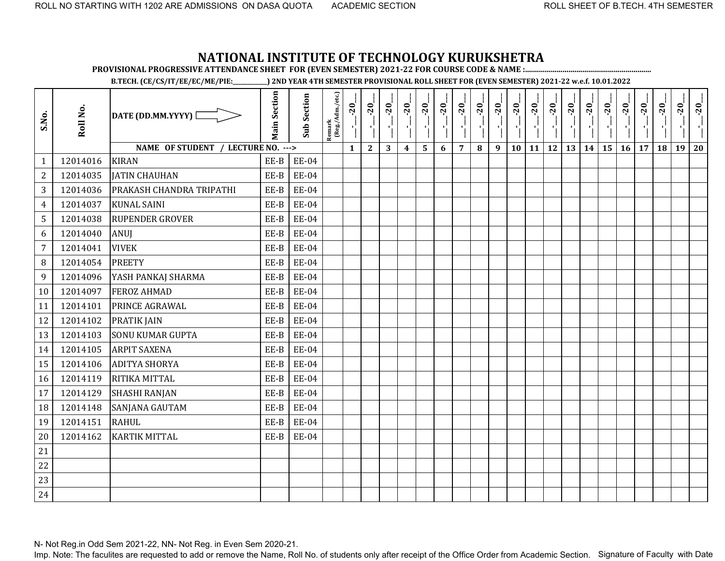**PROVISIONAL PROGRESSIVE ATTENDANCE SHEET FOR (EVEN SEMESTER) 2021-22 FOR COURSE CODE & NAME :................................................................**

**B.TECH. (CE/CS/IT/EE/EC/ME/PIE:\_\_\_\_\_\_\_\_\_\_\_\_) 2ND YEAR 4TH SEMESTER PROVISIONAL ROLL SHEET FOR (EVEN SEMESTER) 2021-22 w.e.f. 10.01.2022** 

| S.No.            | Roll No. | DATE (DD.MM.YYYY) [                | <b>Main Section</b> | <b>Sub Section</b> | $\begin{array}{c}\n\text{Remark} \\ (\text{Reg}/\text{Adm}/\text{etc.})\n\end{array}$ | $-20$        | $-20$<br>í,  | $-20$<br>$\mathbf{r}$ | $-20$<br>J,      | $-20$        | $-20$ | $-20$          | $-20$ | $-20$ | $-20$ | $-20$<br>AG. | $-20$<br>n Co | $-20$<br>×,                  | $-20$ | $-20$     | $-20$ | $-20$ | $-20$ | $-20$ | $-20$ |
|------------------|----------|------------------------------------|---------------------|--------------------|---------------------------------------------------------------------------------------|--------------|--------------|-----------------------|------------------|--------------|-------|----------------|-------|-------|-------|--------------|---------------|------------------------------|-------|-----------|-------|-------|-------|-------|-------|
|                  |          | NAME OF STUDENT / LECTURE NO. ---> |                     |                    |                                                                                       | $\mathbf{1}$ | $\mathbf{2}$ | 3                     | $\boldsymbol{4}$ | $\mathbf{5}$ | 6     | $\overline{7}$ | 8     | 9     | 10    |              |               | $11 \mid 12 \mid 13 \mid 14$ |       | <b>15</b> | 16    | 17    | 18    | 19    | 20    |
| $\mathbf{1}$     | 12014016 | <b>KIRAN</b>                       | EE-B                | <b>EE-04</b>       |                                                                                       |              |              |                       |                  |              |       |                |       |       |       |              |               |                              |       |           |       |       |       |       |       |
| $\overline{2}$   | 12014035 | <b>JATIN CHAUHAN</b>               | EE-B                | <b>EE-04</b>       |                                                                                       |              |              |                       |                  |              |       |                |       |       |       |              |               |                              |       |           |       |       |       |       |       |
| 3                | 12014036 | PRAKASH CHANDRA TRIPATHI           | EE-B                | EE-04              |                                                                                       |              |              |                       |                  |              |       |                |       |       |       |              |               |                              |       |           |       |       |       |       |       |
| $\overline{4}$   | 12014037 | <b>KUNAL SAINI</b>                 | EE-B                | <b>EE-04</b>       |                                                                                       |              |              |                       |                  |              |       |                |       |       |       |              |               |                              |       |           |       |       |       |       |       |
| 5                | 12014038 | <b>RUPENDER GROVER</b>             | EE-B                | <b>EE-04</b>       |                                                                                       |              |              |                       |                  |              |       |                |       |       |       |              |               |                              |       |           |       |       |       |       |       |
| 6                | 12014040 | <b>ANUI</b>                        | EE-B                | <b>EE-04</b>       |                                                                                       |              |              |                       |                  |              |       |                |       |       |       |              |               |                              |       |           |       |       |       |       |       |
| $\overline{7}$   | 12014041 | <b>VIVEK</b>                       | EE-B                | <b>EE-04</b>       |                                                                                       |              |              |                       |                  |              |       |                |       |       |       |              |               |                              |       |           |       |       |       |       |       |
| $\, 8$           | 12014054 | <b>PREETY</b>                      | EE-B                | <b>EE-04</b>       |                                                                                       |              |              |                       |                  |              |       |                |       |       |       |              |               |                              |       |           |       |       |       |       |       |
| $\boldsymbol{9}$ | 12014096 | YASH PANKAJ SHARMA                 | $EE-B$              | <b>EE-04</b>       |                                                                                       |              |              |                       |                  |              |       |                |       |       |       |              |               |                              |       |           |       |       |       |       |       |
| 10               | 12014097 | <b>FEROZ AHMAD</b>                 | EE-B                | <b>EE-04</b>       |                                                                                       |              |              |                       |                  |              |       |                |       |       |       |              |               |                              |       |           |       |       |       |       |       |
| 11               | 12014101 | <b>PRINCE AGRAWAL</b>              | EE-B                | <b>EE-04</b>       |                                                                                       |              |              |                       |                  |              |       |                |       |       |       |              |               |                              |       |           |       |       |       |       |       |
| 12               | 12014102 | <b>PRATIK JAIN</b>                 | EE-B                | <b>EE-04</b>       |                                                                                       |              |              |                       |                  |              |       |                |       |       |       |              |               |                              |       |           |       |       |       |       |       |
| 13               | 12014103 | <b>SONU KUMAR GUPTA</b>            | EE-B                | <b>EE-04</b>       |                                                                                       |              |              |                       |                  |              |       |                |       |       |       |              |               |                              |       |           |       |       |       |       |       |
| 14               | 12014105 | <b>ARPIT SAXENA</b>                | $EE-B$              | <b>EE-04</b>       |                                                                                       |              |              |                       |                  |              |       |                |       |       |       |              |               |                              |       |           |       |       |       |       |       |
| 15               | 12014106 | <b>ADITYA SHORYA</b>               | EE-B                | <b>EE-04</b>       |                                                                                       |              |              |                       |                  |              |       |                |       |       |       |              |               |                              |       |           |       |       |       |       |       |
| 16               | 12014119 | RITIKA MITTAL                      | EE-B                | <b>EE-04</b>       |                                                                                       |              |              |                       |                  |              |       |                |       |       |       |              |               |                              |       |           |       |       |       |       |       |
| 17               | 12014129 | SHASHI RANJAN                      | EE-B                | <b>EE-04</b>       |                                                                                       |              |              |                       |                  |              |       |                |       |       |       |              |               |                              |       |           |       |       |       |       |       |
| 18               | 12014148 | SANJANA GAUTAM                     | EE-B                | <b>EE-04</b>       |                                                                                       |              |              |                       |                  |              |       |                |       |       |       |              |               |                              |       |           |       |       |       |       |       |
| 19               | 12014151 | <b>RAHUL</b>                       | EE-B                | <b>EE-04</b>       |                                                                                       |              |              |                       |                  |              |       |                |       |       |       |              |               |                              |       |           |       |       |       |       |       |
| 20               | 12014162 | <b>KARTIK MITTAL</b>               | EE-B                | <b>EE-04</b>       |                                                                                       |              |              |                       |                  |              |       |                |       |       |       |              |               |                              |       |           |       |       |       |       |       |
| 21               |          |                                    |                     |                    |                                                                                       |              |              |                       |                  |              |       |                |       |       |       |              |               |                              |       |           |       |       |       |       |       |
| 22               |          |                                    |                     |                    |                                                                                       |              |              |                       |                  |              |       |                |       |       |       |              |               |                              |       |           |       |       |       |       |       |
| 23               |          |                                    |                     |                    |                                                                                       |              |              |                       |                  |              |       |                |       |       |       |              |               |                              |       |           |       |       |       |       |       |
| 24               |          |                                    |                     |                    |                                                                                       |              |              |                       |                  |              |       |                |       |       |       |              |               |                              |       |           |       |       |       |       |       |

N- Not Reg.in Odd Sem 2021-22, NN- Not Reg. in Even Sem 2020-21.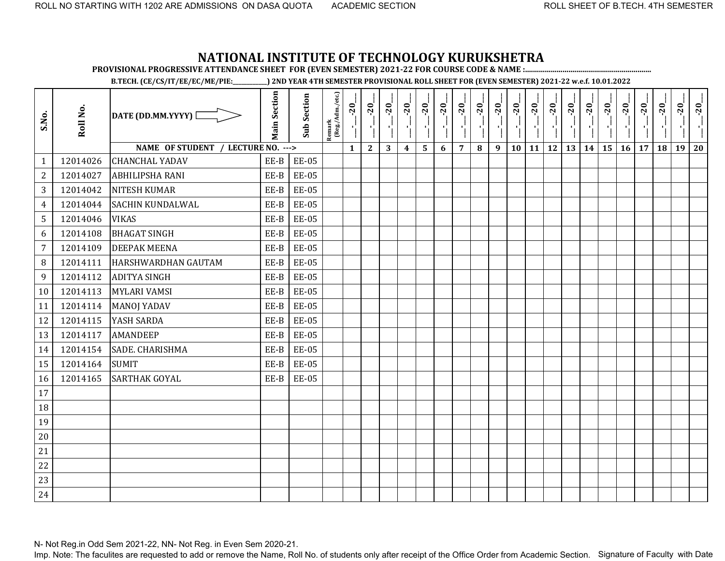**PROVISIONAL PROGRESSIVE ATTENDANCE SHEET FOR (EVEN SEMESTER) 2021-22 FOR COURSE CODE & NAME :................................................................**

**B.TECH. (CE/CS/IT/EE/EC/ME/PIE:\_\_\_\_\_\_\_\_\_\_\_\_) 2ND YEAR 4TH SEMESTER PROVISIONAL ROLL SHEET FOR (EVEN SEMESTER) 2021-22 w.e.f. 10.01.2022** 

| S.No.          | Roll No. | DATE (DD.MM.YYYY) [                | <b>Main Section</b> | <b>Sub Section</b> | Remark<br>(Reg./Adm./etc.) | $-20$<br>j,  | $-20$<br>۱ļ  | $-20$ | $-20$            | $-20$ | $-20$ | $-20$          | $-20$<br>그는 | $-20$ | $-20$<br>j, | $-20$        | $-20$<br>۱ļ | $-20$ | $-20$ | $-20$ | $-20$ | $-20$ | $-20$ | $-20$ | $-20$ |
|----------------|----------|------------------------------------|---------------------|--------------------|----------------------------|--------------|--------------|-------|------------------|-------|-------|----------------|-------------|-------|-------------|--------------|-------------|-------|-------|-------|-------|-------|-------|-------|-------|
|                |          | NAME OF STUDENT / LECTURE NO. ---> |                     |                    |                            | $\mathbf{1}$ | $\mathbf{2}$ | 3     | $\boldsymbol{4}$ | 5     | 6     | $\overline{7}$ | $\bf{8}$    | 9     | 10          | $11 \mid 12$ |             | 13    | 14    | 15    | 16    | 17    | 18    | 19    | 20    |
| $\mathbf{1}$   | 12014026 | <b>CHANCHAL YADAV</b>              | EE-B                | <b>EE-05</b>       |                            |              |              |       |                  |       |       |                |             |       |             |              |             |       |       |       |       |       |       |       |       |
| $\overline{2}$ | 12014027 | <b>ABHILIPSHA RANI</b>             | EE-B                | <b>EE-05</b>       |                            |              |              |       |                  |       |       |                |             |       |             |              |             |       |       |       |       |       |       |       |       |
| 3              | 12014042 | <b>NITESH KUMAR</b>                | EE-B                | <b>EE-05</b>       |                            |              |              |       |                  |       |       |                |             |       |             |              |             |       |       |       |       |       |       |       |       |
| $\overline{4}$ | 12014044 | <b>SACHIN KUNDALWAL</b>            | EE-B                | <b>EE-05</b>       |                            |              |              |       |                  |       |       |                |             |       |             |              |             |       |       |       |       |       |       |       |       |
| 5              | 12014046 | <b>VIKAS</b>                       | EE-B                | <b>EE-05</b>       |                            |              |              |       |                  |       |       |                |             |       |             |              |             |       |       |       |       |       |       |       |       |
| 6              | 12014108 | <b>BHAGAT SINGH</b>                | EE-B                | <b>EE-05</b>       |                            |              |              |       |                  |       |       |                |             |       |             |              |             |       |       |       |       |       |       |       |       |
| $\overline{7}$ | 12014109 | <b>DEEPAK MEENA</b>                | EE-B                | <b>EE-05</b>       |                            |              |              |       |                  |       |       |                |             |       |             |              |             |       |       |       |       |       |       |       |       |
| $\, 8$         | 12014111 | HARSHWARDHAN GAUTAM                | EE-B                | <b>EE-05</b>       |                            |              |              |       |                  |       |       |                |             |       |             |              |             |       |       |       |       |       |       |       |       |
| 9              | 12014112 | <b>ADITYA SINGH</b>                | EE-B                | <b>EE-05</b>       |                            |              |              |       |                  |       |       |                |             |       |             |              |             |       |       |       |       |       |       |       |       |
| 10             | 12014113 | <b>MYLARI VAMSI</b>                | EE-B                | <b>EE-05</b>       |                            |              |              |       |                  |       |       |                |             |       |             |              |             |       |       |       |       |       |       |       |       |
| 11             | 12014114 | <b>MANOJ YADAV</b>                 | EE-B                | <b>EE-05</b>       |                            |              |              |       |                  |       |       |                |             |       |             |              |             |       |       |       |       |       |       |       |       |
| 12             | 12014115 | YASH SARDA                         | EE-B                | <b>EE-05</b>       |                            |              |              |       |                  |       |       |                |             |       |             |              |             |       |       |       |       |       |       |       |       |
| 13             | 12014117 | <b>AMANDEEP</b>                    | EE-B                | <b>EE-05</b>       |                            |              |              |       |                  |       |       |                |             |       |             |              |             |       |       |       |       |       |       |       |       |
| 14             | 12014154 | SADE. CHARISHMA                    | EE-B                | <b>EE-05</b>       |                            |              |              |       |                  |       |       |                |             |       |             |              |             |       |       |       |       |       |       |       |       |
| 15             | 12014164 | <b>SUMIT</b>                       | EE-B                | <b>EE-05</b>       |                            |              |              |       |                  |       |       |                |             |       |             |              |             |       |       |       |       |       |       |       |       |
| 16             | 12014165 | <b>SARTHAK GOYAL</b>               | EE-B                | <b>EE-05</b>       |                            |              |              |       |                  |       |       |                |             |       |             |              |             |       |       |       |       |       |       |       |       |
| 17             |          |                                    |                     |                    |                            |              |              |       |                  |       |       |                |             |       |             |              |             |       |       |       |       |       |       |       |       |
| 18             |          |                                    |                     |                    |                            |              |              |       |                  |       |       |                |             |       |             |              |             |       |       |       |       |       |       |       |       |
| 19             |          |                                    |                     |                    |                            |              |              |       |                  |       |       |                |             |       |             |              |             |       |       |       |       |       |       |       |       |
| 20             |          |                                    |                     |                    |                            |              |              |       |                  |       |       |                |             |       |             |              |             |       |       |       |       |       |       |       |       |
| 21             |          |                                    |                     |                    |                            |              |              |       |                  |       |       |                |             |       |             |              |             |       |       |       |       |       |       |       |       |
| 22             |          |                                    |                     |                    |                            |              |              |       |                  |       |       |                |             |       |             |              |             |       |       |       |       |       |       |       |       |
| 23             |          |                                    |                     |                    |                            |              |              |       |                  |       |       |                |             |       |             |              |             |       |       |       |       |       |       |       |       |
| 24             |          |                                    |                     |                    |                            |              |              |       |                  |       |       |                |             |       |             |              |             |       |       |       |       |       |       |       |       |

N- Not Reg.in Odd Sem 2021-22, NN- Not Reg. in Even Sem 2020-21.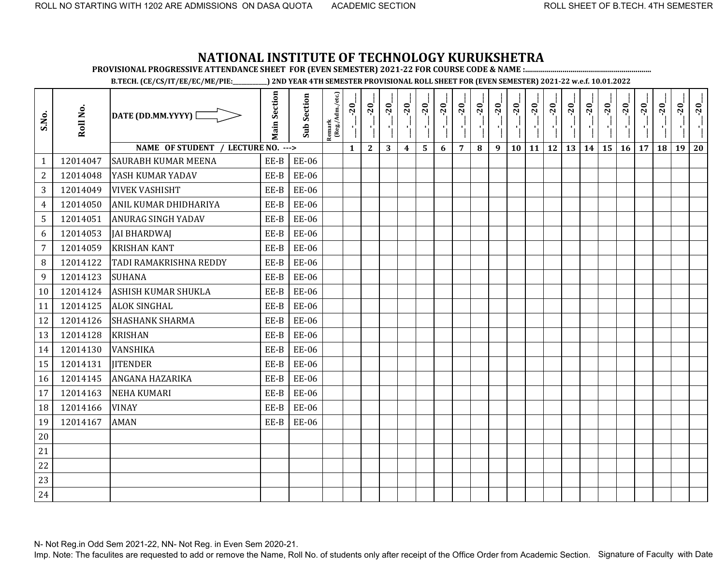**PROVISIONAL PROGRESSIVE ATTENDANCE SHEET FOR (EVEN SEMESTER) 2021-22 FOR COURSE CODE & NAME :................................................................**

**B.TECH. (CE/CS/IT/EE/EC/ME/PIE:\_\_\_\_\_\_\_\_\_\_\_\_) 2ND YEAR 4TH SEMESTER PROVISIONAL ROLL SHEET FOR (EVEN SEMESTER) 2021-22 w.e.f. 10.01.2022** 

| S.No.            | Roll No. | DATE (DD.MM.YYYY) [                | <b>Main Section</b> | <b>Sub Section</b> | $\frac{\text{Remark}}{\text{(Reg/Adm/etc.)}}$ | $-20$<br>J.  | $-20$<br>пļ  | $-20$<br>$\mathbf{r}$ | $-20$            | $-20$ | $-20$ | $-20$          | $-20$<br>국민 | $-20$<br>$\mathcal{F}_1$ . | $-20$<br>$\mathbf{r}_{\rm{L}}$ | $-20$<br>$\mathcal{F}_{\mathbf{L}}$ | $-20$<br>$\mathcal{F}_1$ | $-20$<br>片 | $-20$ | $-20$           | $-20$           | $-20$ | $-20$ | $-20$ | $-20$ |
|------------------|----------|------------------------------------|---------------------|--------------------|-----------------------------------------------|--------------|--------------|-----------------------|------------------|-------|-------|----------------|-------------|----------------------------|--------------------------------|-------------------------------------|--------------------------|------------|-------|-----------------|-----------------|-------|-------|-------|-------|
|                  |          | NAME OF STUDENT / LECTURE NO. ---> |                     |                    |                                               | $\mathbf{1}$ | $\mathbf{2}$ | 3                     | $\boldsymbol{4}$ | 5     | 6     | $\overline{7}$ | $\bf{8}$    | 9                          | 10                             | $11 \mid 12$                        |                          | 13         | 14    | 15 <sup>1</sup> | 16 <sup>1</sup> | 17    | 18    | 19    | 20    |
| $\mathbf{1}$     | 12014047 | <b>SAURABH KUMAR MEENA</b>         | EE-B                | <b>EE-06</b>       |                                               |              |              |                       |                  |       |       |                |             |                            |                                |                                     |                          |            |       |                 |                 |       |       |       |       |
| $\overline{2}$   | 12014048 | YASH KUMAR YADAV                   | EE-B                | EE-06              |                                               |              |              |                       |                  |       |       |                |             |                            |                                |                                     |                          |            |       |                 |                 |       |       |       |       |
| 3                | 12014049 | <b>VIVEK VASHISHT</b>              | EE-B                | <b>EE-06</b>       |                                               |              |              |                       |                  |       |       |                |             |                            |                                |                                     |                          |            |       |                 |                 |       |       |       |       |
| $\overline{4}$   | 12014050 | ANIL KUMAR DHIDHARIYA              | EE-B                | <b>EE-06</b>       |                                               |              |              |                       |                  |       |       |                |             |                            |                                |                                     |                          |            |       |                 |                 |       |       |       |       |
| 5                | 12014051 | <b>ANURAG SINGH YADAV</b>          | EE-B                | <b>EE-06</b>       |                                               |              |              |                       |                  |       |       |                |             |                            |                                |                                     |                          |            |       |                 |                 |       |       |       |       |
| 6                | 12014053 | <b>JAI BHARDWAI</b>                | EE-B                | <b>EE-06</b>       |                                               |              |              |                       |                  |       |       |                |             |                            |                                |                                     |                          |            |       |                 |                 |       |       |       |       |
| $\overline{7}$   | 12014059 | <b>KRISHAN KANT</b>                | EE-B                | <b>EE-06</b>       |                                               |              |              |                       |                  |       |       |                |             |                            |                                |                                     |                          |            |       |                 |                 |       |       |       |       |
| 8                | 12014122 | TADI RAMAKRISHNA REDDY             | EE-B                | EE-06              |                                               |              |              |                       |                  |       |       |                |             |                            |                                |                                     |                          |            |       |                 |                 |       |       |       |       |
| $\boldsymbol{9}$ | 12014123 | <b>SUHANA</b>                      | EE-B                | <b>EE-06</b>       |                                               |              |              |                       |                  |       |       |                |             |                            |                                |                                     |                          |            |       |                 |                 |       |       |       |       |
| 10               | 12014124 | ASHISH KUMAR SHUKLA                | EE-B                | <b>EE-06</b>       |                                               |              |              |                       |                  |       |       |                |             |                            |                                |                                     |                          |            |       |                 |                 |       |       |       |       |
| 11               | 12014125 | <b>ALOK SINGHAL</b>                | EE-B                | <b>EE-06</b>       |                                               |              |              |                       |                  |       |       |                |             |                            |                                |                                     |                          |            |       |                 |                 |       |       |       |       |
| 12               | 12014126 | <b>SHASHANK SHARMA</b>             | EE-B                | <b>EE-06</b>       |                                               |              |              |                       |                  |       |       |                |             |                            |                                |                                     |                          |            |       |                 |                 |       |       |       |       |
| 13               | 12014128 | <b>KRISHAN</b>                     | EE-B                | EE-06              |                                               |              |              |                       |                  |       |       |                |             |                            |                                |                                     |                          |            |       |                 |                 |       |       |       |       |
| 14               | 12014130 | VANSHIKA                           | EE-B                | <b>EE-06</b>       |                                               |              |              |                       |                  |       |       |                |             |                            |                                |                                     |                          |            |       |                 |                 |       |       |       |       |
| 15               | 12014131 | <b>JITENDER</b>                    | EE-B                | <b>EE-06</b>       |                                               |              |              |                       |                  |       |       |                |             |                            |                                |                                     |                          |            |       |                 |                 |       |       |       |       |
| 16               | 12014145 | ANGANA HAZARIKA                    | EE-B                | <b>EE-06</b>       |                                               |              |              |                       |                  |       |       |                |             |                            |                                |                                     |                          |            |       |                 |                 |       |       |       |       |
| 17               | 12014163 | <b>NEHA KUMARI</b>                 | EE-B                | <b>EE-06</b>       |                                               |              |              |                       |                  |       |       |                |             |                            |                                |                                     |                          |            |       |                 |                 |       |       |       |       |
| 18               | 12014166 | <b>VINAY</b>                       | EE-B                | <b>EE-06</b>       |                                               |              |              |                       |                  |       |       |                |             |                            |                                |                                     |                          |            |       |                 |                 |       |       |       |       |
| 19               | 12014167 | <b>AMAN</b>                        | EE-B                | <b>EE-06</b>       |                                               |              |              |                       |                  |       |       |                |             |                            |                                |                                     |                          |            |       |                 |                 |       |       |       |       |
| 20               |          |                                    |                     |                    |                                               |              |              |                       |                  |       |       |                |             |                            |                                |                                     |                          |            |       |                 |                 |       |       |       |       |
| 21               |          |                                    |                     |                    |                                               |              |              |                       |                  |       |       |                |             |                            |                                |                                     |                          |            |       |                 |                 |       |       |       |       |
| 22               |          |                                    |                     |                    |                                               |              |              |                       |                  |       |       |                |             |                            |                                |                                     |                          |            |       |                 |                 |       |       |       |       |
| 23               |          |                                    |                     |                    |                                               |              |              |                       |                  |       |       |                |             |                            |                                |                                     |                          |            |       |                 |                 |       |       |       |       |
| 24               |          |                                    |                     |                    |                                               |              |              |                       |                  |       |       |                |             |                            |                                |                                     |                          |            |       |                 |                 |       |       |       |       |

N- Not Reg.in Odd Sem 2021-22, NN- Not Reg. in Even Sem 2020-21.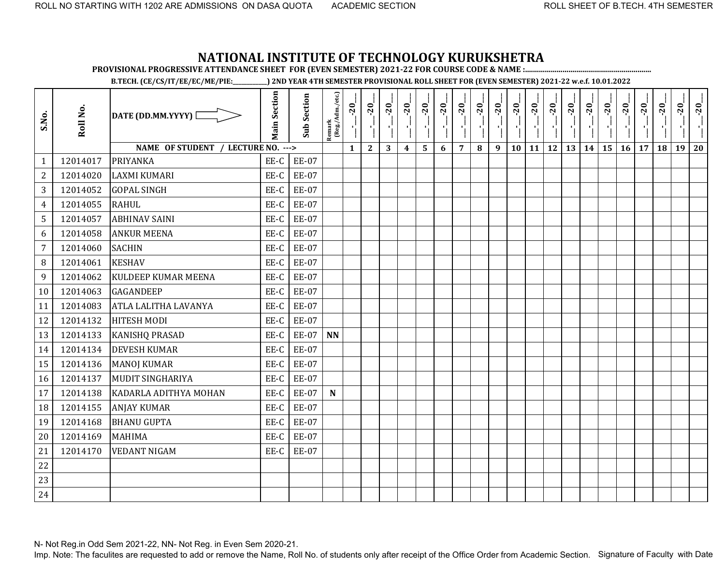**PROVISIONAL PROGRESSIVE ATTENDANCE SHEET FOR (EVEN SEMESTER) 2021-22 FOR COURSE CODE & NAME :................................................................**

**B.TECH. (CE/CS/IT/EE/EC/ME/PIE:\_\_\_\_\_\_\_\_\_\_\_\_) 2ND YEAR 4TH SEMESTER PROVISIONAL ROLL SHEET FOR (EVEN SEMESTER) 2021-22 w.e.f. 10.01.2022** 

| S.No.            | Roll No. | DATE (DD.MM.YYYY) [                | <b>Main Section</b> | <b>Sub Section</b> | $\frac{\text{Remark}}{\text{(Reg/Adm/etc.)}}$ | $-20$<br>J,  | $-20$<br>$\mathcal{F}_1$ | $-20$ | $-20$            | $-20$ | $-20$ | $-20$          | $-20$<br>70 L | $-20$<br>$\blacksquare$ | $-20$<br>л, | $-20$<br>×i | $-20$<br>÷. | $-20$ | $-20$ | $-20$ | $-20$ | $-20$ | $\overline{5}$ | $-20$ | $-20$ |
|------------------|----------|------------------------------------|---------------------|--------------------|-----------------------------------------------|--------------|--------------------------|-------|------------------|-------|-------|----------------|---------------|-------------------------|-------------|-------------|-------------|-------|-------|-------|-------|-------|----------------|-------|-------|
|                  |          | NAME OF STUDENT / LECTURE NO. ---> |                     |                    |                                               | $\mathbf{1}$ | $\mathbf{2}$             | 3     | $\boldsymbol{4}$ | 5     | 6     | $\overline{7}$ | 8             | 9                       | 10          | 11          | 12          | 13    | 14    | 15    | 16    | 17    | 18             | 19    | 20    |
| $\mathbf{1}$     | 12014017 | PRIYANKA                           | EE-C                | <b>EE-07</b>       |                                               |              |                          |       |                  |       |       |                |               |                         |             |             |             |       |       |       |       |       |                |       |       |
| $\overline{2}$   | 12014020 | <b>LAXMI KUMARI</b>                | EE-C                | <b>EE-07</b>       |                                               |              |                          |       |                  |       |       |                |               |                         |             |             |             |       |       |       |       |       |                |       |       |
| 3                | 12014052 | <b>GOPAL SINGH</b>                 | EE-C                | <b>EE-07</b>       |                                               |              |                          |       |                  |       |       |                |               |                         |             |             |             |       |       |       |       |       |                |       |       |
| $\overline{4}$   | 12014055 | <b>RAHUL</b>                       | EE-C                | <b>EE-07</b>       |                                               |              |                          |       |                  |       |       |                |               |                         |             |             |             |       |       |       |       |       |                |       |       |
| 5                | 12014057 | <b>ABHINAV SAINI</b>               | EE-C                | <b>EE-07</b>       |                                               |              |                          |       |                  |       |       |                |               |                         |             |             |             |       |       |       |       |       |                |       |       |
| 6                | 12014058 | <b>ANKUR MEENA</b>                 | EE-C                | <b>EE-07</b>       |                                               |              |                          |       |                  |       |       |                |               |                         |             |             |             |       |       |       |       |       |                |       |       |
| $\overline{7}$   | 12014060 | <b>SACHIN</b>                      | EE-C                | <b>EE-07</b>       |                                               |              |                          |       |                  |       |       |                |               |                         |             |             |             |       |       |       |       |       |                |       |       |
| 8                | 12014061 | <b>KESHAV</b>                      | EE-C                | <b>EE-07</b>       |                                               |              |                          |       |                  |       |       |                |               |                         |             |             |             |       |       |       |       |       |                |       |       |
| $\boldsymbol{9}$ | 12014062 | <b>KULDEEP KUMAR MEENA</b>         | EE-C                | <b>EE-07</b>       |                                               |              |                          |       |                  |       |       |                |               |                         |             |             |             |       |       |       |       |       |                |       |       |
| 10               | 12014063 | <b>GAGANDEEP</b>                   | EE-C                | <b>EE-07</b>       |                                               |              |                          |       |                  |       |       |                |               |                         |             |             |             |       |       |       |       |       |                |       |       |
| 11               | 12014083 | ATLA LALITHA LAVANYA               | EE-C                | <b>EE-07</b>       |                                               |              |                          |       |                  |       |       |                |               |                         |             |             |             |       |       |       |       |       |                |       |       |
| 12               | 12014132 | <b>HITESH MODI</b>                 | EE-C                | <b>EE-07</b>       |                                               |              |                          |       |                  |       |       |                |               |                         |             |             |             |       |       |       |       |       |                |       |       |
| 13               | 12014133 | <b>KANISHQ PRASAD</b>              | EE-C                | EE-07              | <b>NN</b>                                     |              |                          |       |                  |       |       |                |               |                         |             |             |             |       |       |       |       |       |                |       |       |
| 14               | 12014134 | <b>DEVESH KUMAR</b>                | EE-C                | <b>EE-07</b>       |                                               |              |                          |       |                  |       |       |                |               |                         |             |             |             |       |       |       |       |       |                |       |       |
| 15               | 12014136 | <b>MANOJ KUMAR</b>                 | EE-C                | <b>EE-07</b>       |                                               |              |                          |       |                  |       |       |                |               |                         |             |             |             |       |       |       |       |       |                |       |       |
| 16               | 12014137 | <b>MUDIT SINGHARIYA</b>            | EE-C                | <b>EE-07</b>       |                                               |              |                          |       |                  |       |       |                |               |                         |             |             |             |       |       |       |       |       |                |       |       |
| 17               | 12014138 | KADARLA ADITHYA MOHAN              | EE-C                | <b>EE-07</b>       | ${\bf N}$                                     |              |                          |       |                  |       |       |                |               |                         |             |             |             |       |       |       |       |       |                |       |       |
| 18               | 12014155 | <b>ANJAY KUMAR</b>                 | EE-C                | <b>EE-07</b>       |                                               |              |                          |       |                  |       |       |                |               |                         |             |             |             |       |       |       |       |       |                |       |       |
| 19               | 12014168 | <b>BHANU GUPTA</b>                 | EE-C                | <b>EE-07</b>       |                                               |              |                          |       |                  |       |       |                |               |                         |             |             |             |       |       |       |       |       |                |       |       |
| 20               | 12014169 | <b>MAHIMA</b>                      | EE-C                | <b>EE-07</b>       |                                               |              |                          |       |                  |       |       |                |               |                         |             |             |             |       |       |       |       |       |                |       |       |
| 21               | 12014170 | <b>VEDANT NIGAM</b>                | EE-C                | <b>EE-07</b>       |                                               |              |                          |       |                  |       |       |                |               |                         |             |             |             |       |       |       |       |       |                |       |       |
| 22               |          |                                    |                     |                    |                                               |              |                          |       |                  |       |       |                |               |                         |             |             |             |       |       |       |       |       |                |       |       |
| 23               |          |                                    |                     |                    |                                               |              |                          |       |                  |       |       |                |               |                         |             |             |             |       |       |       |       |       |                |       |       |
| 24               |          |                                    |                     |                    |                                               |              |                          |       |                  |       |       |                |               |                         |             |             |             |       |       |       |       |       |                |       |       |

N- Not Reg.in Odd Sem 2021-22, NN- Not Reg. in Even Sem 2020-21.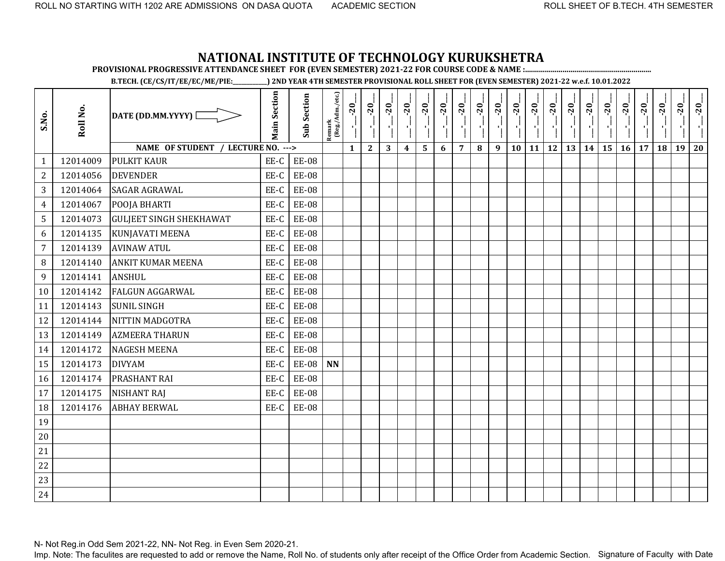**PROVISIONAL PROGRESSIVE ATTENDANCE SHEET FOR (EVEN SEMESTER) 2021-22 FOR COURSE CODE & NAME :................................................................**

**B.TECH. (CE/CS/IT/EE/EC/ME/PIE:\_\_\_\_\_\_\_\_\_\_\_\_) 2ND YEAR 4TH SEMESTER PROVISIONAL ROLL SHEET FOR (EVEN SEMESTER) 2021-22 w.e.f. 10.01.2022** 

| S.No.          | Roll No. | DATE (DD.MM.YYYY)                  | <b>Main Section</b> | <b>Sub Section</b> | Remark<br>(Reg./Adm./etc.) | $-20$        | $-20$        | $-20$ | $-20$            | $-20$ | $-20$ | $-20$          | $-20$ | $-20$ | $-20$ | $-20$     | $-20$ | $-20$<br>국 | $-20$ | $-20$ | $-20$ | $-20$ | $-20$ | $-20$ | $-20$ |
|----------------|----------|------------------------------------|---------------------|--------------------|----------------------------|--------------|--------------|-------|------------------|-------|-------|----------------|-------|-------|-------|-----------|-------|------------|-------|-------|-------|-------|-------|-------|-------|
|                |          | NAME OF STUDENT / LECTURE NO. ---> |                     |                    |                            | $\mathbf{1}$ | $\mathbf{2}$ | 3     | $\boldsymbol{4}$ | 5     | 6     | $\overline{7}$ | 8     | 9     | 10    | <b>11</b> | 12    | 13         | 14    | 15    | 16    | 17    | 18    | 19    | 20    |
| $\mathbf{1}$   | 12014009 | <b>PULKIT KAUR</b>                 | EE-C                | <b>EE-08</b>       |                            |              |              |       |                  |       |       |                |       |       |       |           |       |            |       |       |       |       |       |       |       |
| $\overline{c}$ | 12014056 | <b>DEVENDER</b>                    | EE-C                | <b>EE-08</b>       |                            |              |              |       |                  |       |       |                |       |       |       |           |       |            |       |       |       |       |       |       |       |
| 3              | 12014064 | <b>SAGAR AGRAWAL</b>               | EE-C                | <b>EE-08</b>       |                            |              |              |       |                  |       |       |                |       |       |       |           |       |            |       |       |       |       |       |       |       |
| $\overline{4}$ | 12014067 | POOJA BHARTI                       | EE-C                | <b>EE-08</b>       |                            |              |              |       |                  |       |       |                |       |       |       |           |       |            |       |       |       |       |       |       |       |
| 5              | 12014073 | <b>GULJEET SINGH SHEKHAWAT</b>     | EE-C                | <b>EE-08</b>       |                            |              |              |       |                  |       |       |                |       |       |       |           |       |            |       |       |       |       |       |       |       |
| 6              | 12014135 | KUNJAVATI MEENA                    | EE-C                | <b>EE-08</b>       |                            |              |              |       |                  |       |       |                |       |       |       |           |       |            |       |       |       |       |       |       |       |
| $\overline{7}$ | 12014139 | <b>AVINAW ATUL</b>                 | EE-C                | <b>EE-08</b>       |                            |              |              |       |                  |       |       |                |       |       |       |           |       |            |       |       |       |       |       |       |       |
| 8              | 12014140 | <b>ANKIT KUMAR MEENA</b>           | EE-C                | <b>EE-08</b>       |                            |              |              |       |                  |       |       |                |       |       |       |           |       |            |       |       |       |       |       |       |       |
| 9              | 12014141 | <b>ANSHUL</b>                      | EE-C                | <b>EE-08</b>       |                            |              |              |       |                  |       |       |                |       |       |       |           |       |            |       |       |       |       |       |       |       |
| 10             | 12014142 | <b>FALGUN AGGARWAL</b>             | EE-C                | <b>EE-08</b>       |                            |              |              |       |                  |       |       |                |       |       |       |           |       |            |       |       |       |       |       |       |       |
| 11             | 12014143 | <b>SUNIL SINGH</b>                 | EE-C                | <b>EE-08</b>       |                            |              |              |       |                  |       |       |                |       |       |       |           |       |            |       |       |       |       |       |       |       |
| 12             | 12014144 | NITTIN MADGOTRA                    | EE-C                | <b>EE-08</b>       |                            |              |              |       |                  |       |       |                |       |       |       |           |       |            |       |       |       |       |       |       |       |
| 13             | 12014149 | <b>AZMEERA THARUN</b>              | EE-C                | <b>EE-08</b>       |                            |              |              |       |                  |       |       |                |       |       |       |           |       |            |       |       |       |       |       |       |       |
| 14             | 12014172 | <b>NAGESH MEENA</b>                | EE-C                | <b>EE-08</b>       |                            |              |              |       |                  |       |       |                |       |       |       |           |       |            |       |       |       |       |       |       |       |
| 15             | 12014173 | <b>DIVYAM</b>                      | EE-C                | <b>EE-08</b>       | <b>NN</b>                  |              |              |       |                  |       |       |                |       |       |       |           |       |            |       |       |       |       |       |       |       |
| 16             | 12014174 | <b>PRASHANT RAI</b>                | EE-C                | <b>EE-08</b>       |                            |              |              |       |                  |       |       |                |       |       |       |           |       |            |       |       |       |       |       |       |       |
| 17             | 12014175 | <b>NISHANT RAJ</b>                 | EE-C                | <b>EE-08</b>       |                            |              |              |       |                  |       |       |                |       |       |       |           |       |            |       |       |       |       |       |       |       |
| 18             | 12014176 | <b>ABHAY BERWAL</b>                | EE-C                | <b>EE-08</b>       |                            |              |              |       |                  |       |       |                |       |       |       |           |       |            |       |       |       |       |       |       |       |
| 19             |          |                                    |                     |                    |                            |              |              |       |                  |       |       |                |       |       |       |           |       |            |       |       |       |       |       |       |       |
| 20             |          |                                    |                     |                    |                            |              |              |       |                  |       |       |                |       |       |       |           |       |            |       |       |       |       |       |       |       |
| 21             |          |                                    |                     |                    |                            |              |              |       |                  |       |       |                |       |       |       |           |       |            |       |       |       |       |       |       |       |
| 22             |          |                                    |                     |                    |                            |              |              |       |                  |       |       |                |       |       |       |           |       |            |       |       |       |       |       |       |       |
| 23             |          |                                    |                     |                    |                            |              |              |       |                  |       |       |                |       |       |       |           |       |            |       |       |       |       |       |       |       |
| 24             |          |                                    |                     |                    |                            |              |              |       |                  |       |       |                |       |       |       |           |       |            |       |       |       |       |       |       |       |

N- Not Reg.in Odd Sem 2021-22, NN- Not Reg. in Even Sem 2020-21.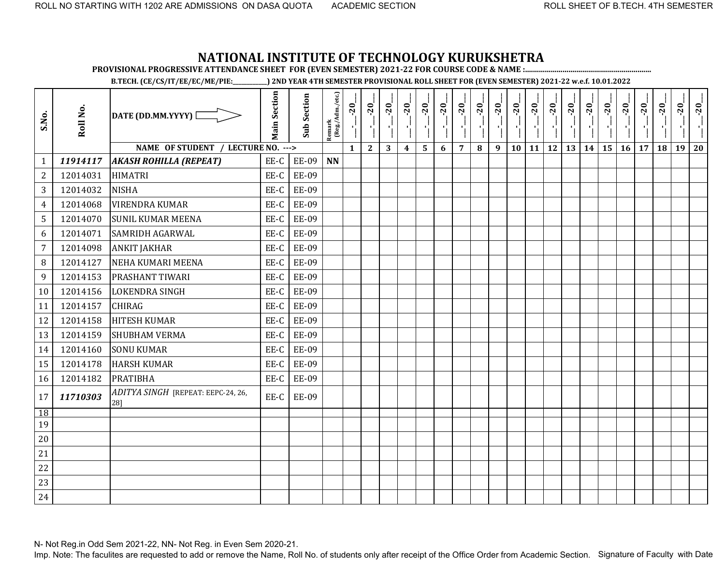**PROVISIONAL PROGRESSIVE ATTENDANCE SHEET FOR (EVEN SEMESTER) 2021-22 FOR COURSE CODE & NAME :................................................................**

**B.TECH. (CE/CS/IT/EE/EC/ME/PIE:\_\_\_\_\_\_\_\_\_\_\_\_) 2ND YEAR 4TH SEMESTER PROVISIONAL ROLL SHEET FOR (EVEN SEMESTER) 2021-22 w.e.f. 10.01.2022** 

| S.No.          | Roll No. | DATE (DD.MM.YYYY) [                       | <b>Main Section</b> | <b>Sub Section</b> | $\frac{\text{Remark}}{\text{(Reg/Adm/etc.)}}$ | $-20$<br>$\mathbf{I}$ | $-20$        | $-20$ | $-20$<br>$\mathbf{r}$ | $-20$                   | $-20$ | $-20$          | $-20$ | $-20$ | $-20$ | $-20$<br>in Co                               | $-20$<br>A. | $-20$<br>$\frac{1}{1}$ | $-20$<br>국 | $-20$ | $-20$     | $-20$ | $-20$ | $-20$ | $-20$ |
|----------------|----------|-------------------------------------------|---------------------|--------------------|-----------------------------------------------|-----------------------|--------------|-------|-----------------------|-------------------------|-------|----------------|-------|-------|-------|----------------------------------------------|-------------|------------------------|------------|-------|-----------|-------|-------|-------|-------|
|                |          | NAME OF STUDENT / LECTURE NO. --->        |                     |                    |                                               | $\mathbf{1}$          | $\mathbf{2}$ | 3     | $\boldsymbol{4}$      | $\overline{\mathbf{5}}$ | 6     | $\overline{7}$ | 8     | 9     |       | $10 \mid 11 \mid 12 \mid 13 \mid 14 \mid 15$ |             |                        |            |       | <b>16</b> | 17    | 18    | 19    | 20    |
| $\mathbf{1}$   | 11914117 | <b>AKASH ROHILLA (REPEAT)</b>             | EE-C                | EE-09              | <b>NN</b>                                     |                       |              |       |                       |                         |       |                |       |       |       |                                              |             |                        |            |       |           |       |       |       |       |
| $\sqrt{2}$     | 12014031 | <b>HIMATRI</b>                            | EE-C                | <b>EE-09</b>       |                                               |                       |              |       |                       |                         |       |                |       |       |       |                                              |             |                        |            |       |           |       |       |       |       |
| 3              | 12014032 | <b>NISHA</b>                              | EE-C                | <b>EE-09</b>       |                                               |                       |              |       |                       |                         |       |                |       |       |       |                                              |             |                        |            |       |           |       |       |       |       |
| $\overline{4}$ | 12014068 | <b>VIRENDRA KUMAR</b>                     | EE-C                | <b>EE-09</b>       |                                               |                       |              |       |                       |                         |       |                |       |       |       |                                              |             |                        |            |       |           |       |       |       |       |
| $\overline{5}$ | 12014070 | <b>SUNIL KUMAR MEENA</b>                  | EE-C                | <b>EE-09</b>       |                                               |                       |              |       |                       |                         |       |                |       |       |       |                                              |             |                        |            |       |           |       |       |       |       |
| 6              | 12014071 | <b>SAMRIDH AGARWAL</b>                    | EE-C                | <b>EE-09</b>       |                                               |                       |              |       |                       |                         |       |                |       |       |       |                                              |             |                        |            |       |           |       |       |       |       |
| $\overline{7}$ | 12014098 | <b>ANKIT JAKHAR</b>                       | EE-C                | <b>EE-09</b>       |                                               |                       |              |       |                       |                         |       |                |       |       |       |                                              |             |                        |            |       |           |       |       |       |       |
| 8              | 12014127 | <b>NEHA KUMARI MEENA</b>                  | EE-C                | <b>EE-09</b>       |                                               |                       |              |       |                       |                         |       |                |       |       |       |                                              |             |                        |            |       |           |       |       |       |       |
| 9              | 12014153 | PRASHANT TIWARI                           | EE-C                | <b>EE-09</b>       |                                               |                       |              |       |                       |                         |       |                |       |       |       |                                              |             |                        |            |       |           |       |       |       |       |
| 10             | 12014156 | <b>LOKENDRA SINGH</b>                     | EE-C                | <b>EE-09</b>       |                                               |                       |              |       |                       |                         |       |                |       |       |       |                                              |             |                        |            |       |           |       |       |       |       |
| 11             | 12014157 | <b>CHIRAG</b>                             | EE-C                | <b>EE-09</b>       |                                               |                       |              |       |                       |                         |       |                |       |       |       |                                              |             |                        |            |       |           |       |       |       |       |
| 12             | 12014158 | <b>HITESH KUMAR</b>                       | EE-C                | <b>EE-09</b>       |                                               |                       |              |       |                       |                         |       |                |       |       |       |                                              |             |                        |            |       |           |       |       |       |       |
| 13             | 12014159 | <b>SHUBHAM VERMA</b>                      | EE-C                | <b>EE-09</b>       |                                               |                       |              |       |                       |                         |       |                |       |       |       |                                              |             |                        |            |       |           |       |       |       |       |
| 14             | 12014160 | <b>SONU KUMAR</b>                         | EE-C                | <b>EE-09</b>       |                                               |                       |              |       |                       |                         |       |                |       |       |       |                                              |             |                        |            |       |           |       |       |       |       |
| 15             | 12014178 | <b>HARSH KUMAR</b>                        | EE-C                | <b>EE-09</b>       |                                               |                       |              |       |                       |                         |       |                |       |       |       |                                              |             |                        |            |       |           |       |       |       |       |
| 16             | 12014182 | <b>PRATIBHA</b>                           | EE-C                | <b>EE-09</b>       |                                               |                       |              |       |                       |                         |       |                |       |       |       |                                              |             |                        |            |       |           |       |       |       |       |
| 17             | 11710303 | ADITYA SINGH [REPEAT: EEPC-24, 26,<br>28] | EE-C                | <b>EE-09</b>       |                                               |                       |              |       |                       |                         |       |                |       |       |       |                                              |             |                        |            |       |           |       |       |       |       |
| 18             |          |                                           |                     |                    |                                               |                       |              |       |                       |                         |       |                |       |       |       |                                              |             |                        |            |       |           |       |       |       |       |
| 19             |          |                                           |                     |                    |                                               |                       |              |       |                       |                         |       |                |       |       |       |                                              |             |                        |            |       |           |       |       |       |       |
| 20             |          |                                           |                     |                    |                                               |                       |              |       |                       |                         |       |                |       |       |       |                                              |             |                        |            |       |           |       |       |       |       |
| 21             |          |                                           |                     |                    |                                               |                       |              |       |                       |                         |       |                |       |       |       |                                              |             |                        |            |       |           |       |       |       |       |
| 22             |          |                                           |                     |                    |                                               |                       |              |       |                       |                         |       |                |       |       |       |                                              |             |                        |            |       |           |       |       |       |       |
| 23             |          |                                           |                     |                    |                                               |                       |              |       |                       |                         |       |                |       |       |       |                                              |             |                        |            |       |           |       |       |       |       |
| 24             |          |                                           |                     |                    |                                               |                       |              |       |                       |                         |       |                |       |       |       |                                              |             |                        |            |       |           |       |       |       |       |

N- Not Reg.in Odd Sem 2021-22, NN- Not Reg. in Even Sem 2020-21.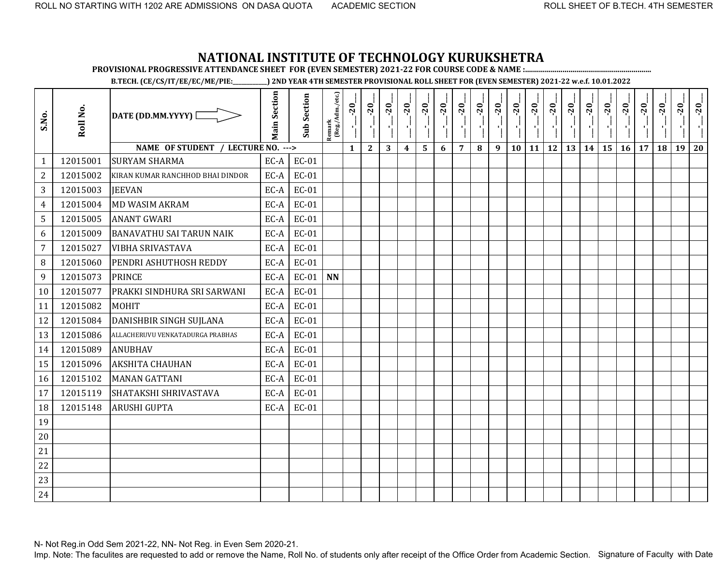**PROVISIONAL PROGRESSIVE ATTENDANCE SHEET FOR (EVEN SEMESTER) 2021-22 FOR COURSE CODE & NAME :................................................................**

**B.TECH. (CE/CS/IT/EE/EC/ME/PIE:\_\_\_\_\_\_\_\_\_\_\_\_) 2ND YEAR 4TH SEMESTER PROVISIONAL ROLL SHEET FOR (EVEN SEMESTER) 2021-22 w.e.f. 10.01.2022** 

| S.No.            | Roll No. | DATE (DD.MM.YYYY) [                | <b>Main Section</b> | <b>Sub Section</b> | $\frac{\text{Remark}}{\text{(Reg/Adm/etc.)}}$ | $-20$<br>١,  | $-20$<br>п,  | $-20$ | $-20$            | $-20$ | $-20$ | $-20$          | $-20$ | $-20$<br>$\blacksquare$ | $-20$<br>×, | $-20$<br>л, | $-20$<br>÷. | $-20$ | $-20$ | $-20$ | $-20$ | $-20$ | $\overline{5}$ | 20 | $-20$ |
|------------------|----------|------------------------------------|---------------------|--------------------|-----------------------------------------------|--------------|--------------|-------|------------------|-------|-------|----------------|-------|-------------------------|-------------|-------------|-------------|-------|-------|-------|-------|-------|----------------|----|-------|
|                  |          | NAME OF STUDENT / LECTURE NO. ---> |                     |                    |                                               | $\mathbf{1}$ | $\mathbf{2}$ | 3     | $\boldsymbol{4}$ | 5     | 6     | $\overline{7}$ | 8     | 9                       | 10          | 11          | 12          | 13    | 14    | 15    | 16    | 17    | 18             | 19 | 20    |
| $\mathbf{1}$     | 12015001 | <b>SURYAM SHARMA</b>               | EC-A                | EC-01              |                                               |              |              |       |                  |       |       |                |       |                         |             |             |             |       |       |       |       |       |                |    |       |
| $\overline{2}$   | 12015002 | KIRAN KUMAR RANCHHOD BHAI DINDOR   | EC-A                | EC-01              |                                               |              |              |       |                  |       |       |                |       |                         |             |             |             |       |       |       |       |       |                |    |       |
| 3                | 12015003 | <b>IEEVAN</b>                      | EC-A                | EC-01              |                                               |              |              |       |                  |       |       |                |       |                         |             |             |             |       |       |       |       |       |                |    |       |
| $\overline{4}$   | 12015004 | <b>MD WASIM AKRAM</b>              | EC-A                | EC-01              |                                               |              |              |       |                  |       |       |                |       |                         |             |             |             |       |       |       |       |       |                |    |       |
| 5                | 12015005 | <b>ANANT GWARI</b>                 | EC-A                | EC-01              |                                               |              |              |       |                  |       |       |                |       |                         |             |             |             |       |       |       |       |       |                |    |       |
| 6                | 12015009 | <b>BANAVATHU SAI TARUN NAIK</b>    | EC-A                | EC-01              |                                               |              |              |       |                  |       |       |                |       |                         |             |             |             |       |       |       |       |       |                |    |       |
| $\overline{7}$   | 12015027 | <b>VIBHA SRIVASTAVA</b>            | EC-A                | EC-01              |                                               |              |              |       |                  |       |       |                |       |                         |             |             |             |       |       |       |       |       |                |    |       |
| 8                | 12015060 | PENDRI ASHUTHOSH REDDY             | EC-A                | EC-01              |                                               |              |              |       |                  |       |       |                |       |                         |             |             |             |       |       |       |       |       |                |    |       |
| $\boldsymbol{9}$ | 12015073 | <b>PRINCE</b>                      | EC-A                | $EC-01$            | <b>NN</b>                                     |              |              |       |                  |       |       |                |       |                         |             |             |             |       |       |       |       |       |                |    |       |
| 10               | 12015077 | PRAKKI SINDHURA SRI SARWANI        | EC-A                | EC-01              |                                               |              |              |       |                  |       |       |                |       |                         |             |             |             |       |       |       |       |       |                |    |       |
| 11               | 12015082 | <b>MOHIT</b>                       | EC-A                | EC-01              |                                               |              |              |       |                  |       |       |                |       |                         |             |             |             |       |       |       |       |       |                |    |       |
| 12               | 12015084 | DANISHBIR SINGH SUJLANA            | EC-A                | EC-01              |                                               |              |              |       |                  |       |       |                |       |                         |             |             |             |       |       |       |       |       |                |    |       |
| 13               | 12015086 | ALLACHERUVU VENKATADURGA PRABHAS   | EC-A                | EC-01              |                                               |              |              |       |                  |       |       |                |       |                         |             |             |             |       |       |       |       |       |                |    |       |
| 14               | 12015089 | <b>ANUBHAV</b>                     | EC-A                | EC-01              |                                               |              |              |       |                  |       |       |                |       |                         |             |             |             |       |       |       |       |       |                |    |       |
| 15               | 12015096 | <b>AKSHITA CHAUHAN</b>             | EC-A                | EC-01              |                                               |              |              |       |                  |       |       |                |       |                         |             |             |             |       |       |       |       |       |                |    |       |
| 16               | 12015102 | <b>MANAN GATTANI</b>               | EC-A                | EC-01              |                                               |              |              |       |                  |       |       |                |       |                         |             |             |             |       |       |       |       |       |                |    |       |
| 17               | 12015119 | SHATAKSHI SHRIVASTAVA              | EC-A                | EC-01              |                                               |              |              |       |                  |       |       |                |       |                         |             |             |             |       |       |       |       |       |                |    |       |
| 18               | 12015148 | <b>ARUSHI GUPTA</b>                | EC-A                | EC-01              |                                               |              |              |       |                  |       |       |                |       |                         |             |             |             |       |       |       |       |       |                |    |       |
| 19               |          |                                    |                     |                    |                                               |              |              |       |                  |       |       |                |       |                         |             |             |             |       |       |       |       |       |                |    |       |
| 20               |          |                                    |                     |                    |                                               |              |              |       |                  |       |       |                |       |                         |             |             |             |       |       |       |       |       |                |    |       |
| 21               |          |                                    |                     |                    |                                               |              |              |       |                  |       |       |                |       |                         |             |             |             |       |       |       |       |       |                |    |       |
| 22               |          |                                    |                     |                    |                                               |              |              |       |                  |       |       |                |       |                         |             |             |             |       |       |       |       |       |                |    |       |
| 23               |          |                                    |                     |                    |                                               |              |              |       |                  |       |       |                |       |                         |             |             |             |       |       |       |       |       |                |    |       |
| 24               |          |                                    |                     |                    |                                               |              |              |       |                  |       |       |                |       |                         |             |             |             |       |       |       |       |       |                |    |       |

N- Not Reg.in Odd Sem 2021-22, NN- Not Reg. in Even Sem 2020-21.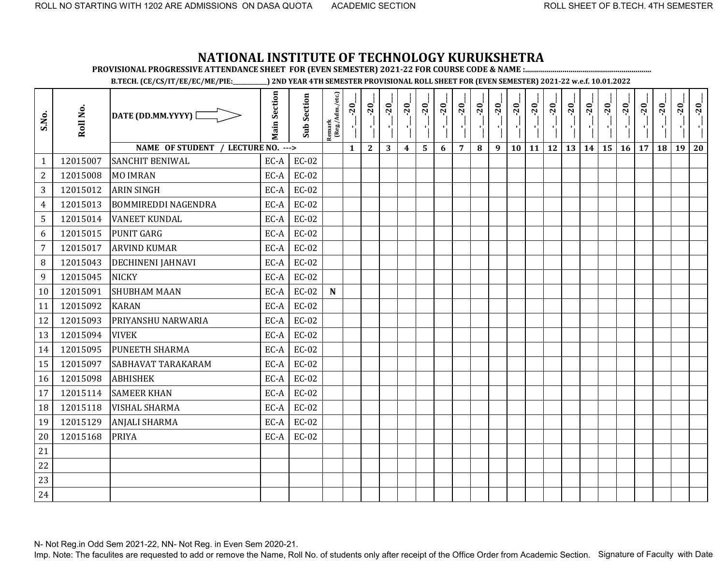**PROVISIONAL PROGRESSIVE ATTENDANCE SHEET FOR (EVEN SEMESTER) 2021-22 FOR COURSE CODE & NAME :................................................................**

**B.TECH. (CE/CS/IT/EE/EC/ME/PIE:\_\_\_\_\_\_\_\_\_\_\_\_) 2ND YEAR 4TH SEMESTER PROVISIONAL ROLL SHEET FOR (EVEN SEMESTER) 2021-22 w.e.f. 10.01.2022** 

| S.No.          | Roll No. | DATE (DD.MM.YYYY) [                | <b>Main Section</b> | <b>Sub Section</b> | Remark<br>(Reg./Adm./etc.) | $-20$<br>J.  | $-20$<br>чj  | $-20$ | $-20$            | $-20$ | $-20$ | $-20$          | $-20$ | $-20$ | $-20$ | $-20$ | $-20$ | $-20$ | $-20$ | $-20$ | $-20$ | $-20$ | $-20$ | $-20$ | $-20$ |
|----------------|----------|------------------------------------|---------------------|--------------------|----------------------------|--------------|--------------|-------|------------------|-------|-------|----------------|-------|-------|-------|-------|-------|-------|-------|-------|-------|-------|-------|-------|-------|
|                |          | NAME OF STUDENT / LECTURE NO. ---> |                     |                    |                            | $\mathbf{1}$ | $\mathbf{2}$ | 3     | $\boldsymbol{4}$ | 5     | 6     | $\overline{7}$ | 8     | 9     | 10    | 11    | 12    | 13    | 14    | 15    | 16    | 17    | 18    | 19    | 20    |
| $\mathbf{1}$   | 12015007 | <b>SANCHIT BENIWAL</b>             | EC-A                | $EC-02$            |                            |              |              |       |                  |       |       |                |       |       |       |       |       |       |       |       |       |       |       |       |       |
| $\mathbf{2}$   | 12015008 | <b>MO IMRAN</b>                    | EC-A                | $EC-02$            |                            |              |              |       |                  |       |       |                |       |       |       |       |       |       |       |       |       |       |       |       |       |
| 3              | 12015012 | <b>ARIN SINGH</b>                  | EC-A                | $EC-02$            |                            |              |              |       |                  |       |       |                |       |       |       |       |       |       |       |       |       |       |       |       |       |
| 4              | 12015013 | <b>BOMMIREDDI NAGENDRA</b>         | EC-A                | EC-02              |                            |              |              |       |                  |       |       |                |       |       |       |       |       |       |       |       |       |       |       |       |       |
| 5              | 12015014 | <b>VANEET KUNDAL</b>               | EC-A                | $EC-02$            |                            |              |              |       |                  |       |       |                |       |       |       |       |       |       |       |       |       |       |       |       |       |
| 6              | 12015015 | <b>PUNIT GARG</b>                  | EC-A                | $EC-02$            |                            |              |              |       |                  |       |       |                |       |       |       |       |       |       |       |       |       |       |       |       |       |
| $\overline{7}$ | 12015017 | <b>ARVIND KUMAR</b>                | EC-A                | <b>EC-02</b>       |                            |              |              |       |                  |       |       |                |       |       |       |       |       |       |       |       |       |       |       |       |       |
| 8              | 12015043 | DECHINENI JAHNAVI                  | EC-A                | EC-02              |                            |              |              |       |                  |       |       |                |       |       |       |       |       |       |       |       |       |       |       |       |       |
| 9              | 12015045 | <b>NICKY</b>                       | EC-A                | EC-02              |                            |              |              |       |                  |       |       |                |       |       |       |       |       |       |       |       |       |       |       |       |       |
| 10             | 12015091 | <b>SHUBHAM MAAN</b>                | EC-A                | $EC-02$            | $\mathbf N$                |              |              |       |                  |       |       |                |       |       |       |       |       |       |       |       |       |       |       |       |       |
| 11             | 12015092 | <b>KARAN</b>                       | EC-A                | EC-02              |                            |              |              |       |                  |       |       |                |       |       |       |       |       |       |       |       |       |       |       |       |       |
| 12             | 12015093 | PRIYANSHU NARWARIA                 | EC-A                | EC-02              |                            |              |              |       |                  |       |       |                |       |       |       |       |       |       |       |       |       |       |       |       |       |
| 13             | 12015094 | <b>VIVEK</b>                       | EC-A                | EC-02              |                            |              |              |       |                  |       |       |                |       |       |       |       |       |       |       |       |       |       |       |       |       |
| 14             | 12015095 | <b>PUNEETH SHARMA</b>              | EC-A                | EC-02              |                            |              |              |       |                  |       |       |                |       |       |       |       |       |       |       |       |       |       |       |       |       |
| 15             | 12015097 | SABHAVAT TARAKARAM                 | EC-A                | EC-02              |                            |              |              |       |                  |       |       |                |       |       |       |       |       |       |       |       |       |       |       |       |       |
| 16             | 12015098 | <b>ABHISHEK</b>                    | EC-A                | EC-02              |                            |              |              |       |                  |       |       |                |       |       |       |       |       |       |       |       |       |       |       |       |       |
| 17             | 12015114 | <b>SAMEER KHAN</b>                 | EC-A                | EC-02              |                            |              |              |       |                  |       |       |                |       |       |       |       |       |       |       |       |       |       |       |       |       |
| 18             | 12015118 | <b>VISHAL SHARMA</b>               | EC-A                | EC-02              |                            |              |              |       |                  |       |       |                |       |       |       |       |       |       |       |       |       |       |       |       |       |
| 19             | 12015129 | <b>ANJALI SHARMA</b>               | EC-A                | $EC-02$            |                            |              |              |       |                  |       |       |                |       |       |       |       |       |       |       |       |       |       |       |       |       |
| 20             | 12015168 | <b>PRIYA</b>                       | EC-A                | EC-02              |                            |              |              |       |                  |       |       |                |       |       |       |       |       |       |       |       |       |       |       |       |       |
| 21             |          |                                    |                     |                    |                            |              |              |       |                  |       |       |                |       |       |       |       |       |       |       |       |       |       |       |       |       |
| 22             |          |                                    |                     |                    |                            |              |              |       |                  |       |       |                |       |       |       |       |       |       |       |       |       |       |       |       |       |
| 23             |          |                                    |                     |                    |                            |              |              |       |                  |       |       |                |       |       |       |       |       |       |       |       |       |       |       |       |       |
| 24             |          |                                    |                     |                    |                            |              |              |       |                  |       |       |                |       |       |       |       |       |       |       |       |       |       |       |       |       |

N- Not Reg.in Odd Sem 2021-22, NN- Not Reg. in Even Sem 2020-21.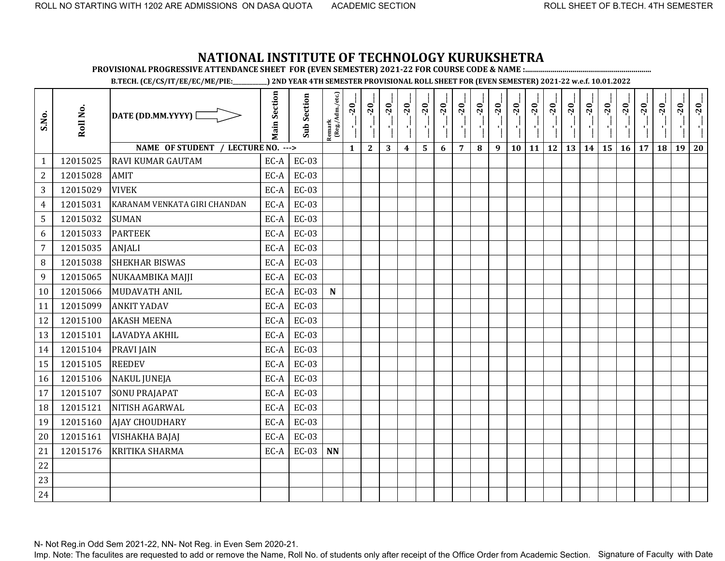**PROVISIONAL PROGRESSIVE ATTENDANCE SHEET FOR (EVEN SEMESTER) 2021-22 FOR COURSE CODE & NAME :................................................................**

**B.TECH. (CE/CS/IT/EE/EC/ME/PIE:\_\_\_\_\_\_\_\_\_\_\_\_) 2ND YEAR 4TH SEMESTER PROVISIONAL ROLL SHEET FOR (EVEN SEMESTER) 2021-22 w.e.f. 10.01.2022** 

| S.No.          | Roll No. | DATE (DD.MM.YYYY) [                | <b>Main Section</b> | <b>Sub Section</b> | Remark<br>(Reg./Adm./etc.) | $-20$        | $-20$        | $-20$        | $-20$            | $-20$                   | $-20$ | $-20$          | $-20$ | $-20$ | $-20$<br>$\mathcal{F}_1$ . | $-20$<br>-9            | $-20$<br>$\mathbf{r}_1$ | $-20$ | $-20$ | $-20$<br>×, | $-20$     | $-20$ | $-20$ | $-20$ | $-20$ |
|----------------|----------|------------------------------------|---------------------|--------------------|----------------------------|--------------|--------------|--------------|------------------|-------------------------|-------|----------------|-------|-------|----------------------------|------------------------|-------------------------|-------|-------|-------------|-----------|-------|-------|-------|-------|
|                |          | NAME OF STUDENT / LECTURE NO. ---> |                     |                    |                            | $\mathbf{1}$ | $\mathbf{2}$ | $\mathbf{3}$ | $\boldsymbol{4}$ | $\overline{\mathbf{5}}$ | 6     | $\overline{7}$ | 8     | 9     | 10                         | 11   12   13   14   15 |                         |       |       |             | $16 \mid$ | 17    | 18    | 19    | 20    |
| $\mathbf{1}$   | 12015025 | <b>RAVI KUMAR GAUTAM</b>           | EC-A                | $EC-03$            |                            |              |              |              |                  |                         |       |                |       |       |                            |                        |                         |       |       |             |           |       |       |       |       |
| $\overline{2}$ | 12015028 | AMIT                               | EC-A                | <b>EC-03</b>       |                            |              |              |              |                  |                         |       |                |       |       |                            |                        |                         |       |       |             |           |       |       |       |       |
| 3              | 12015029 | <b>VIVEK</b>                       | EC-A                | EC-03              |                            |              |              |              |                  |                         |       |                |       |       |                            |                        |                         |       |       |             |           |       |       |       |       |
| $\overline{4}$ | 12015031 | KARANAM VENKATA GIRI CHANDAN       | EC-A                | <b>EC-03</b>       |                            |              |              |              |                  |                         |       |                |       |       |                            |                        |                         |       |       |             |           |       |       |       |       |
| 5              | 12015032 | <b>SUMAN</b>                       | EC-A                | $EC-03$            |                            |              |              |              |                  |                         |       |                |       |       |                            |                        |                         |       |       |             |           |       |       |       |       |
| 6              | 12015033 | <b>PARTEEK</b>                     | EC-A                | $EC-03$            |                            |              |              |              |                  |                         |       |                |       |       |                            |                        |                         |       |       |             |           |       |       |       |       |
| $\overline{7}$ | 12015035 | <b>ANJALI</b>                      | EC-A                | <b>EC-03</b>       |                            |              |              |              |                  |                         |       |                |       |       |                            |                        |                         |       |       |             |           |       |       |       |       |
| 8              | 12015038 | <b>SHEKHAR BISWAS</b>              | EC-A                | EC-03              |                            |              |              |              |                  |                         |       |                |       |       |                            |                        |                         |       |       |             |           |       |       |       |       |
| 9              | 12015065 | NUKAAMBIKA MAJJI                   | EC-A                | $EC-03$            |                            |              |              |              |                  |                         |       |                |       |       |                            |                        |                         |       |       |             |           |       |       |       |       |
| 10             | 12015066 | MUDAVATH ANIL                      | EC-A                | $EC-03$            | $\mathbf N$                |              |              |              |                  |                         |       |                |       |       |                            |                        |                         |       |       |             |           |       |       |       |       |
| 11             | 12015099 | <b>ANKIT YADAV</b>                 | EC-A                | $EC-03$            |                            |              |              |              |                  |                         |       |                |       |       |                            |                        |                         |       |       |             |           |       |       |       |       |
| 12             | 12015100 | <b>AKASH MEENA</b>                 | EC-A                | EC-03              |                            |              |              |              |                  |                         |       |                |       |       |                            |                        |                         |       |       |             |           |       |       |       |       |
| 13             | 12015101 | <b>LAVADYA AKHIL</b>               | EC-A                | $EC-03$            |                            |              |              |              |                  |                         |       |                |       |       |                            |                        |                         |       |       |             |           |       |       |       |       |
| 14             | 12015104 | <b>PRAVI JAIN</b>                  | EC-A                | $EC-03$            |                            |              |              |              |                  |                         |       |                |       |       |                            |                        |                         |       |       |             |           |       |       |       |       |
| 15             | 12015105 | <b>REEDEV</b>                      | EC-A                | EC-03              |                            |              |              |              |                  |                         |       |                |       |       |                            |                        |                         |       |       |             |           |       |       |       |       |
| 16             | 12015106 | <b>NAKUL JUNEJA</b>                | EC-A                | $EC-03$            |                            |              |              |              |                  |                         |       |                |       |       |                            |                        |                         |       |       |             |           |       |       |       |       |
| 17             | 12015107 | <b>SONU PRAJAPAT</b>               | EC-A                | EC-03              |                            |              |              |              |                  |                         |       |                |       |       |                            |                        |                         |       |       |             |           |       |       |       |       |
| 18             | 12015121 | NITISH AGARWAL                     | EC-A                | $EC-03$            |                            |              |              |              |                  |                         |       |                |       |       |                            |                        |                         |       |       |             |           |       |       |       |       |
| 19             | 12015160 | <b>AJAY CHOUDHARY</b>              | EC-A                | $EC-03$            |                            |              |              |              |                  |                         |       |                |       |       |                            |                        |                         |       |       |             |           |       |       |       |       |
| 20             | 12015161 | <b>VISHAKHA BAJAJ</b>              | EC-A                | $EC-03$            |                            |              |              |              |                  |                         |       |                |       |       |                            |                        |                         |       |       |             |           |       |       |       |       |
| 21             | 12015176 | <b>KRITIKA SHARMA</b>              | EC-A                | $EC-03$            | <b>NN</b>                  |              |              |              |                  |                         |       |                |       |       |                            |                        |                         |       |       |             |           |       |       |       |       |
| 22             |          |                                    |                     |                    |                            |              |              |              |                  |                         |       |                |       |       |                            |                        |                         |       |       |             |           |       |       |       |       |
| 23             |          |                                    |                     |                    |                            |              |              |              |                  |                         |       |                |       |       |                            |                        |                         |       |       |             |           |       |       |       |       |
| 24             |          |                                    |                     |                    |                            |              |              |              |                  |                         |       |                |       |       |                            |                        |                         |       |       |             |           |       |       |       |       |

N- Not Reg.in Odd Sem 2021-22, NN- Not Reg. in Even Sem 2020-21.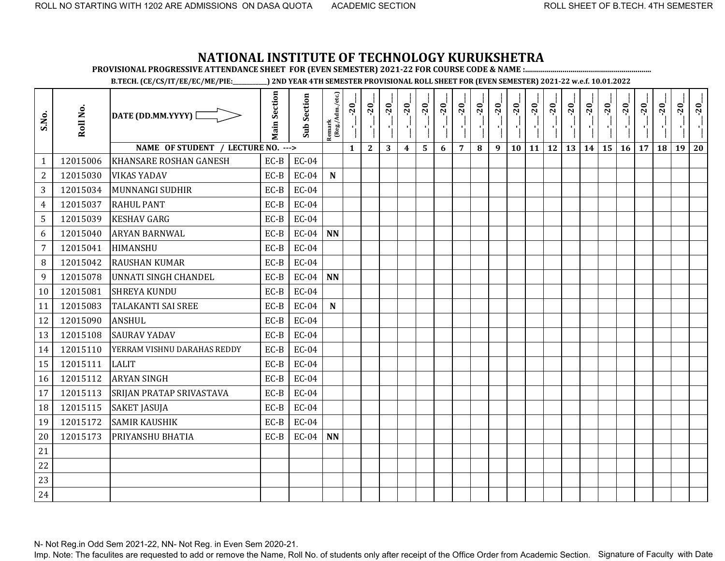**PROVISIONAL PROGRESSIVE ATTENDANCE SHEET FOR (EVEN SEMESTER) 2021-22 FOR COURSE CODE & NAME :................................................................**

**B.TECH. (CE/CS/IT/EE/EC/ME/PIE:\_\_\_\_\_\_\_\_\_\_\_\_) 2ND YEAR 4TH SEMESTER PROVISIONAL ROLL SHEET FOR (EVEN SEMESTER) 2021-22 w.e.f. 10.01.2022** 

| S.No.          | Roll No. | DATE (DD.MM.YYYY) [                | <b>Main Section</b> | <b>Sub Section</b> | Remark<br>(Reg./Adm./etc.) | $-20$<br>J.  | $-20$<br>$\mathbf{r}$ | $-20$ | $-20$            | $-20$ | $-20$ | $-20$          | $-20$ | $-20$ | $-20$ | $-20$ | $-20$     | $-20$ | $-20$ | $-20$ | $-20$ | $-20$ | $-20$ | $-20$ | $-20$ |
|----------------|----------|------------------------------------|---------------------|--------------------|----------------------------|--------------|-----------------------|-------|------------------|-------|-------|----------------|-------|-------|-------|-------|-----------|-------|-------|-------|-------|-------|-------|-------|-------|
|                |          | NAME OF STUDENT / LECTURE NO. ---> |                     |                    |                            | $\mathbf{1}$ | $\mathbf{2}$          | 3     | $\boldsymbol{4}$ | 5     | 6     | $\overline{7}$ | 8     | 9     | 10    | 11    | <b>12</b> | 13    | 14    | 15    | 16    | 17    | 18    | 19    | 20    |
| $\mathbf{1}$   | 12015006 | <b>KHANSARE ROSHAN GANESH</b>      | EC-B                | $EC-04$            |                            |              |                       |       |                  |       |       |                |       |       |       |       |           |       |       |       |       |       |       |       |       |
| $\mathbf{2}$   | 12015030 | <b>VIKAS YADAV</b>                 | $EC-B$              | $EC-04$            | ${\bf N}$                  |              |                       |       |                  |       |       |                |       |       |       |       |           |       |       |       |       |       |       |       |       |
| 3              | 12015034 | <b>MUNNANGI SUDHIR</b>             | EC-B                | $EC-04$            |                            |              |                       |       |                  |       |       |                |       |       |       |       |           |       |       |       |       |       |       |       |       |
| 4              | 12015037 | <b>RAHUL PANT</b>                  | EC-B                | $EC-04$            |                            |              |                       |       |                  |       |       |                |       |       |       |       |           |       |       |       |       |       |       |       |       |
| 5              | 12015039 | <b>KESHAV GARG</b>                 | EC-B                | $EC-04$            |                            |              |                       |       |                  |       |       |                |       |       |       |       |           |       |       |       |       |       |       |       |       |
| 6              | 12015040 | <b>ARYAN BARNWAL</b>               | EC-B                | $EC-04$            | <b>NN</b>                  |              |                       |       |                  |       |       |                |       |       |       |       |           |       |       |       |       |       |       |       |       |
| $\overline{7}$ | 12015041 | <b>HIMANSHU</b>                    | EC-B                | $EC-04$            |                            |              |                       |       |                  |       |       |                |       |       |       |       |           |       |       |       |       |       |       |       |       |
| 8              | 12015042 | <b>RAUSHAN KUMAR</b>               | EC-B                | $EC-04$            |                            |              |                       |       |                  |       |       |                |       |       |       |       |           |       |       |       |       |       |       |       |       |
| 9              | 12015078 | <b>UNNATI SINGH CHANDEL</b>        | EC-B                | $EC-04$            | <b>NN</b>                  |              |                       |       |                  |       |       |                |       |       |       |       |           |       |       |       |       |       |       |       |       |
| 10             | 12015081 | <b>SHREYA KUNDU</b>                | EC-B                | $EC-04$            |                            |              |                       |       |                  |       |       |                |       |       |       |       |           |       |       |       |       |       |       |       |       |
| 11             | 12015083 | <b>TALAKANTI SAI SREE</b>          | EC-B                | $EC-04$            | $\mathbf N$                |              |                       |       |                  |       |       |                |       |       |       |       |           |       |       |       |       |       |       |       |       |
| 12             | 12015090 | <b>ANSHUL</b>                      | EC-B                | $EC-04$            |                            |              |                       |       |                  |       |       |                |       |       |       |       |           |       |       |       |       |       |       |       |       |
| 13             | 12015108 | <b>SAURAV YADAV</b>                | $EC-B$              | $EC-04$            |                            |              |                       |       |                  |       |       |                |       |       |       |       |           |       |       |       |       |       |       |       |       |
| 14             | 12015110 | YERRAM VISHNU DARAHAS REDDY        | EC-B                | $EC-04$            |                            |              |                       |       |                  |       |       |                |       |       |       |       |           |       |       |       |       |       |       |       |       |
| 15             | 12015111 | <b>LALIT</b>                       | EC-B                | $EC-04$            |                            |              |                       |       |                  |       |       |                |       |       |       |       |           |       |       |       |       |       |       |       |       |
| 16             | 12015112 | <b>ARYAN SINGH</b>                 | $EC-B$              | $EC-04$            |                            |              |                       |       |                  |       |       |                |       |       |       |       |           |       |       |       |       |       |       |       |       |
| 17             | 12015113 | <b>SRIJAN PRATAP SRIVASTAVA</b>    | EC-B                | $EC-04$            |                            |              |                       |       |                  |       |       |                |       |       |       |       |           |       |       |       |       |       |       |       |       |
| 18             | 12015115 | <b>SAKET JASUJA</b>                | EC-B                | $EC-04$            |                            |              |                       |       |                  |       |       |                |       |       |       |       |           |       |       |       |       |       |       |       |       |
| 19             | 12015172 | <b>SAMIR KAUSHIK</b>               | $EC-B$              | $EC-04$            |                            |              |                       |       |                  |       |       |                |       |       |       |       |           |       |       |       |       |       |       |       |       |
| 20             | 12015173 | PRIYANSHU BHATIA                   | EC-B                | $EC-04$            | <b>NN</b>                  |              |                       |       |                  |       |       |                |       |       |       |       |           |       |       |       |       |       |       |       |       |
| 21             |          |                                    |                     |                    |                            |              |                       |       |                  |       |       |                |       |       |       |       |           |       |       |       |       |       |       |       |       |
| 22             |          |                                    |                     |                    |                            |              |                       |       |                  |       |       |                |       |       |       |       |           |       |       |       |       |       |       |       |       |
| 23             |          |                                    |                     |                    |                            |              |                       |       |                  |       |       |                |       |       |       |       |           |       |       |       |       |       |       |       |       |
| 24             |          |                                    |                     |                    |                            |              |                       |       |                  |       |       |                |       |       |       |       |           |       |       |       |       |       |       |       |       |

N- Not Reg.in Odd Sem 2021-22, NN- Not Reg. in Even Sem 2020-21.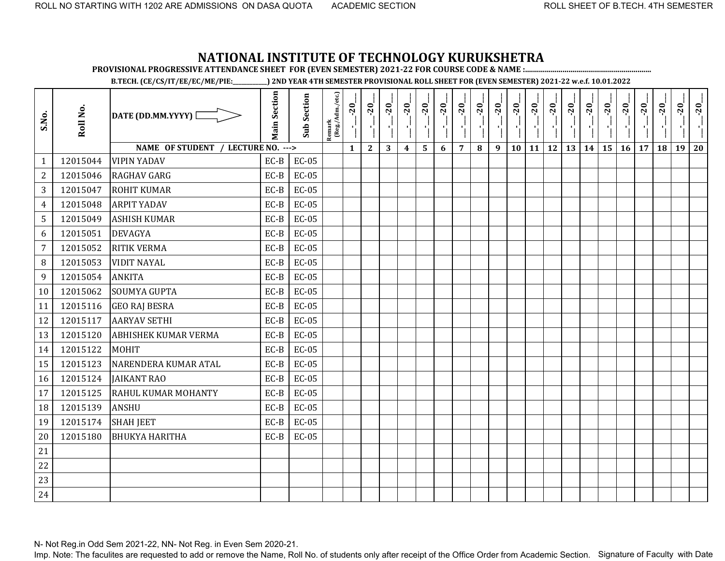**PROVISIONAL PROGRESSIVE ATTENDANCE SHEET FOR (EVEN SEMESTER) 2021-22 FOR COURSE CODE & NAME :................................................................**

**B.TECH. (CE/CS/IT/EE/EC/ME/PIE:\_\_\_\_\_\_\_\_\_\_\_\_) 2ND YEAR 4TH SEMESTER PROVISIONAL ROLL SHEET FOR (EVEN SEMESTER) 2021-22 w.e.f. 10.01.2022** 

| S.No.            | Roll No. | DATE (DD.MM.YYYY) $\square$        | <b>Main Section</b> | <b>Sub Section</b> | $\frac{\text{Remark}}{\text{(Reg/Adm/etc.)}}$ | $-20$<br>국   | $-20$<br>۱,  | $-20$<br>-1 | $-20$            | $-20$ | $-20$ | $-20$          | $-20$<br>70 L | $-20$<br><b>A</b> | $-20$<br>$\mathcal{F}_{\mathbf{F}}$ | $-20$<br>$\mathbf{r}_{\mathrm{L}}$ | $-20$<br>$\mathcal{F}_{\mathbf{L}}$ | $-20$ | $-20$ | $-20$ | $-20$ | $-20$ | $-20$ | $-20$ | $-20$ |
|------------------|----------|------------------------------------|---------------------|--------------------|-----------------------------------------------|--------------|--------------|-------------|------------------|-------|-------|----------------|---------------|-------------------|-------------------------------------|------------------------------------|-------------------------------------|-------|-------|-------|-------|-------|-------|-------|-------|
|                  |          | NAME OF STUDENT / LECTURE NO. ---> |                     |                    |                                               | $\mathbf{1}$ | $\mathbf{2}$ | 3           | $\boldsymbol{4}$ | 5     | 6     | $\overline{7}$ | 8             | 9                 | 10                                  | <b>11</b>                          | 12                                  | 13    | 14    | 15    | 16    | 17    | 18    | 19    | 20    |
| $\mathbf{1}$     | 12015044 | <b>VIPIN YADAV</b>                 | $EC-B$              | $EC-05$            |                                               |              |              |             |                  |       |       |                |               |                   |                                     |                                    |                                     |       |       |       |       |       |       |       |       |
| $\overline{2}$   | 12015046 | <b>RAGHAV GARG</b>                 | EC-B                | $EC-05$            |                                               |              |              |             |                  |       |       |                |               |                   |                                     |                                    |                                     |       |       |       |       |       |       |       |       |
| 3                | 12015047 | <b>ROHIT KUMAR</b>                 | EC-B                | <b>EC-05</b>       |                                               |              |              |             |                  |       |       |                |               |                   |                                     |                                    |                                     |       |       |       |       |       |       |       |       |
| $\overline{4}$   | 12015048 | <b>ARPIT YADAV</b>                 | $EC-B$              | $EC-05$            |                                               |              |              |             |                  |       |       |                |               |                   |                                     |                                    |                                     |       |       |       |       |       |       |       |       |
| 5                | 12015049 | <b>ASHISH KUMAR</b>                | EC-B                | $EC-05$            |                                               |              |              |             |                  |       |       |                |               |                   |                                     |                                    |                                     |       |       |       |       |       |       |       |       |
| 6                | 12015051 | <b>DEVAGYA</b>                     | EC-B                | $EC-05$            |                                               |              |              |             |                  |       |       |                |               |                   |                                     |                                    |                                     |       |       |       |       |       |       |       |       |
| $\overline{7}$   | 12015052 | <b>RITIK VERMA</b>                 | $EC-B$              | $EC-05$            |                                               |              |              |             |                  |       |       |                |               |                   |                                     |                                    |                                     |       |       |       |       |       |       |       |       |
| $\, 8$           | 12015053 | <b>VIDIT NAYAL</b>                 | EC-B                | $EC-05$            |                                               |              |              |             |                  |       |       |                |               |                   |                                     |                                    |                                     |       |       |       |       |       |       |       |       |
| $\boldsymbol{9}$ | 12015054 | <b>ANKITA</b>                      | $EC-B$              | $EC-05$            |                                               |              |              |             |                  |       |       |                |               |                   |                                     |                                    |                                     |       |       |       |       |       |       |       |       |
| 10               | 12015062 | SOUMYA GUPTA                       | EC-B                | $EC-05$            |                                               |              |              |             |                  |       |       |                |               |                   |                                     |                                    |                                     |       |       |       |       |       |       |       |       |
| 11               | 12015116 | <b>GEO RAJ BESRA</b>               | EC-B                | $EC-05$            |                                               |              |              |             |                  |       |       |                |               |                   |                                     |                                    |                                     |       |       |       |       |       |       |       |       |
| 12               | 12015117 | <b>AARYAV SETHI</b>                | EC-B                | $EC-05$            |                                               |              |              |             |                  |       |       |                |               |                   |                                     |                                    |                                     |       |       |       |       |       |       |       |       |
| 13               | 12015120 | <b>ABHISHEK KUMAR VERMA</b>        | EC-B                | $EC-05$            |                                               |              |              |             |                  |       |       |                |               |                   |                                     |                                    |                                     |       |       |       |       |       |       |       |       |
| 14               | 12015122 | MOHIT                              | $EC-B$              | $EC-05$            |                                               |              |              |             |                  |       |       |                |               |                   |                                     |                                    |                                     |       |       |       |       |       |       |       |       |
| 15               | 12015123 | NARENDERA KUMAR ATAL               | EC-B                | $EC-05$            |                                               |              |              |             |                  |       |       |                |               |                   |                                     |                                    |                                     |       |       |       |       |       |       |       |       |
| 16               | 12015124 | <b>JAIKANT RAO</b>                 | EC-B                | $EC-05$            |                                               |              |              |             |                  |       |       |                |               |                   |                                     |                                    |                                     |       |       |       |       |       |       |       |       |
| 17               | 12015125 | RAHUL KUMAR MOHANTY                | $EC-B$              | $EC-05$            |                                               |              |              |             |                  |       |       |                |               |                   |                                     |                                    |                                     |       |       |       |       |       |       |       |       |
| 18               | 12015139 | <b>ANSHU</b>                       | EC-B                | $EC-05$            |                                               |              |              |             |                  |       |       |                |               |                   |                                     |                                    |                                     |       |       |       |       |       |       |       |       |
| 19               | 12015174 | <b>SHAH JEET</b>                   | EC-B                | $EC-05$            |                                               |              |              |             |                  |       |       |                |               |                   |                                     |                                    |                                     |       |       |       |       |       |       |       |       |
| 20               | 12015180 | <b>BHUKYA HARITHA</b>              | EC-B                | $EC-05$            |                                               |              |              |             |                  |       |       |                |               |                   |                                     |                                    |                                     |       |       |       |       |       |       |       |       |
| 21               |          |                                    |                     |                    |                                               |              |              |             |                  |       |       |                |               |                   |                                     |                                    |                                     |       |       |       |       |       |       |       |       |
| 22               |          |                                    |                     |                    |                                               |              |              |             |                  |       |       |                |               |                   |                                     |                                    |                                     |       |       |       |       |       |       |       |       |
| 23               |          |                                    |                     |                    |                                               |              |              |             |                  |       |       |                |               |                   |                                     |                                    |                                     |       |       |       |       |       |       |       |       |
| 24               |          |                                    |                     |                    |                                               |              |              |             |                  |       |       |                |               |                   |                                     |                                    |                                     |       |       |       |       |       |       |       |       |

N- Not Reg.in Odd Sem 2021-22, NN- Not Reg. in Even Sem 2020-21.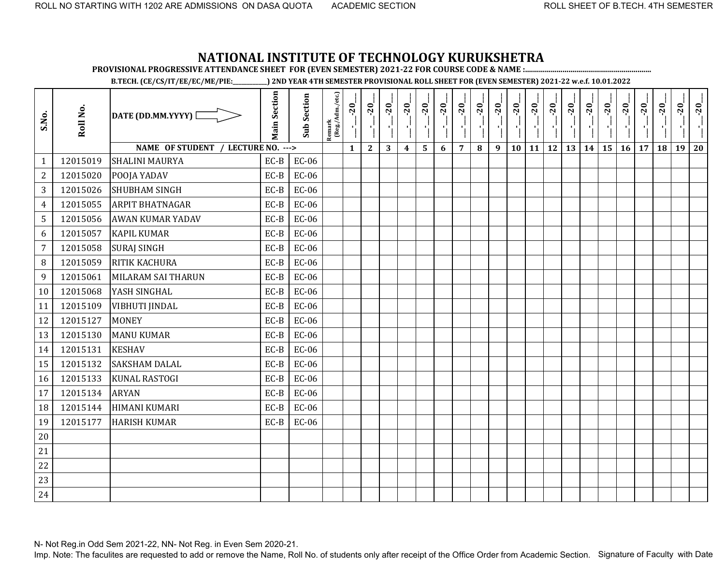**PROVISIONAL PROGRESSIVE ATTENDANCE SHEET FOR (EVEN SEMESTER) 2021-22 FOR COURSE CODE & NAME :................................................................**

**B.TECH. (CE/CS/IT/EE/EC/ME/PIE:\_\_\_\_\_\_\_\_\_\_\_\_) 2ND YEAR 4TH SEMESTER PROVISIONAL ROLL SHEET FOR (EVEN SEMESTER) 2021-22 w.e.f. 10.01.2022** 

| S.No.          | Roll No. | DATE (DD.MM.YYYY) [                | <b>Main Section</b> | <b>Sub Section</b> | Remark<br>(Reg./Adm./etc.) | $-20$<br>J,  | $-20$<br>$\mathbf{r}$ | $-20$ | $-20$            | $-20$ | $-20$ | $-20$          | $-20$ | $-20$ | $-20$ | $-20$ | $-20$ | $-20$ | $-20$ | $-20$ | $-20$ | $-20$ | $-20$ | $-20$ | $-20$ |
|----------------|----------|------------------------------------|---------------------|--------------------|----------------------------|--------------|-----------------------|-------|------------------|-------|-------|----------------|-------|-------|-------|-------|-------|-------|-------|-------|-------|-------|-------|-------|-------|
|                |          | NAME OF STUDENT / LECTURE NO. ---> |                     |                    |                            | $\mathbf{1}$ | $\mathbf{2}$          | 3     | $\boldsymbol{4}$ | 5     | 6     | $\overline{7}$ | 8     | 9     | 10    | 11    | 12    | 13    | 14    | 15    | 16    | 17    | 18    | 19    | 20    |
| $\mathbf{1}$   | 12015019 | <b>SHALINI MAURYA</b>              | EC-B                | <b>EC-06</b>       |                            |              |                       |       |                  |       |       |                |       |       |       |       |       |       |       |       |       |       |       |       |       |
| $\mathbf{2}$   | 12015020 | POOJA YADAV                        | $EC-B$              | $EC-06$            |                            |              |                       |       |                  |       |       |                |       |       |       |       |       |       |       |       |       |       |       |       |       |
| 3              | 12015026 | <b>SHUBHAM SINGH</b>               | EC-B                | <b>EC-06</b>       |                            |              |                       |       |                  |       |       |                |       |       |       |       |       |       |       |       |       |       |       |       |       |
| 4              | 12015055 | <b>ARPIT BHATNAGAR</b>             | EC-B                | $EC-06$            |                            |              |                       |       |                  |       |       |                |       |       |       |       |       |       |       |       |       |       |       |       |       |
| 5              | 12015056 | <b>AWAN KUMAR YADAV</b>            | EC-B                | $EC-06$            |                            |              |                       |       |                  |       |       |                |       |       |       |       |       |       |       |       |       |       |       |       |       |
| 6              | 12015057 | <b>KAPIL KUMAR</b>                 | EC-B                | <b>EC-06</b>       |                            |              |                       |       |                  |       |       |                |       |       |       |       |       |       |       |       |       |       |       |       |       |
| $\overline{7}$ | 12015058 | <b>SURAJ SINGH</b>                 | EC-B                | <b>EC-06</b>       |                            |              |                       |       |                  |       |       |                |       |       |       |       |       |       |       |       |       |       |       |       |       |
| 8              | 12015059 | RITIK KACHURA                      | EC-B                | $EC-06$            |                            |              |                       |       |                  |       |       |                |       |       |       |       |       |       |       |       |       |       |       |       |       |
| 9              | 12015061 | <b>MILARAM SAI THARUN</b>          | EC-B                | <b>EC-06</b>       |                            |              |                       |       |                  |       |       |                |       |       |       |       |       |       |       |       |       |       |       |       |       |
| 10             | 12015068 | YASH SINGHAL                       | EC-B                | <b>EC-06</b>       |                            |              |                       |       |                  |       |       |                |       |       |       |       |       |       |       |       |       |       |       |       |       |
| 11             | 12015109 | <b>VIBHUTI JINDAL</b>              | EC-B                | $EC-06$            |                            |              |                       |       |                  |       |       |                |       |       |       |       |       |       |       |       |       |       |       |       |       |
| 12             | 12015127 | <b>MONEY</b>                       | EC-B                | <b>EC-06</b>       |                            |              |                       |       |                  |       |       |                |       |       |       |       |       |       |       |       |       |       |       |       |       |
| 13             | 12015130 | <b>MANU KUMAR</b>                  | $EC-B$              | EC-06              |                            |              |                       |       |                  |       |       |                |       |       |       |       |       |       |       |       |       |       |       |       |       |
| 14             | 12015131 | <b>KESHAV</b>                      | EC-B                | <b>EC-06</b>       |                            |              |                       |       |                  |       |       |                |       |       |       |       |       |       |       |       |       |       |       |       |       |
| 15             | 12015132 | <b>SAKSHAM DALAL</b>               | EC-B                | <b>EC-06</b>       |                            |              |                       |       |                  |       |       |                |       |       |       |       |       |       |       |       |       |       |       |       |       |
| 16             | 12015133 | <b>KUNAL RASTOGI</b>               | $EC-B$              | <b>EC-06</b>       |                            |              |                       |       |                  |       |       |                |       |       |       |       |       |       |       |       |       |       |       |       |       |
| 17             | 12015134 | <b>ARYAN</b>                       | EC-B                | EC-06              |                            |              |                       |       |                  |       |       |                |       |       |       |       |       |       |       |       |       |       |       |       |       |
| 18             | 12015144 | HIMANI KUMARI                      | EC-B                | $EC-06$            |                            |              |                       |       |                  |       |       |                |       |       |       |       |       |       |       |       |       |       |       |       |       |
| 19             | 12015177 | <b>HARISH KUMAR</b>                | $EC-B$              | $EC-06$            |                            |              |                       |       |                  |       |       |                |       |       |       |       |       |       |       |       |       |       |       |       |       |
| 20             |          |                                    |                     |                    |                            |              |                       |       |                  |       |       |                |       |       |       |       |       |       |       |       |       |       |       |       |       |
| 21             |          |                                    |                     |                    |                            |              |                       |       |                  |       |       |                |       |       |       |       |       |       |       |       |       |       |       |       |       |
| 22             |          |                                    |                     |                    |                            |              |                       |       |                  |       |       |                |       |       |       |       |       |       |       |       |       |       |       |       |       |
| 23             |          |                                    |                     |                    |                            |              |                       |       |                  |       |       |                |       |       |       |       |       |       |       |       |       |       |       |       |       |
| 24             |          |                                    |                     |                    |                            |              |                       |       |                  |       |       |                |       |       |       |       |       |       |       |       |       |       |       |       |       |

N- Not Reg.in Odd Sem 2021-22, NN- Not Reg. in Even Sem 2020-21.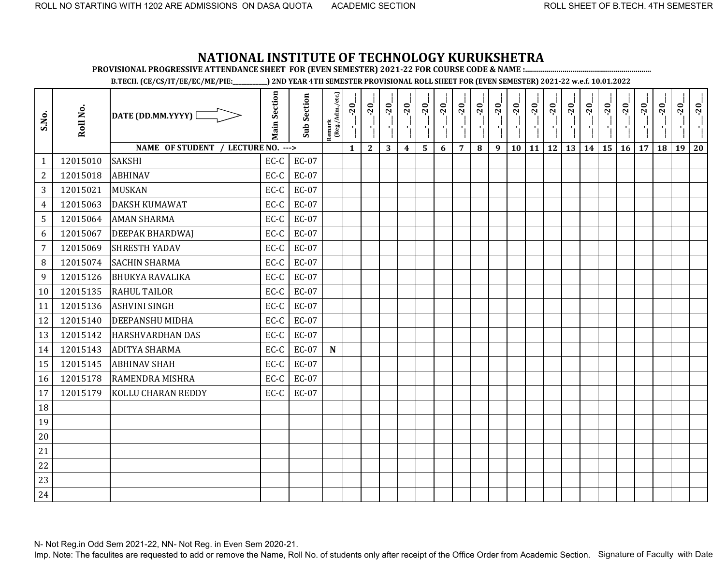**PROVISIONAL PROGRESSIVE ATTENDANCE SHEET FOR (EVEN SEMESTER) 2021-22 FOR COURSE CODE & NAME :................................................................**

**B.TECH. (CE/CS/IT/EE/EC/ME/PIE:\_\_\_\_\_\_\_\_\_\_\_\_) 2ND YEAR 4TH SEMESTER PROVISIONAL ROLL SHEET FOR (EVEN SEMESTER) 2021-22 w.e.f. 10.01.2022** 

| S.No.          | Roll No. | DATE (DD.MM.YYYY) [                | <b>Main Section</b> | <b>Sub Section</b> | $\frac{\text{Remark}}{\text{(Reg/Adm/etc.)}}$ | $-20$        | $-20$<br>$\blacksquare$ | $-20$<br>$\blacksquare$ | $-20$            | $-20$ | $-20$ | $-20$          | $-20$ | $-20$<br>7 H | $-20$<br>-97 | $-20$<br>$\mathcal{F}_1$ | $-20$<br>$\mathcal{F}_\text{L}$ | $-20$<br>$\mathcal{F}_1^{\mathcal{F}}$ | $-20$<br>÷, | $-20$           | $-20$     | $-20$ | $-20$ | $-20$ | $-20$ |
|----------------|----------|------------------------------------|---------------------|--------------------|-----------------------------------------------|--------------|-------------------------|-------------------------|------------------|-------|-------|----------------|-------|--------------|--------------|--------------------------|---------------------------------|----------------------------------------|-------------|-----------------|-----------|-------|-------|-------|-------|
|                |          | NAME OF STUDENT / LECTURE NO. ---> |                     |                    |                                               | $\mathbf{1}$ | $\mathbf{2}$            | 3                       | $\boldsymbol{4}$ | 5     | 6     | $\overline{7}$ | 8     | 9            | 10           | 11                       | <b>12</b>                       | 13                                     | 14          | 15 <sup>1</sup> | $16 \mid$ | 17    | 18    | 19    | 20    |
| $\mathbf{1}$   | 12015010 | <b>SAKSHI</b>                      | $EC-C$              | EC-07              |                                               |              |                         |                         |                  |       |       |                |       |              |              |                          |                                 |                                        |             |                 |           |       |       |       |       |
| $\mathbf{2}$   | 12015018 | <b>ABHINAV</b>                     | EC-C                | EC-07              |                                               |              |                         |                         |                  |       |       |                |       |              |              |                          |                                 |                                        |             |                 |           |       |       |       |       |
| 3              | 12015021 | <b>MUSKAN</b>                      | EC-C                | EC-07              |                                               |              |                         |                         |                  |       |       |                |       |              |              |                          |                                 |                                        |             |                 |           |       |       |       |       |
| $\overline{4}$ | 12015063 | <b>DAKSH KUMAWAT</b>               | EC-C                | EC-07              |                                               |              |                         |                         |                  |       |       |                |       |              |              |                          |                                 |                                        |             |                 |           |       |       |       |       |
| 5              | 12015064 | <b>AMAN SHARMA</b>                 | EC-C                | EC-07              |                                               |              |                         |                         |                  |       |       |                |       |              |              |                          |                                 |                                        |             |                 |           |       |       |       |       |
| 6              | 12015067 | <b>DEEPAK BHARDWAI</b>             | EC-C                | EC-07              |                                               |              |                         |                         |                  |       |       |                |       |              |              |                          |                                 |                                        |             |                 |           |       |       |       |       |
| $\overline{7}$ | 12015069 | <b>SHRESTH YADAV</b>               | EC-C                | EC-07              |                                               |              |                         |                         |                  |       |       |                |       |              |              |                          |                                 |                                        |             |                 |           |       |       |       |       |
| 8              | 12015074 | <b>SACHIN SHARMA</b>               | EC-C                | EC-07              |                                               |              |                         |                         |                  |       |       |                |       |              |              |                          |                                 |                                        |             |                 |           |       |       |       |       |
| 9              | 12015126 | <b>BHUKYA RAVALIKA</b>             | EC-C                | EC-07              |                                               |              |                         |                         |                  |       |       |                |       |              |              |                          |                                 |                                        |             |                 |           |       |       |       |       |
| 10             | 12015135 | <b>RAHUL TAILOR</b>                | EC-C                | EC-07              |                                               |              |                         |                         |                  |       |       |                |       |              |              |                          |                                 |                                        |             |                 |           |       |       |       |       |
| 11             | 12015136 | <b>ASHVINI SINGH</b>               | EC-C                | EC-07              |                                               |              |                         |                         |                  |       |       |                |       |              |              |                          |                                 |                                        |             |                 |           |       |       |       |       |
| 12             | 12015140 | <b>DEEPANSHU MIDHA</b>             | EC-C                | EC-07              |                                               |              |                         |                         |                  |       |       |                |       |              |              |                          |                                 |                                        |             |                 |           |       |       |       |       |
| 13             | 12015142 | <b>HARSHVARDHAN DAS</b>            | EC-C                | EC-07              |                                               |              |                         |                         |                  |       |       |                |       |              |              |                          |                                 |                                        |             |                 |           |       |       |       |       |
| 14             | 12015143 | <b>ADITYA SHARMA</b>               | EC-C                | EC-07              | $\mathbf N$                                   |              |                         |                         |                  |       |       |                |       |              |              |                          |                                 |                                        |             |                 |           |       |       |       |       |
| 15             | 12015145 | <b>ABHINAV SHAH</b>                | EC-C                | <b>EC-07</b>       |                                               |              |                         |                         |                  |       |       |                |       |              |              |                          |                                 |                                        |             |                 |           |       |       |       |       |
| 16             | 12015178 | RAMENDRA MISHRA                    | EC-C                | EC-07              |                                               |              |                         |                         |                  |       |       |                |       |              |              |                          |                                 |                                        |             |                 |           |       |       |       |       |
| 17             | 12015179 | <b>KOLLU CHARAN REDDY</b>          | EC-C                | EC-07              |                                               |              |                         |                         |                  |       |       |                |       |              |              |                          |                                 |                                        |             |                 |           |       |       |       |       |
| 18             |          |                                    |                     |                    |                                               |              |                         |                         |                  |       |       |                |       |              |              |                          |                                 |                                        |             |                 |           |       |       |       |       |
| 19             |          |                                    |                     |                    |                                               |              |                         |                         |                  |       |       |                |       |              |              |                          |                                 |                                        |             |                 |           |       |       |       |       |
| 20             |          |                                    |                     |                    |                                               |              |                         |                         |                  |       |       |                |       |              |              |                          |                                 |                                        |             |                 |           |       |       |       |       |
| 21             |          |                                    |                     |                    |                                               |              |                         |                         |                  |       |       |                |       |              |              |                          |                                 |                                        |             |                 |           |       |       |       |       |
| 22             |          |                                    |                     |                    |                                               |              |                         |                         |                  |       |       |                |       |              |              |                          |                                 |                                        |             |                 |           |       |       |       |       |
| 23             |          |                                    |                     |                    |                                               |              |                         |                         |                  |       |       |                |       |              |              |                          |                                 |                                        |             |                 |           |       |       |       |       |
| 24             |          |                                    |                     |                    |                                               |              |                         |                         |                  |       |       |                |       |              |              |                          |                                 |                                        |             |                 |           |       |       |       |       |

N- Not Reg.in Odd Sem 2021-22, NN- Not Reg. in Even Sem 2020-21.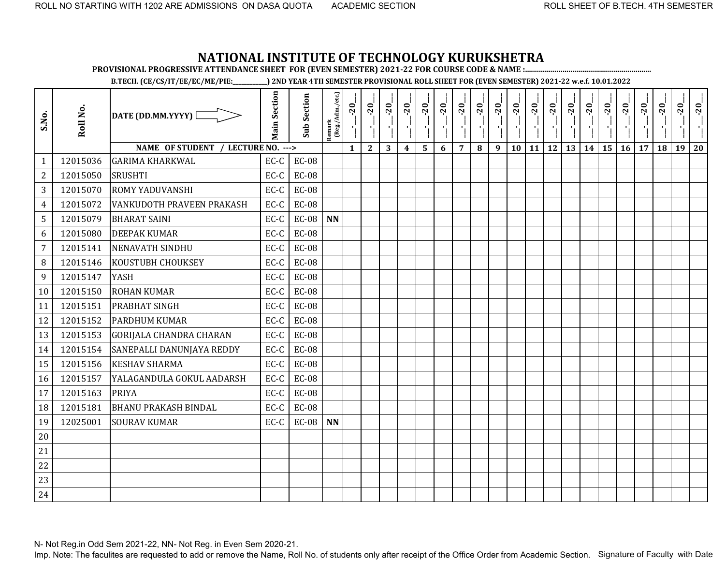**PROVISIONAL PROGRESSIVE ATTENDANCE SHEET FOR (EVEN SEMESTER) 2021-22 FOR COURSE CODE & NAME :................................................................**

**B.TECH. (CE/CS/IT/EE/EC/ME/PIE:\_\_\_\_\_\_\_\_\_\_\_\_) 2ND YEAR 4TH SEMESTER PROVISIONAL ROLL SHEET FOR (EVEN SEMESTER) 2021-22 w.e.f. 10.01.2022** 

| S.No.          | Roll No. | DATE (DD.MM.YYYY) [                | <b>Main Section</b> | <b>Sub Section</b> | Remark<br>(Reg./Adm./etc.) | $-20$        | $-20$        | $-20$<br>×, | $-20$<br>×       | $-20$        | $-20$ | $-20$          | $-20$ | $-20$            | $-20$ | $-20$<br>AG. | $-20$<br>a Co | $-20$<br>л,                                         | $-20$ | $-20$     | $-20$ | $-20$ | $-20$ | $-20$ | $-20$ |
|----------------|----------|------------------------------------|---------------------|--------------------|----------------------------|--------------|--------------|-------------|------------------|--------------|-------|----------------|-------|------------------|-------|--------------|---------------|-----------------------------------------------------|-------|-----------|-------|-------|-------|-------|-------|
|                |          | NAME OF STUDENT / LECTURE NO. ---> |                     |                    |                            | $\mathbf{1}$ | $\mathbf{2}$ | 3           | $\boldsymbol{4}$ | $\mathbf{5}$ | 6     | $\overline{7}$ | 8     | $\boldsymbol{9}$ | 10    |              |               | $\boxed{11}$ $\boxed{12}$ $\boxed{13}$ $\boxed{14}$ |       | <b>15</b> | 16    | 17    | 18    | 19    | 20    |
| 1              | 12015036 | <b>GARIMA KHARKWAL</b>             | EC-C                | <b>EC-08</b>       |                            |              |              |             |                  |              |       |                |       |                  |       |              |               |                                                     |       |           |       |       |       |       |       |
| $\overline{2}$ | 12015050 | <b>SRUSHTI</b>                     | EC-C                | <b>EC-08</b>       |                            |              |              |             |                  |              |       |                |       |                  |       |              |               |                                                     |       |           |       |       |       |       |       |
| 3              | 12015070 | <b>ROMY YADUVANSHI</b>             | EC-C                | <b>EC-08</b>       |                            |              |              |             |                  |              |       |                |       |                  |       |              |               |                                                     |       |           |       |       |       |       |       |
| $\overline{4}$ | 12015072 | <b>VANKUDOTH PRAVEEN PRAKASH</b>   | $EC-C$              | <b>EC-08</b>       |                            |              |              |             |                  |              |       |                |       |                  |       |              |               |                                                     |       |           |       |       |       |       |       |
| 5              | 12015079 | <b>BHARAT SAINI</b>                | EC-C                | $EC-08$            | <b>NN</b>                  |              |              |             |                  |              |       |                |       |                  |       |              |               |                                                     |       |           |       |       |       |       |       |
| 6              | 12015080 | <b>DEEPAK KUMAR</b>                | EC-C                | <b>EC-08</b>       |                            |              |              |             |                  |              |       |                |       |                  |       |              |               |                                                     |       |           |       |       |       |       |       |
| $\overline{7}$ | 12015141 | <b>NENAVATH SINDHU</b>             | EC-C                | <b>EC-08</b>       |                            |              |              |             |                  |              |       |                |       |                  |       |              |               |                                                     |       |           |       |       |       |       |       |
| $\, 8$         | 12015146 | <b>KOUSTUBH CHOUKSEY</b>           | EC-C                | <b>EC-08</b>       |                            |              |              |             |                  |              |       |                |       |                  |       |              |               |                                                     |       |           |       |       |       |       |       |
| $\overline{9}$ | 12015147 | <b>YASH</b>                        | EC-C                | <b>EC-08</b>       |                            |              |              |             |                  |              |       |                |       |                  |       |              |               |                                                     |       |           |       |       |       |       |       |
| 10             | 12015150 | <b>ROHAN KUMAR</b>                 | EC-C                | <b>EC-08</b>       |                            |              |              |             |                  |              |       |                |       |                  |       |              |               |                                                     |       |           |       |       |       |       |       |
| 11             | 12015151 | <b>PRABHAT SINGH</b>               | EC-C                | <b>EC-08</b>       |                            |              |              |             |                  |              |       |                |       |                  |       |              |               |                                                     |       |           |       |       |       |       |       |
| 12             | 12015152 | <b>PARDHUM KUMAR</b>               | EC-C                | <b>EC-08</b>       |                            |              |              |             |                  |              |       |                |       |                  |       |              |               |                                                     |       |           |       |       |       |       |       |
| 13             | 12015153 | <b>GORIJALA CHANDRA CHARAN</b>     | EC-C                | <b>EC-08</b>       |                            |              |              |             |                  |              |       |                |       |                  |       |              |               |                                                     |       |           |       |       |       |       |       |
| 14             | 12015154 | SANEPALLI DANUNJAYA REDDY          | EC-C                | <b>EC-08</b>       |                            |              |              |             |                  |              |       |                |       |                  |       |              |               |                                                     |       |           |       |       |       |       |       |
| 15             | 12015156 | <b>KESHAV SHARMA</b>               | EC-C                | <b>EC-08</b>       |                            |              |              |             |                  |              |       |                |       |                  |       |              |               |                                                     |       |           |       |       |       |       |       |
| 16             | 12015157 | YALAGANDULA GOKUL AADARSH          | EC-C                | <b>EC-08</b>       |                            |              |              |             |                  |              |       |                |       |                  |       |              |               |                                                     |       |           |       |       |       |       |       |
| 17             | 12015163 | <b>PRIYA</b>                       | EC-C                | <b>EC-08</b>       |                            |              |              |             |                  |              |       |                |       |                  |       |              |               |                                                     |       |           |       |       |       |       |       |
| 18             | 12015181 | <b>BHANU PRAKASH BINDAL</b>        | EC-C                | <b>EC-08</b>       |                            |              |              |             |                  |              |       |                |       |                  |       |              |               |                                                     |       |           |       |       |       |       |       |
| 19             | 12025001 | <b>SOURAV KUMAR</b>                | EC-C                | <b>EC-08</b>       | <b>NN</b>                  |              |              |             |                  |              |       |                |       |                  |       |              |               |                                                     |       |           |       |       |       |       |       |
| 20             |          |                                    |                     |                    |                            |              |              |             |                  |              |       |                |       |                  |       |              |               |                                                     |       |           |       |       |       |       |       |
| 21             |          |                                    |                     |                    |                            |              |              |             |                  |              |       |                |       |                  |       |              |               |                                                     |       |           |       |       |       |       |       |
| 22             |          |                                    |                     |                    |                            |              |              |             |                  |              |       |                |       |                  |       |              |               |                                                     |       |           |       |       |       |       |       |
| 23             |          |                                    |                     |                    |                            |              |              |             |                  |              |       |                |       |                  |       |              |               |                                                     |       |           |       |       |       |       |       |
| 24             |          |                                    |                     |                    |                            |              |              |             |                  |              |       |                |       |                  |       |              |               |                                                     |       |           |       |       |       |       |       |

N- Not Reg.in Odd Sem 2021-22, NN- Not Reg. in Even Sem 2020-21.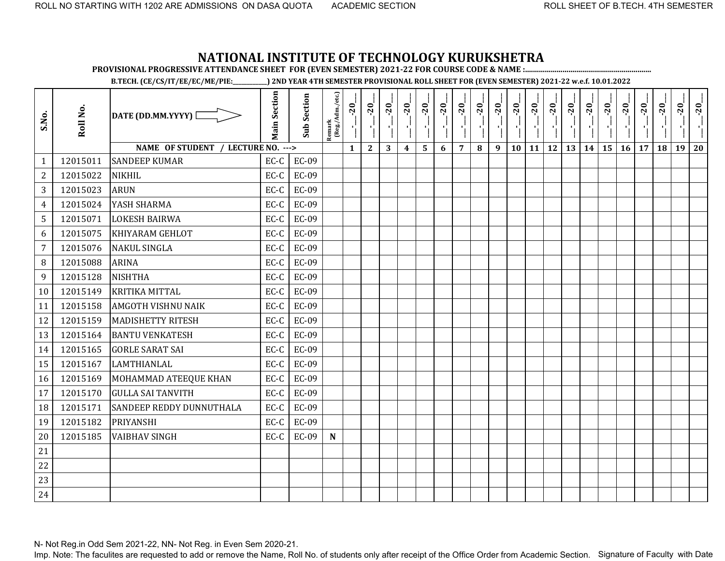**PROVISIONAL PROGRESSIVE ATTENDANCE SHEET FOR (EVEN SEMESTER) 2021-22 FOR COURSE CODE & NAME :................................................................**

**B.TECH. (CE/CS/IT/EE/EC/ME/PIE:\_\_\_\_\_\_\_\_\_\_\_\_) 2ND YEAR 4TH SEMESTER PROVISIONAL ROLL SHEET FOR (EVEN SEMESTER) 2021-22 w.e.f. 10.01.2022** 

| S.No.          | Roll No. | DATE (DD.MM.YYYY) [                | <b>Main Section</b> | <b>Sub Section</b> | Remark<br>(Reg./Adm./etc.) | $-20$        | $-20$<br>۱ļ  | $-20$ | $-20$            | $-20$ | $-20$ | $-20$          | $-20$ | $-20$ | $-20$ | $-20$ | $-20$     | $-20$ | $-20$ | $-20$ | $-20$ | $-20$ | $-20$ | $-20$ | $-20$ |
|----------------|----------|------------------------------------|---------------------|--------------------|----------------------------|--------------|--------------|-------|------------------|-------|-------|----------------|-------|-------|-------|-------|-----------|-------|-------|-------|-------|-------|-------|-------|-------|
|                |          | NAME OF STUDENT / LECTURE NO. ---> |                     |                    |                            | $\mathbf{1}$ | $\mathbf{2}$ | 3     | $\boldsymbol{4}$ | 5     | 6     | $\overline{7}$ | 8     | 9     | 10    | 11    | <b>12</b> | 13    | 14    | 15    | 16    | 17    | 18    | 19    | 20    |
| $\mathbf{1}$   | 12015011 | <b>SANDEEP KUMAR</b>               | EC-C                | EC-09              |                            |              |              |       |                  |       |       |                |       |       |       |       |           |       |       |       |       |       |       |       |       |
| $\mathbf{2}$   | 12015022 | <b>NIKHIL</b>                      | EC-C                | EC-09              |                            |              |              |       |                  |       |       |                |       |       |       |       |           |       |       |       |       |       |       |       |       |
| 3              | 12015023 | <b>ARUN</b>                        | EC-C                | EC-09              |                            |              |              |       |                  |       |       |                |       |       |       |       |           |       |       |       |       |       |       |       |       |
| 4              | 12015024 | YASH SHARMA                        | EC-C                | <b>EC-09</b>       |                            |              |              |       |                  |       |       |                |       |       |       |       |           |       |       |       |       |       |       |       |       |
| 5              | 12015071 | <b>LOKESH BAIRWA</b>               | EC-C                | EC-09              |                            |              |              |       |                  |       |       |                |       |       |       |       |           |       |       |       |       |       |       |       |       |
| 6              | 12015075 | <b>KHIYARAM GEHLOT</b>             | EC-C                | EC-09              |                            |              |              |       |                  |       |       |                |       |       |       |       |           |       |       |       |       |       |       |       |       |
| $\overline{7}$ | 12015076 | <b>NAKUL SINGLA</b>                | EC-C                | <b>EC-09</b>       |                            |              |              |       |                  |       |       |                |       |       |       |       |           |       |       |       |       |       |       |       |       |
| 8              | 12015088 | <b>ARINA</b>                       | EC-C                | <b>EC-09</b>       |                            |              |              |       |                  |       |       |                |       |       |       |       |           |       |       |       |       |       |       |       |       |
| 9              | 12015128 | <b>NISHTHA</b>                     | EC-C                | EC-09              |                            |              |              |       |                  |       |       |                |       |       |       |       |           |       |       |       |       |       |       |       |       |
| 10             | 12015149 | <b>KRITIKA MITTAL</b>              | EC-C                | EC-09              |                            |              |              |       |                  |       |       |                |       |       |       |       |           |       |       |       |       |       |       |       |       |
| 11             | 12015158 | <b>AMGOTH VISHNU NAIK</b>          | EC-C                | EC-09              |                            |              |              |       |                  |       |       |                |       |       |       |       |           |       |       |       |       |       |       |       |       |
| 12             | 12015159 | <b>MADISHETTY RITESH</b>           | EC-C                | EC-09              |                            |              |              |       |                  |       |       |                |       |       |       |       |           |       |       |       |       |       |       |       |       |
| 13             | 12015164 | <b>BANTU VENKATESH</b>             | EC-C                | EC-09              |                            |              |              |       |                  |       |       |                |       |       |       |       |           |       |       |       |       |       |       |       |       |
| 14             | 12015165 | <b>GORLE SARAT SAI</b>             | EC-C                | EC-09              |                            |              |              |       |                  |       |       |                |       |       |       |       |           |       |       |       |       |       |       |       |       |
| 15             | 12015167 | LAMTHIANLAL                        | EC-C                | EC-09              |                            |              |              |       |                  |       |       |                |       |       |       |       |           |       |       |       |       |       |       |       |       |
| 16             | 12015169 | MOHAMMAD ATEEQUE KHAN              | EC-C                | EC-09              |                            |              |              |       |                  |       |       |                |       |       |       |       |           |       |       |       |       |       |       |       |       |
| 17             | 12015170 | <b>GULLA SAI TANVITH</b>           | EC-C                | <b>EC-09</b>       |                            |              |              |       |                  |       |       |                |       |       |       |       |           |       |       |       |       |       |       |       |       |
| 18             | 12015171 | SANDEEP REDDY DUNNUTHALA           | EC-C                | EC-09              |                            |              |              |       |                  |       |       |                |       |       |       |       |           |       |       |       |       |       |       |       |       |
| 19             | 12015182 | PRIYANSHI                          | EC-C                | EC-09              |                            |              |              |       |                  |       |       |                |       |       |       |       |           |       |       |       |       |       |       |       |       |
| 20             | 12015185 | <b>VAIBHAV SINGH</b>               | EC-C                | EC-09              | $\mathbf N$                |              |              |       |                  |       |       |                |       |       |       |       |           |       |       |       |       |       |       |       |       |
| 21             |          |                                    |                     |                    |                            |              |              |       |                  |       |       |                |       |       |       |       |           |       |       |       |       |       |       |       |       |
| 22             |          |                                    |                     |                    |                            |              |              |       |                  |       |       |                |       |       |       |       |           |       |       |       |       |       |       |       |       |
| 23             |          |                                    |                     |                    |                            |              |              |       |                  |       |       |                |       |       |       |       |           |       |       |       |       |       |       |       |       |
| 24             |          |                                    |                     |                    |                            |              |              |       |                  |       |       |                |       |       |       |       |           |       |       |       |       |       |       |       |       |

N- Not Reg.in Odd Sem 2021-22, NN- Not Reg. in Even Sem 2020-21.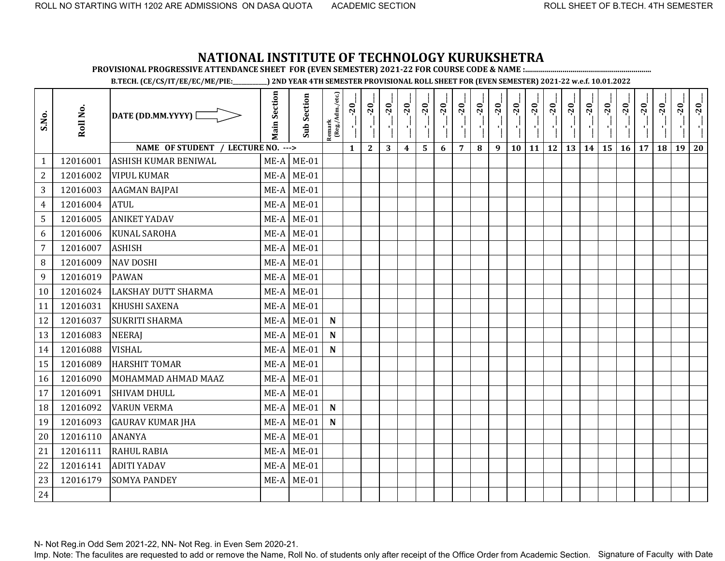**PROVISIONAL PROGRESSIVE ATTENDANCE SHEET FOR (EVEN SEMESTER) 2021-22 FOR COURSE CODE & NAME :................................................................**

**B.TECH. (CE/CS/IT/EE/EC/ME/PIE:\_\_\_\_\_\_\_\_\_\_\_\_) 2ND YEAR 4TH SEMESTER PROVISIONAL ROLL SHEET FOR (EVEN SEMESTER) 2021-22 w.e.f. 10.01.2022** 

| S.No.          | Roll No. | DATE (DD.MM.YYYY) [                        | <b>Main Section</b> | <b>Sub Section</b> | Remark<br>(Reg./Adm./etc.) | $-20$<br>۱ļ  | $-20$<br>$\mathbf{r}$ | $-20$ | $-20$                   | $-20$ | $-20$ | $-20$          | $-20$ | $-20$ | $-20$ | $-20$        | $-20$ | $-20$ | $-20$ | $-20$ | $-20$ | $-20$ | $-20$ | $-20$ | $-20$ |
|----------------|----------|--------------------------------------------|---------------------|--------------------|----------------------------|--------------|-----------------------|-------|-------------------------|-------|-------|----------------|-------|-------|-------|--------------|-------|-------|-------|-------|-------|-------|-------|-------|-------|
|                |          | <b>NAME OF STUDENT</b><br>LECTURE NO. ---> |                     |                    |                            | $\mathbf{1}$ | $\mathbf{2}$          | 3     | $\overline{\mathbf{4}}$ | 5     | 6     | $\overline{7}$ | 8     | 9     | 10    | $11 \mid 12$ |       | 13    | 14    | 15    | 16    | 17    | 18    | 19    | 20    |
| $\mathbf{1}$   | 12016001 | ASHISH KUMAR BENIWAL                       | ME-A                | $ME-01$            |                            |              |                       |       |                         |       |       |                |       |       |       |              |       |       |       |       |       |       |       |       |       |
| $\overline{2}$ | 12016002 | <b>VIPUL KUMAR</b>                         | $ME-A$              | $ME-01$            |                            |              |                       |       |                         |       |       |                |       |       |       |              |       |       |       |       |       |       |       |       |       |
| 3              | 12016003 | <b>AAGMAN BAJPAI</b>                       | ME-A                | $ME-01$            |                            |              |                       |       |                         |       |       |                |       |       |       |              |       |       |       |       |       |       |       |       |       |
| 4              | 12016004 | <b>ATUL</b>                                | ME-A                | $ME-01$            |                            |              |                       |       |                         |       |       |                |       |       |       |              |       |       |       |       |       |       |       |       |       |
| 5              | 12016005 | <b>ANIKET YADAV</b>                        | $ME-A$              | $ME-01$            |                            |              |                       |       |                         |       |       |                |       |       |       |              |       |       |       |       |       |       |       |       |       |
| 6              | 12016006 | <b>KUNAL SAROHA</b>                        | ME-A                | $ME-01$            |                            |              |                       |       |                         |       |       |                |       |       |       |              |       |       |       |       |       |       |       |       |       |
| $\overline{7}$ | 12016007 | <b>ASHISH</b>                              | ME-A                | $ME-01$            |                            |              |                       |       |                         |       |       |                |       |       |       |              |       |       |       |       |       |       |       |       |       |
| 8              | 12016009 | <b>NAV DOSHI</b>                           | ME-A                | $ME-01$            |                            |              |                       |       |                         |       |       |                |       |       |       |              |       |       |       |       |       |       |       |       |       |
| 9              | 12016019 | <b>PAWAN</b>                               | $ME-A$              | <b>ME-01</b>       |                            |              |                       |       |                         |       |       |                |       |       |       |              |       |       |       |       |       |       |       |       |       |
| 10             | 12016024 | <b>LAKSHAY DUTT SHARMA</b>                 | ME-A                | $ME-01$            |                            |              |                       |       |                         |       |       |                |       |       |       |              |       |       |       |       |       |       |       |       |       |
| 11             | 12016031 | KHUSHI SAXENA                              | $ME-A$              | $ME-01$            |                            |              |                       |       |                         |       |       |                |       |       |       |              |       |       |       |       |       |       |       |       |       |
| 12             | 12016037 | <b>SUKRITI SHARMA</b>                      | $ME-A$              | $ME-01$            | $\mathbf N$                |              |                       |       |                         |       |       |                |       |       |       |              |       |       |       |       |       |       |       |       |       |
| 13             | 12016083 | <b>NEERAJ</b>                              | ME-A                | $ME-01$            | $\mathbf N$                |              |                       |       |                         |       |       |                |       |       |       |              |       |       |       |       |       |       |       |       |       |
| 14             | 12016088 | <b>VISHAL</b>                              | ME-A                | $ME-01$            | $\mathbf N$                |              |                       |       |                         |       |       |                |       |       |       |              |       |       |       |       |       |       |       |       |       |
| 15             | 12016089 | <b>HARSHIT TOMAR</b>                       | ME-A                | $ME-01$            |                            |              |                       |       |                         |       |       |                |       |       |       |              |       |       |       |       |       |       |       |       |       |
| 16             | 12016090 | MOHAMMAD AHMAD MAAZ                        | ME-A                | $ME-01$            |                            |              |                       |       |                         |       |       |                |       |       |       |              |       |       |       |       |       |       |       |       |       |
| 17             | 12016091 | <b>SHIVAM DHULL</b>                        | ME-A                | <b>ME-01</b>       |                            |              |                       |       |                         |       |       |                |       |       |       |              |       |       |       |       |       |       |       |       |       |
| 18             | 12016092 | <b>VARUN VERMA</b>                         | ME-A                | $ME-01$            | $\mathbf N$                |              |                       |       |                         |       |       |                |       |       |       |              |       |       |       |       |       |       |       |       |       |
| 19             | 12016093 | <b>GAURAV KUMAR JHA</b>                    | $ME-A$              | $ME-01$            | $\mathbf N$                |              |                       |       |                         |       |       |                |       |       |       |              |       |       |       |       |       |       |       |       |       |
| 20             | 12016110 | <b>ANANYA</b>                              | $ME-A$              | $ME-01$            |                            |              |                       |       |                         |       |       |                |       |       |       |              |       |       |       |       |       |       |       |       |       |
| 21             | 12016111 | RAHUL RABIA                                | $ME-A$              | $ME-01$            |                            |              |                       |       |                         |       |       |                |       |       |       |              |       |       |       |       |       |       |       |       |       |
| 22             | 12016141 | <b>ADITI YADAV</b>                         | $ME-A$              | <b>ME-01</b>       |                            |              |                       |       |                         |       |       |                |       |       |       |              |       |       |       |       |       |       |       |       |       |
| 23             | 12016179 | <b>SOMYA PANDEY</b>                        | $ME-A$              | $ME-01$            |                            |              |                       |       |                         |       |       |                |       |       |       |              |       |       |       |       |       |       |       |       |       |
| 24             |          |                                            |                     |                    |                            |              |                       |       |                         |       |       |                |       |       |       |              |       |       |       |       |       |       |       |       |       |

N- Not Reg.in Odd Sem 2021-22, NN- Not Reg. in Even Sem 2020-21.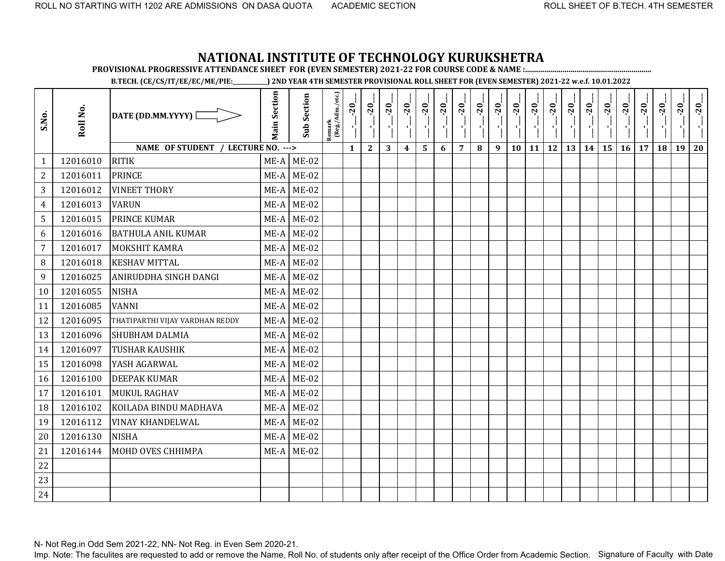**PROVISIONAL PROGRESSIVE ATTENDANCE SHEET FOR (EVEN SEMESTER) 2021-22 FOR COURSE CODE & NAME :................................................................**

**B.TECH. (CE/CS/IT/EE/EC/ME/PIE:\_\_\_\_\_\_\_\_\_\_\_\_) 2ND YEAR 4TH SEMESTER PROVISIONAL ROLL SHEET FOR (EVEN SEMESTER) 2021-22 w.e.f. 10.01.2022** 

| S.No.          | Roll No. | DATE (DD.MM.YYYY) [                | <b>Main Section</b> | <b>Sub Section</b> | Remark<br>(Reg./Adm./etc.) | $-20$<br>$\mathbf{r}$ | $-20$<br>$\mathbf{r}$ | $-20$ | $-20$            | $-20$ | $-20$ | $-20$          | $-20$ | $-20$ | $-20$ | $-20$     | $-20$     | $-20$ | $-20$ | $-20$ | $-20$ | $-20$ | 20 | $-20$ | $-20$ |
|----------------|----------|------------------------------------|---------------------|--------------------|----------------------------|-----------------------|-----------------------|-------|------------------|-------|-------|----------------|-------|-------|-------|-----------|-----------|-------|-------|-------|-------|-------|----|-------|-------|
|                |          | NAME OF STUDENT / LECTURE NO. ---> |                     |                    |                            | $\mathbf{1}$          | $\mathbf{2}$          | 3     | $\boldsymbol{4}$ | 5     | 6     | $\overline{7}$ | 8     | 9     | 10    | <b>11</b> | <b>12</b> | 13    | 14    | 15    | 16    | 17    | 18 | 19    | 20    |
| 1              | 12016010 | <b>RITIK</b>                       | ME-A                | $ME-02$            |                            |                       |                       |       |                  |       |       |                |       |       |       |           |           |       |       |       |       |       |    |       |       |
| $\overline{2}$ | 12016011 | <b>PRINCE</b>                      | $ME-A$              | $ME-02$            |                            |                       |                       |       |                  |       |       |                |       |       |       |           |           |       |       |       |       |       |    |       |       |
| 3              | 12016012 | <b>VINEET THORY</b>                | ME-A                | $ME-02$            |                            |                       |                       |       |                  |       |       |                |       |       |       |           |           |       |       |       |       |       |    |       |       |
| 4              | 12016013 | <b>VARUN</b>                       | $ME-A$              | $ME-02$            |                            |                       |                       |       |                  |       |       |                |       |       |       |           |           |       |       |       |       |       |    |       |       |
| 5              | 12016015 | <b>PRINCE KUMAR</b>                | ME-A                | <b>ME-02</b>       |                            |                       |                       |       |                  |       |       |                |       |       |       |           |           |       |       |       |       |       |    |       |       |
| 6              | 12016016 | <b>BATHULA ANIL KUMAR</b>          | $ME-A$              | $ME-02$            |                            |                       |                       |       |                  |       |       |                |       |       |       |           |           |       |       |       |       |       |    |       |       |
| $\overline{7}$ | 12016017 | MOKSHIT KAMRA                      | $ME-A$              | <b>ME-02</b>       |                            |                       |                       |       |                  |       |       |                |       |       |       |           |           |       |       |       |       |       |    |       |       |
| 8              | 12016018 | <b>KESHAV MITTAL</b>               | ME-A                | <b>ME-02</b>       |                            |                       |                       |       |                  |       |       |                |       |       |       |           |           |       |       |       |       |       |    |       |       |
| 9              | 12016025 | ANIRUDDHA SINGH DANGI              | $ME-A$              | <b>ME-02</b>       |                            |                       |                       |       |                  |       |       |                |       |       |       |           |           |       |       |       |       |       |    |       |       |
| 10             | 12016055 | <b>NISHA</b>                       | $ME-A$              | $ME-02$            |                            |                       |                       |       |                  |       |       |                |       |       |       |           |           |       |       |       |       |       |    |       |       |
| 11             | 12016085 | <b>VANNI</b>                       | ME-A                | $ME-02$            |                            |                       |                       |       |                  |       |       |                |       |       |       |           |           |       |       |       |       |       |    |       |       |
| 12             | 12016095 | THATIPARTHI VIJAY VARDHAN REDDY    | $ME-A$              | <b>ME-02</b>       |                            |                       |                       |       |                  |       |       |                |       |       |       |           |           |       |       |       |       |       |    |       |       |
| 13             | 12016096 | <b>SHUBHAM DALMIA</b>              | ME-A                | <b>ME-02</b>       |                            |                       |                       |       |                  |       |       |                |       |       |       |           |           |       |       |       |       |       |    |       |       |
| 14             | 12016097 | <b>TUSHAR KAUSHIK</b>              | ME-A                | $ME-02$            |                            |                       |                       |       |                  |       |       |                |       |       |       |           |           |       |       |       |       |       |    |       |       |
| 15             | 12016098 | YASH AGARWAL                       | ME-A                | <b>ME-02</b>       |                            |                       |                       |       |                  |       |       |                |       |       |       |           |           |       |       |       |       |       |    |       |       |
| 16             | 12016100 | <b>DEEPAK KUMAR</b>                | $ME-A$              | $ME-02$            |                            |                       |                       |       |                  |       |       |                |       |       |       |           |           |       |       |       |       |       |    |       |       |
| 17             | 12016101 | <b>MUKUL RAGHAV</b>                | ME-A                | <b>ME-02</b>       |                            |                       |                       |       |                  |       |       |                |       |       |       |           |           |       |       |       |       |       |    |       |       |
| 18             | 12016102 | KOILADA BINDU MADHAVA              | $ME-A$              | $ME-02$            |                            |                       |                       |       |                  |       |       |                |       |       |       |           |           |       |       |       |       |       |    |       |       |
| 19             | 12016112 | <b>VINAY KHANDELWAL</b>            | $ME-A$              | $ME-02$            |                            |                       |                       |       |                  |       |       |                |       |       |       |           |           |       |       |       |       |       |    |       |       |
| 20             | 12016130 | <b>NISHA</b>                       | $ME-A$              | <b>ME-02</b>       |                            |                       |                       |       |                  |       |       |                |       |       |       |           |           |       |       |       |       |       |    |       |       |
| 21             | 12016144 | MOHD OVES CHHIMPA                  | $ME-A$              | <b>ME-02</b>       |                            |                       |                       |       |                  |       |       |                |       |       |       |           |           |       |       |       |       |       |    |       |       |
| 22             |          |                                    |                     |                    |                            |                       |                       |       |                  |       |       |                |       |       |       |           |           |       |       |       |       |       |    |       |       |
| 23             |          |                                    |                     |                    |                            |                       |                       |       |                  |       |       |                |       |       |       |           |           |       |       |       |       |       |    |       |       |
| 24             |          |                                    |                     |                    |                            |                       |                       |       |                  |       |       |                |       |       |       |           |           |       |       |       |       |       |    |       |       |

N- Not Reg.in Odd Sem 2021-22, NN- Not Reg. in Even Sem 2020-21.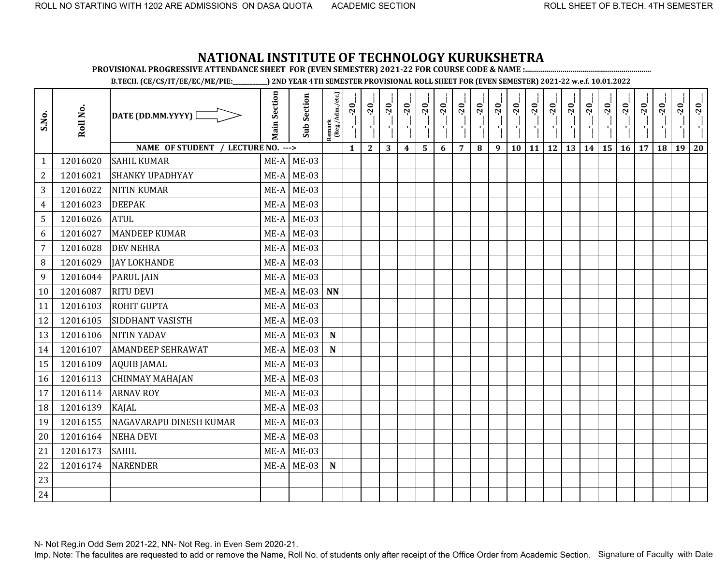**PROVISIONAL PROGRESSIVE ATTENDANCE SHEET FOR (EVEN SEMESTER) 2021-22 FOR COURSE CODE & NAME :................................................................**

**B.TECH. (CE/CS/IT/EE/EC/ME/PIE:\_\_\_\_\_\_\_\_\_\_\_\_) 2ND YEAR 4TH SEMESTER PROVISIONAL ROLL SHEET FOR (EVEN SEMESTER) 2021-22 w.e.f. 10.01.2022** 

| S.No.          | Roll No. | DATE (DD.MM.YYYY) [                | <b>Main Section</b> | <b>Sub Section</b> | Remark<br>(Reg./Adm./etc.) | $-20$        | $-20$        | $-20$ | $-20$            | $-20$                   | $-20$ | $-20$          | $-20$ | $-20$ | $-20$ | $-20$ | $-20$     | $-20$                | $-20$ | $-20$ | $-20$ | $-20$ | $-20$ | $-20$ | $-20$ |
|----------------|----------|------------------------------------|---------------------|--------------------|----------------------------|--------------|--------------|-------|------------------|-------------------------|-------|----------------|-------|-------|-------|-------|-----------|----------------------|-------|-------|-------|-------|-------|-------|-------|
|                |          | NAME OF STUDENT / LECTURE NO. ---> |                     |                    |                            | $\mathbf{1}$ | $\mathbf{2}$ | 3     | $\boldsymbol{4}$ | $\overline{\mathbf{5}}$ | 6     | $\overline{7}$ | 8     | 9     | 10    | 11    | <b>12</b> | $13 \mid 14 \mid 15$ |       |       | 16    | 17    | 18    | 19    | 20    |
| $\mathbf{1}$   | 12016020 | <b>SAHIL KUMAR</b>                 | $ME-A$              | <b>ME-03</b>       |                            |              |              |       |                  |                         |       |                |       |       |       |       |           |                      |       |       |       |       |       |       |       |
| $\overline{2}$ | 12016021 | <b>SHANKY UPADHYAY</b>             | ME-A                | $ME-03$            |                            |              |              |       |                  |                         |       |                |       |       |       |       |           |                      |       |       |       |       |       |       |       |
| 3              | 12016022 | <b>NITIN KUMAR</b>                 | $ME-A$              | $ME-03$            |                            |              |              |       |                  |                         |       |                |       |       |       |       |           |                      |       |       |       |       |       |       |       |
| $\overline{4}$ | 12016023 | <b>DEEPAK</b>                      | ME-A                | <b>ME-03</b>       |                            |              |              |       |                  |                         |       |                |       |       |       |       |           |                      |       |       |       |       |       |       |       |
| 5              | 12016026 | <b>ATUL</b>                        | ME-A                | $ME-03$            |                            |              |              |       |                  |                         |       |                |       |       |       |       |           |                      |       |       |       |       |       |       |       |
| 6              | 12016027 | <b>MANDEEP KUMAR</b>               | $ME-A$              | $ME-03$            |                            |              |              |       |                  |                         |       |                |       |       |       |       |           |                      |       |       |       |       |       |       |       |
| $\overline{7}$ | 12016028 | <b>DEV NEHRA</b>                   | $ME-A$              | $ME-03$            |                            |              |              |       |                  |                         |       |                |       |       |       |       |           |                      |       |       |       |       |       |       |       |
| $\, 8$         | 12016029 | <b>JAY LOKHANDE</b>                | $ME-A$              | <b>ME-03</b>       |                            |              |              |       |                  |                         |       |                |       |       |       |       |           |                      |       |       |       |       |       |       |       |
| 9              | 12016044 | <b>PARUL JAIN</b>                  | $ME-A$              | <b>ME-03</b>       |                            |              |              |       |                  |                         |       |                |       |       |       |       |           |                      |       |       |       |       |       |       |       |
| 10             | 12016087 | <b>RITU DEVI</b>                   | ME-A                | <b>ME-03</b>       | <b>NN</b>                  |              |              |       |                  |                         |       |                |       |       |       |       |           |                      |       |       |       |       |       |       |       |
| 11             | 12016103 | <b>ROHIT GUPTA</b>                 | $ME-A$              | $ME-03$            |                            |              |              |       |                  |                         |       |                |       |       |       |       |           |                      |       |       |       |       |       |       |       |
| 12             | 12016105 | SIDDHANT VASISTH                   | $ME-A$              | <b>ME-03</b>       |                            |              |              |       |                  |                         |       |                |       |       |       |       |           |                      |       |       |       |       |       |       |       |
| 13             | 12016106 | <b>NITIN YADAV</b>                 | $ME-A$              | $ME-03$            | ${\bf N}$                  |              |              |       |                  |                         |       |                |       |       |       |       |           |                      |       |       |       |       |       |       |       |
| 14             | 12016107 | <b>AMANDEEP SEHRAWAT</b>           | ME-A                | $ME-03$            | ${\bf N}$                  |              |              |       |                  |                         |       |                |       |       |       |       |           |                      |       |       |       |       |       |       |       |
| 15             | 12016109 | <b>AQUIB JAMAL</b>                 | $ME-A$              | $ME-03$            |                            |              |              |       |                  |                         |       |                |       |       |       |       |           |                      |       |       |       |       |       |       |       |
| 16             | 12016113 | <b>CHINMAY MAHAJAN</b>             | $ME-A$              | $ME-03$            |                            |              |              |       |                  |                         |       |                |       |       |       |       |           |                      |       |       |       |       |       |       |       |
| 17             | 12016114 | <b>ARNAV ROY</b>                   | ME-A                | $ME-03$            |                            |              |              |       |                  |                         |       |                |       |       |       |       |           |                      |       |       |       |       |       |       |       |
| 18             | 12016139 | KAJAL                              | ME-A                | $ME-03$            |                            |              |              |       |                  |                         |       |                |       |       |       |       |           |                      |       |       |       |       |       |       |       |
| 19             | 12016155 | NAGAVARAPU DINESH KUMAR            | $ME-A$              | $ME-03$            |                            |              |              |       |                  |                         |       |                |       |       |       |       |           |                      |       |       |       |       |       |       |       |
| 20             | 12016164 | <b>NEHA DEVI</b>                   | $ME-A$              | $ME-03$            |                            |              |              |       |                  |                         |       |                |       |       |       |       |           |                      |       |       |       |       |       |       |       |
| 21             | 12016173 | <b>SAHIL</b>                       | ME-A                | $ME-03$            |                            |              |              |       |                  |                         |       |                |       |       |       |       |           |                      |       |       |       |       |       |       |       |
| 22             | 12016174 | <b>NARENDER</b>                    | ME-A                | $ME-03$            | ${\bf N}$                  |              |              |       |                  |                         |       |                |       |       |       |       |           |                      |       |       |       |       |       |       |       |
| 23             |          |                                    |                     |                    |                            |              |              |       |                  |                         |       |                |       |       |       |       |           |                      |       |       |       |       |       |       |       |
| 24             |          |                                    |                     |                    |                            |              |              |       |                  |                         |       |                |       |       |       |       |           |                      |       |       |       |       |       |       |       |

N- Not Reg.in Odd Sem 2021-22, NN- Not Reg. in Even Sem 2020-21.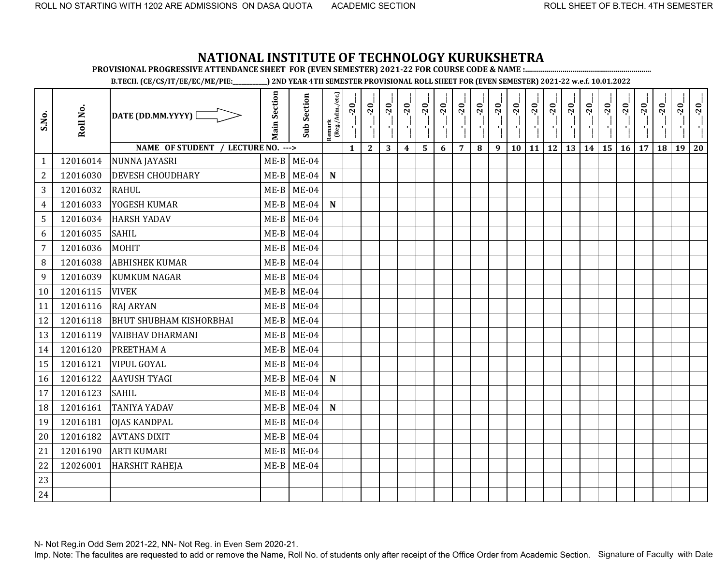**PROVISIONAL PROGRESSIVE ATTENDANCE SHEET FOR (EVEN SEMESTER) 2021-22 FOR COURSE CODE & NAME :................................................................**

**B.TECH. (CE/CS/IT/EE/EC/ME/PIE:\_\_\_\_\_\_\_\_\_\_\_\_) 2ND YEAR 4TH SEMESTER PROVISIONAL ROLL SHEET FOR (EVEN SEMESTER) 2021-22 w.e.f. 10.01.2022** 

| S.No.          | Roll No. | DATE (DD.MM.YYYY) [                | <b>Main Section</b> | <b>Sub Section</b> | Remark<br>(Reg./Adm./etc.) | $-20$<br>J.  | $-20$<br>чj  | $-20$ | $-20$            | $-20$ | $-20$ | $-20$          | $-20$ | $-20$ | $-20$ | $-20$     | $-20$ | $-20$ | $-20$ | $-20$ | $-20$ | $-20$ | $-20$ | $-20$ | $-20$ |
|----------------|----------|------------------------------------|---------------------|--------------------|----------------------------|--------------|--------------|-------|------------------|-------|-------|----------------|-------|-------|-------|-----------|-------|-------|-------|-------|-------|-------|-------|-------|-------|
|                |          | NAME OF STUDENT / LECTURE NO. ---> |                     |                    |                            | $\mathbf{1}$ | $\mathbf{2}$ | 3     | $\boldsymbol{4}$ | 5     | 6     | $\overline{7}$ | 8     | 9     | 10    | <b>11</b> | 12    | 13    | 14    | 15    | 16    | 17    | 18    | 19    | 20    |
| 1              | 12016014 | NUNNA JAYASRI                      | $ME-B$              | $ME-04$            |                            |              |              |       |                  |       |       |                |       |       |       |           |       |       |       |       |       |       |       |       |       |
| $\overline{2}$ | 12016030 | <b>DEVESH CHOUDHARY</b>            | $ME-B$              | $ME-04$            | $\mathbf N$                |              |              |       |                  |       |       |                |       |       |       |           |       |       |       |       |       |       |       |       |       |
| 3              | 12016032 | <b>RAHUL</b>                       | $ME-B$              | $ME-04$            |                            |              |              |       |                  |       |       |                |       |       |       |           |       |       |       |       |       |       |       |       |       |
| 4              | 12016033 | YOGESH KUMAR                       | $ME-B$              | $ME-04$            | $\mathbf N$                |              |              |       |                  |       |       |                |       |       |       |           |       |       |       |       |       |       |       |       |       |
| 5              | 12016034 | <b>HARSH YADAV</b>                 | $ME-B$              | $ME-04$            |                            |              |              |       |                  |       |       |                |       |       |       |           |       |       |       |       |       |       |       |       |       |
| 6              | 12016035 | <b>SAHIL</b>                       | $ME-B$              | $ME-04$            |                            |              |              |       |                  |       |       |                |       |       |       |           |       |       |       |       |       |       |       |       |       |
| $\overline{7}$ | 12016036 | MOHIT                              | $ME-B$              | $ME-04$            |                            |              |              |       |                  |       |       |                |       |       |       |           |       |       |       |       |       |       |       |       |       |
| 8              | 12016038 | <b>ABHISHEK KUMAR</b>              | $ME-B$              | $ME-04$            |                            |              |              |       |                  |       |       |                |       |       |       |           |       |       |       |       |       |       |       |       |       |
| 9              | 12016039 | <b>KUMKUM NAGAR</b>                | $ME-B$              | $ME-04$            |                            |              |              |       |                  |       |       |                |       |       |       |           |       |       |       |       |       |       |       |       |       |
| 10             | 12016115 | <b>VIVEK</b>                       | $ME-B$              | $ME-04$            |                            |              |              |       |                  |       |       |                |       |       |       |           |       |       |       |       |       |       |       |       |       |
| 11             | 12016116 | <b>RAJ ARYAN</b>                   | $ME-B$              | $ME-04$            |                            |              |              |       |                  |       |       |                |       |       |       |           |       |       |       |       |       |       |       |       |       |
| 12             | 12016118 | <b>BHUT SHUBHAM KISHORBHAI</b>     | $ME-B$              | $ME-04$            |                            |              |              |       |                  |       |       |                |       |       |       |           |       |       |       |       |       |       |       |       |       |
| 13             | 12016119 | <b>VAIBHAV DHARMANI</b>            | $ME-B$              | $ME-04$            |                            |              |              |       |                  |       |       |                |       |       |       |           |       |       |       |       |       |       |       |       |       |
| 14             | 12016120 | PREETHAM A                         | $ME-B$              | $ME-04$            |                            |              |              |       |                  |       |       |                |       |       |       |           |       |       |       |       |       |       |       |       |       |
| 15             | 12016121 | <b>VIPUL GOYAL</b>                 | $ME-B$              | $ME-04$            |                            |              |              |       |                  |       |       |                |       |       |       |           |       |       |       |       |       |       |       |       |       |
| 16             | 12016122 | <b>AAYUSH TYAGI</b>                | $ME-B$              | $ME-04$            | $\mathbf N$                |              |              |       |                  |       |       |                |       |       |       |           |       |       |       |       |       |       |       |       |       |
| 17             | 12016123 | <b>SAHIL</b>                       | $ME-B$              | $ME-04$            |                            |              |              |       |                  |       |       |                |       |       |       |           |       |       |       |       |       |       |       |       |       |
| 18             | 12016161 | <b>TANIYA YADAV</b>                | $ME-B$              | $ME-04$            | ${\bf N}$                  |              |              |       |                  |       |       |                |       |       |       |           |       |       |       |       |       |       |       |       |       |
| 19             | 12016181 | <b>OJAS KANDPAL</b>                | $ME-B$              | $ME-04$            |                            |              |              |       |                  |       |       |                |       |       |       |           |       |       |       |       |       |       |       |       |       |
| 20             | 12016182 | <b>AVTANS DIXIT</b>                | $ME-B$              | $ME-04$            |                            |              |              |       |                  |       |       |                |       |       |       |           |       |       |       |       |       |       |       |       |       |
| 21             | 12016190 | <b>ARTI KUMARI</b>                 | $ME-B$              | $ME-04$            |                            |              |              |       |                  |       |       |                |       |       |       |           |       |       |       |       |       |       |       |       |       |
| 22             | 12026001 | <b>HARSHIT RAHEJA</b>              | $ME-B$              | $ME-04$            |                            |              |              |       |                  |       |       |                |       |       |       |           |       |       |       |       |       |       |       |       |       |
| 23             |          |                                    |                     |                    |                            |              |              |       |                  |       |       |                |       |       |       |           |       |       |       |       |       |       |       |       |       |
| 24             |          |                                    |                     |                    |                            |              |              |       |                  |       |       |                |       |       |       |           |       |       |       |       |       |       |       |       |       |

N- Not Reg.in Odd Sem 2021-22, NN- Not Reg. in Even Sem 2020-21.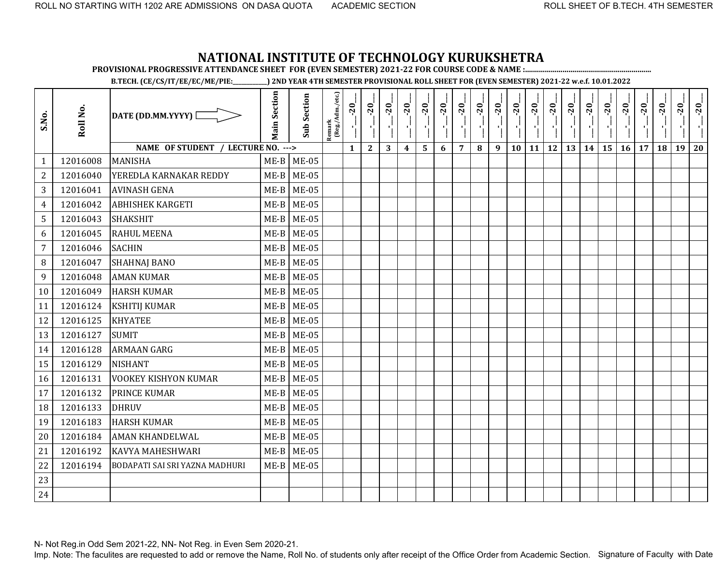**PROVISIONAL PROGRESSIVE ATTENDANCE SHEET FOR (EVEN SEMESTER) 2021-22 FOR COURSE CODE & NAME :................................................................**

**B.TECH. (CE/CS/IT/EE/EC/ME/PIE:\_\_\_\_\_\_\_\_\_\_\_\_) 2ND YEAR 4TH SEMESTER PROVISIONAL ROLL SHEET FOR (EVEN SEMESTER) 2021-22 w.e.f. 10.01.2022** 

| S.No.          | Roll No. | DATE (DD.MM.YYYY) [                   | <b>Main Section</b> | <b>Sub Section</b> | Remark<br>(Reg./Adm./etc.) | $-20$        | $-20$        | $-20$<br>٠, | $-20$<br>J,      | $-20$                   | $-20$ | $-20$          | $-20$ | $-20$ | $-20$ | $-20$ | $-20$ | $-20$ | $-20$ | $-20$                    | $-20$ | $-20$ | $-20$ | $-20$ | $-20$ |
|----------------|----------|---------------------------------------|---------------------|--------------------|----------------------------|--------------|--------------|-------------|------------------|-------------------------|-------|----------------|-------|-------|-------|-------|-------|-------|-------|--------------------------|-------|-------|-------|-------|-------|
|                |          | NAME OF STUDENT / LECTURE NO. --->    |                     |                    |                            | $\mathbf{1}$ | $\mathbf{2}$ | 3           | $\boldsymbol{4}$ | $\overline{\mathbf{5}}$ | 6     | $\overline{7}$ | 8     | 9     | 10    | 11    |       |       |       | $12$   13   14   15   16 |       | 17    | 18    | 19    | 20    |
| $\mathbf{1}$   | 12016008 | <b>MANISHA</b>                        | $ME-B$              | <b>ME-05</b>       |                            |              |              |             |                  |                         |       |                |       |       |       |       |       |       |       |                          |       |       |       |       |       |
| $\overline{2}$ | 12016040 | YEREDLA KARNAKAR REDDY                | $ME-B$              | <b>ME-05</b>       |                            |              |              |             |                  |                         |       |                |       |       |       |       |       |       |       |                          |       |       |       |       |       |
| 3              | 12016041 | <b>AVINASH GENA</b>                   | $ME-B$              | <b>ME-05</b>       |                            |              |              |             |                  |                         |       |                |       |       |       |       |       |       |       |                          |       |       |       |       |       |
| $\overline{4}$ | 12016042 | <b>ABHISHEK KARGETI</b>               | $ME-B$              | <b>ME-05</b>       |                            |              |              |             |                  |                         |       |                |       |       |       |       |       |       |       |                          |       |       |       |       |       |
| 5              | 12016043 | <b>SHAKSHIT</b>                       | $ME-B$              | <b>ME-05</b>       |                            |              |              |             |                  |                         |       |                |       |       |       |       |       |       |       |                          |       |       |       |       |       |
| 6              | 12016045 | <b>RAHUL MEENA</b>                    | $ME-B$              | $ME-05$            |                            |              |              |             |                  |                         |       |                |       |       |       |       |       |       |       |                          |       |       |       |       |       |
| $\overline{7}$ | 12016046 | <b>SACHIN</b>                         | $ME-B$              | <b>ME-05</b>       |                            |              |              |             |                  |                         |       |                |       |       |       |       |       |       |       |                          |       |       |       |       |       |
| 8              | 12016047 | <b>SHAHNAJ BANO</b>                   | $ME-B$              | <b>ME-05</b>       |                            |              |              |             |                  |                         |       |                |       |       |       |       |       |       |       |                          |       |       |       |       |       |
| 9              | 12016048 | <b>AMAN KUMAR</b>                     | $ME-B$              | <b>ME-05</b>       |                            |              |              |             |                  |                         |       |                |       |       |       |       |       |       |       |                          |       |       |       |       |       |
| 10             | 12016049 | <b>HARSH KUMAR</b>                    | $ME-B$              | $ME-05$            |                            |              |              |             |                  |                         |       |                |       |       |       |       |       |       |       |                          |       |       |       |       |       |
| 11             | 12016124 | <b>KSHITIJ KUMAR</b>                  | $ME-B$              | <b>ME-05</b>       |                            |              |              |             |                  |                         |       |                |       |       |       |       |       |       |       |                          |       |       |       |       |       |
| 12             | 12016125 | <b>KHYATEE</b>                        | $ME-B$              | <b>ME-05</b>       |                            |              |              |             |                  |                         |       |                |       |       |       |       |       |       |       |                          |       |       |       |       |       |
| 13             | 12016127 | <b>SUMIT</b>                          | $ME-B$              | <b>ME-05</b>       |                            |              |              |             |                  |                         |       |                |       |       |       |       |       |       |       |                          |       |       |       |       |       |
| 14             | 12016128 | <b>ARMAAN GARG</b>                    | $ME-B$              | <b>ME-05</b>       |                            |              |              |             |                  |                         |       |                |       |       |       |       |       |       |       |                          |       |       |       |       |       |
| 15             | 12016129 | <b>NISHANT</b>                        | $ME-B$              | <b>ME-05</b>       |                            |              |              |             |                  |                         |       |                |       |       |       |       |       |       |       |                          |       |       |       |       |       |
| 16             | 12016131 | <b>VOOKEY KISHYON KUMAR</b>           | $ME-B$              | <b>ME-05</b>       |                            |              |              |             |                  |                         |       |                |       |       |       |       |       |       |       |                          |       |       |       |       |       |
| 17             | 12016132 | <b>PRINCE KUMAR</b>                   | $ME-B$              | <b>ME-05</b>       |                            |              |              |             |                  |                         |       |                |       |       |       |       |       |       |       |                          |       |       |       |       |       |
| 18             | 12016133 | <b>DHRUV</b>                          | $ME-B$              | <b>ME-05</b>       |                            |              |              |             |                  |                         |       |                |       |       |       |       |       |       |       |                          |       |       |       |       |       |
| 19             | 12016183 | <b>HARSH KUMAR</b>                    | $ME-B$              | $ME-05$            |                            |              |              |             |                  |                         |       |                |       |       |       |       |       |       |       |                          |       |       |       |       |       |
| 20             | 12016184 | <b>AMAN KHANDELWAL</b>                | $ME-B$              | <b>ME-05</b>       |                            |              |              |             |                  |                         |       |                |       |       |       |       |       |       |       |                          |       |       |       |       |       |
| 21             | 12016192 | <b>KAVYA MAHESHWARI</b>               | $ME-B$              | <b>ME-05</b>       |                            |              |              |             |                  |                         |       |                |       |       |       |       |       |       |       |                          |       |       |       |       |       |
| 22             | 12016194 | <b>BODAPATI SAI SRI YAZNA MADHURI</b> |                     | $ME-B$ ME-05       |                            |              |              |             |                  |                         |       |                |       |       |       |       |       |       |       |                          |       |       |       |       |       |
| 23             |          |                                       |                     |                    |                            |              |              |             |                  |                         |       |                |       |       |       |       |       |       |       |                          |       |       |       |       |       |
| 24             |          |                                       |                     |                    |                            |              |              |             |                  |                         |       |                |       |       |       |       |       |       |       |                          |       |       |       |       |       |

N- Not Reg.in Odd Sem 2021-22, NN- Not Reg. in Even Sem 2020-21.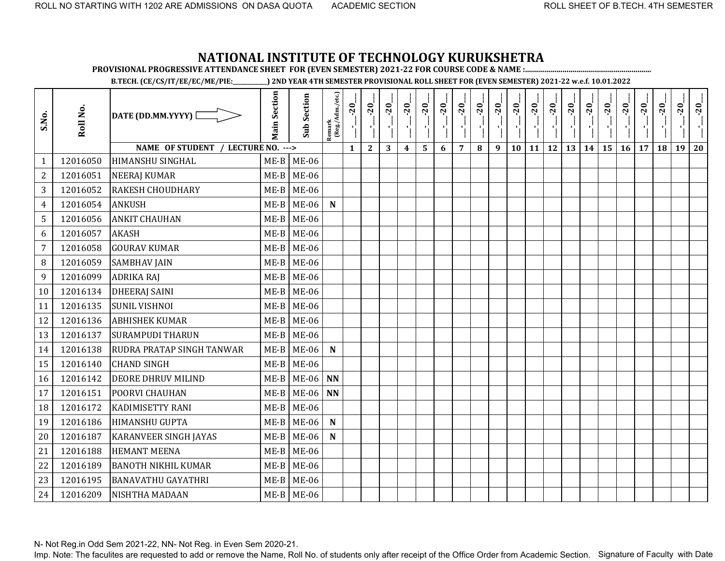**PROVISIONAL PROGRESSIVE ATTENDANCE SHEET FOR (EVEN SEMESTER) 2021-22 FOR COURSE CODE & NAME :................................................................**

**B.TECH. (CE/CS/IT/EE/EC/ME/PIE:\_\_\_\_\_\_\_\_\_\_\_\_) 2ND YEAR 4TH SEMESTER PROVISIONAL ROLL SHEET FOR (EVEN SEMESTER) 2021-22 w.e.f. 10.01.2022** 

| S.No.          | Roll No. | DATE (DD.MM.YYYY)                  | <b>Main Section</b> | <b>Sub Section</b> | $\frac{\text{Remark}}{\text{(Reg/Adm/etc.)}}$ | $-20$        | $-20$        | $-20$        | $-20$            | $-20$ | $-20$           | $-20$          | $-20$ | $-20$ | $-20$ | $-20$ | $-20$     | $-20$ | $-20$ | $-20$ | $-20$ | $-20$ | $-20$ | $-20$ | $-20$ |
|----------------|----------|------------------------------------|---------------------|--------------------|-----------------------------------------------|--------------|--------------|--------------|------------------|-------|-----------------|----------------|-------|-------|-------|-------|-----------|-------|-------|-------|-------|-------|-------|-------|-------|
|                |          | NAME OF STUDENT / LECTURE NO. ---> |                     |                    |                                               | $\mathbf{1}$ | $\mathbf{2}$ | $\mathbf{3}$ | $\boldsymbol{4}$ | 5     | $6\phantom{1}6$ | $\overline{7}$ | 8     | 9     | 10    | 11    | <b>12</b> | 13    | 14    | 15    | 16    | 17    | 18    | 19    | 20    |
| $\mathbf{1}$   | 12016050 | <b>HIMANSHU SINGHAL</b>            |                     | $ME-B$ ME-06       |                                               |              |              |              |                  |       |                 |                |       |       |       |       |           |       |       |       |       |       |       |       |       |
| $\mathbf{2}$   | 12016051 | <b>NEERAJ KUMAR</b>                | $ME-B$              | <b>ME-06</b>       |                                               |              |              |              |                  |       |                 |                |       |       |       |       |           |       |       |       |       |       |       |       |       |
| 3              | 12016052 | <b>RAKESH CHOUDHARY</b>            | $ME-B$              | <b>ME-06</b>       |                                               |              |              |              |                  |       |                 |                |       |       |       |       |           |       |       |       |       |       |       |       |       |
| $\overline{4}$ | 12016054 | <b>ANKUSH</b>                      | $ME-B$              | <b>ME-06</b>       | $\mathbf N$                                   |              |              |              |                  |       |                 |                |       |       |       |       |           |       |       |       |       |       |       |       |       |
| 5              | 12016056 | <b>ANKIT CHAUHAN</b>               | $ME-B$              | <b>ME-06</b>       |                                               |              |              |              |                  |       |                 |                |       |       |       |       |           |       |       |       |       |       |       |       |       |
| 6              | 12016057 | <b>AKASH</b>                       | $ME-B$              | <b>ME-06</b>       |                                               |              |              |              |                  |       |                 |                |       |       |       |       |           |       |       |       |       |       |       |       |       |
| $\overline{7}$ | 12016058 | <b>GOURAV KUMAR</b>                | $ME-B$              | <b>ME-06</b>       |                                               |              |              |              |                  |       |                 |                |       |       |       |       |           |       |       |       |       |       |       |       |       |
| 8              | 12016059 | <b>SAMBHAV JAIN</b>                | $ME-B$              | <b>ME-06</b>       |                                               |              |              |              |                  |       |                 |                |       |       |       |       |           |       |       |       |       |       |       |       |       |
| 9              | 12016099 | <b>ADRIKA RAJ</b>                  | $ME-B$              | <b>ME-06</b>       |                                               |              |              |              |                  |       |                 |                |       |       |       |       |           |       |       |       |       |       |       |       |       |
| 10             | 12016134 | <b>DHEERAJ SAINI</b>               | $ME-B$              | <b>ME-06</b>       |                                               |              |              |              |                  |       |                 |                |       |       |       |       |           |       |       |       |       |       |       |       |       |
| 11             | 12016135 | <b>SUNIL VISHNOI</b>               | $ME-B$              | <b>ME-06</b>       |                                               |              |              |              |                  |       |                 |                |       |       |       |       |           |       |       |       |       |       |       |       |       |
| 12             | 12016136 | <b>ABHISHEK KUMAR</b>              | $ME-B$              | <b>ME-06</b>       |                                               |              |              |              |                  |       |                 |                |       |       |       |       |           |       |       |       |       |       |       |       |       |
| 13             | 12016137 | <b>SURAMPUDI THARUN</b>            | $ME-B$              | <b>ME-06</b>       |                                               |              |              |              |                  |       |                 |                |       |       |       |       |           |       |       |       |       |       |       |       |       |
| 14             | 12016138 | RUDRA PRATAP SINGH TANWAR          | $ME-B$              | $ME-06$            | ${\bf N}$                                     |              |              |              |                  |       |                 |                |       |       |       |       |           |       |       |       |       |       |       |       |       |
| 15             | 12016140 | <b>CHAND SINGH</b>                 | $ME-B$              | $ME-06$            |                                               |              |              |              |                  |       |                 |                |       |       |       |       |           |       |       |       |       |       |       |       |       |
| 16             | 12016142 | <b>DEORE DHRUV MILIND</b>          | $ME-B$              | $ME-06$ NN         |                                               |              |              |              |                  |       |                 |                |       |       |       |       |           |       |       |       |       |       |       |       |       |
| 17             | 12016151 | <b>POORVI CHAUHAN</b>              | $ME-B$              | $ME-06$ NN         |                                               |              |              |              |                  |       |                 |                |       |       |       |       |           |       |       |       |       |       |       |       |       |
| 18             | 12016172 | <b>KADIMISETTY RANI</b>            | $ME-B$              | <b>ME-06</b>       |                                               |              |              |              |                  |       |                 |                |       |       |       |       |           |       |       |       |       |       |       |       |       |
| 19             | 12016186 | <b>HIMANSHU GUPTA</b>              | $ME-B$              | <b>ME-06</b>       | ${\bf N}$                                     |              |              |              |                  |       |                 |                |       |       |       |       |           |       |       |       |       |       |       |       |       |
| 20             | 12016187 | <b>KARANVEER SINGH JAYAS</b>       | $ME-B$              | <b>ME-06</b>       | $\mathbf N$                                   |              |              |              |                  |       |                 |                |       |       |       |       |           |       |       |       |       |       |       |       |       |
| 21             | 12016188 | <b>HEMANT MEENA</b>                | $ME-B$              | <b>ME-06</b>       |                                               |              |              |              |                  |       |                 |                |       |       |       |       |           |       |       |       |       |       |       |       |       |
| 22             | 12016189 | <b>BANOTH NIKHIL KUMAR</b>         | $ME-B$              | <b>ME-06</b>       |                                               |              |              |              |                  |       |                 |                |       |       |       |       |           |       |       |       |       |       |       |       |       |
| 23             | 12016195 | <b>BANAVATHU GAYATHRI</b>          | $ME-B$              | <b>ME-06</b>       |                                               |              |              |              |                  |       |                 |                |       |       |       |       |           |       |       |       |       |       |       |       |       |
| 24             | 12016209 | <b>NISHTHA MADAAN</b>              |                     | $ME-B$ ME-06       |                                               |              |              |              |                  |       |                 |                |       |       |       |       |           |       |       |       |       |       |       |       |       |

N- Not Reg.in Odd Sem 2021-22, NN- Not Reg. in Even Sem 2020-21.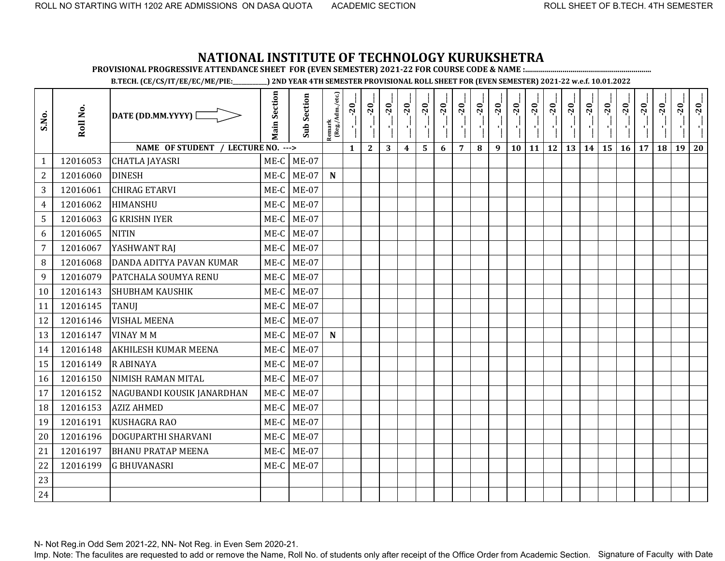**PROVISIONAL PROGRESSIVE ATTENDANCE SHEET FOR (EVEN SEMESTER) 2021-22 FOR COURSE CODE & NAME :................................................................**

**B.TECH. (CE/CS/IT/EE/EC/ME/PIE:\_\_\_\_\_\_\_\_\_\_\_\_) 2ND YEAR 4TH SEMESTER PROVISIONAL ROLL SHEET FOR (EVEN SEMESTER) 2021-22 w.e.f. 10.01.2022** 

| S.No.          | Roll No. | DATE (DD.MM.YYYY)                  | <b>Main Section</b> | <b>Sub Section</b> | Remark<br>(Reg./Adm./etc.) | $-20$        | $-20$        | $-20$ | $-20$            | $-20$ | $-20$ | $-20$          | $-20$ | $-20$ | $-20$ | $-20$     | $-20$     | $-20$<br>국 | $-20$ | $-20$ | $-20$ | $-20$ | $-20$ | $-20$ | $-20$ |
|----------------|----------|------------------------------------|---------------------|--------------------|----------------------------|--------------|--------------|-------|------------------|-------|-------|----------------|-------|-------|-------|-----------|-----------|------------|-------|-------|-------|-------|-------|-------|-------|
|                |          | NAME OF STUDENT / LECTURE NO. ---> |                     |                    |                            | $\mathbf{1}$ | $\mathbf{2}$ | 3     | $\boldsymbol{4}$ | 5     | 6     | $\overline{7}$ | 8     | 9     | 10    | <b>11</b> | <b>12</b> | 13         | 14    | 15    | 16    | 17    | 18    | 19    | 20    |
| $\mathbf{1}$   | 12016053 | <b>CHATLA JAYASRI</b>              | ME-C                | $ME-07$            |                            |              |              |       |                  |       |       |                |       |       |       |           |           |            |       |       |       |       |       |       |       |
| $\overline{c}$ | 12016060 | <b>DINESH</b>                      | ME-C                | $ME-07$            | $\mathbf N$                |              |              |       |                  |       |       |                |       |       |       |           |           |            |       |       |       |       |       |       |       |
| 3              | 12016061 | <b>CHIRAG ETARVI</b>               | ME-C                | <b>ME-07</b>       |                            |              |              |       |                  |       |       |                |       |       |       |           |           |            |       |       |       |       |       |       |       |
| $\overline{4}$ | 12016062 | HIMANSHU                           | ME-C                | <b>ME-07</b>       |                            |              |              |       |                  |       |       |                |       |       |       |           |           |            |       |       |       |       |       |       |       |
| 5              | 12016063 | <b>G KRISHN IYER</b>               | ME-C                | $ME-07$            |                            |              |              |       |                  |       |       |                |       |       |       |           |           |            |       |       |       |       |       |       |       |
| 6              | 12016065 | <b>NITIN</b>                       | ME-C                | <b>ME-07</b>       |                            |              |              |       |                  |       |       |                |       |       |       |           |           |            |       |       |       |       |       |       |       |
| $\overline{7}$ | 12016067 | YASHWANT RAJ                       | $ME-C$              | <b>ME-07</b>       |                            |              |              |       |                  |       |       |                |       |       |       |           |           |            |       |       |       |       |       |       |       |
| 8              | 12016068 | <b>DANDA ADITYA PAVAN KUMAR</b>    | ME-C                | <b>ME-07</b>       |                            |              |              |       |                  |       |       |                |       |       |       |           |           |            |       |       |       |       |       |       |       |
| 9              | 12016079 | <b>PATCHALA SOUMYA RENU</b>        | $ME-C$              | $ME-07$            |                            |              |              |       |                  |       |       |                |       |       |       |           |           |            |       |       |       |       |       |       |       |
| 10             | 12016143 | <b>SHUBHAM KAUSHIK</b>             | ME-C                | $ME-07$            |                            |              |              |       |                  |       |       |                |       |       |       |           |           |            |       |       |       |       |       |       |       |
| 11             | 12016145 | <b>TANUJ</b>                       | ME-C                | $ME-07$            |                            |              |              |       |                  |       |       |                |       |       |       |           |           |            |       |       |       |       |       |       |       |
| 12             | 12016146 | <b>VISHAL MEENA</b>                | ME-C                | $ME-07$            |                            |              |              |       |                  |       |       |                |       |       |       |           |           |            |       |       |       |       |       |       |       |
| 13             | 12016147 | <b>VINAY M M</b>                   | ME-C                | $ME-07$            | ${\bf N}$                  |              |              |       |                  |       |       |                |       |       |       |           |           |            |       |       |       |       |       |       |       |
| 14             | 12016148 | <b>AKHILESH KUMAR MEENA</b>        | ME-C                | <b>ME-07</b>       |                            |              |              |       |                  |       |       |                |       |       |       |           |           |            |       |       |       |       |       |       |       |
| 15             | 12016149 | R ABINAYA                          | $ME-C$              | <b>ME-07</b>       |                            |              |              |       |                  |       |       |                |       |       |       |           |           |            |       |       |       |       |       |       |       |
| 16             | 12016150 | NIMISH RAMAN MITAL                 | ME-C                | <b>ME-07</b>       |                            |              |              |       |                  |       |       |                |       |       |       |           |           |            |       |       |       |       |       |       |       |
| 17             | 12016152 | NAGUBANDI KOUSIK JANARDHAN         | ME-C                | $ME-07$            |                            |              |              |       |                  |       |       |                |       |       |       |           |           |            |       |       |       |       |       |       |       |
| 18             | 12016153 | <b>AZIZ AHMED</b>                  | $ME-C$              | <b>ME-07</b>       |                            |              |              |       |                  |       |       |                |       |       |       |           |           |            |       |       |       |       |       |       |       |
| 19             | 12016191 | <b>KUSHAGRA RAO</b>                | ME-C                | $ME-07$            |                            |              |              |       |                  |       |       |                |       |       |       |           |           |            |       |       |       |       |       |       |       |
| 20             | 12016196 | <b>DOGUPARTHI SHARVANI</b>         | $ME-C$              | $ME-07$            |                            |              |              |       |                  |       |       |                |       |       |       |           |           |            |       |       |       |       |       |       |       |
| 21             | 12016197 | <b>BHANU PRATAP MEENA</b>          | ME-C                | <b>ME-07</b>       |                            |              |              |       |                  |       |       |                |       |       |       |           |           |            |       |       |       |       |       |       |       |
| 22             | 12016199 | <b>G BHUVANASRI</b>                | ME-C                | <b>ME-07</b>       |                            |              |              |       |                  |       |       |                |       |       |       |           |           |            |       |       |       |       |       |       |       |
| 23             |          |                                    |                     |                    |                            |              |              |       |                  |       |       |                |       |       |       |           |           |            |       |       |       |       |       |       |       |
| 24             |          |                                    |                     |                    |                            |              |              |       |                  |       |       |                |       |       |       |           |           |            |       |       |       |       |       |       |       |

N- Not Reg.in Odd Sem 2021-22, NN- Not Reg. in Even Sem 2020-21.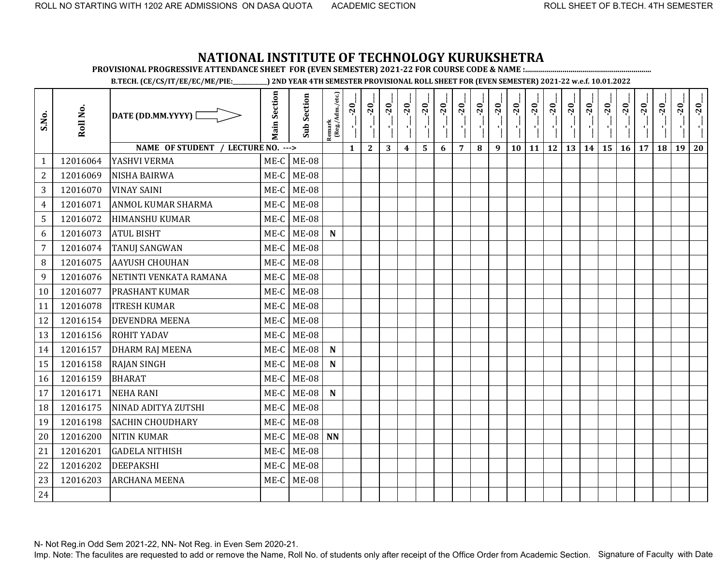**PROVISIONAL PROGRESSIVE ATTENDANCE SHEET FOR (EVEN SEMESTER) 2021-22 FOR COURSE CODE & NAME :................................................................**

**B.TECH. (CE/CS/IT/EE/EC/ME/PIE:\_\_\_\_\_\_\_\_\_\_\_\_) 2ND YEAR 4TH SEMESTER PROVISIONAL ROLL SHEET FOR (EVEN SEMESTER) 2021-22 w.e.f. 10.01.2022** 

| S.No.          | Roll No. | DATE (DD.MM.YYYY) [                | <b>Main Section</b> | <b>Sub Section</b> | Remark<br>(Reg./Adm./etc.) | $-20$<br>۱ļ  | $-20$        | $-20$ | $-20$            | $-20$ | $-20$ | $-20$          | $-20$ | $-20$ | $-20$ | $-20$     | $-20$     | $-20$ | $-20$ | $-20$ | $-20$ | $-20$ | $-20$ | $-20$ | $-20$ |
|----------------|----------|------------------------------------|---------------------|--------------------|----------------------------|--------------|--------------|-------|------------------|-------|-------|----------------|-------|-------|-------|-----------|-----------|-------|-------|-------|-------|-------|-------|-------|-------|
|                |          | NAME OF STUDENT / LECTURE NO. ---> |                     |                    |                            | $\mathbf{1}$ | $\mathbf{2}$ | 3     | $\boldsymbol{4}$ | 5     | 6     | $\overline{7}$ | 8     | 9     | 10    | <b>11</b> | <b>12</b> | 13    | 14    | 15    | 16    | 17    | 18    | 19    | 20    |
| 1              | 12016064 | YASHVI VERMA                       | $ME-C$              | <b>ME-08</b>       |                            |              |              |       |                  |       |       |                |       |       |       |           |           |       |       |       |       |       |       |       |       |
| $\overline{2}$ | 12016069 | <b>NISHA BAIRWA</b>                | ME-C                | <b>ME-08</b>       |                            |              |              |       |                  |       |       |                |       |       |       |           |           |       |       |       |       |       |       |       |       |
| 3              | 12016070 | <b>VINAY SAINI</b>                 | ME-C                | <b>ME-08</b>       |                            |              |              |       |                  |       |       |                |       |       |       |           |           |       |       |       |       |       |       |       |       |
| 4              | 12016071 | ANMOL KUMAR SHARMA                 | $ME-C$              | <b>ME-08</b>       |                            |              |              |       |                  |       |       |                |       |       |       |           |           |       |       |       |       |       |       |       |       |
| 5              | 12016072 | <b>HIMANSHU KUMAR</b>              | ME-C                | $ME-08$            |                            |              |              |       |                  |       |       |                |       |       |       |           |           |       |       |       |       |       |       |       |       |
| 6              | 12016073 | <b>ATUL BISHT</b>                  | $ME-C$              | <b>ME-08</b>       | $\mathbf N$                |              |              |       |                  |       |       |                |       |       |       |           |           |       |       |       |       |       |       |       |       |
| $\overline{7}$ | 12016074 | <b>TANUJ SANGWAN</b>               | $ME-C$              | <b>ME-08</b>       |                            |              |              |       |                  |       |       |                |       |       |       |           |           |       |       |       |       |       |       |       |       |
| 8              | 12016075 | <b>AAYUSH CHOUHAN</b>              | $ME-C$              | $ME-08$            |                            |              |              |       |                  |       |       |                |       |       |       |           |           |       |       |       |       |       |       |       |       |
| 9              | 12016076 | NETINTI VENKATA RAMANA             | ME-C                | <b>ME-08</b>       |                            |              |              |       |                  |       |       |                |       |       |       |           |           |       |       |       |       |       |       |       |       |
| 10             | 12016077 | <b>PRASHANT KUMAR</b>              | ME-C                | <b>ME-08</b>       |                            |              |              |       |                  |       |       |                |       |       |       |           |           |       |       |       |       |       |       |       |       |
| 11             | 12016078 | <b>ITRESH KUMAR</b>                | $ME-C$              | <b>ME-08</b>       |                            |              |              |       |                  |       |       |                |       |       |       |           |           |       |       |       |       |       |       |       |       |
| 12             | 12016154 | <b>DEVENDRA MEENA</b>              | ME-C                | <b>ME-08</b>       |                            |              |              |       |                  |       |       |                |       |       |       |           |           |       |       |       |       |       |       |       |       |
| 13             | 12016156 | <b>ROHIT YADAV</b>                 | $ME-C$              | <b>ME-08</b>       |                            |              |              |       |                  |       |       |                |       |       |       |           |           |       |       |       |       |       |       |       |       |
| 14             | 12016157 | <b>DHARM RAJ MEENA</b>             | ME-C                | <b>ME-08</b>       | ${\bf N}$                  |              |              |       |                  |       |       |                |       |       |       |           |           |       |       |       |       |       |       |       |       |
| 15             | 12016158 | <b>RAJAN SINGH</b>                 | ME-C                | $ME-08$            | $\mathbf N$                |              |              |       |                  |       |       |                |       |       |       |           |           |       |       |       |       |       |       |       |       |
| 16             | 12016159 | <b>BHARAT</b>                      | ME-C                | <b>ME-08</b>       |                            |              |              |       |                  |       |       |                |       |       |       |           |           |       |       |       |       |       |       |       |       |
| 17             | 12016171 | <b>NEHA RANI</b>                   | $ME-C$              | <b>ME-08</b>       | $\mathbf N$                |              |              |       |                  |       |       |                |       |       |       |           |           |       |       |       |       |       |       |       |       |
| 18             | 12016175 | NINAD ADITYA ZUTSHI                | ME-C                | <b>ME-08</b>       |                            |              |              |       |                  |       |       |                |       |       |       |           |           |       |       |       |       |       |       |       |       |
| 19             | 12016198 | <b>SACHIN CHOUDHARY</b>            | $ME-C$              | <b>ME-08</b>       |                            |              |              |       |                  |       |       |                |       |       |       |           |           |       |       |       |       |       |       |       |       |
| 20             | 12016200 | <b>NITIN KUMAR</b>                 | ME-C                | $ME-08$ NN         |                            |              |              |       |                  |       |       |                |       |       |       |           |           |       |       |       |       |       |       |       |       |
| 21             | 12016201 | <b>GADELA NITHISH</b>              | ME-C                | <b>ME-08</b>       |                            |              |              |       |                  |       |       |                |       |       |       |           |           |       |       |       |       |       |       |       |       |
| 22             | 12016202 | <b>DEEPAKSHI</b>                   | ME-C                | <b>ME-08</b>       |                            |              |              |       |                  |       |       |                |       |       |       |           |           |       |       |       |       |       |       |       |       |
| 23             | 12016203 | <b>ARCHANA MEENA</b>               | $ME-C$              | <b>ME-08</b>       |                            |              |              |       |                  |       |       |                |       |       |       |           |           |       |       |       |       |       |       |       |       |
| 24             |          |                                    |                     |                    |                            |              |              |       |                  |       |       |                |       |       |       |           |           |       |       |       |       |       |       |       |       |

N- Not Reg.in Odd Sem 2021-22, NN- Not Reg. in Even Sem 2020-21.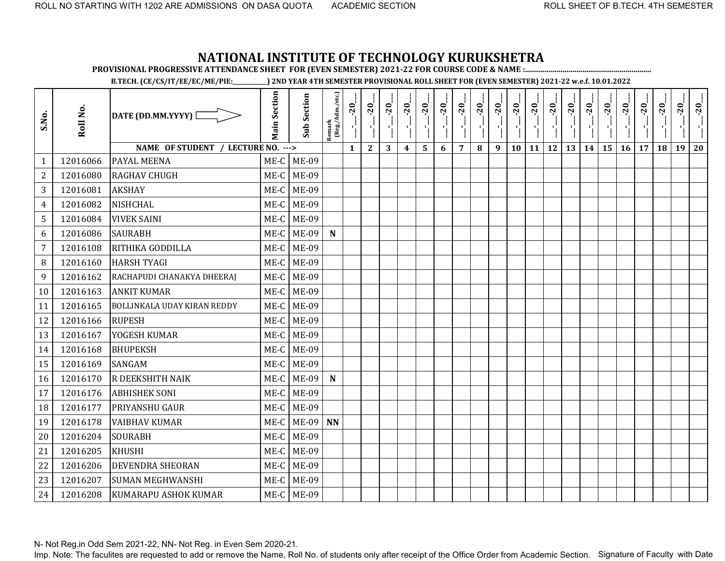**PROVISIONAL PROGRESSIVE ATTENDANCE SHEET FOR (EVEN SEMESTER) 2021-22 FOR COURSE CODE & NAME :................................................................**

**B.TECH. (CE/CS/IT/EE/EC/ME/PIE:\_\_\_\_\_\_\_\_\_\_\_\_) 2ND YEAR 4TH SEMESTER PROVISIONAL ROLL SHEET FOR (EVEN SEMESTER) 2021-22 w.e.f. 10.01.2022** 

| S.No.          | Roll No. | DATE (DD.MM.YYYY)                  | <b>Main Section</b> | <b>Sub Section</b> | $\frac{\text{Remark}}{\text{(Reg/Adm/etc.)}}$ | $-20$        | $-20$        | $-20$ | $-20$            | $-20$ | $-20$ | $-20$          | $-20$ | $-20$ | $-20$ | $-20$ | $-20$     | $-20$ | $-20$ | $-20$     | $-20$ | $-20$ | $-20$ | $-20$ | $-20$ |
|----------------|----------|------------------------------------|---------------------|--------------------|-----------------------------------------------|--------------|--------------|-------|------------------|-------|-------|----------------|-------|-------|-------|-------|-----------|-------|-------|-----------|-------|-------|-------|-------|-------|
|                |          | NAME OF STUDENT / LECTURE NO. ---> |                     |                    |                                               | $\mathbf{1}$ | $\mathbf{2}$ | 3     | $\boldsymbol{4}$ | 5     | 6     | $\overline{7}$ | 8     | 9     | 10    | 11    | <b>12</b> | 13    | 14    | <b>15</b> | 16    | 17    | 18    | 19    | 20    |
| 1              | 12016066 | <b>PAYAL MEENA</b>                 | ME-C                | ME-09              |                                               |              |              |       |                  |       |       |                |       |       |       |       |           |       |       |           |       |       |       |       |       |
| $\overline{2}$ | 12016080 | <b>RAGHAV CHUGH</b>                | ME-C                | <b>ME-09</b>       |                                               |              |              |       |                  |       |       |                |       |       |       |       |           |       |       |           |       |       |       |       |       |
| 3              | 12016081 | <b>AKSHAY</b>                      | ME-C                | ME-09              |                                               |              |              |       |                  |       |       |                |       |       |       |       |           |       |       |           |       |       |       |       |       |
| 4              | 12016082 | <b>NISHCHAL</b>                    | ME-C                | <b>ME-09</b>       |                                               |              |              |       |                  |       |       |                |       |       |       |       |           |       |       |           |       |       |       |       |       |
| 5              | 12016084 | <b>VIVEK SAINI</b>                 | ME-C                | <b>ME-09</b>       |                                               |              |              |       |                  |       |       |                |       |       |       |       |           |       |       |           |       |       |       |       |       |
| 6              | 12016086 | <b>SAURABH</b>                     | ME-C                | <b>ME-09</b>       | ${\bf N}$                                     |              |              |       |                  |       |       |                |       |       |       |       |           |       |       |           |       |       |       |       |       |
| $\overline{7}$ | 12016108 | RITHIKA GODDILLA                   | ME-C                | ME-09              |                                               |              |              |       |                  |       |       |                |       |       |       |       |           |       |       |           |       |       |       |       |       |
| 8              | 12016160 | <b>HARSH TYAGI</b>                 | ME-C                | <b>ME-09</b>       |                                               |              |              |       |                  |       |       |                |       |       |       |       |           |       |       |           |       |       |       |       |       |
| 9              | 12016162 | RACHAPUDI CHANAKYA DHEERAJ         | ME-C                | <b>ME-09</b>       |                                               |              |              |       |                  |       |       |                |       |       |       |       |           |       |       |           |       |       |       |       |       |
| 10             | 12016163 | <b>ANKIT KUMAR</b>                 | ME-C                | <b>ME-09</b>       |                                               |              |              |       |                  |       |       |                |       |       |       |       |           |       |       |           |       |       |       |       |       |
| 11             | 12016165 | <b>BOLLINKALA UDAY KIRAN REDDY</b> | ME-C                | <b>ME-09</b>       |                                               |              |              |       |                  |       |       |                |       |       |       |       |           |       |       |           |       |       |       |       |       |
| 12             | 12016166 | <b>RUPESH</b>                      | $ME-C$              | <b>ME-09</b>       |                                               |              |              |       |                  |       |       |                |       |       |       |       |           |       |       |           |       |       |       |       |       |
| 13             | 12016167 | YOGESH KUMAR                       | ME-C                | <b>ME-09</b>       |                                               |              |              |       |                  |       |       |                |       |       |       |       |           |       |       |           |       |       |       |       |       |
| 14             | 12016168 | <b>BHUPEKSH</b>                    | ME-C                | ME-09              |                                               |              |              |       |                  |       |       |                |       |       |       |       |           |       |       |           |       |       |       |       |       |
| 15             | 12016169 | <b>SANGAM</b>                      | ME-C                | <b>ME-09</b>       |                                               |              |              |       |                  |       |       |                |       |       |       |       |           |       |       |           |       |       |       |       |       |
| 16             | 12016170 | R DEEKSHITH NAIK                   | ME-C                | ME-09              | $\mathbf N$                                   |              |              |       |                  |       |       |                |       |       |       |       |           |       |       |           |       |       |       |       |       |
| 17             | 12016176 | <b>ABHISHEK SONI</b>               | ME-C                | ME-09              |                                               |              |              |       |                  |       |       |                |       |       |       |       |           |       |       |           |       |       |       |       |       |
| 18             | 12016177 | PRIYANSHU GAUR                     | ME-C                | <b>ME-09</b>       |                                               |              |              |       |                  |       |       |                |       |       |       |       |           |       |       |           |       |       |       |       |       |
| 19             | 12016178 | <b>VAIBHAV KUMAR</b>               | ME-C                | ME-09              | <b>NN</b>                                     |              |              |       |                  |       |       |                |       |       |       |       |           |       |       |           |       |       |       |       |       |
| 20             | 12016204 | <b>SOURABH</b>                     | ME-C                | <b>ME-09</b>       |                                               |              |              |       |                  |       |       |                |       |       |       |       |           |       |       |           |       |       |       |       |       |
| 21             | 12016205 | <b>KHUSHI</b>                      | ME-C                | <b>ME-09</b>       |                                               |              |              |       |                  |       |       |                |       |       |       |       |           |       |       |           |       |       |       |       |       |
| 22             | 12016206 | <b>DEVENDRA SHEORAN</b>            | ME-C                | <b>ME-09</b>       |                                               |              |              |       |                  |       |       |                |       |       |       |       |           |       |       |           |       |       |       |       |       |
| 23             | 12016207 | <b>SUMAN MEGHWANSHI</b>            | ME-C                | <b>ME-09</b>       |                                               |              |              |       |                  |       |       |                |       |       |       |       |           |       |       |           |       |       |       |       |       |
| 24             | 12016208 | <b>KUMARAPU ASHOK KUMAR</b>        | $ME-C$              | <b>ME-09</b>       |                                               |              |              |       |                  |       |       |                |       |       |       |       |           |       |       |           |       |       |       |       |       |

N- Not Reg.in Odd Sem 2021-22, NN- Not Reg. in Even Sem 2020-21.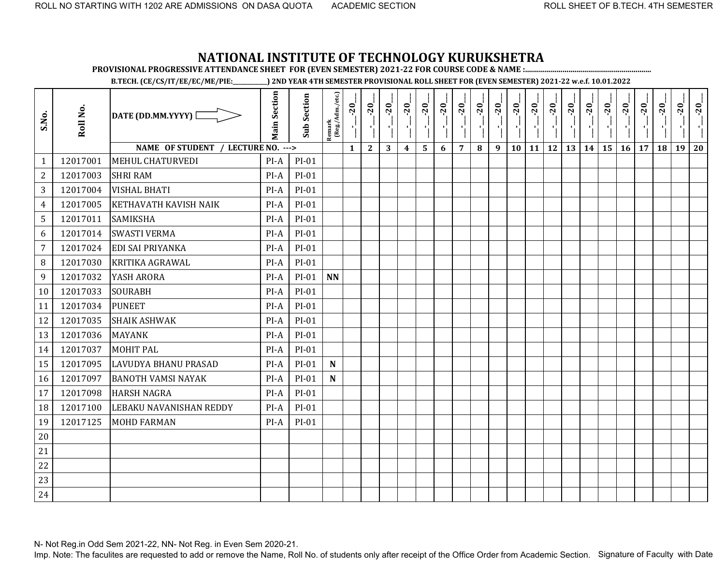**PROVISIONAL PROGRESSIVE ATTENDANCE SHEET FOR (EVEN SEMESTER) 2021-22 FOR COURSE CODE & NAME :................................................................**

**B.TECH. (CE/CS/IT/EE/EC/ME/PIE:\_\_\_\_\_\_\_\_\_\_\_\_) 2ND YEAR 4TH SEMESTER PROVISIONAL ROLL SHEET FOR (EVEN SEMESTER) 2021-22 w.e.f. 10.01.2022** 

| S.No.          | Roll No. | DATE (DD.MM.YYYY) [                | <b>Main Section</b> | <b>Sub Section</b> | Remark<br>(Reg./Adm./etc.) | $-20$<br>чļ  | $-20$<br>Π,  | $-20$<br>$\mathbf{r}$ | $-20$            | $-20$ | $-20$ | $-20$          | $-20$<br>7 H | $-20$<br>$\mathbf{F}_1$ . | $-20$<br>$\mathcal{F}_{\mathbf{F}}$ | $-20$<br>$\mathbf{F}_{\mathbf{L}}$ | $-20$<br>$\mathcal{F}_1$ | $-20$<br>Λi | $-20$ | $-20$           | $-20$ | $-20$ | $-20$ | $-20$ | $-20$ |
|----------------|----------|------------------------------------|---------------------|--------------------|----------------------------|--------------|--------------|-----------------------|------------------|-------|-------|----------------|--------------|---------------------------|-------------------------------------|------------------------------------|--------------------------|-------------|-------|-----------------|-------|-------|-------|-------|-------|
|                |          | NAME OF STUDENT / LECTURE NO. ---> |                     |                    |                            | $\mathbf{1}$ | $\mathbf{2}$ | 3                     | $\boldsymbol{4}$ | 5     | 6     | $\overline{7}$ | $\bf{8}$     | 9                         | 10                                  | <b>11</b>                          | <b>12</b>                | 13          | 14    | 15 <sup>1</sup> | 16    | 17    | 18    | 19    | 20    |
| 1              | 12017001 | <b>MEHUL CHATURVEDI</b>            | $PI-A$              | $PI-01$            |                            |              |              |                       |                  |       |       |                |              |                           |                                     |                                    |                          |             |       |                 |       |       |       |       |       |
| $\overline{2}$ | 12017003 | <b>SHRI RAM</b>                    | PI-A                | PI-01              |                            |              |              |                       |                  |       |       |                |              |                           |                                     |                                    |                          |             |       |                 |       |       |       |       |       |
| 3              | 12017004 | <b>VISHAL BHATI</b>                | PI-A                | PI-01              |                            |              |              |                       |                  |       |       |                |              |                           |                                     |                                    |                          |             |       |                 |       |       |       |       |       |
| $\overline{4}$ | 12017005 | <b>KETHAVATH KAVISH NAIK</b>       | $PI-A$              | $PI-01$            |                            |              |              |                       |                  |       |       |                |              |                           |                                     |                                    |                          |             |       |                 |       |       |       |       |       |
| 5              | 12017011 | <b>SAMIKSHA</b>                    | $PI-A$              | PI-01              |                            |              |              |                       |                  |       |       |                |              |                           |                                     |                                    |                          |             |       |                 |       |       |       |       |       |
| 6              | 12017014 | <b>SWASTI VERMA</b>                | PI-A                | PI-01              |                            |              |              |                       |                  |       |       |                |              |                           |                                     |                                    |                          |             |       |                 |       |       |       |       |       |
| $\overline{7}$ | 12017024 | <b>EDI SAI PRIYANKA</b>            | $PI-A$              | $PI-01$            |                            |              |              |                       |                  |       |       |                |              |                           |                                     |                                    |                          |             |       |                 |       |       |       |       |       |
| 8              | 12017030 | <b>KRITIKA AGRAWAL</b>             | $PI-A$              | PI-01              |                            |              |              |                       |                  |       |       |                |              |                           |                                     |                                    |                          |             |       |                 |       |       |       |       |       |
| 9              | 12017032 | YASH ARORA                         | $PI-A$              | $PI-01$            | <b>NN</b>                  |              |              |                       |                  |       |       |                |              |                           |                                     |                                    |                          |             |       |                 |       |       |       |       |       |
| 10             | 12017033 | <b>SOURABH</b>                     | PI-A                | $PI-01$            |                            |              |              |                       |                  |       |       |                |              |                           |                                     |                                    |                          |             |       |                 |       |       |       |       |       |
| 11             | 12017034 | <b>PUNEET</b>                      | $PI-A$              | PI-01              |                            |              |              |                       |                  |       |       |                |              |                           |                                     |                                    |                          |             |       |                 |       |       |       |       |       |
| 12             | 12017035 | <b>SHAIK ASHWAK</b>                | $PI-A$              | PI-01              |                            |              |              |                       |                  |       |       |                |              |                           |                                     |                                    |                          |             |       |                 |       |       |       |       |       |
| 13             | 12017036 | <b>MAYANK</b>                      | PI-A                | $PI-01$            |                            |              |              |                       |                  |       |       |                |              |                           |                                     |                                    |                          |             |       |                 |       |       |       |       |       |
| 14             | 12017037 | <b>MOHIT PAL</b>                   | $PI-A$              | PI-01              |                            |              |              |                       |                  |       |       |                |              |                           |                                     |                                    |                          |             |       |                 |       |       |       |       |       |
| 15             | 12017095 | <b>LAVUDYA BHANU PRASAD</b>        | PI-A                | $PI-01$            | $\mathbf N$                |              |              |                       |                  |       |       |                |              |                           |                                     |                                    |                          |             |       |                 |       |       |       |       |       |
| 16             | 12017097 | <b>BANOTH VAMSI NAYAK</b>          | $PI-A$              | PI-01              | ${\bf N}$                  |              |              |                       |                  |       |       |                |              |                           |                                     |                                    |                          |             |       |                 |       |       |       |       |       |
| 17             | 12017098 | <b>HARSH NAGRA</b>                 | $PI-A$              | PI-01              |                            |              |              |                       |                  |       |       |                |              |                           |                                     |                                    |                          |             |       |                 |       |       |       |       |       |
| 18             | 12017100 | LEBAKU NAVANISHAN REDDY            | $PI-A$              | $PI-01$            |                            |              |              |                       |                  |       |       |                |              |                           |                                     |                                    |                          |             |       |                 |       |       |       |       |       |
| 19             | 12017125 | <b>MOHD FARMAN</b>                 | $PI-A$              | $PI-01$            |                            |              |              |                       |                  |       |       |                |              |                           |                                     |                                    |                          |             |       |                 |       |       |       |       |       |
| 20             |          |                                    |                     |                    |                            |              |              |                       |                  |       |       |                |              |                           |                                     |                                    |                          |             |       |                 |       |       |       |       |       |
| 21             |          |                                    |                     |                    |                            |              |              |                       |                  |       |       |                |              |                           |                                     |                                    |                          |             |       |                 |       |       |       |       |       |
| 22             |          |                                    |                     |                    |                            |              |              |                       |                  |       |       |                |              |                           |                                     |                                    |                          |             |       |                 |       |       |       |       |       |
| 23             |          |                                    |                     |                    |                            |              |              |                       |                  |       |       |                |              |                           |                                     |                                    |                          |             |       |                 |       |       |       |       |       |
| 24             |          |                                    |                     |                    |                            |              |              |                       |                  |       |       |                |              |                           |                                     |                                    |                          |             |       |                 |       |       |       |       |       |

N- Not Reg.in Odd Sem 2021-22, NN- Not Reg. in Even Sem 2020-21.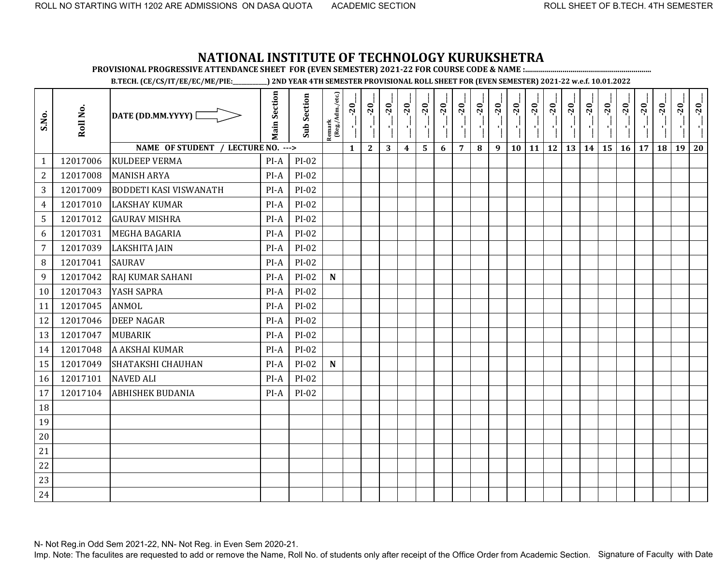**PROVISIONAL PROGRESSIVE ATTENDANCE SHEET FOR (EVEN SEMESTER) 2021-22 FOR COURSE CODE & NAME :................................................................**

**B.TECH. (CE/CS/IT/EE/EC/ME/PIE:\_\_\_\_\_\_\_\_\_\_\_\_) 2ND YEAR 4TH SEMESTER PROVISIONAL ROLL SHEET FOR (EVEN SEMESTER) 2021-22 w.e.f. 10.01.2022** 

| S.No.            | Roll No. | DATE (DD.MM.YYYY) [                | <b>Main Section</b> | <b>Sub Section</b> | Remark<br>(Reg./Adm./etc.) | $-20$        | $-20$<br>۱,  | $-20$<br>чj | $-20$            | $-20$ | $-20$ | $-20$          | $-20$<br>70 L | $-20$<br><b>A</b> 1 | $-20$<br>×, | $-20$<br>$\mathbf{r}_{\mathrm{L}}$ | $-20$<br>$\mathcal{F}_1$ | $-20$ | $-20$ | $-20$ | $-20$ | $-20$ | $-20$ | $-20$ | $-20$ |
|------------------|----------|------------------------------------|---------------------|--------------------|----------------------------|--------------|--------------|-------------|------------------|-------|-------|----------------|---------------|---------------------|-------------|------------------------------------|--------------------------|-------|-------|-------|-------|-------|-------|-------|-------|
|                  |          | NAME OF STUDENT / LECTURE NO. ---> |                     |                    |                            | $\mathbf{1}$ | $\mathbf{2}$ | 3           | $\boldsymbol{4}$ | 5     | 6     | $\overline{7}$ | 8             | 9                   | 10          | 11                                 | 12                       | 13    | 14    | 15    | 16    | 17    | 18    | 19    | 20    |
| $\mathbf{1}$     | 12017006 | <b>KULDEEP VERMA</b>               | PI-A                | $PI-02$            |                            |              |              |             |                  |       |       |                |               |                     |             |                                    |                          |       |       |       |       |       |       |       |       |
| $\overline{2}$   | 12017008 | <b>MANISH ARYA</b>                 | $PI-A$              | $PI-02$            |                            |              |              |             |                  |       |       |                |               |                     |             |                                    |                          |       |       |       |       |       |       |       |       |
| 3                | 12017009 | <b>BODDETI KASI VISWANATH</b>      | PI-A                | $PI-02$            |                            |              |              |             |                  |       |       |                |               |                     |             |                                    |                          |       |       |       |       |       |       |       |       |
| $\overline{4}$   | 12017010 | <b>LAKSHAY KUMAR</b>               | PI-A                | $PI-02$            |                            |              |              |             |                  |       |       |                |               |                     |             |                                    |                          |       |       |       |       |       |       |       |       |
| 5                | 12017012 | <b>GAURAV MISHRA</b>               | $PI-A$              | $PI-02$            |                            |              |              |             |                  |       |       |                |               |                     |             |                                    |                          |       |       |       |       |       |       |       |       |
| 6                | 12017031 | <b>MEGHA BAGARIA</b>               | $PI-A$              | $PI-02$            |                            |              |              |             |                  |       |       |                |               |                     |             |                                    |                          |       |       |       |       |       |       |       |       |
| $\overline{7}$   | 12017039 | <b>LAKSHITA JAIN</b>               | $PI-A$              | $PI-02$            |                            |              |              |             |                  |       |       |                |               |                     |             |                                    |                          |       |       |       |       |       |       |       |       |
| 8                | 12017041 | <b>SAURAV</b>                      | PI-A                | $PI-02$            |                            |              |              |             |                  |       |       |                |               |                     |             |                                    |                          |       |       |       |       |       |       |       |       |
| $\boldsymbol{9}$ | 12017042 | RAJ KUMAR SAHANI                   | PI-A                | $PI-02$            | ${\bf N}$                  |              |              |             |                  |       |       |                |               |                     |             |                                    |                          |       |       |       |       |       |       |       |       |
| 10               | 12017043 | YASH SAPRA                         | PI-A                | $PI-02$            |                            |              |              |             |                  |       |       |                |               |                     |             |                                    |                          |       |       |       |       |       |       |       |       |
| 11               | 12017045 | <b>ANMOL</b>                       | $PI-A$              | $PI-02$            |                            |              |              |             |                  |       |       |                |               |                     |             |                                    |                          |       |       |       |       |       |       |       |       |
| 12               | 12017046 | <b>DEEP NAGAR</b>                  | $PI-A$              | $PI-02$            |                            |              |              |             |                  |       |       |                |               |                     |             |                                    |                          |       |       |       |       |       |       |       |       |
| 13               | 12017047 | <b>MUBARIK</b>                     | $PI-A$              | $PI-02$            |                            |              |              |             |                  |       |       |                |               |                     |             |                                    |                          |       |       |       |       |       |       |       |       |
| 14               | 12017048 | A AKSHAI KUMAR                     | PI-A                | $PI-02$            |                            |              |              |             |                  |       |       |                |               |                     |             |                                    |                          |       |       |       |       |       |       |       |       |
| 15               | 12017049 | SHATAKSHI CHAUHAN                  | PI-A                | $PI-02$            | $\mathbf N$                |              |              |             |                  |       |       |                |               |                     |             |                                    |                          |       |       |       |       |       |       |       |       |
| 16               | 12017101 | <b>NAVED ALI</b>                   | PI-A                | $PI-02$            |                            |              |              |             |                  |       |       |                |               |                     |             |                                    |                          |       |       |       |       |       |       |       |       |
| 17               | 12017104 | <b>ABHISHEK BUDANIA</b>            | PI-A                | $PI-02$            |                            |              |              |             |                  |       |       |                |               |                     |             |                                    |                          |       |       |       |       |       |       |       |       |
| 18               |          |                                    |                     |                    |                            |              |              |             |                  |       |       |                |               |                     |             |                                    |                          |       |       |       |       |       |       |       |       |
| 19               |          |                                    |                     |                    |                            |              |              |             |                  |       |       |                |               |                     |             |                                    |                          |       |       |       |       |       |       |       |       |
| 20               |          |                                    |                     |                    |                            |              |              |             |                  |       |       |                |               |                     |             |                                    |                          |       |       |       |       |       |       |       |       |
| 21               |          |                                    |                     |                    |                            |              |              |             |                  |       |       |                |               |                     |             |                                    |                          |       |       |       |       |       |       |       |       |
| 22               |          |                                    |                     |                    |                            |              |              |             |                  |       |       |                |               |                     |             |                                    |                          |       |       |       |       |       |       |       |       |
| 23               |          |                                    |                     |                    |                            |              |              |             |                  |       |       |                |               |                     |             |                                    |                          |       |       |       |       |       |       |       |       |
| 24               |          |                                    |                     |                    |                            |              |              |             |                  |       |       |                |               |                     |             |                                    |                          |       |       |       |       |       |       |       |       |

N- Not Reg.in Odd Sem 2021-22, NN- Not Reg. in Even Sem 2020-21.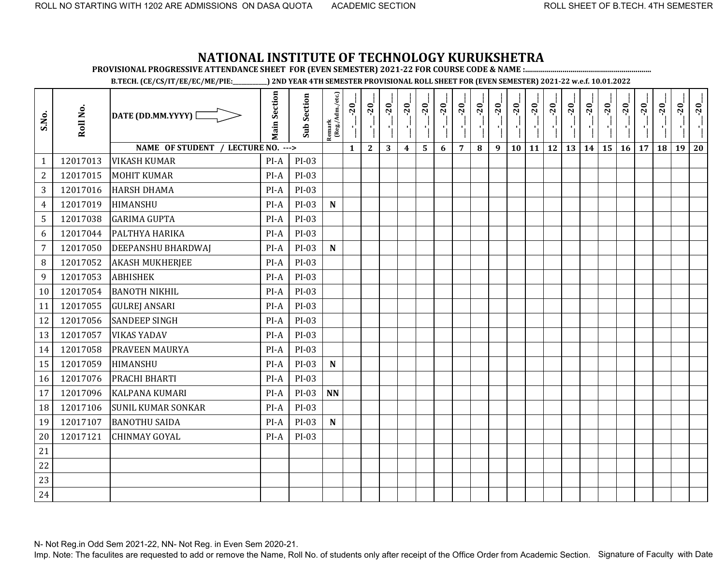**PROVISIONAL PROGRESSIVE ATTENDANCE SHEET FOR (EVEN SEMESTER) 2021-22 FOR COURSE CODE & NAME :................................................................**

**B.TECH. (CE/CS/IT/EE/EC/ME/PIE:\_\_\_\_\_\_\_\_\_\_\_\_) 2ND YEAR 4TH SEMESTER PROVISIONAL ROLL SHEET FOR (EVEN SEMESTER) 2021-22 w.e.f. 10.01.2022** 

| S.No.            | Roll No. | DATE (DD.MM.YYYY) [                | <b>Main Section</b> | <b>Sub Section</b> | Remark<br>(Reg./Adm./etc.) | $-20$        | $-20$        | $-20$ | $-20$            | $-20$                   | $-20$ | $-20$          | $-20$ | $-20$ | $-20$ | $-20$<br>۱ļ | $-20$     | $-20$ | $-20$ | $-20$ | $-20$ | $-20$ | $-20$ | $-20$ | $-20$ |
|------------------|----------|------------------------------------|---------------------|--------------------|----------------------------|--------------|--------------|-------|------------------|-------------------------|-------|----------------|-------|-------|-------|-------------|-----------|-------|-------|-------|-------|-------|-------|-------|-------|
|                  |          | NAME OF STUDENT / LECTURE NO. ---> |                     |                    |                            | $\mathbf{1}$ | $\mathbf{2}$ | 3     | $\boldsymbol{4}$ | $\overline{\mathbf{5}}$ | 6     | $\overline{7}$ | 8     | 9     | 10    | 11          | <b>12</b> | 13    | 14    | 15    | 16    | 17    | 18    | 19    | 20    |
| $\mathbf{1}$     | 12017013 | <b>VIKASH KUMAR</b>                | PI-A                | PI-03              |                            |              |              |       |                  |                         |       |                |       |       |       |             |           |       |       |       |       |       |       |       |       |
| $\mathbf{2}$     | 12017015 | <b>MOHIT KUMAR</b>                 | $PI-A$              | PI-03              |                            |              |              |       |                  |                         |       |                |       |       |       |             |           |       |       |       |       |       |       |       |       |
| 3                | 12017016 | <b>HARSH DHAMA</b>                 | $PI-A$              | PI-03              |                            |              |              |       |                  |                         |       |                |       |       |       |             |           |       |       |       |       |       |       |       |       |
| $\overline{4}$   | 12017019 | HIMANSHU                           | PI-A                | PI-03              | ${\bf N}$                  |              |              |       |                  |                         |       |                |       |       |       |             |           |       |       |       |       |       |       |       |       |
| 5                | 12017038 | <b>GARIMA GUPTA</b>                | $PI-A$              | PI-03              |                            |              |              |       |                  |                         |       |                |       |       |       |             |           |       |       |       |       |       |       |       |       |
| 6                | 12017044 | PALTHYA HARIKA                     | $PI-A$              | PI-03              |                            |              |              |       |                  |                         |       |                |       |       |       |             |           |       |       |       |       |       |       |       |       |
| $\overline{7}$   | 12017050 | <b>DEEPANSHU BHARDWAJ</b>          | $PI-A$              | PI-03              | $\mathbf N$                |              |              |       |                  |                         |       |                |       |       |       |             |           |       |       |       |       |       |       |       |       |
| $\, 8$           | 12017052 | <b>AKASH MUKHERJEE</b>             | PI-A                | PI-03              |                            |              |              |       |                  |                         |       |                |       |       |       |             |           |       |       |       |       |       |       |       |       |
| $\boldsymbol{9}$ | 12017053 | <b>ABHISHEK</b>                    | $PI-A$              | PI-03              |                            |              |              |       |                  |                         |       |                |       |       |       |             |           |       |       |       |       |       |       |       |       |
| 10               | 12017054 | <b>BANOTH NIKHIL</b>               | $PI-A$              | PI-03              |                            |              |              |       |                  |                         |       |                |       |       |       |             |           |       |       |       |       |       |       |       |       |
| 11               | 12017055 | <b>GULREJ ANSARI</b>               | $PI-A$              | PI-03              |                            |              |              |       |                  |                         |       |                |       |       |       |             |           |       |       |       |       |       |       |       |       |
| 12               | 12017056 | <b>SANDEEP SINGH</b>               | PI-A                | PI-03              |                            |              |              |       |                  |                         |       |                |       |       |       |             |           |       |       |       |       |       |       |       |       |
| 13               | 12017057 | <b>VIKAS YADAV</b>                 | PI-A                | PI-03              |                            |              |              |       |                  |                         |       |                |       |       |       |             |           |       |       |       |       |       |       |       |       |
| 14               | 12017058 | <b>PRAVEEN MAURYA</b>              | $PI-A$              | PI-03              |                            |              |              |       |                  |                         |       |                |       |       |       |             |           |       |       |       |       |       |       |       |       |
| 15               | 12017059 | <b>HIMANSHU</b>                    | $PI-A$              | PI-03              | ${\bf N}$                  |              |              |       |                  |                         |       |                |       |       |       |             |           |       |       |       |       |       |       |       |       |
| 16               | 12017076 | PRACHI BHARTI                      | PI-A                | PI-03              |                            |              |              |       |                  |                         |       |                |       |       |       |             |           |       |       |       |       |       |       |       |       |
| 17               | 12017096 | <b>KALPANA KUMARI</b>              | $PI-A$              | PI-03              | <b>NN</b>                  |              |              |       |                  |                         |       |                |       |       |       |             |           |       |       |       |       |       |       |       |       |
| 18               | 12017106 | <b>SUNIL KUMAR SONKAR</b>          | $PI-A$              | PI-03              |                            |              |              |       |                  |                         |       |                |       |       |       |             |           |       |       |       |       |       |       |       |       |
| 19               | 12017107 | <b>BANOTHU SAIDA</b>               | $PI-A$              | PI-03              | ${\bf N}$                  |              |              |       |                  |                         |       |                |       |       |       |             |           |       |       |       |       |       |       |       |       |
| 20               | 12017121 | <b>CHINMAY GOYAL</b>               | PI-A                | PI-03              |                            |              |              |       |                  |                         |       |                |       |       |       |             |           |       |       |       |       |       |       |       |       |
| 21               |          |                                    |                     |                    |                            |              |              |       |                  |                         |       |                |       |       |       |             |           |       |       |       |       |       |       |       |       |
| 22               |          |                                    |                     |                    |                            |              |              |       |                  |                         |       |                |       |       |       |             |           |       |       |       |       |       |       |       |       |
| 23               |          |                                    |                     |                    |                            |              |              |       |                  |                         |       |                |       |       |       |             |           |       |       |       |       |       |       |       |       |
| 24               |          |                                    |                     |                    |                            |              |              |       |                  |                         |       |                |       |       |       |             |           |       |       |       |       |       |       |       |       |

N- Not Reg.in Odd Sem 2021-22, NN- Not Reg. in Even Sem 2020-21.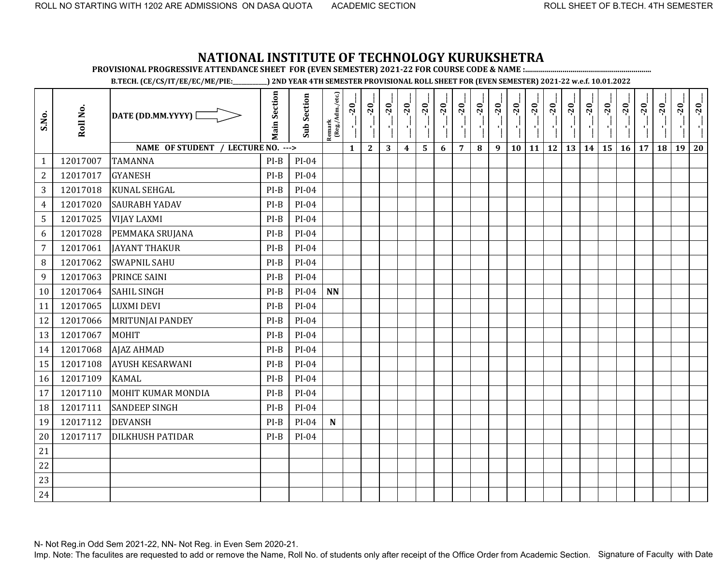**PROVISIONAL PROGRESSIVE ATTENDANCE SHEET FOR (EVEN SEMESTER) 2021-22 FOR COURSE CODE & NAME :................................................................**

**B.TECH. (CE/CS/IT/EE/EC/ME/PIE:\_\_\_\_\_\_\_\_\_\_\_\_) 2ND YEAR 4TH SEMESTER PROVISIONAL ROLL SHEET FOR (EVEN SEMESTER) 2021-22 w.e.f. 10.01.2022** 

| S.No.          | Roll No. | DATE (DD.MM.YYYY) [                | <b>Main Section</b> | <b>Sub Section</b> | Remark<br>(Reg./Adm./etc.) | $-20$<br>J.  | $-20$<br>۱ļ  | $-20$ | $-20$            | $-20$ | $-20$ | $-20$          | $-20$ | $-20$ | $-20$ | $-20$ | $-20$     | $-20$ | $-20$ | $-20$ | $-20$ | $-20$ | $-20$ | $-20$ | $-20$ |
|----------------|----------|------------------------------------|---------------------|--------------------|----------------------------|--------------|--------------|-------|------------------|-------|-------|----------------|-------|-------|-------|-------|-----------|-------|-------|-------|-------|-------|-------|-------|-------|
|                |          | NAME OF STUDENT / LECTURE NO. ---> |                     |                    |                            | $\mathbf{1}$ | $\mathbf{2}$ | 3     | $\boldsymbol{4}$ | 5     | 6     | $\overline{7}$ | 8     | 9     | 10    | 11    | <b>12</b> | 13    | 14    | 15    | 16    | 17    | 18    | 19    | 20    |
| $\mathbf{1}$   | 12017007 | <b>TAMANNA</b>                     | $PI-B$              | $PI-04$            |                            |              |              |       |                  |       |       |                |       |       |       |       |           |       |       |       |       |       |       |       |       |
| $\overline{2}$ | 12017017 | <b>GYANESH</b>                     | $PI-B$              | PI-04              |                            |              |              |       |                  |       |       |                |       |       |       |       |           |       |       |       |       |       |       |       |       |
| 3              | 12017018 | <b>KUNAL SEHGAL</b>                | $PI-B$              | $PI-04$            |                            |              |              |       |                  |       |       |                |       |       |       |       |           |       |       |       |       |       |       |       |       |
| $\overline{4}$ | 12017020 | <b>SAURABH YADAV</b>               | $PI-B$              | $PI-04$            |                            |              |              |       |                  |       |       |                |       |       |       |       |           |       |       |       |       |       |       |       |       |
| 5              | 12017025 | <b>VIJAY LAXMI</b>                 | $PI-B$              | $PI-04$            |                            |              |              |       |                  |       |       |                |       |       |       |       |           |       |       |       |       |       |       |       |       |
| 6              | 12017028 | PEMMAKA SRUJANA                    | $PI-B$              | $PI-04$            |                            |              |              |       |                  |       |       |                |       |       |       |       |           |       |       |       |       |       |       |       |       |
| $\overline{7}$ | 12017061 | <b>JAYANT THAKUR</b>               | $PI-B$              | PI-04              |                            |              |              |       |                  |       |       |                |       |       |       |       |           |       |       |       |       |       |       |       |       |
| 8              | 12017062 | <b>SWAPNIL SAHU</b>                | $PI-B$              | PI-04              |                            |              |              |       |                  |       |       |                |       |       |       |       |           |       |       |       |       |       |       |       |       |
| 9              | 12017063 | PRINCE SAINI                       | $PI-B$              | $PI-04$            |                            |              |              |       |                  |       |       |                |       |       |       |       |           |       |       |       |       |       |       |       |       |
| 10             | 12017064 | <b>SAHIL SINGH</b>                 | $PI-B$              | $PI-04$            | <b>NN</b>                  |              |              |       |                  |       |       |                |       |       |       |       |           |       |       |       |       |       |       |       |       |
| 11             | 12017065 | <b>LUXMI DEVI</b>                  | $PI-B$              | PI-04              |                            |              |              |       |                  |       |       |                |       |       |       |       |           |       |       |       |       |       |       |       |       |
| 12             | 12017066 | MRITUNJAI PANDEY                   | $PI-B$              | $PI-04$            |                            |              |              |       |                  |       |       |                |       |       |       |       |           |       |       |       |       |       |       |       |       |
| 13             | 12017067 | <b>MOHIT</b>                       | $PI-B$              | PI-04              |                            |              |              |       |                  |       |       |                |       |       |       |       |           |       |       |       |       |       |       |       |       |
| 14             | 12017068 | <b>AJAZ AHMAD</b>                  | $PI-B$              | $PI-04$            |                            |              |              |       |                  |       |       |                |       |       |       |       |           |       |       |       |       |       |       |       |       |
| 15             | 12017108 | <b>AYUSH KESARWANI</b>             | PI-B                | $PI-04$            |                            |              |              |       |                  |       |       |                |       |       |       |       |           |       |       |       |       |       |       |       |       |
| 16             | 12017109 | <b>KAMAL</b>                       | $PI-B$              | PI-04              |                            |              |              |       |                  |       |       |                |       |       |       |       |           |       |       |       |       |       |       |       |       |
| 17             | 12017110 | MOHIT KUMAR MONDIA                 | $PI-B$              | $PI-04$            |                            |              |              |       |                  |       |       |                |       |       |       |       |           |       |       |       |       |       |       |       |       |
| 18             | 12017111 | <b>SANDEEP SINGH</b>               | $PI-B$              | $PI-04$            |                            |              |              |       |                  |       |       |                |       |       |       |       |           |       |       |       |       |       |       |       |       |
| 19             | 12017112 | <b>DEVANSH</b>                     | $PI-B$              | $PI-04$            | ${\bf N}$                  |              |              |       |                  |       |       |                |       |       |       |       |           |       |       |       |       |       |       |       |       |
| 20             | 12017117 | <b>DILKHUSH PATIDAR</b>            | $PI-B$              | PI-04              |                            |              |              |       |                  |       |       |                |       |       |       |       |           |       |       |       |       |       |       |       |       |
| 21             |          |                                    |                     |                    |                            |              |              |       |                  |       |       |                |       |       |       |       |           |       |       |       |       |       |       |       |       |
| 22             |          |                                    |                     |                    |                            |              |              |       |                  |       |       |                |       |       |       |       |           |       |       |       |       |       |       |       |       |
| 23             |          |                                    |                     |                    |                            |              |              |       |                  |       |       |                |       |       |       |       |           |       |       |       |       |       |       |       |       |
| 24             |          |                                    |                     |                    |                            |              |              |       |                  |       |       |                |       |       |       |       |           |       |       |       |       |       |       |       |       |

N- Not Reg.in Odd Sem 2021-22, NN- Not Reg. in Even Sem 2020-21.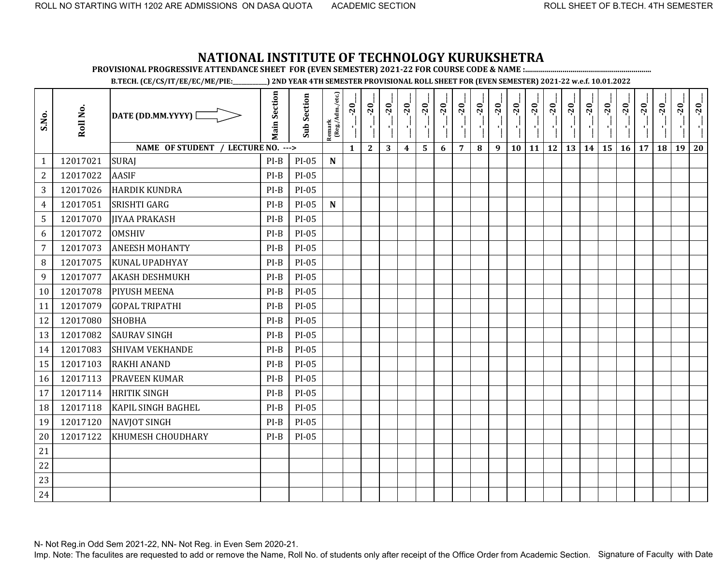**PROVISIONAL PROGRESSIVE ATTENDANCE SHEET FOR (EVEN SEMESTER) 2021-22 FOR COURSE CODE & NAME :................................................................**

**B.TECH. (CE/CS/IT/EE/EC/ME/PIE:\_\_\_\_\_\_\_\_\_\_\_\_) 2ND YEAR 4TH SEMESTER PROVISIONAL ROLL SHEET FOR (EVEN SEMESTER) 2021-22 w.e.f. 10.01.2022** 

| S.No.          | Roll No. | DATE (DD.MM.YYYY) [                | <b>Main Section</b> | <b>Sub Section</b> | $\frac{\text{Remark}}{\text{(Reg/Adm/etc.)}}$ | $-20$        | $-20$        | $-20$ | $-20$            | $-20$ | $-20$ | $-20$          | $-20$ | $-20$<br>7 H | $-20$<br>л, | $-20$<br>$\mathcal{F}_1$ | $-20$<br>$\mathbf{r}_{\mathrm{L}}$ | $-20$<br>$\mathcal{F}_1^{\mathcal{E}}$ | $-20$ | $-20$ | $-20$ | $-20$ | $-20$ | $-20$ | $-20$ |
|----------------|----------|------------------------------------|---------------------|--------------------|-----------------------------------------------|--------------|--------------|-------|------------------|-------|-------|----------------|-------|--------------|-------------|--------------------------|------------------------------------|----------------------------------------|-------|-------|-------|-------|-------|-------|-------|
|                |          | NAME OF STUDENT / LECTURE NO. ---> |                     |                    |                                               | $\mathbf{1}$ | $\mathbf{2}$ | 3     | $\boldsymbol{4}$ | 5     | 6     | $\overline{7}$ | 8     | 9            | 10          | 11                       | <b>12</b>                          | 13                                     | 14    | 15    | 16    | 17    | 18    | 19    | 20    |
| $\mathbf{1}$   | 12017021 | <b>SURAJ</b>                       | $PI-B$              | PI-05              | ${\bf N}$                                     |              |              |       |                  |       |       |                |       |              |             |                          |                                    |                                        |       |       |       |       |       |       |       |
| $\overline{c}$ | 12017022 | <b>AASIF</b>                       | $PI-B$              | PI-05              |                                               |              |              |       |                  |       |       |                |       |              |             |                          |                                    |                                        |       |       |       |       |       |       |       |
| 3              | 12017026 | <b>HARDIK KUNDRA</b>               | $PI-B$              | PI-05              |                                               |              |              |       |                  |       |       |                |       |              |             |                          |                                    |                                        |       |       |       |       |       |       |       |
| 4              | 12017051 | <b>SRISHTI GARG</b>                | $PI-B$              | PI-05              | $\mathbf N$                                   |              |              |       |                  |       |       |                |       |              |             |                          |                                    |                                        |       |       |       |       |       |       |       |
| 5              | 12017070 | <b>IIYAA PRAKASH</b>               | $PI-B$              | PI-05              |                                               |              |              |       |                  |       |       |                |       |              |             |                          |                                    |                                        |       |       |       |       |       |       |       |
| 6              | 12017072 | <b>OMSHIV</b>                      | $PI-B$              | PI-05              |                                               |              |              |       |                  |       |       |                |       |              |             |                          |                                    |                                        |       |       |       |       |       |       |       |
| $\overline{7}$ | 12017073 | <b>ANEESH MOHANTY</b>              | $PI-B$              | PI-05              |                                               |              |              |       |                  |       |       |                |       |              |             |                          |                                    |                                        |       |       |       |       |       |       |       |
| $\, 8$         | 12017075 | <b>KUNAL UPADHYAY</b>              | $PI-B$              | PI-05              |                                               |              |              |       |                  |       |       |                |       |              |             |                          |                                    |                                        |       |       |       |       |       |       |       |
| 9              | 12017077 | <b>AKASH DESHMUKH</b>              | $PI-B$              | PI-05              |                                               |              |              |       |                  |       |       |                |       |              |             |                          |                                    |                                        |       |       |       |       |       |       |       |
| 10             | 12017078 | <b>PIYUSH MEENA</b>                | $PI-B$              | PI-05              |                                               |              |              |       |                  |       |       |                |       |              |             |                          |                                    |                                        |       |       |       |       |       |       |       |
| 11             | 12017079 | <b>GOPAL TRIPATHI</b>              | $PI-B$              | PI-05              |                                               |              |              |       |                  |       |       |                |       |              |             |                          |                                    |                                        |       |       |       |       |       |       |       |
| 12             | 12017080 | <b>SHOBHA</b>                      | $PI-B$              | PI-05              |                                               |              |              |       |                  |       |       |                |       |              |             |                          |                                    |                                        |       |       |       |       |       |       |       |
| 13             | 12017082 | <b>SAURAV SINGH</b>                | $PI-B$              | PI-05              |                                               |              |              |       |                  |       |       |                |       |              |             |                          |                                    |                                        |       |       |       |       |       |       |       |
| 14             | 12017083 | <b>SHIVAM VEKHANDE</b>             | $PI-B$              | PI-05              |                                               |              |              |       |                  |       |       |                |       |              |             |                          |                                    |                                        |       |       |       |       |       |       |       |
| 15             | 12017103 | <b>RAKHI ANAND</b>                 | $PI-B$              | PI-05              |                                               |              |              |       |                  |       |       |                |       |              |             |                          |                                    |                                        |       |       |       |       |       |       |       |
| 16             | 12017113 | <b>PRAVEEN KUMAR</b>               | $PI-B$              | PI-05              |                                               |              |              |       |                  |       |       |                |       |              |             |                          |                                    |                                        |       |       |       |       |       |       |       |
| 17             | 12017114 | <b>HRITIK SINGH</b>                | $PI-B$              | PI-05              |                                               |              |              |       |                  |       |       |                |       |              |             |                          |                                    |                                        |       |       |       |       |       |       |       |
| 18             | 12017118 | <b>KAPIL SINGH BAGHEL</b>          | $PI-B$              | PI-05              |                                               |              |              |       |                  |       |       |                |       |              |             |                          |                                    |                                        |       |       |       |       |       |       |       |
| 19             | 12017120 | <b>NAVJOT SINGH</b>                | $PI-B$              | PI-05              |                                               |              |              |       |                  |       |       |                |       |              |             |                          |                                    |                                        |       |       |       |       |       |       |       |
| 20             | 12017122 | KHUMESH CHOUDHARY                  | $PI-B$              | PI-05              |                                               |              |              |       |                  |       |       |                |       |              |             |                          |                                    |                                        |       |       |       |       |       |       |       |
| 21             |          |                                    |                     |                    |                                               |              |              |       |                  |       |       |                |       |              |             |                          |                                    |                                        |       |       |       |       |       |       |       |
| 22             |          |                                    |                     |                    |                                               |              |              |       |                  |       |       |                |       |              |             |                          |                                    |                                        |       |       |       |       |       |       |       |
| 23             |          |                                    |                     |                    |                                               |              |              |       |                  |       |       |                |       |              |             |                          |                                    |                                        |       |       |       |       |       |       |       |
| 24             |          |                                    |                     |                    |                                               |              |              |       |                  |       |       |                |       |              |             |                          |                                    |                                        |       |       |       |       |       |       |       |

N- Not Reg.in Odd Sem 2021-22, NN- Not Reg. in Even Sem 2020-21.